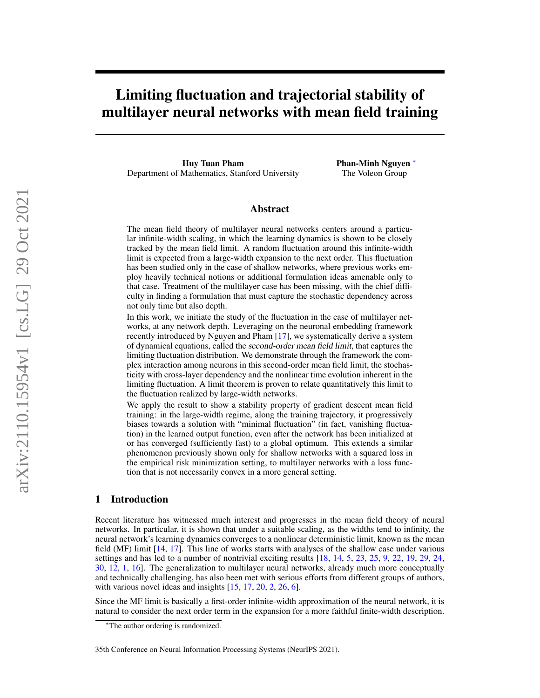# Limiting fluctuation and trajectorial stability of multilayer neural networks with mean field training

Huy Tuan Pham Department of Mathematics, Stanford University Phan-Minh Nguyen <sup>∗</sup> The Voleon Group

## Abstract

The mean field theory of multilayer neural networks centers around a particular infinite-width scaling, in which the learning dynamics is shown to be closely tracked by the mean field limit. A random fluctuation around this infinite-width limit is expected from a large-width expansion to the next order. This fluctuation has been studied only in the case of shallow networks, where previous works employ heavily technical notions or additional formulation ideas amenable only to that case. Treatment of the multilayer case has been missing, with the chief difficulty in finding a formulation that must capture the stochastic dependency across not only time but also depth.

In this work, we initiate the study of the fluctuation in the case of multilayer networks, at any network depth. Leveraging on the neuronal embedding framework recently introduced by Nguyen and Pham [\[17\]](#page-10-0), we systematically derive a system of dynamical equations, called the second-order mean field limit, that captures the limiting fluctuation distribution. We demonstrate through the framework the complex interaction among neurons in this second-order mean field limit, the stochasticity with cross-layer dependency and the nonlinear time evolution inherent in the limiting fluctuation. A limit theorem is proven to relate quantitatively this limit to the fluctuation realized by large-width networks.

We apply the result to show a stability property of gradient descent mean field training: in the large-width regime, along the training trajectory, it progressively biases towards a solution with "minimal fluctuation" (in fact, vanishing fluctuation) in the learned output function, even after the network has been initialized at or has converged (sufficiently fast) to a global optimum. This extends a similar phenomenon previously shown only for shallow networks with a squared loss in the empirical risk minimization setting, to multilayer networks with a loss function that is not necessarily convex in a more general setting.

## <span id="page-0-0"></span>1 Introduction

Recent literature has witnessed much interest and progresses in the mean field theory of neural networks. In particular, it is shown that under a suitable scaling, as the widths tend to infinity, the neural network's learning dynamics converges to a nonlinear deterministic limit, known as the mean field (MF) limit [\[14,](#page-10-1) [17\]](#page-10-0). This line of works starts with analyses of the shallow case under various settings and has led to a number of nontrivial exciting results [\[18,](#page-10-2) [14,](#page-10-1) [5,](#page-10-3) [23,](#page-11-0) [25,](#page-11-1) [9,](#page-10-4) [22,](#page-11-2) [19,](#page-10-5) [29,](#page-11-3) [24,](#page-11-4) [30,](#page-11-5) [12,](#page-10-6) [1,](#page-10-7) [16\]](#page-10-8). The generalization to multilayer neural networks, already much more conceptually and technically challenging, has also been met with serious efforts from different groups of authors, with various novel ideas and insights  $[15, 17, 20, 2, 26, 6]$  $[15, 17, 20, 2, 26, 6]$  $[15, 17, 20, 2, 26, 6]$  $[15, 17, 20, 2, 26, 6]$  $[15, 17, 20, 2, 26, 6]$  $[15, 17, 20, 2, 26, 6]$  $[15, 17, 20, 2, 26, 6]$  $[15, 17, 20, 2, 26, 6]$  $[15, 17, 20, 2, 26, 6]$  $[15, 17, 20, 2, 26, 6]$  $[15, 17, 20, 2, 26, 6]$ .

Since the MF limit is basically a first-order infinite-width approximation of the neural network, it is natural to consider the next order term in the expansion for a more faithful finite-width description.

<sup>∗</sup>The author ordering is randomized.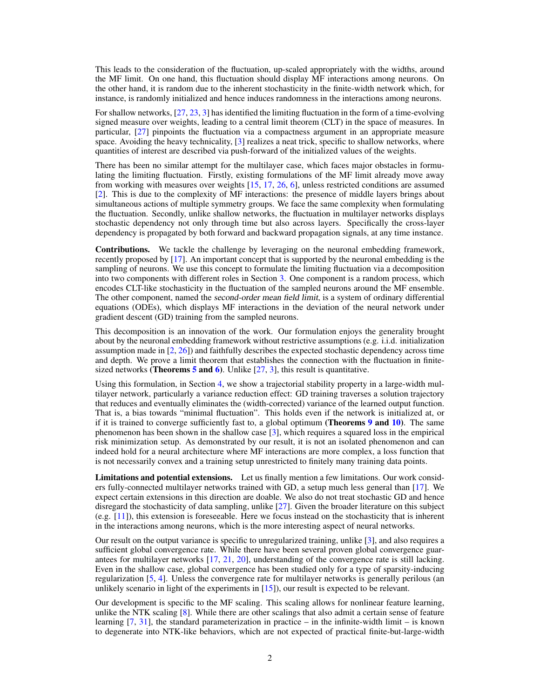This leads to the consideration of the fluctuation, up-scaled appropriately with the widths, around the MF limit. On one hand, this fluctuation should display MF interactions among neurons. On the other hand, it is random due to the inherent stochasticity in the finite-width network which, for instance, is randomly initialized and hence induces randomness in the interactions among neurons.

For shallow networks, [\[27,](#page-11-8) [23,](#page-11-0) [3\]](#page-10-12) has identified the limiting fluctuation in the form of a time-evolving signed measure over weights, leading to a central limit theorem (CLT) in the space of measures. In particular, [\[27\]](#page-11-8) pinpoints the fluctuation via a compactness argument in an appropriate measure space. Avoiding the heavy technicality, [\[3\]](#page-10-12) realizes a neat trick, specific to shallow networks, where quantities of interest are described via push-forward of the initialized values of the weights.

There has been no similar attempt for the multilayer case, which faces major obstacles in formulating the limiting fluctuation. Firstly, existing formulations of the MF limit already move away from working with measures over weights [\[15,](#page-10-9) [17,](#page-10-0) [26,](#page-11-7) [6\]](#page-10-11), unless restricted conditions are assumed [\[2\]](#page-10-10). This is due to the complexity of MF interactions: the presence of middle layers brings about simultaneous actions of multiple symmetry groups. We face the same complexity when formulating the fluctuation. Secondly, unlike shallow networks, the fluctuation in multilayer networks displays stochastic dependency not only through time but also across layers. Specifically the cross-layer dependency is propagated by both forward and backward propagation signals, at any time instance.

Contributions. We tackle the challenge by leveraging on the neuronal embedding framework, recently proposed by [\[17\]](#page-10-0). An important concept that is supported by the neuronal embedding is the sampling of neurons. We use this concept to formulate the limiting fluctuation via a decomposition into two components with different roles in Section [3.](#page-4-0) One component is a random process, which encodes CLT-like stochasticity in the fluctuation of the sampled neurons around the MF ensemble. The other component, named the second-order mean field limit, is a system of ordinary differential equations (ODEs), which displays MF interactions in the deviation of the neural network under gradient descent (GD) training from the sampled neurons.

This decomposition is an innovation of the work. Our formulation enjoys the generality brought about by the neuronal embedding framework without restrictive assumptions (e.g. i.i.d. initialization assumption made in [\[2,](#page-10-10) [26\]](#page-11-7)) and faithfully describes the expected stochastic dependency across time and depth. We prove a limit theorem that establishes the connection with the fluctuation in finitesized networks (**Theorems [5](#page-6-0) and 6**). Unlike  $[27, 3]$  $[27, 3]$  $[27, 3]$ , this result is quantitative.

Using this formulation, in Section [4,](#page-8-0) we show a trajectorial stability property in a large-width multilayer network, particularly a variance reduction effect: GD training traverses a solution trajectory that reduces and eventually eliminates the (width-corrected) variance of the learned output function. That is, a bias towards "minimal fluctuation". This holds even if the network is initialized at, or if it is trained to converge sufficiently fast to, a global optimum (**Theorems [9](#page-8-1) and 10**). The same phenomenon has been shown in the shallow case [\[3\]](#page-10-12), which requires a squared loss in the empirical risk minimization setup. As demonstrated by our result, it is not an isolated phenomenon and can indeed hold for a neural architecture where MF interactions are more complex, a loss function that is not necessarily convex and a training setup unrestricted to finitely many training data points.

Limitations and potential extensions. Let us finally mention a few limitations. Our work considers fully-connected multilayer networks trained with GD, a setup much less general than [\[17\]](#page-10-0). We expect certain extensions in this direction are doable. We also do not treat stochastic GD and hence disregard the stochasticity of data sampling, unlike [\[27\]](#page-11-8). Given the broader literature on this subject (e.g. [\[11\]](#page-10-13)), this extension is foreseeable. Here we focus instead on the stochasticity that is inherent in the interactions among neurons, which is the more interesting aspect of neural networks.

Our result on the output variance is specific to unregularized training, unlike [\[3\]](#page-10-12), and also requires a sufficient global convergence rate. While there have been several proven global convergence guarantees for multilayer networks [\[17,](#page-10-0) [21,](#page-11-9) [20\]](#page-11-6), understanding of the convergence rate is still lacking. Even in the shallow case, global convergence has been studied only for a type of sparsity-inducing regularization [\[5,](#page-10-3) [4\]](#page-10-14). Unless the convergence rate for multilayer networks is generally perilous (an unlikely scenario in light of the experiments in [\[15\]](#page-10-9)), our result is expected to be relevant.

Our development is specific to the MF scaling. This scaling allows for nonlinear feature learning, unlike the NTK scaling [\[8\]](#page-10-15). While there are other scalings that also admit a certain sense of feature learning  $[7, 31]$  $[7, 31]$  $[7, 31]$ , the standard parameterization in practice – in the infinite-width limit – is known to degenerate into NTK-like behaviors, which are not expected of practical finite-but-large-width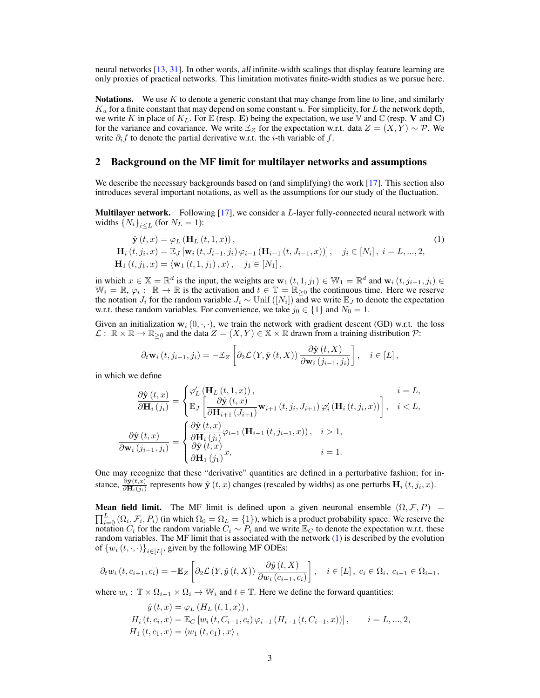neural networks [\[13,](#page-10-17) [31\]](#page-11-10). In other words, all infinite-width scalings that display feature learning are only proxies of practical networks. This limitation motivates finite-width studies as we pursue here.

**Notations.** We use K to denote a generic constant that may change from line to line, and similarly  $K_u$  for a finite constant that may depend on some constant u. For simplicity, for L the network depth, we write K in place of  $K_L$ . For E (resp. E) being the expectation, we use V and C (resp. V and C) for the variance and covariance. We write  $\mathbb{E}_Z$  for the expectation w.r.t. data  $Z = (X, Y) \sim \mathcal{P}$ . We write  $\partial_i f$  to denote the partial derivative w.r.t. the *i*-th variable of f.

## <span id="page-2-1"></span>2 Background on the MF limit for multilayer networks and assumptions

We describe the necessary backgrounds based on (and simplifying) the work [\[17\]](#page-10-0). This section also introduces several important notations, as well as the assumptions for our study of the fluctuation.

**Multilayer network.** Following  $[17]$ , we consider a *L*-layer fully-connected neural network with widths  ${N_i}_{i \leq L}$  (for  $N_L = 1$ ):

$$
\hat{\mathbf{y}}(t,x) = \varphi_L(\mathbf{H}_L(t,1,x)),
$$
\n
$$
\mathbf{H}_i(t,j_i,x) = \mathbb{E}_J[\mathbf{w}_i(t,J_{i-1},j_i)\varphi_{i-1}(\mathbf{H}_{i-1}(t,J_{i-1},x))], \quad j_i \in [N_i], i = L,..., 2,
$$
\n
$$
\mathbf{H}_1(t,j_1,x) = \langle \mathbf{w}_1(t,1,j_1), x \rangle, \quad j_1 \in [N_1],
$$
\n(1)

in which  $x \in \mathbb{X} = \mathbb{R}^d$  is the input, the weights are  $\mathbf{w}_1(t, 1, j_1) \in \mathbb{W}_1 = \mathbb{R}^d$  and  $\mathbf{w}_i(t, j_{i-1}, j_i) \in$  $\mathbb{W}_{i} = \mathbb{R}, \varphi_{i}: \mathbb{R} \to \mathbb{R}$  is the activation and  $t \in \mathbb{T} = \mathbb{R}_{\geq 0}$  the continuous time. Here we reserve the notation  $J_i$  for the random variable  $J_i \sim$  Unif  $([N_i])$  and we write  $\mathbb{E}_J$  to denote the expectation w.r.t. these random variables. For convenience, we take  $j_0 \in \{1\}$  and  $N_0 = 1$ .

Given an initialization  $w_i$   $(0, \cdot, \cdot)$ , we train the network with gradient descent (GD) w.r.t. the loss  $\mathcal{L}: \mathbb{R} \times \mathbb{R} \to \mathbb{R}_{\geq 0}$  and the data  $Z = (X, Y) \in \mathbb{X} \times \mathbb{R}$  drawn from a training distribution  $\mathcal{P}$ :

<span id="page-2-0"></span>
$$
\partial_t \mathbf{w}_i(t, j_{i-1}, j_i) = -\mathbb{E}_Z \left[ \partial_2 \mathcal{L} \left( Y, \hat{\mathbf{y}}(t, X) \right) \frac{\partial \hat{\mathbf{y}}(t, X)}{\partial \mathbf{w}_i (j_{i-1}, j_i)} \right], \quad i \in [L],
$$

in which we define

$$
\frac{\partial \hat{\mathbf{y}}(t,x)}{\partial \mathbf{H}_{i}(j_{i})} = \begin{cases} \varphi_{L}'(\mathbf{H}_{L}(t,1,x)), & i = L, \\ \mathbb{E}_{J} \left[ \frac{\partial \hat{\mathbf{y}}(t,x)}{\partial \mathbf{H}_{i+1}(J_{i+1})} \mathbf{w}_{i+1}(t,j_{i},J_{i+1}) \varphi_{i}'(\mathbf{H}_{i}(t,j_{i},x)) \right], & i < L, \\ \frac{\partial \hat{\mathbf{y}}(t,x)}{\partial \mathbf{w}_{i}(j_{i-1},j_{i})} = \begin{cases} \frac{\partial \hat{\mathbf{y}}(t,x)}{\partial \mathbf{H}_{i}(j_{i})} \varphi_{i-1}(\mathbf{H}_{i-1}(t,j_{i-1},x)), & i > 1, \\ \frac{\partial \hat{\mathbf{y}}(t,x)}{\partial \mathbf{H}_{1}(j_{1})} x, & i = 1. \end{cases}
$$

One may recognize that these "derivative" quantities are defined in a perturbative fashion; for instance,  $\frac{\partial \hat{y}(t,x)}{\partial \mathbf{H}_i(j_i)}$  represents how  $\hat{y}(t,x)$  changes (rescaled by widths) as one perturbs  $\mathbf{H}_i(t,j_i,x)$ .

**Mean field limit.** The MF limit is defined upon a given neuronal ensemble  $(\Omega, \mathcal{F}, P)$  =  $\prod_{i=0}^{L} (\Omega_i, \mathcal{F}_i, P_i)$  (in which  $\Omega_0 = \Omega_L = \{1\}$ ), which is a product probability space. We reserve the notation  $C_i$  for the random variable  $\tilde{C}_i \sim P_i$  and we write  $\mathbb{E}_C$  to denote the expectation w.r.t. these random variables. The MF limit that is associated with the network [\(1\)](#page-2-0) is described by the evolution of  $\{w_i(t, \cdot, \cdot)\}_{i \in [L]}$ , given by the following MF ODEs:

$$
\partial_t w_i(t, c_{i-1}, c_i) = -\mathbb{E}_Z \left[ \partial_2 \mathcal{L} \left( Y, \hat{y} \left( t, X \right) \right) \frac{\partial \hat{y} \left( t, X \right)}{\partial w_i \left( c_{i-1}, c_i \right)} \right], \quad i \in [L], \ c_i \in \Omega_i, \ c_{i-1} \in \Omega_{i-1},
$$

where  $w_i : \mathbb{T} \times \Omega_{i-1} \times \Omega_i \to \mathbb{W}_i$  and  $t \in \mathbb{T}$ . Here we define the forward quantities:

$$
\hat{y}(t,x) = \varphi_L(H_L(t,1,x)),
$$
  
\n
$$
H_i(t,c_i,x) = \mathbb{E}_C [w_i(t,C_{i-1},c_i)\varphi_{i-1}(H_{i-1}(t,C_{i-1},x))], \quad i = L,...,2,
$$
  
\n
$$
H_1(t,c_1,x) = \langle w_1(t,c_1),x \rangle,
$$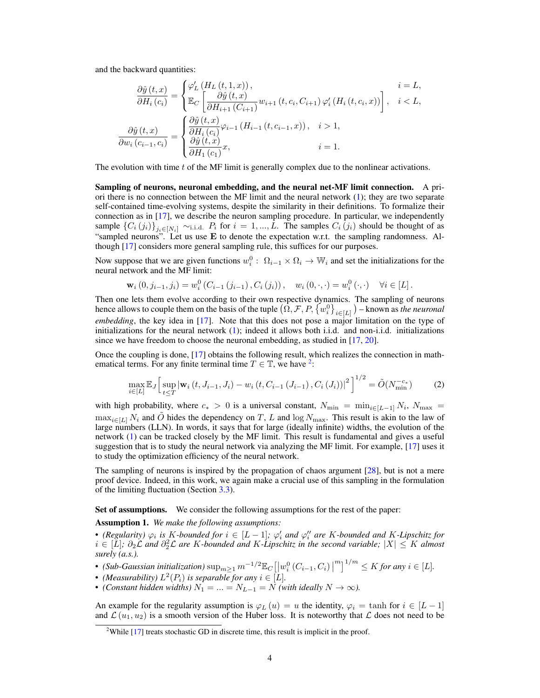and the backward quantities:

$$
\frac{\partial \hat{y}(t,x)}{\partial H_i(c_i)} = \begin{cases}\n\varphi_L'(H_L(t,1,x)), & i = L, \\
\mathbb{E}_C\left[\frac{\partial \hat{y}(t,x)}{\partial H_{i+1}(C_{i+1})}w_{i+1}(t,c_i,C_{i+1})\varphi_i'(H_i(t,c_i,x))\right], & i < L, \\
\frac{\partial \hat{y}(t,x)}{\partial w_i(c_{i-1},c_i)} = \begin{cases}\n\frac{\partial \hat{y}(t,x)}{\partial H_i(c_i)}\varphi_{i-1}(H_{i-1}(t,c_{i-1},x)), & i > 1, \\
\frac{\partial \hat{y}(t,x)}{\partial H_1(c_i)}x, & i = 1.\n\end{cases}
$$

The evolution with time t of the MF limit is generally complex due to the nonlinear activations.

Sampling of neurons, neuronal embedding, and the neural net-MF limit connection. A priori there is no connection between the MF limit and the neural network [\(1\)](#page-2-0); they are two separate self-contained time-evolving systems, despite the similarity in their definitions. To formalize their connection as in [\[17\]](#page-10-0), we describe the neuron sampling procedure. In particular, we independently sample  $\{C_i(j_i)\}_{j_i\in[N_i]}$   $\sim$ i.i.d.  $P_i$  for  $i=1,...,L$ . The samples  $C_i(j_i)$  should be thought of as "sampled neurons". Let us use E to denote the expectation w.r.t. the sampling randomness. Although [\[17\]](#page-10-0) considers more general sampling rule, this suffices for our purposes.

Now suppose that we are given functions  $w_i^0$ :  $\Omega_{i-1} \times \Omega_i \to \mathbb{W}_i$  and set the initializations for the neural network and the MF limit:

$$
\mathbf{w}_{i}(0, j_{i-1}, j_{i}) = w_{i}^{0}(C_{i-1}(j_{i-1}), C_{i}(j_{i})), \quad w_{i}(0, \cdot, \cdot) = w_{i}^{0}(\cdot, \cdot) \quad \forall i \in [L].
$$

Then one lets them evolve according to their own respective dynamics. The sampling of neurons hence allows to couple them on the basis of the tuple  $(\hat{\Omega}, \mathcal{F}, P, \{w_i^0\}_{i \in [L]})$  – known as *the neuronal embedding*, the key idea in [\[17\]](#page-10-0). Note that this does not pose a major limitation on the type of initializations for the neural network [\(1\)](#page-2-0); indeed it allows both i.i.d. and non-i.i.d. initializations since we have freedom to choose the neuronal embedding, as studied in [\[17,](#page-10-0) [20\]](#page-11-6).

Once the coupling is done, [\[17\]](#page-10-0) obtains the following result, which realizes the connection in mathematical terms. For any finite terminal time  $T \in \mathbb{T}$ , we have <sup>[2](#page-3-0)</sup>:

<span id="page-3-1"></span>
$$
\max_{i \in [L]} \mathbb{E}_J \Big[ \sup_{t \le T} |\mathbf{w}_i(t, J_{i-1}, J_i) - w_i(t, C_{i-1}(J_{i-1}), C_i(J_i))|^2 \Big]^{1/2} = \tilde{O}(N_{\min}^{-c_*})
$$
(2)

with high probability, where  $c_* > 0$  is a universal constant,  $N_{\min} = \min_{i \in [L-1]} N_i$ ,  $N_{\max} =$  $\max_{i\in[L]} N_i$  and  $\tilde{O}$  hides the dependency on T, L and log  $N_{\text{max}}$ . This result is akin to the law of large numbers (LLN). In words, it says that for large (ideally infinite) widths, the evolution of the network [\(1\)](#page-2-0) can be tracked closely by the MF limit. This result is fundamental and gives a useful suggestion that is to study the neural network via analyzing the MF limit. For example, [\[17\]](#page-10-0) uses it to study the optimization efficiency of the neural network.

The sampling of neurons is inspired by the propagation of chaos argument [\[28\]](#page-11-11), but is not a mere proof device. Indeed, in this work, we again make a crucial use of this sampling in the formulation of the limiting fluctuation (Section [3.3\)](#page-6-2).

Set of assumptions. We consider the following assumptions for the rest of the paper:

<span id="page-3-2"></span>Assumption 1. *We make the following assumptions:*

• (Regularity)  $\varphi_i$  is K-bounded for  $i \in [L-1]$ ;  $\varphi'_i$  and  $\varphi''_i$  are K-bounded and K-Lipschitz for  $i \in [L]$ ;  $\partial_2 \mathcal{L}$  and  $\partial_2^2 \mathcal{L}$  are K-bounded and K-Lipschitz in the second variable;  $|X|$  ≤ K almost *surely (a.s.).*

- (Sub-Gaussian initialization)  $\sup_{m\geq 1} m^{-1/2} \mathbb{E}_C \left[ \left| w_i^0(C_{i-1}, C_i) \right|^m \right]^{1/m} \leq K$  for any  $i \in [L]$ .
- *(Measurability)*  $L^2(P_i)$  *is separable for any*  $i \in [L]$ *.*
- *(Constant hidden widths)*  $N_1 = ... = N_{L-1} = N$  *(with ideally*  $N \to \infty$ ).

An example for the regularity assumption is  $\varphi_L(u) = u$  the identity,  $\varphi_i = \tanh$  for  $i \in [L-1]$ and  $\mathcal{L}(u_1, u_2)$  is a smooth version of the Huber loss. It is noteworthy that  $\mathcal{L}$  does not need to be

<span id="page-3-0"></span><sup>&</sup>lt;sup>2</sup>While  $[17]$  treats stochastic GD in discrete time, this result is implicit in the proof.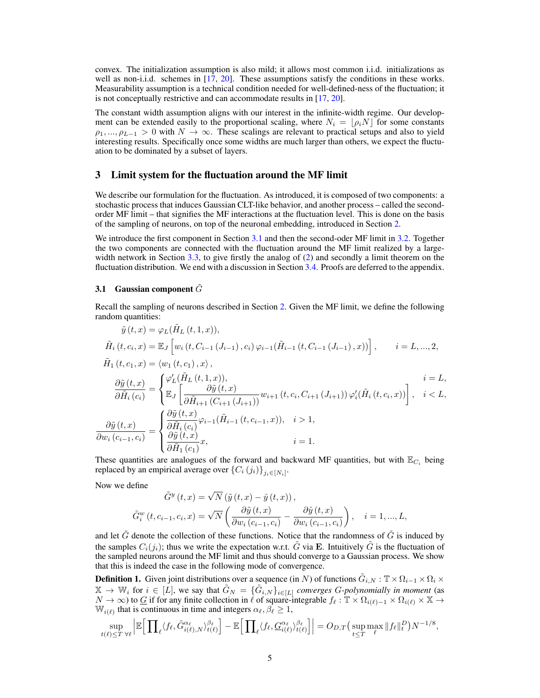convex. The initialization assumption is also mild; it allows most common i.i.d. initializations as well as non-i.i.d. schemes in [\[17,](#page-10-0) [20\]](#page-11-6). These assumptions satisfy the conditions in these works. Measurability assumption is a technical condition needed for well-defined-ness of the fluctuation; it is not conceptually restrictive and can accommodate results in [\[17,](#page-10-0) [20\]](#page-11-6).

The constant width assumption aligns with our interest in the infinite-width regime. Our development can be extended easily to the proportional scaling, where  $N_i = \rho_i N$  for some constants  $\rho_1, ..., \rho_{L-1} > 0$  with  $N \to \infty$ . These scalings are relevant to practical setups and also to yield interesting results. Specifically once some widths are much larger than others, we expect the fluctuation to be dominated by a subset of layers.

# <span id="page-4-0"></span>3 Limit system for the fluctuation around the MF limit

We describe our formulation for the fluctuation. As introduced, it is composed of two components: a stochastic process that induces Gaussian CLT-like behavior, and another process – called the secondorder MF limit – that signifies the MF interactions at the fluctuation level. This is done on the basis of the sampling of neurons, on top of the neuronal embedding, introduced in Section [2.](#page-2-1)

We introduce the first component in Section [3.1](#page-4-1) and then the second-oder MF limit in [3.2.](#page-5-0) Together the two components are connected with the fluctuation around the MF limit realized by a large-width network in Section [3.3,](#page-6-2) to give firstly the analog of [\(2\)](#page-3-1) and secondly a limit theorem on the fluctuation distribution. We end with a discussion in Section [3.4.](#page-7-0) Proofs are deferred to the appendix.

## <span id="page-4-1"></span>3.1 Gaussian component  $\tilde{G}$

Recall the sampling of neurons described in Section [2.](#page-2-1) Given the MF limit, we define the following random quantities:

$$
\tilde{y}(t,x) = \varphi_L(\tilde{H}_L(t,1,x)),
$$
\n
$$
\tilde{H}_i(t,c_i,x) = \mathbb{E}_J \left[ w_i(t,C_{i-1}(J_{i-1}),c_i) \varphi_{i-1}(\tilde{H}_{i-1}(t,C_{i-1}(J_{i-1}),x)) \right], \qquad i = L,...,2,
$$
\n
$$
\tilde{H}_1(t,c_1,x) = \langle w_1(t,c_1),x \rangle,
$$
\n
$$
\frac{\partial \tilde{y}(t,x)}{\partial \tilde{H}_i(c_i)} = \begin{cases}\n\varphi'_L(\tilde{H}_L(t,1,x)), \\
\mathbb{E}_J \left[ \frac{\partial \tilde{y}(t,x)}{\partial \tilde{H}_{i+1}(C_{i+1}(J_{i+1}))} w_{i+1}(t,c_i,C_{i+1}(J_{i+1})) \varphi'_i(\tilde{H}_i(t,c_i,x)) \right], \quad i < L, \\
\frac{\partial \tilde{y}(t,x)}{\partial w_i(c_{i-1},c_i)} = \begin{cases}\n\frac{\partial \tilde{y}(t,x)}{\partial \tilde{H}_i(c_i)} \varphi_{i-1}(\tilde{H}_{i-1}(t,c_{i-1},x)), \quad i > 1, \\
\frac{\partial \tilde{y}(t,x)}{\partial \tilde{H}_1(c_i)} x, \quad i = 1.\n\end{cases}
$$

These quantities are analogues of the forward and backward MF quantities, but with  $\mathbb{E}_{C_i}$  being replaced by an empirical average over  $\left\{C_i(j_i)\right\}_{j_i\in[N_i]}$ .

Now we define

$$
\tilde{G}^{y}(t,x) = \sqrt{N} \left( \tilde{y}(t,x) - \hat{y}(t,x) \right),
$$
\n
$$
\tilde{G}_{i}^{w}(t, c_{i-1}, c_{i}, x) = \sqrt{N} \left( \frac{\partial \tilde{y}(t,x)}{\partial w_{i}(c_{i-1}, c_{i})} - \frac{\partial \hat{y}(t,x)}{\partial w_{i}(c_{i-1}, c_{i})} \right), \quad i = 1, ..., L,
$$

and let  $\tilde{G}$  denote the collection of these functions. Notice that the randomness of  $\tilde{G}$  is induced by the samples  $C_i(j_i)$ ; thus we write the expectation w.r.t.  $\tilde{G}$  via **E**. Intuitively  $\tilde{G}$  is the fluctuation of the sampled neurons around the MF limit and thus should converge to a Gaussian process. We show that this is indeed the case in the following mode of convergence.

<span id="page-4-2"></span>**Definition 1.** Given joint distributions over a sequence (in N) of functions  $\tilde{G}_{i,N} : \mathbb{T} \times \Omega_{i-1} \times \Omega_i \times$  $\mathbb{X} \to \mathbb{W}_i$  for  $i \in [L]$ , we say that  $\tilde{G}_N = {\{\tilde{G}_{i,N}\}_{i \in [L]} }$  *converges G-polynomially in moment* (as  $N \to \infty$ ) to G if for any finite collection in  $\ell$  of square-integrable  $f_\ell : \mathbb{T} \times \Omega_{i(\ell)-1} \times \Omega_{i(\ell)} \times \mathbb{X} \to$  $\mathbb{W}_{i(\ell)}$  that is continuous in time and integers  $\alpha_{\ell}, \beta_{\ell} \geq 1$ ,

$$
\sup_{t(\ell)\leq T} \sup_{\forall \ell} \left| \mathbb{E}\Big[\prod_{\ell} \langle f_{\ell}, \tilde{G}_{i(\ell),N}^{\alpha_{\ell}} \rangle_{t(\ell)}^{\beta_{\ell}} \Big] - \mathbb{E}\Big[\prod_{\ell} \langle f_{\ell}, \underline{G}_{i(\ell)}^{\alpha_{\ell}} \rangle_{t(\ell)}^{\beta_{\ell}} \Big] \right| = O_{D,T}\big(\sup_{t\leq T} \max_{\ell} \|f_{\ell}\|_{t}^{D}\big)N^{-1/8},
$$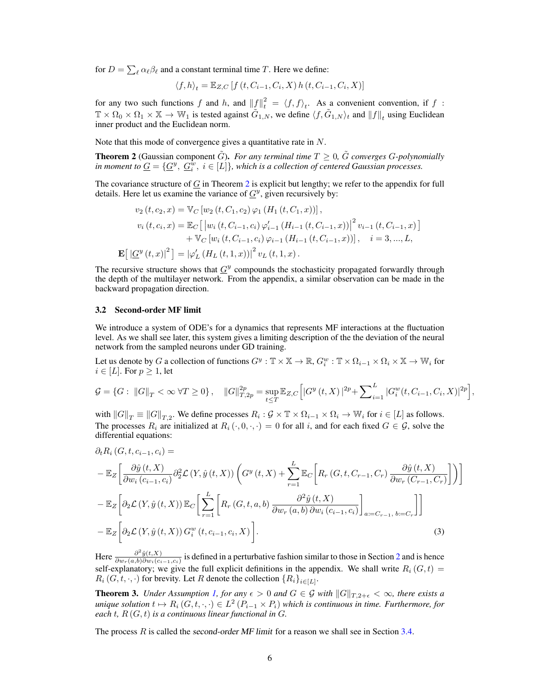for  $D = \sum_{\ell} \alpha_{\ell} \beta_{\ell}$  and a constant terminal time T. Here we define:

$$
\langle f, h \rangle_t = \mathbb{E}_{Z,C} \left[ f(t, C_{i-1}, C_i, X) h(t, C_{i-1}, C_i, X) \right]
$$

for any two such functions f and h, and  $||f||_t^2 = \langle f, f \rangle_t$ . As a convenient convention, if f:  $\mathbb{T} \times \Omega_0 \times \Omega_1 \times \mathbb{X} \to \mathbb{W}_1$  is tested against  $\tilde{G}_{1,N}$ , we define  $\langle f, \tilde{G}_{1,N} \rangle_t$  and  $||f||_t$  using Euclidean inner product and the Euclidean norm.

Note that this mode of convergence gives a quantitative rate in N.

<span id="page-5-1"></span>**Theorem 2** (Gaussian component  $\tilde{G}$ ). *For any terminal time*  $T \geq 0$ ,  $\tilde{G}$  *converges G-polynomially* in moment to  $\underline{G} = \{\underline{G}^y, \ \underline{G}^w_i, \ i \in [L]\},$  which is a collection of centered Gaussian processes.

The covariance structure of  $G$  in Theorem [2](#page-5-1) is explicit but lengthy; we refer to the appendix for full details. Here let us examine the variance of  $\underline{G}^y$ , given recursively by:

$$
v_{2}(t, c_{2}, x) = \mathbb{V}_{C} [w_{2}(t, C_{1}, c_{2}) \varphi_{1} (H_{1}(t, C_{1}, x))],
$$
  
\n
$$
v_{i}(t, c_{i}, x) = \mathbb{E}_{C} [ |w_{i}(t, C_{i-1}, c_{i}) \varphi'_{i-1} (H_{i-1}(t, C_{i-1}, x)) |^{2} v_{i-1}(t, C_{i-1}, x) ]
$$
  
\n
$$
+ \mathbb{V}_{C} [w_{i}(t, C_{i-1}, c_{i}) \varphi_{i-1} (H_{i-1}(t, C_{i-1}, x))], \quad i = 3, ..., L,
$$
  
\n
$$
\mathbf{E} [ |\underline{G}^{y}(t, x)|^{2} ] = |\varphi'_{L} (H_{L}(t, 1, x)) |^{2} v_{L}(t, 1, x).
$$

The recursive structure shows that  $G^y$  compounds the stochasticity propagated forwardly through the depth of the multilayer network. From the appendix, a similar observation can be made in the backward propagation direction.

#### <span id="page-5-0"></span>3.2 Second-order MF limit

We introduce a system of ODE's for a dynamics that represents MF interactions at the fluctuation level. As we shall see later, this system gives a limiting description of the the deviation of the neural network from the sampled neurons under GD training.

Let us denote by G a collection of functions  $G^y : \mathbb{T} \times \mathbb{X} \to \mathbb{R}$ ,  $G_i^w : \mathbb{T} \times \Omega_{i-1} \times \Omega_i \times \mathbb{X} \to \mathbb{W}_i$  for  $i \in [L]$ . For  $p \geq 1$ , let

$$
\mathcal{G} = \{ G : ||G||_T < \infty \; \forall T \ge 0 \}, \quad ||G||_{T,2p}^{2p} = \sup_{t \le T} \mathbb{E}_{Z,C} \Big[ |G^y(t,X)|^{2p} + \sum_{i=1}^L |G_i^w(t,C_{i-1},C_i,X)|^{2p} \Big],
$$

with  $||G||_T \equiv ||G||_{T,2}$ . We define processes  $R_i : \mathcal{G} \times \mathbb{T} \times \Omega_{i-1} \times \Omega_i \to \mathbb{W}_i$  for  $i \in [L]$  as follows. The processes  $R_i$  are initialized at  $R_i(\cdot, 0, \cdot, \cdot) = 0$  for all i, and for each fixed  $G \in \mathcal{G}$ , solve the differential equations:

$$
\partial_t R_i (G, t, c_{i-1}, c_i) =
$$
\n
$$
-\mathbb{E}_Z \bigg[ \frac{\partial \hat{y}(t, X)}{\partial w_i (c_{i-1}, c_i)} \partial_2^2 \mathcal{L}(Y, \hat{y}(t, X)) \left( G^y(t, X) + \sum_{r=1}^L \mathbb{E}_C \bigg[ R_r (G, t, C_{r-1}, C_r) \frac{\partial \hat{y}(t, X)}{\partial w_r (C_{r-1}, C_r)} \bigg] \right) \bigg]
$$
\n
$$
-\mathbb{E}_Z \bigg[ \partial_2 \mathcal{L}(Y, \hat{y}(t, X)) \mathbb{E}_C \bigg[ \sum_{r=1}^L \bigg[ R_r (G, t, a, b) \frac{\partial^2 \hat{y}(t, X)}{\partial w_r (a, b) \partial w_i (c_{i-1}, c_i)} \bigg]_{a:=C_{r-1}, b:=C_r} \bigg] \bigg]
$$
\n
$$
-\mathbb{E}_Z \bigg[ \partial_2 \mathcal{L}(Y, \hat{y}(t, X)) G_i^w(t, c_{i-1}, c_i, X) \bigg].
$$
\n(3)

<span id="page-5-2"></span>Here  $\frac{\partial^2 \hat{y}(t,X)}{\partial w}$  (a b) $\frac{\partial^2 \hat{y}(t,X)}{\partial w}$  $\frac{\partial g(t, A)}{\partial w_r(a, b) \partial w_i(c_{i-1}, c_i)}$  is defined in a perturbative fashion similar to those in Section [2](#page-2-1) and is hence self-explanatory; we give the full explicit definitions in the appendix. We shall write  $R_i(G, t)$  $R_i(G, t, \cdot, \cdot)$  for brevity. Let R denote the collection  $\{R_i\}_{i \in [L]}$ .

<span id="page-5-3"></span>**Theorem 3.** *Under Assumption [1,](#page-3-2) for any*  $\epsilon > 0$  *and*  $G \in \mathcal{G}$  *with*  $||G||_{T,2+\epsilon} < \infty$ *, there exists a unique solution*  $t \mapsto R_i(G, t, \cdot, \cdot) \in L^2(P_{i-1} \times P_i)$  *which is continuous in time. Furthermore, for each* t*,* R (G, t) *is a continuous linear functional in* G*.*

The process  $R$  is called the second-order MF limit for a reason we shall see in Section [3.4.](#page-7-0)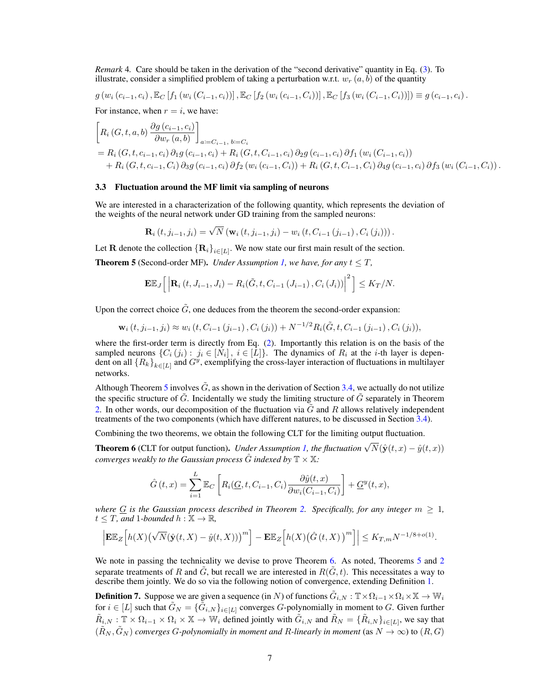*Remark* 4*.* Care should be taken in the derivation of the "second derivative" quantity in Eq. [\(3\)](#page-5-2). To illustrate, consider a simplified problem of taking a perturbation w.r.t.  $w_r(a, b)$  of the quantity

 $g(w_i (c_{i-1}, c_i), \mathbb{E}_C [f_1(w_i (C_{i-1}, c_i))], \mathbb{E}_C [f_2(w_i (c_{i-1}, C_i))], \mathbb{E}_C [f_3(w_i (C_{i-1}, C_i))]] \equiv g(c_{i-1}, c_i).$ 

For instance, when  $r = i$ , we have:

$$
\[R_i(G, t, a, b)\frac{\partial g(c_{i-1}, c_i)}{\partial w_r(a, b)}\]_{a:=C_{i-1}, b:=C_i}
$$
\n
$$
= R_i(G, t, c_{i-1}, c_i) \partial_1 g(c_{i-1}, c_i) + R_i(G, t, C_{i-1}, c_i) \partial_2 g(c_{i-1}, c_i) \partial f_1(w_i(C_{i-1}, c_i))
$$
\n
$$
+ R_i(G, t, c_{i-1}, C_i) \partial_3 g(c_{i-1}, c_i) \partial f_2(w_i(c_{i-1}, C_i)) + R_i(G, t, C_{i-1}, C_i) \partial_4 g(c_{i-1}, c_i) \partial f_3(w_i(C_{i-1}, C_i)).
$$

#### <span id="page-6-2"></span>3.3 Fluctuation around the MF limit via sampling of neurons

We are interested in a characterization of the following quantity, which represents the deviation of the weights of the neural network under GD training from the sampled neurons:

$$
\mathbf{R}_{i}(t, j_{i-1}, j_{i}) = \sqrt{N} \left( \mathbf{w}_{i}(t, j_{i-1}, j_{i}) - w_{i}(t, C_{i-1}(j_{i-1}), C_{i}(j_{i})) \right).
$$

Let **R** denote the collection  $\{\mathbf{R}_i\}_{i\in[L]}$ . We now state our first main result of the section.

<span id="page-6-0"></span>**Theorem 5** (Second-order MF). *Under Assumption [1,](#page-3-2) we have, for any*  $t \leq T$ ,

$$
\mathbf{E}\mathbb{E}_{J}\Big[\Big|\mathbf{R}_{i}\left(t,J_{i-1},J_{i}\right)-R_{i}(\tilde{G},t,C_{i-1}\left(J_{i-1}\right),C_{i}\left(J_{i}\right))\Big|^{2}\Big]\leq K_{T}/N.
$$

Upon the correct choice  $\tilde{G}$ , one deduces from the theorem the second-order expansion:

$$
\mathbf{w}_{i}(t, j_{i-1}, j_{i}) \approx w_{i}(t, C_{i-1}(j_{i-1}), C_{i}(j_{i})) + N^{-1/2} R_{i}(\tilde{G}, t, C_{i-1}(j_{i-1}), C_{i}(j_{i})),
$$

where the first-order term is directly from Eq. [\(2\)](#page-3-1). Importantly this relation is on the basis of the sampled neurons  $\{C_i(j_i): j_i \in [N_i], i \in [L]\}$ . The dynamics of  $R_i$  at the *i*-th layer is dependent on all  ${R_k}_{k \in [L]}$  and  $G^y$ , exemplifying the cross-layer interaction of fluctuations in multilayer networks.

Although Theorem [5](#page-6-0) involves  $\tilde{G}$ , as shown in the derivation of Section [3.4,](#page-7-0) we actually do not utilize the specific structure of  $\tilde{G}$ . Incidentally we study the limiting structure of  $\tilde{G}$  separately in Theorem [2.](#page-5-1) In other words, our decomposition of the fluctuation via  $\tilde{G}$  and R allows relatively independent treatments of the two components (which have different natures, to be discussed in Section [3.4\)](#page-7-0).

Combining the two theorems, we obtain the following CLT for the limiting output fluctuation.

<span id="page-6-1"></span>**Theorem 6** (CLT for output function). *Under Assumption [1,](#page-3-2)* the fluctuation  $\sqrt{N}(\hat{y}(t, x) - \hat{y}(t, x))$ *converges weakly to the Gaussian process*  $\hat{G}$  *indexed by*  $\mathbb{T} \times \mathbb{X}$ *:* 

$$
\hat{G}(t,x) = \sum_{i=1}^{L} \mathbb{E}_{C} \left[ R_i(\underline{G}, t, C_{i-1}, C_i) \frac{\partial \hat{y}(t,x)}{\partial w_i(C_{i-1}, C_i)} \right] + \underline{G}^y(t,x),
$$

*where*  $G$  *is the Gaussian process described in Theorem [2.](#page-5-1) Specifically, for any integer*  $m \geq 1$ *,*  $t \leq T$ *, and* 1*-bounded*  $h : \mathbb{X} \to \mathbb{R}$ *,* 

$$
\left| \mathbf{E} \mathbb{E}_Z \Big[ h(X) \big( \sqrt{N} (\hat{\mathbf{y}}(t, X) - \hat{y}(t, X)) \big)^m \right] - \mathbf{E} \mathbb{E}_Z \Big[ h(X) \big( \hat{G}(t, X) \big)^m \Big] \Big| \le K_{T, m} N^{-1/8 + o(1)}
$$

.

We note in passing the technicality we devise to prove Theorem [6.](#page-6-1) As noted, Theorems [5](#page-6-0) and [2](#page-5-1) separate treatments of R and  $\tilde{G}$ , but recall we are interested in  $R(\tilde{G}, t)$ . This necessitates a way to describe them jointly. We do so via the following notion of convergence, extending Definition [1.](#page-4-2)

**Definition 7.** Suppose we are given a sequence (in N) of functions  $\tilde{G}_{i,N}:\mathbb{T}\times\Omega_{i-1}\times\Omega_i\times\mathbb{X}\to\mathbb{W}_i$ for  $i \in [L]$  such that  $\tilde{G}_N = \{\tilde{G}_{i,N}\}_{i \in [L]}$  converges G-polynomially in moment to G. Given further  $\tilde{R}_{i,N} : \mathbb{T} \times \Omega_{i-1} \times \Omega_i \times \mathbb{X} \to \mathbb{W}_i$  defined jointly with  $\tilde{G}_{i,N}$  and  $\tilde{R}_N = \{\tilde{R}_{i,N}\}_{i \in [L]},$  we say that  $(\tilde{R}_N, \tilde{G}_N)$  *converges G-polynomially in moment and R-linearly in moment* (as  $N \to \infty$ ) to  $(R, G)$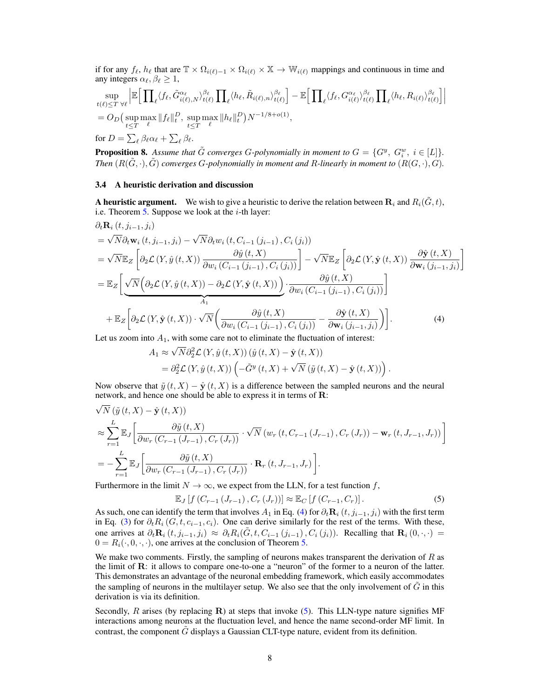if for any  $f_\ell$ ,  $h_\ell$  that are  $\mathbb{T} \times \Omega_{i(\ell)-1} \times \Omega_{i(\ell)} \times \mathbb{X} \to \mathbb{W}_{i(\ell)}$  mappings and continuous in time and any integers  $\alpha_{\ell}, \beta_{\ell} \geq 1$ ,

$$
\sup_{t(\ell)\leq T}\sup_{\forall\ell}\left|\mathbb{E}\Big[\prod_{\ell}\langle f_{\ell}, \tilde{G}_{i(\ell),N}^{\alpha_{\ell}}\rangle_{t(\ell)}^{\beta_{\ell}}\prod_{\ell}\langle h_{\ell}, \tilde{R}_{i(\ell),n}\rangle_{t(\ell)}^{\beta_{\ell}}\Big]-\mathbb{E}\Big[\prod_{\ell}\langle f_{\ell}, G_{i(\ell)}^{\alpha_{\ell}}\rangle_{t(\ell)}^{\beta_{\ell}}\prod_{\ell}\langle h_{\ell}, R_{i(\ell)}\rangle_{t(\ell)}^{\beta_{\ell}}\Big]\Big|
$$
\n
$$
=O_{D}\big(\sup_{t\leq T}\max_{\ell}\|f_{\ell}\|_{t}^{D},\sup_{t\leq T}\max_{\ell}\|h_{\ell}\|_{t}^{D}\big)N^{-1/8+o(1)},
$$
\nfor  $D=\sum_{\ell}\beta_{\ell}\alpha_{\ell}+\sum_{\ell}\beta_{\ell}.$ 

<span id="page-7-3"></span>**Proposition 8.** Assume that  $\tilde{G}$  converges G-polynomially in moment to  $G = \{G^y, G^w_i, i \in [L]\}.$ *Then*  $(R(\tilde{G}, \cdot), \tilde{G})$  *converges G-polynomially in moment and R-linearly in moment to*  $(R(G, \cdot), G)$ *.* 

## <span id="page-7-0"></span>3.4 A heuristic derivation and discussion

A heuristic argument. We wish to give a heuristic to derive the relation between  $\mathbf{R}_i$  and  $R_i(\tilde{G}, t)$ , i.e. Theorem  $5$ . Suppose we look at the *i*-th layer:

$$
\partial_t \mathbf{R}_i(t, j_{i-1}, j_i)
$$
\n
$$
= \sqrt{N} \partial_t \mathbf{w}_i(t, j_{i-1}, j_i) - \sqrt{N} \partial_t w_i(t, C_{i-1}(j_{i-1}), C_i(j_i))
$$
\n
$$
= \sqrt{N} \mathbb{E}_Z \left[ \partial_2 \mathcal{L}(Y, \hat{y}(t, X)) \frac{\partial \hat{y}(t, X)}{\partial w_i(C_{i-1}(j_{i-1}), C_i(j_i))} \right] - \sqrt{N} \mathbb{E}_Z \left[ \partial_2 \mathcal{L}(Y, \hat{\mathbf{y}}(t, X)) \frac{\partial \hat{\mathbf{y}}(t, X)}{\partial \mathbf{w}_i(j_{i-1}, j_i)} \right]
$$
\n
$$
= \mathbb{E}_Z \left[ \underbrace{\sqrt{N} \left( \partial_2 \mathcal{L}(Y, \hat{y}(t, X)) - \partial_2 \mathcal{L}(Y, \hat{\mathbf{y}}(t, X)) \right) \cdot \frac{\partial \hat{y}(t, X)}{\partial w_i(C_{i-1}(j_{i-1}), C_i(j_i))} \right]
$$
\n
$$
+ \mathbb{E}_Z \left[ \partial_2 \mathcal{L}(Y, \hat{\mathbf{y}}(t, X)) \cdot \sqrt{N} \left( \frac{\partial \hat{y}(t, X)}{\partial w_i(C_{i-1}(j_{i-1}), C_i(j_i))} - \frac{\partial \hat{\mathbf{y}}(t, X)}{\partial w_i(j_{i-1}, j_i)} \right) \right].
$$
\n(4)

Let us zoom into  $A_1$ , with some care not to eliminate the fluctuation of interest:

<span id="page-7-1"></span>
$$
A_1 \approx \sqrt{N} \partial_2^2 \mathcal{L} (Y, \hat{y}(t, X)) (\hat{y}(t, X) - \hat{\mathbf{y}}(t, X))
$$
  
=  $\partial_2^2 \mathcal{L} (Y, \hat{y}(t, X)) \left( -\tilde{G}^y(t, X) + \sqrt{N} (\tilde{y}(t, X) - \hat{\mathbf{y}}(t, X)) \right).$ 

Now observe that  $\tilde{y}(t, X) - \hat{y}(t, X)$  is a difference between the sampled neurons and the neural network, and hence one should be able to express it in terms of R: √

$$
\sqrt{N} \left( \tilde{y} \left( t, X \right) - \hat{\mathbf{y}} \left( t, X \right) \right)
$$
\n
$$
\approx \sum_{r=1}^{L} \mathbb{E}_{J} \left[ \frac{\partial \tilde{y} \left( t, X \right)}{\partial w_{r} \left( C_{r-1} \left( J_{r-1} \right), C_{r} \left( J_{r} \right) \right)} \cdot \sqrt{N} \left( w_{r} \left( t, C_{r-1} \left( J_{r-1} \right), C_{r} \left( J_{r} \right) \right) - \mathbf{w}_{r} \left( t, J_{r-1}, J_{r} \right) \right) \right]
$$
\n
$$
= - \sum_{r=1}^{L} \mathbb{E}_{J} \left[ \frac{\partial \tilde{y} \left( t, X \right)}{\partial w_{r} \left( C_{r-1} \left( J_{r-1} \right), C_{r} \left( J_{r} \right) \right)} \cdot \mathbf{R}_{r} \left( t, J_{r-1}, J_{r} \right) \right].
$$

Furthermore in the limit  $N \to \infty$ , we expect from the LLN, for a test function f,

<span id="page-7-2"></span>
$$
\mathbb{E}_{J}\left[f(C_{r-1}\left(J_{r-1}\right),C_{r}\left(J_{r}\right)\right)\right] \approx \mathbb{E}_{C}\left[f(C_{r-1},C_{r})\right].
$$
\n(5)

As such, one can identify the term that involves  $A_1$  in Eq. [\(4\)](#page-7-1) for  $\partial_t \mathbf{R}_i$  (t,  $j_{i-1}, j_i$ ) with the first term in Eq. [\(3\)](#page-5-2) for  $\partial_t R_i$  (G, t,  $c_{i-1}, c_i$ ). One can derive similarly for the rest of the terms. With these, one arrives at  $\partial_t \mathbf{R}_i(t, j_{i-1}, j_i) \approx \partial_t R_i(\tilde{G}, t, C_{i-1}(j_{i-1}), C_i(j_i))$ . Recalling that  $\mathbf{R}_i(0, \cdot, \cdot)$  $0 = R_i(\cdot, 0, \cdot, \cdot)$ , one arrives at the conclusion of Theorem [5.](#page-6-0)

We make two comments. Firstly, the sampling of neurons makes transparent the derivation of  $R$  as the limit of R: it allows to compare one-to-one a "neuron" of the former to a neuron of the latter. This demonstrates an advantage of the neuronal embedding framework, which easily accommodates the sampling of neurons in the multilayer setup. We also see that the only involvement of  $\tilde{G}$  in this derivation is via its definition.

Secondly, R arises (by replacing  $\bf{R}$ ) at steps that invoke [\(5\)](#page-7-2). This LLN-type nature signifies MF interactions among neurons at the fluctuation level, and hence the name second-order MF limit. In contrast, the component  $G$  displays a Gaussian CLT-type nature, evident from its definition.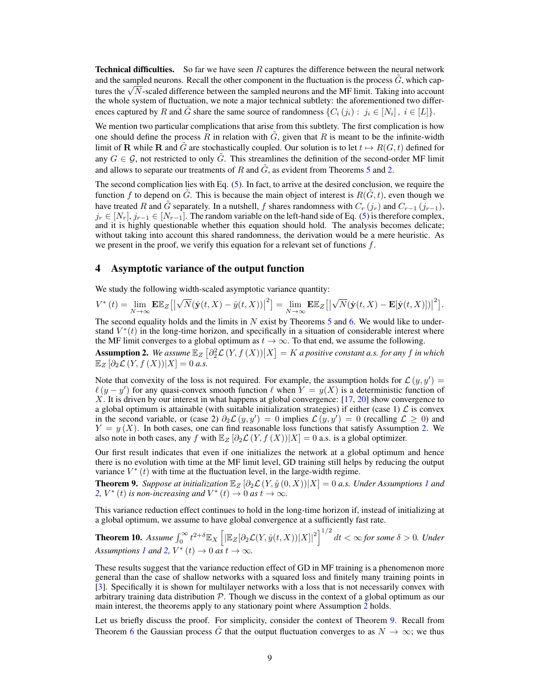**Technical difficulties.** So far we have seen  $R$  captures the difference between the neural network and the sampled neurons. Recall the other component in the fluctuation is the process  $\tilde{G}$ , which capand the sampled neurons. Recall the other component in the fluctuation is the process  $G$ , which cap-<br>tures the  $\sqrt{N}$ -scaled difference between the sampled neurons and the MF limit. Taking into account the whole system of fluctuation, we note a major technical subtlety: the aforementioned two differences captured by R and  $\tilde{G}$  share the same source of randomness  $\{C_i (j_i) : j_i \in [N_i] \}$ ,  $i \in [L]\}$ .

We mention two particular complications that arise from this subtlety. The first complication is how one should define the process R in relation with  $\tilde{G}$ , given that R is meant to be the infinite-width limit of **R** while **R** and G are stochastically coupled. Our solution is to let  $t \mapsto R(G, t)$  defined for any  $G \in \mathcal{G}$ , not restricted to only  $\tilde{G}$ . This streamlines the definition of the second-order MF limit and allows to separate our treatments of R and  $\tilde{G}$ , as evident from Theorems [5](#page-6-0) and [2.](#page-5-1)

The second complication lies with Eq. [\(5\)](#page-7-2). In fact, to arrive at the desired conclusion, we require the function f to depend on G. This is because the main object of interest is  $R(G, t)$ , even though we have treated R and G separately. In a nutshell, f shares randomness with  $C_r$  (j<sub>r</sub>) and  $C_{r-1}$  (j<sub>r−1</sub>),  $j_r \in [N_r], j_{r-1} \in [N_{r-1}]$ . The random variable on the left-hand side of Eq. [\(5\)](#page-7-2) is therefore complex, and it is highly questionable whether this equation should hold. The analysis becomes delicate; without taking into account this shared randomness, the derivation would be a mere heuristic. As we present in the proof, we verify this equation for a relevant set of functions  $f$ .

## <span id="page-8-0"></span>4 Asymptotic variance of the output function

We study the following width-scaled asymptotic variance quantity:

$$
V^*(t) = \lim_{N \to \infty} \mathbf{E} \mathbb{E}_Z [\left| \sqrt{N} (\hat{\mathbf{y}}(t, X) - \hat{y}(t, X)) \right|^2] = \lim_{N \to \infty} \mathbf{E} \mathbb{E}_Z [\left| \sqrt{N} (\hat{\mathbf{y}}(t, X) - \mathbf{E} [\hat{\mathbf{y}}(t, X)) \right|^2].
$$

The second equality holds and the limits in  $N$  exist by Theorems [5](#page-6-0) and [6.](#page-6-1) We would like to understand  $V^*(t)$  in the long-time horizon, and specifically in a situation of considerable interest where the MF limit converges to a global optimum as  $t \to \infty$ . To that end, we assume the following.

<span id="page-8-3"></span>Assumption 2. We assume  $\mathbb{E}_Z \left[ \frac{\partial^2 Z}{\partial X} (Y, f(X)) \middle| X \right] = K$  a positive constant a.s. for any f in which  $\mathbb{E}_Z \left[ \partial_2 \mathcal{L}(Y, f(X)) | X \right] = 0$  a.s.

Note that convexity of the loss is not required. For example, the assumption holds for  $\mathcal{L}(y, y') =$  $\ell(y - y')$  for any quasi-convex smooth function  $\ell$  when  $Y = y(X)$  is a deterministic function of X. It is driven by our interest in what happens at global convergence: [\[17,](#page-10-0) [20\]](#page-11-6) show convergence to a global optimum is attainable (with suitable initialization strategies) if either (case 1)  $\mathcal L$  is convex in the second variable, or (case 2)  $\partial_2 \mathcal{L}(y, y') = 0$  implies  $\mathcal{L}(y, y') = 0$  (recalling  $\mathcal{L} \ge 0$ ) and  $Y = y(X)$ . In both cases, one can find reasonable loss functions that satisfy Assumption [2.](#page-8-3) We also note in both cases, any f with  $\mathbb{E}_Z[\partial_2 \mathcal{L}(Y, f(X))|X] = 0$  a.s. is a global optimizer.

Our first result indicates that even if one initializes the network at a global optimum and hence there is no evolution with time at the MF limit level, GD training still helps by reducing the output variance  $V^*(t)$  with time at the fluctuation level, in the large-width regime.

<span id="page-8-1"></span>**Theorem 9.** *Suppose at initialization*  $\mathbb{E}_Z[\partial_2 \mathcal{L}(Y, \hat{y}(0, X)) | X] = 0$  *a.s. Under Assumptions [1](#page-3-2) and* [2,](#page-8-3)  $V^*(t)$  *is non-increasing and*  $V^*(t) \to 0$  *as*  $t \to \infty$ *.* 

This variance reduction effect continues to hold in the long-time horizon if, instead of initializing at a global optimum, we assume to have global convergence at a sufficiently fast rate.

<span id="page-8-2"></span>**Theorem 10.** Assume  $\int_0^\infty t^{2+\delta} \mathbb{E}_X \left[ \left| \mathbb{E}_Z [\partial_2 \mathcal{L}(Y, \hat{y}(t, X)) | X] \right|^2 \right]^{1/2} dt < \infty$  for some  $\delta > 0$ . Under *Assumptions [1](#page-3-2) and* [2,](#page-8-3)  $V^*(t) \to 0$  *as*  $t \to \infty$ *.* 

These results suggest that the variance reduction effect of GD in MF training is a phenomenon more general than the case of shallow networks with a squared loss and finitely many training points in [\[3\]](#page-10-12). Specifically it is shown for multilayer networks with a loss that is not necessarily convex with arbitrary training data distribution  $P$ . Though we discuss in the context of a global optimum as our main interest, the theorems apply to any stationary point where Assumption [2](#page-8-3) holds.

Let us briefly discuss the proof. For simplicity, consider the context of Theorem [9.](#page-8-1) Recall from Theorem [6](#page-6-1) the Gaussian process G that the output fluctuation converges to as  $N \to \infty$ ; we thus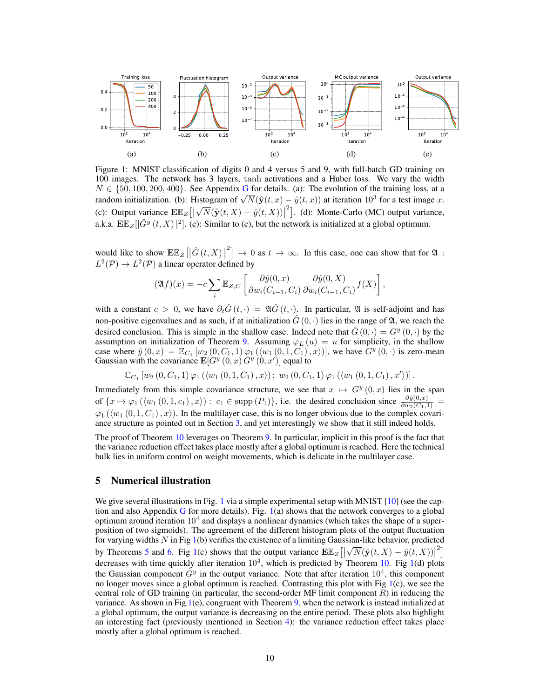<span id="page-9-0"></span>

Figure 1: MNIST classification of digits 0 and 4 versus 5 and 9, with full-batch GD training on 100 images. The network has 3 layers, tanh activations and a Huber loss. We vary the width  $N \in \{50, 100, 200, 400\}$ . See Appendix [G](#page-55-0) for details. (a): The evolution of the training loss, at a  $T_x \in \{30, 100, 200, 400\}$ . See Appendix G for details. (a): The evolution of the training loss, at a random initialization. (b): Histogram of  $\sqrt{N}(\hat{y}(t, x) - \hat{y}(t, x))$  at iteration  $10^3$  for a test image x. (c): Output variance  $\mathbf{E}\mathbb{E}_Z$  | √  $\overline{N}(\hat{\mathbf{y}}(t, X) - \hat{y}(t, X)) |^{2}]$ . (d): Monte-Carlo (MC) output variance, a.k.a.  $\mathbf{E}\mathbb{E}_Z[|\tilde{G}^y(t,X)|^2]$ . (e): Similar to (c), but the network is initialized at a global optimum.

would like to show  $\mathbb{E}\mathbb{E}_Z\left[\left|\hat{G}(t,X)\right|^2\right] \to 0$  as  $t \to \infty$ . In this case, one can show that for  $\mathfrak{A}$ :  $L^2(\mathcal{P}) \to L^2(\mathcal{P})$  a linear operator defined by

$$
(\mathfrak{A}f)(x) = -c \sum_{i} \mathbb{E}_{Z,C} \left[ \frac{\partial \hat{y}(0,x)}{\partial w_i(C_{i-1}, C_i)} \frac{\partial \hat{y}(0,X)}{\partial w_i(C_{i-1}, C_i)} f(X) \right],
$$

with a constant  $c > 0$ , we have  $\partial_t \hat{G}(t, \cdot) = \mathfrak{A} \hat{G}(t, \cdot)$ . In particular,  $\mathfrak{A}$  is self-adjoint and has non-positive eigenvalues and as such, if at initialization  $\hat{G}(0, \cdot)$  lies in the range of  $\mathfrak{A}$ , we reach the desired conclusion. This is simple in the shallow case. Indeed note that  $\hat{G}(0, \cdot) = G^y(0, \cdot)$  by the assumption on initialization of Theorem [9.](#page-8-1) Assuming  $\varphi_L(u) = u$  for simplicity, in the shallow case where  $\hat{y}(0,x) = \mathbb{E}_{C_1} [w_2(0, C_1, 1) \varphi_1(\langle w_1(0, 1, C_1), x \rangle)],$  we have  $G^y(0, \cdot)$  is zero-mean Gaussian with the covariance  $\mathbf{E}[G^y(0, x) G^y(0, x')]$  equal to

$$
\mathbb{C}_{C_1}\left[w_2\left(0, C_1, 1\right) \varphi_1\left(\langle w_1\left(0, 1, C_1\right), x\rangle\right); w_2\left(0, C_1, 1\right) \varphi_1\left(\langle w_1\left(0, 1, C_1\right), x'\rangle\right)\right].
$$

Immediately from this simple covariance structure, we see that  $x \mapsto G^y(0, x)$  lies in the span of  $\{x \mapsto \varphi_1(\langle w_1(0, 1, c_1), x \rangle) : c_1 \in \text{supp}(P_1)\}\)$ , i.e. the desired conclusion since  $\frac{\partial \hat{y}(0, x)}{\partial w_2(C_1, 1)} =$  $\varphi_1$  ( $\langle w_1 (0, 1, C_1), x \rangle$ ). In the multilayer case, this is no longer obvious due to the complex covariance structure as pointed out in Section [3,](#page-4-0) and yet interestingly we show that it still indeed holds.

The proof of Theorem [10](#page-8-2) leverages on Theorem [9.](#page-8-1) In particular, implicit in this proof is the fact that the variance reduction effect takes place mostly after a global optimum is reached. Here the technical bulk lies in uniform control on weight movements, which is delicate in the multilayer case.

## <span id="page-9-1"></span>5 Numerical illustration

We give several illustrations in Fig. [1](#page-9-0) via a simple experimental setup with MNIST [\[10\]](#page-10-18) (see the cap-tion and also Appendix [G](#page-55-0) for more details). Fig.  $1(a)$  $1(a)$  shows that the network converges to a global optimum around iteration  $10<sup>4</sup>$  and displays a nonlinear dynamics (which takes the shape of a superposition of two sigmoids). The agreement of the different histogram plots of the output fluctuation for varying widths N in Fig [1\(](#page-9-0)b) verifies the existence of a limiting Gaussian-like behavior, predicted<br> $\sqrt{2}$ by Theorems [5](#page-6-0) and [6.](#page-6-1) Fig [1\(](#page-9-0)c) shows that the output variance  $\mathbf{E} \mathbb{E}_Z \left[ \left| \sqrt{N} (\hat{\mathbf{y}}(t, X) - \hat{y}(t, X)) \right|^2 \right]$ decreases with time quickly after iteration  $10^4$ , which is predicted by Theorem [10.](#page-8-2) Fig [1\(](#page-9-0)d) plots the Gaussian component  $\tilde{G}^y$  in the output variance. Note that after iteration  $10^4$ , this component no longer moves since a global optimum is reached. Contrasting this plot with Fig [1\(](#page-9-0)c), we see the central role of GD training (in particular, the second-order MF limit component  $R$ ) in reducing the variance. As shown in Fig  $1(e)$  $1(e)$ , congruent with Theorem [9,](#page-8-1) when the network is instead initialized at a global optimum, the output variance is decreasing on the entire period. These plots also highlight an interesting fact (previously mentioned in Section [4\)](#page-8-0): the variance reduction effect takes place mostly after a global optimum is reached.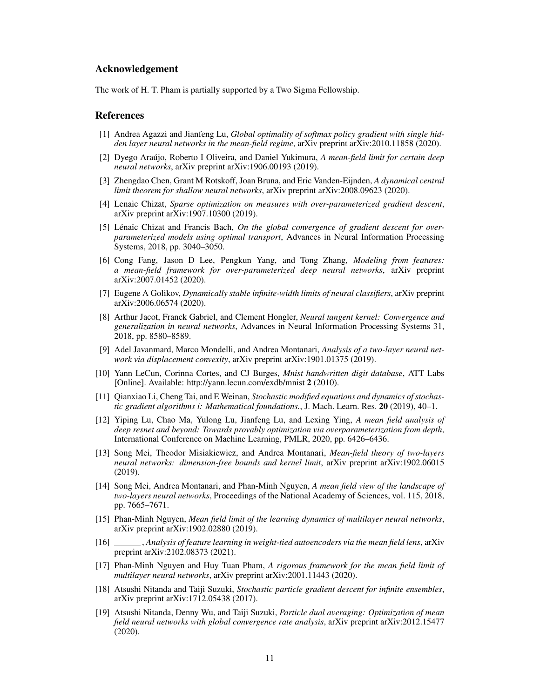## Acknowledgement

The work of H. T. Pham is partially supported by a Two Sigma Fellowship.

## References

- <span id="page-10-7"></span>[1] Andrea Agazzi and Jianfeng Lu, *Global optimality of softmax policy gradient with single hidden layer neural networks in the mean-field regime*, arXiv preprint arXiv:2010.11858 (2020).
- <span id="page-10-10"></span>[2] Dyego Araújo, Roberto I Oliveira, and Daniel Yukimura, *A mean-field limit for certain deep neural networks*, arXiv preprint arXiv:1906.00193 (2019).
- <span id="page-10-12"></span>[3] Zhengdao Chen, Grant M Rotskoff, Joan Bruna, and Eric Vanden-Eijnden, *A dynamical central limit theorem for shallow neural networks*, arXiv preprint arXiv:2008.09623 (2020).
- <span id="page-10-14"></span>[4] Lenaic Chizat, *Sparse optimization on measures with over-parameterized gradient descent*, arXiv preprint arXiv:1907.10300 (2019).
- <span id="page-10-3"></span>[5] Lénaïc Chizat and Francis Bach, *On the global convergence of gradient descent for overparameterized models using optimal transport*, Advances in Neural Information Processing Systems, 2018, pp. 3040–3050.
- <span id="page-10-11"></span>[6] Cong Fang, Jason D Lee, Pengkun Yang, and Tong Zhang, *Modeling from features: a mean-field framework for over-parameterized deep neural networks*, arXiv preprint arXiv:2007.01452 (2020).
- <span id="page-10-16"></span>[7] Eugene A Golikov, *Dynamically stable infinite-width limits of neural classifiers*, arXiv preprint arXiv:2006.06574 (2020).
- <span id="page-10-15"></span>[8] Arthur Jacot, Franck Gabriel, and Clement Hongler, *Neural tangent kernel: Convergence and generalization in neural networks*, Advances in Neural Information Processing Systems 31, 2018, pp. 8580–8589.
- <span id="page-10-4"></span>[9] Adel Javanmard, Marco Mondelli, and Andrea Montanari, *Analysis of a two-layer neural network via displacement convexity*, arXiv preprint arXiv:1901.01375 (2019).
- <span id="page-10-18"></span>[10] Yann LeCun, Corinna Cortes, and CJ Burges, *Mnist handwritten digit database*, ATT Labs [Online]. Available: http://yann.lecun.com/exdb/mnist 2 (2010).
- <span id="page-10-13"></span>[11] Qianxiao Li, Cheng Tai, and E Weinan, *Stochastic modified equations and dynamics of stochastic gradient algorithms i: Mathematical foundations.*, J. Mach. Learn. Res. 20 (2019), 40–1.
- <span id="page-10-6"></span>[12] Yiping Lu, Chao Ma, Yulong Lu, Jianfeng Lu, and Lexing Ying, *A mean field analysis of deep resnet and beyond: Towards provably optimization via overparameterization from depth*, International Conference on Machine Learning, PMLR, 2020, pp. 6426–6436.
- <span id="page-10-17"></span>[13] Song Mei, Theodor Misiakiewicz, and Andrea Montanari, *Mean-field theory of two-layers neural networks: dimension-free bounds and kernel limit*, arXiv preprint arXiv:1902.06015 (2019).
- <span id="page-10-1"></span>[14] Song Mei, Andrea Montanari, and Phan-Minh Nguyen, *A mean field view of the landscape of two-layers neural networks*, Proceedings of the National Academy of Sciences, vol. 115, 2018, pp. 7665–7671.
- <span id="page-10-9"></span>[15] Phan-Minh Nguyen, *Mean field limit of the learning dynamics of multilayer neural networks*, arXiv preprint arXiv:1902.02880 (2019).
- <span id="page-10-8"></span>[16] , *Analysis of feature learning in weight-tied autoencoders via the mean field lens*, arXiv preprint arXiv:2102.08373 (2021).
- <span id="page-10-0"></span>[17] Phan-Minh Nguyen and Huy Tuan Pham, *A rigorous framework for the mean field limit of multilayer neural networks*, arXiv preprint arXiv:2001.11443 (2020).
- <span id="page-10-2"></span>[18] Atsushi Nitanda and Taiji Suzuki, *Stochastic particle gradient descent for infinite ensembles*, arXiv preprint arXiv:1712.05438 (2017).
- <span id="page-10-5"></span>[19] Atsushi Nitanda, Denny Wu, and Taiji Suzuki, *Particle dual averaging: Optimization of mean field neural networks with global convergence rate analysis*, arXiv preprint arXiv:2012.15477 (2020).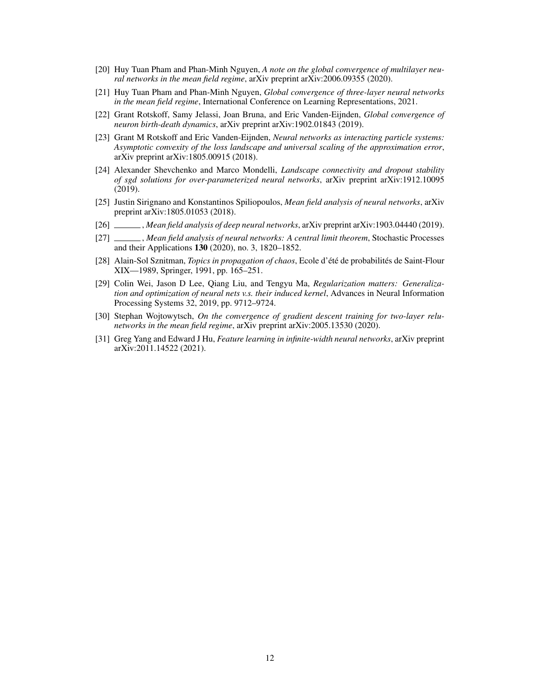- <span id="page-11-6"></span>[20] Huy Tuan Pham and Phan-Minh Nguyen, *A note on the global convergence of multilayer neural networks in the mean field regime*, arXiv preprint arXiv:2006.09355 (2020).
- <span id="page-11-9"></span>[21] Huy Tuan Pham and Phan-Minh Nguyen, *Global convergence of three-layer neural networks in the mean field regime*, International Conference on Learning Representations, 2021.
- <span id="page-11-2"></span>[22] Grant Rotskoff, Samy Jelassi, Joan Bruna, and Eric Vanden-Eijnden, *Global convergence of neuron birth-death dynamics*, arXiv preprint arXiv:1902.01843 (2019).
- <span id="page-11-0"></span>[23] Grant M Rotskoff and Eric Vanden-Eijnden, *Neural networks as interacting particle systems: Asymptotic convexity of the loss landscape and universal scaling of the approximation error*, arXiv preprint arXiv:1805.00915 (2018).
- <span id="page-11-4"></span>[24] Alexander Shevchenko and Marco Mondelli, *Landscape connectivity and dropout stability of sgd solutions for over-parameterized neural networks*, arXiv preprint arXiv:1912.10095 (2019).
- <span id="page-11-1"></span>[25] Justin Sirignano and Konstantinos Spiliopoulos, *Mean field analysis of neural networks*, arXiv preprint arXiv:1805.01053 (2018).
- <span id="page-11-7"></span>[26] , *Mean field analysis of deep neural networks*, arXiv preprint arXiv:1903.04440 (2019).
- <span id="page-11-8"></span>[27] , *Mean field analysis of neural networks: A central limit theorem*, Stochastic Processes and their Applications 130 (2020), no. 3, 1820–1852.
- <span id="page-11-11"></span>[28] Alain-Sol Sznitman, *Topics in propagation of chaos*, Ecole d'été de probabilités de Saint-Flour XIX—1989, Springer, 1991, pp. 165–251.
- <span id="page-11-3"></span>[29] Colin Wei, Jason D Lee, Qiang Liu, and Tengyu Ma, *Regularization matters: Generalization and optimization of neural nets v.s. their induced kernel*, Advances in Neural Information Processing Systems 32, 2019, pp. 9712–9724.
- <span id="page-11-5"></span>[30] Stephan Wojtowytsch, *On the convergence of gradient descent training for two-layer relunetworks in the mean field regime*, arXiv preprint arXiv:2005.13530 (2020).
- <span id="page-11-10"></span>[31] Greg Yang and Edward J Hu, *Feature learning in infinite-width neural networks*, arXiv preprint arXiv:2011.14522 (2021).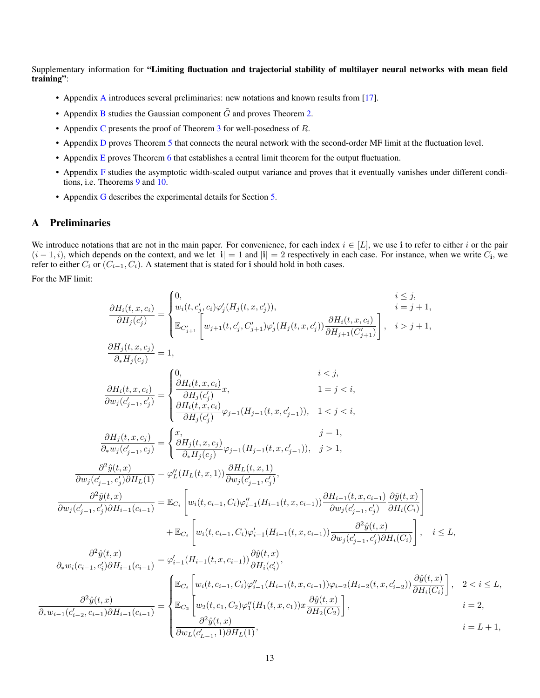Supplementary information for "Limiting fluctuation and trajectorial stability of multilayer neural networks with mean field training":

- Appendix [A](#page-12-0) introduces several preliminaries: new notations and known results from [\[17\]](#page-10-0).
- Appendix [B](#page-13-0) studies the Gaussian component  $\tilde{G}$  and proves Theorem [2.](#page-5-1)
- Appendix [C](#page-24-0) presents the proof of Theorem  $3$  for well-posedness of  $R$ .
- Appendix [D](#page-29-0) proves Theorem [5](#page-6-0) that connects the neural network with the second-order MF limit at the fluctuation level.
- Appendix [E](#page-43-0) proves Theorem [6](#page-6-1) that establishes a central limit theorem for the output fluctuation.
- Appendix [F](#page-45-0) studies the asymptotic width-scaled output variance and proves that it eventually vanishes under different conditions, i.e. Theorems [9](#page-8-1) and [10.](#page-8-2)
- Appendix [G](#page-55-0) describes the experimental details for Section [5.](#page-9-1)

# <span id="page-12-0"></span>A Preliminaries

We introduce notations that are not in the main paper. For convenience, for each index  $i \in [L]$ , we use i to refer to either i or the pair  $(i-1,i)$ , which depends on the context, and we let  $|i|=1$  and  $|i|=2$  respectively in each case. For instance, when we write  $C_i$ , we refer to either  $C_i$  or  $(C_{i-1}, C_i)$ . A statement that is stated for i should hold in both cases.

For the MF limit:

$$
\begin{split} \frac{\partial H_i(t,x,c_i)}{\partial H_j(c'_j)} &= \begin{cases} 0, & i \leq j, \\ w_i(t,c'_j,c_i)\varphi'_j(H_j(t,x,c'_j)), & i \leq j+1, \\ \mathbb{E}_{C'_{j+1}}\left[w_{j+1}(t,c'_j,C'_{j+1})\varphi'_j(H_j(t,x,c'_j))\frac{\partial H_i(t,x,c_i)}{\partial H_{j+1}(C'_{j+1})}\right], & i > j+1, \\ \frac{\partial H_j(t,x,c_i)}{\partial u_i f_j(c_j)} &= 1, & i > j+1, \\ \frac{\partial H_i(t,x,c_i)}{\partial w_j(c'_{j-1},c'_j)} &= \begin{cases} 0, & i < j, \\ \frac{\partial H_i(t,x,c_i)}{\partial H_j(c'_j)}x, & 1 = j < i, \\ \frac{\partial H_i(t,x,c_i)}{\partial H_j(c'_j)}\varphi_{j-1}(H_{j-1}(t,x,c'_{j-1})), & 1 < j < i, \\ \frac{\partial H_j(t,x,c_j)}{\partial u_j(c'_{j-1},c'_j)} &= \begin{cases} x, & j = 1, \\ \frac{\partial H_j(t,x,c_j)}{\partial H_j(c_j)}\varphi_{j-1}(H_{j-1}(t,x,c'_{j-1})), & j > 1, \end{cases} \\ \frac{\partial^2 \hat{y}(t,x)}{\partial w_j(c'_{j-1},c'_j)\partial H_L(1)} &= \varphi''_L(H_L(t,x,1)) \frac{\partial H_L(t,x,1)}{\partial w_j(c'_{j-1},c'_j)}, & j = 1, \\ \frac{\partial^2 \hat{y}(t,x)}{\partial w_j(c'_{j-1},c'_j)\partial H_{i-1}(c_{i-1})} &= \mathbb{E}_{C_i}\left[w_i(t,c_{i-1},C_i)\varphi''_{i-1}(H_{i-1}(t,x,c_{i-1}))\frac{\partial H_{i-1}(t,x,c_{i-1})}{\partial w_j(c'_{j-1},c'_j)\partial H_i(C_i)}\right], & i \leq L, \\ \frac{\partial^2 \hat{y}(t,x)}{\partial_x w_i(c_{i-1},c'_i)\partial H_{i-1}(c_{i-1})} &= \varphi'_{i-1}(H_{i-1}(t,x,c_{i-1}))\frac{\partial \hat{y}(t,x)}{\partial H_i(c'_i)}, & j \geq L, \\ \frac{\partial^2 \hat{y}(t,x)}{\partial_x w_i(c_{i-1},c_i)\partial H_{i-1}(c_{i-1
$$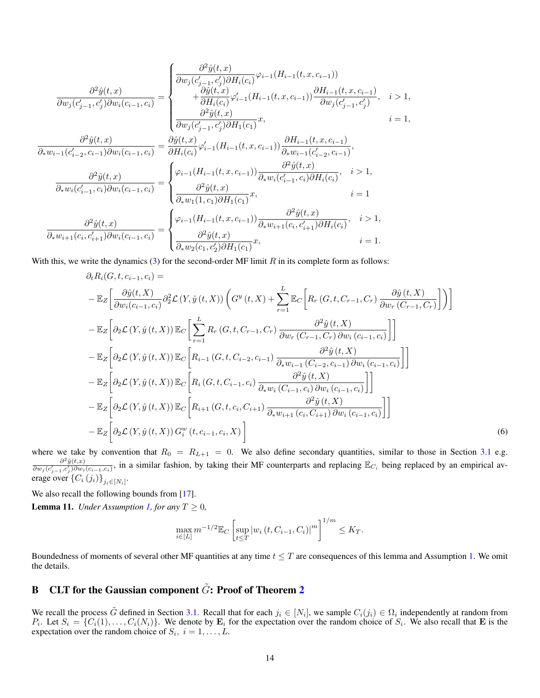$$
\frac{\partial^2 \hat{y}(t,x)}{\partial w_j(c'_{j-1},c'_j)\partial w_i(c_{i-1},c_i)} = \begin{cases}\n\frac{\partial^2 \hat{y}(t,x)}{\partial w_j(c'_{j-1},c'_j)\partial H_i(c_i)}\varphi_{i-1}(H_{i-1}(t,x,c_{i-1})) \\
+\frac{\partial \hat{y}(t,x)}{\partial H_i(c_i)}\varphi_{i-1}'(H_{i-1}(t,x,c_{i-1}))\frac{\partial H_{i-1}(t,x,c_{i-1})}{\partial w_j(c'_{j-1},c'_j)},\n\quad i > 1, \\
\frac{\partial^2 \hat{y}(t,x)}{\partial w_j(c'_{j-1},c'_j)\partial H_1(c_1)}x,\n\end{cases}\n\begin{matrix}\n\frac{\partial^2 \hat{y}(t,x)}{\partial H_i(c_i)}\varphi_{i-1}'(H_{i-1}(t,x,c_{i-1}))\frac{\partial H_{i-1}(t,x,c_{i-1})}{\partial w_j(c'_{j-1},c'_j)},\n\quad i > 1, \\
\frac{\partial^2 \hat{y}(t,x)}{\partial x_{i-1}(c'_{i-2},c_{i-1})}\frac{\partial \hat{y}(t,x)}{\partial W_i(c_{i-1},c_i)}\varphi_{i-1}'(H_{i-1}(t,x,c_{i-1}))\frac{\partial H_{i-1}(t,x,c_{i-1})}{\partial x_{i-1}(c'_{i-2},c_{i-1})},\n\end{matrix}\n\begin{matrix}\n\frac{\partial^2 \hat{y}(t,x)}{\partial x_{i-1}(c_{i-1},c_i)}\frac{\partial^2 \hat{y}(t,x)}{\partial x_{i-1}(c_{i-1},c_i)}\frac{\partial^2 \hat{y}(t,x)}{\partial W_i(c_{i-1},c_i)}\frac{\partial^2 \hat{y}(t,x)}{\partial W_i(c_{i-1},c_i)}\frac{\partial^2 \hat{y}(t,x)}{\partial x_{i-1}(c_i,c'_{i-1})}\frac{\partial^2 \hat{y}(t,x)}{\partial x_{i-1}(c_i,c'_{i-1})}\frac{\partial^2 \hat{y}(t,x)}{\partial W_i(c_i)},\n\quad i > 1, \\
\frac{\partial^2 \hat{y}(t,x)}{\partial x_{i-1}(c_i,c'_{i+1})}\frac{\partial^2 \hat{y}(t,x)}{\partial w_i(c_{i-1},c_i)}\frac{\partial^2 \hat{y}(t,x)}{\partial x
$$

With this, we write the dynamics [\(3\)](#page-5-2) for the second-order MF limit  $R$  in its complete form as follows:

$$
\partial_{t}R_{i}(G, t, c_{i-1}, c_{i}) =
$$
\n
$$
-\mathbb{E}_{Z}\bigg[\frac{\partial \hat{y}(t, X)}{\partial w_{i}(c_{i-1}, c_{i})}\partial_{2}^{2} \mathcal{L}\left(Y, \hat{y}(t, X)\right)\left(G^{y}(t, X) + \sum_{r=1}^{L}\mathbb{E}_{C}\bigg[R_{r}\left(G, t, C_{r-1}, C_{r}\right)\frac{\partial \hat{y}(t, X)}{\partial w_{r}\left(C_{r-1}, C_{r}\right)}\bigg]\right)\bigg]
$$
\n
$$
-\mathbb{E}_{Z}\bigg[\partial_{2} \mathcal{L}\left(Y, \hat{y}(t, X)\right)\mathbb{E}_{C}\bigg[\sum_{r=1}^{L}R_{r}\left(G, t, C_{r-1}, C_{r}\right)\frac{\partial^{2} \hat{y}(t, X)}{\partial w_{r}\left(C_{r-1}, C_{r}\right)\partial w_{i}\left(c_{i-1}, c_{i}\right)}\bigg]\bigg]
$$
\n
$$
-\mathbb{E}_{Z}\bigg[\partial_{2} \mathcal{L}\left(Y, \hat{y}(t, X)\right)\mathbb{E}_{C}\bigg[R_{i-1}\left(G, t, C_{i-2}, c_{i-1}\right)\frac{\partial^{2} \hat{y}(t, X)}{\partial_{*}w_{i-1}\left(C_{i-2}, c_{i-1}\right)\partial w_{i}\left(c_{i-1}, c_{i}\right)}\bigg]\bigg]
$$
\n
$$
-\mathbb{E}_{Z}\bigg[\partial_{2} \mathcal{L}\left(Y, \hat{y}(t, X)\right)\mathbb{E}_{C}\bigg[R_{i}\left(G, t, C_{i-1}, c_{i}\right)\frac{\partial^{2} \hat{y}(t, X)}{\partial_{*}w_{i}\left(C_{i-1}, c_{i}\right)\partial w_{i}\left(c_{i-1}, c_{i}\right)}\bigg]\bigg]
$$
\n
$$
-\mathbb{E}_{Z}\bigg[\partial_{2} \mathcal{L}\left(Y, \hat{y}(t, X)\right)\mathbb{E}_{C}\bigg[R_{i+1}\left(G, t, c_{i}, C_{i+1}\right)\frac{\partial^{2} \hat{y}(t, X)}{\partial_{*}w_{i+1}\left(c_{i}, C_{i+1}\right)\partial w_{i}\left(c_{i-1}, c_{i}\right)}\bigg]\bigg]
$$
\n $$ 

where we take by convention that  $R_0 = R_{L+1} = 0$ . We also define secondary quantities, similar to those in Section [3.1](#page-4-1) e.g.  $\partial^2 \tilde{y}(t,x)$  $\frac{\partial^2 \tilde{y}(t,x)}{\partial w_j(c'_{j-1},c'_j)\partial w_i(c_{i-1},c_i)}$ , in a similar fashion, by taking their MF counterparts and replacing  $\mathbb{E}_{C_i}$  being replaced by an empirical average over  $\left\{ C_{i}\left(j_{i}\right)\right\} _{j_{i}\in\left[N_{i}\right]}$ .

We also recall the following bounds from [\[17\]](#page-10-0).

<span id="page-13-1"></span>**Lemma 11.** *Under Assumption [1,](#page-3-2) for any*  $T \geq 0$ *,* 

<span id="page-13-2"></span>
$$
\max_{i\in[L]}m^{-1/2}\mathbb{E}_C\left[\sup_{t\leq T}\left|w_i\left(t,C_{i-1},C_i\right)\right|^m\right]^{1/m}\leq K_T.
$$

Boundedness of moments of several other MF quantities at any time  $t \leq T$  are consequences of this lemma and Assumption [1.](#page-3-2) We omit the details.

# <span id="page-13-0"></span>B CLT for the Gaussian component  $\tilde{G}$ : Proof of Theorem [2](#page-5-1)

We recall the process  $\tilde{G}$  defined in Section [3.1.](#page-4-1) Recall that for each  $j_i \in [N_i]$ , we sample  $C_i(j_i) \in \Omega_i$  independently at random from  $P_i$ . Let  $S_i = \{C_i(1), \ldots, C_i(N_i)\}\.$  We denote by  $\mathbf{E}_i$  for the expectation over the random choice of  $S_i$ . We also recall that **E** is the expectation over the random choice of  $S_i$ ,  $i = 1, \ldots, L$ .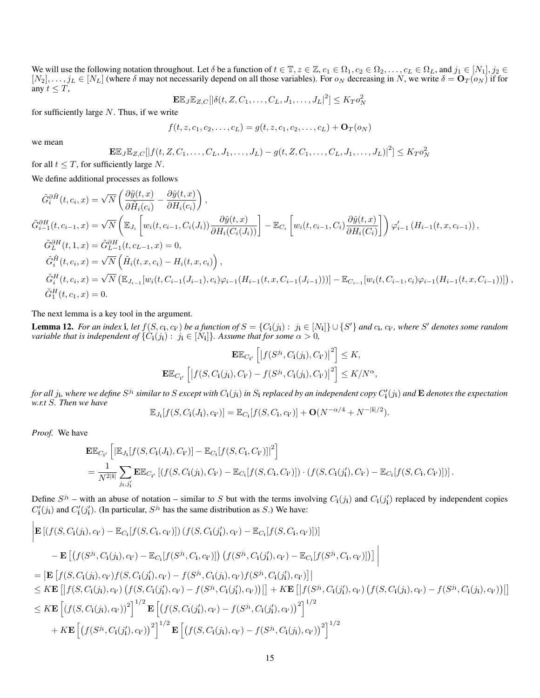We will use the following notation throughout. Let  $\delta$  be a function of  $t \in \mathbb{T}$ ,  $z \in \mathbb{Z}$ ,  $c_1 \in \Omega_1$ ,  $c_2 \in \Omega_2$ , ...,  $c_L \in \Omega_L$ , and  $j_1 \in [N_1], j_2 \in$  $[N_2], \ldots, j_L \in [N_L]$  (where  $\delta$  may not necessarily depend on all those variables). For  $o_N$  decreasing in N, we write  $\delta = \mathbf{O}_T(o_N)$  if for any  $t \leq T$ ,<br>  $\mathbf{F} \mathbb{F} \mathbb{F} \quad \text{as } t \neq T$ ,  $\mathbb{F} \quad \text{as } t \neq T$ ,  $\text{as } t \geq T$ ,  $\text{as } t \geq T$ ,  $\text{as } t \geq T$ ,  $\text{as } t \geq T$ 

$$
\mathbf{E}\mathbb{E}_{J}\mathbb{E}_{Z,C}[|\delta(t, Z, C_1, \dots, C_L, J_1, \dots, J_L|^2] \leq K_T o_N^2
$$

for sufficiently large  $N$ . Thus, if we write

$$
f(t, z, c_1, c_2, \dots, c_L) = g(t, z, c_1, c_2, \dots, c_L) + \mathbf{O}_T(o_N)
$$

we mean

$$
\mathbf{E}\mathbb{E}_J\mathbb{E}_{Z,C}[|f(t,Z,C_1,\ldots,C_L,J_1,\ldots,J_L)-g(t,Z,C_1,\ldots,C_L,J_1,\ldots,J_L)|^2] \le K_T o_N^2
$$

for all  $t \leq T$ , for sufficiently large N.

We define additional processes as follows

$$
\tilde{G}_{i}^{\partial \tilde{H}}(t, c_{i}, x) = \sqrt{N} \left( \frac{\partial \tilde{y}(t, x)}{\partial \tilde{H}_{i}(c_{i})} - \frac{\partial \hat{y}(t, x)}{\partial H_{i}(c_{i})} \right),
$$
\n
$$
\tilde{G}_{i-1}^{\partial H}(t, c_{i-1}, x) = \sqrt{N} \left( \mathbb{E}_{J_{i}} \left[ w_{i}(t, c_{i-1}, C_{i}(J_{i})) \frac{\partial \hat{y}(t, x)}{\partial H_{i}(C_{i}(J_{i}))} \right] - \mathbb{E}_{C_{i}} \left[ w_{i}(t, c_{i-1}, C_{i}) \frac{\partial \hat{y}(t, x)}{\partial H_{i}(C_{i})} \right] \right) \varphi'_{i-1} (H_{i-1}(t, x, c_{i-1})),
$$
\n
$$
\tilde{G}_{L}^{\partial H}(t, 1, x) = \tilde{G}_{L-1}^{\partial H}(t, c_{L-1}, x) = 0,
$$
\n
$$
\tilde{G}_{i}^{\tilde{H}}(t, c_{i}, x) = \sqrt{N} \left( \tilde{H}_{i}(t, x, c_{i}) - H_{i}(t, x, c_{i}) \right),
$$
\n
$$
\tilde{G}_{i}^{H}(t, c_{i}, x) = \sqrt{N} \left( \mathbb{E}_{J_{i-1}} [w_{i}(t, C_{i-1}(J_{i-1}), c_{i}) \varphi_{i-1}(H_{i-1}(t, x, C_{i-1}(J_{i-1})))] - \mathbb{E}_{C_{i-1}} [w_{i}(t, C_{i-1}, c_{i}) \varphi_{i-1}(H_{i-1}(t, x, C_{i-1}))] \right),
$$
\n
$$
\tilde{G}_{1}^{H}(t, c_{1}, x) = 0.
$$

The next lemma is a key tool in the argument.

<span id="page-14-0"></span>**Lemma 12.** For an index **i**, let  $f(S, c_i, c_{i'})$  be a function of  $S = \{C_i(j_i) : j_i \in [N_i]\} \cup \{S'\}$  and  $c_i, c_{i'}$ , where  $S'$  denotes some random *variable that is independent of*  $\{C_i(j_i): j_i \in [N_i]\}$ . Assume that for some  $\alpha > 0$ ,

$$
\mathbf{E}\mathbb{E}_{C_{\mathbf{i}'}}\left[\left|f(S^{j_{\mathbf{i}}},C_{\mathbf{i}}(j_{\mathbf{i}}),C_{\mathbf{i}'})\right|^{2}\right] \leq K,
$$
  

$$
\mathbf{E}\mathbb{E}_{C_{\mathbf{i}'}}\left[\left|f(S,C_{\mathbf{i}}(j_{\mathbf{i}}),C_{\mathbf{i}'})-f(S^{j_{\mathbf{i}}},C_{\mathbf{i}}(j_{\mathbf{i}}),C_{\mathbf{i}'})\right|^{2}\right] \leq K/N^{\alpha},
$$

for all  $j_{\bf i}$ , where we define  $S^{j_{\bf i}}$  similar to  $S$  except with  $C_{\bf i}(j_{\bf i})$  in  $S_{\bf i}$  replaced by an independent copy  $C'_{\bf i}(j_{\bf i})$  and  ${\bf E}$  denotes the expectation *w.r.t* S*. Then we have*

$$
\mathbb{E}_{J_{\mathbf{i}}}[f(S, C_{\mathbf{i}}(J_{\mathbf{i}}), c_{\mathbf{i}'})] = \mathbb{E}_{C_{\mathbf{i}}}[f(S, C_{\mathbf{i}}, c_{\mathbf{i}'})] + \mathbf{O}(N^{-\alpha/4} + N^{-|\mathbf{i}|/2}).
$$

*Proof.* We have

 $\mathbf{I}$ 

$$
\mathbf{E}\mathbb{E}_{C_{\mathbf{i}'}}\left[|\mathbb{E}_{J_{\mathbf{i}}}[f(S, C_{\mathbf{i}}(J_{\mathbf{i}}), C_{\mathbf{i}'})] - \mathbb{E}_{C_{\mathbf{i}}}[f(S, C_{\mathbf{i}}, C_{\mathbf{i}'})]|^{2}\right]
$$
\n
$$
= \frac{1}{N^{2|\mathbf{i}|}} \sum_{j_{\mathbf{i}, j'_{\mathbf{i}}}} \mathbf{E}\mathbb{E}_{C_{\mathbf{i}'}}\left[(f(S, C_{\mathbf{i}}(j_{\mathbf{i}}), C_{\mathbf{i}'}) - \mathbb{E}_{C_{\mathbf{i}}}[f(S, C_{\mathbf{i}}, C_{\mathbf{i}'})]\right) \cdot (f(S, C_{\mathbf{i}}(j'_{\mathbf{i}}), C_{\mathbf{i}'}) - \mathbb{E}_{C_{\mathbf{i}}}[f(S, C_{\mathbf{i}}, C_{\mathbf{i}'})]\right].
$$

Define  $S^{j_i}$  – with an abuse of notation – similar to S but with the terms involving  $C_i(j_i)$  and  $C_i(j'_i)$  replaced by independent copies  $C'_{i}(j_{i})$  and  $C'_{i}(j'_{i})$ . (In particular,  $S^{j_{i}}$  has the same distribution as S.) We have:

$$
\begin{split}\n& \left| \mathbf{E} \left[ (f(S, C_{\mathbf{i}}(j_{\mathbf{i}}), c_{\mathbf{i'}}) - \mathbb{E}_{C_{\mathbf{i}}}[f(S, C_{\mathbf{i}}, c_{\mathbf{i'}})] \right) (f(S, C_{\mathbf{i}}(j'_{\mathbf{i}}), c_{\mathbf{i'}}) - \mathbb{E}_{C_{\mathbf{i}}}[f(S, C_{\mathbf{i}}, c_{\mathbf{i'}})] ) \right] \\
& - \mathbf{E} \left[ \left( f(S^{j_{\mathbf{i}}}, C_{\mathbf{i}}(j_{\mathbf{i}}), c_{\mathbf{i'}}) - \mathbb{E}_{C_{\mathbf{i}}}[f(S^{j_{\mathbf{i}}}, C_{\mathbf{i}}, c_{\mathbf{i'}})] \right) (f(S^{j_{\mathbf{i}}}, C_{\mathbf{i}}(j'_{\mathbf{i}}), c_{\mathbf{i'}}) - \mathbb{E}_{C_{\mathbf{i}}}[f(S^{j_{\mathbf{i}}}, C_{\mathbf{i}}, c_{\mathbf{i'}})] ) \right] \\
& = \left| \mathbf{E} \left[ f(S, C_{\mathbf{i}}(j_{\mathbf{i}}), c_{\mathbf{i'}}) f(S, C_{\mathbf{i}}(j'_{\mathbf{i}}), c_{\mathbf{i'}}) - f(S^{j_{\mathbf{i}}}, C_{\mathbf{i}}(j_{\mathbf{i}}), c_{\mathbf{i'}}) f(S^{j_{\mathbf{i}}}, C_{\mathbf{i}}(j'_{\mathbf{i}}), c_{\mathbf{i'}}) \right] \right| \\
& \leq K \mathbf{E} \left[ \left| f(S, C_{\mathbf{i}}(j_{\mathbf{i}}), c_{\mathbf{i'}}) (f(S, C_{\mathbf{i}}(j'_{\mathbf{i}}), c_{\mathbf{i'}}) - f(S^{j_{\mathbf{i}}}, C_{\mathbf{i}}(j'_{\mathbf{i}}), c_{\mathbf{i'}}) \right) \right| \right] + K \mathbf{E} \left[ \left| f(S^{j_{\mathbf{i}}}, C_{\mathbf{i}}(j'_{\mathbf{i}}), c_{\mathbf{i'}}) - f(S^{j_{\mathbf{i}}}, C_{\mathbf{i}}(j'_{\mathbf{i}}), c_{\mathbf{i'}}) \right| \right] \\
& \leq K \mathbf{E} \left[ (f(S, C_{\mathbf{i}}(j_{\mathbf{i}}), c_{\mathbf{i'}}))^{2} \right]^{1/2} \mathbf{E} \left[ \left( f(S,
$$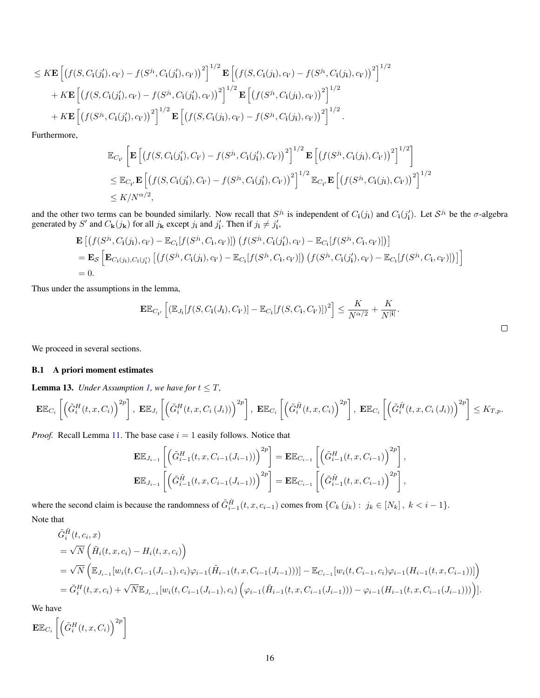$$
\leq K \mathbf{E} \left[ \left( f(S, C_{\mathbf{i}}(j'_1), c_{\mathbf{i}'}) - f(S^{j_{\mathbf{i}}}, C_{\mathbf{i}}(j'_1), c_{\mathbf{i}'} ) \right)^2 \right]^{1/2} \mathbf{E} \left[ \left( f(S, C_{\mathbf{i}}(j_{\mathbf{i}}), c_{\mathbf{i}'} ) - f(S^{j_{\mathbf{i}}}, C_{\mathbf{i}}(j_{\mathbf{i}}), c_{\mathbf{i}'} ) \right)^2 \right]^{1/2} + K \mathbf{E} \left[ \left( f(S, C_{\mathbf{i}}(j'_1), c_{\mathbf{i}'} ) - f(S^{j_{\mathbf{i}}}, C_{\mathbf{i}}(j'_1), c_{\mathbf{i}'} ) \right)^2 \right]^{1/2} \mathbf{E} \left[ \left( f(S^{j_{\mathbf{i}}}, C_{\mathbf{i}}(j_{\mathbf{i}}), c_{\mathbf{i}'} ) \right)^2 \right]^{1/2} + K \mathbf{E} \left[ \left( f(S^{j_{\mathbf{i}}}, C_{\mathbf{i}}(j'_1), c_{\mathbf{i}'} ) \right)^2 \right]^{1/2} \mathbf{E} \left[ \left( f(S, C_{\mathbf{i}}(j_{\mathbf{i}}), c_{\mathbf{i}'} ) - f(S^{j_{\mathbf{i}}}, C_{\mathbf{i}}(j_{\mathbf{i}}), c_{\mathbf{i}'} ) \right)^2 \right]^{1/2}.
$$

Furthermore,

$$
\mathbb{E}_{C_{\mathbf{i}'}}\left[\mathbf{E}\left[\left(f(S,C_{\mathbf{i}}(j'_{\mathbf{i}}),C_{\mathbf{i}'}-f(S^{j_{\mathbf{i}}},C_{\mathbf{i}}(j'_{\mathbf{i}}),C_{\mathbf{i}'})\right)^{2}\right]^{1/2}\mathbf{E}\left[\left(f(S^{j_{\mathbf{i}}},C_{\mathbf{i}}(j_{\mathbf{i}}),C_{\mathbf{i}'})\right)^{2}\right]^{1/2}\right] \n\leq \mathbb{E}_{C_{\mathbf{i}'}}\mathbf{E}\left[\left(f(S,C_{\mathbf{i}}(j'_{\mathbf{i}}),C_{\mathbf{i}'})-f(S^{j_{\mathbf{i}}},C_{\mathbf{i}}(j'_{\mathbf{i}}),C_{\mathbf{i}'})\right)^{2}\right]^{1/2}\mathbb{E}_{C_{\mathbf{i}'}}\mathbf{E}\left[\left(f(S^{j_{\mathbf{i}}},C_{\mathbf{i}}(j_{\mathbf{i}}),C_{\mathbf{i}'})\right)^{2}\right]^{1/2} \n\leq K/N^{\alpha/2},
$$

and the other two terms can be bounded similarly. Now recall that  $S^{j_i}$  is independent of  $C_i(j_i)$  and  $C_i(j'_i)$ . Let  $S^{j_i}$  be the  $\sigma$ -algebra generated by S' and  $C_{\mathbf{k}}(j_{\mathbf{k}})$  for all  $j_{\mathbf{k}}$  except  $j_i$  and  $j'_i$ . Then if  $j_i \neq j'_i$ ,

$$
\mathbf{E}\left[\left(f(S^{j_1},C_1(j_1),c_{i'})-\mathbb{E}_{C_1}[f(S^{j_1},C_1,c_{i'})]\right)\left(f(S^{j_1},C_1(j'_1),c_{i'})-\mathbb{E}_{C_1}[f(S^{j_1},C_1,c_{i'})]\right)\right]
$$
\n
$$
=\mathbf{E}_{\mathcal{S}}\left[\mathbf{E}_{C_1(j_1),C_1(j'_1)}\left[\left(f(S^{j_1},C_1(j_1),c_{i'})-\mathbb{E}_{C_1}[f(S^{j_1},C_1,c_{i'})]\right)\right)\left(f(S^{j_1},C_1(j'_1),c_{i'})-\mathbb{E}_{C_1}[f(S^{j_1},C_1,c_{i'})]\right)\right]
$$
\n
$$
=0.
$$

Thus under the assumptions in the lemma,

$$
\mathbf{E}\mathbb{E}_{C_{\mathbf{i}'}}\left[ \left( \mathbb{E}_{J_{\mathbf{i}}}[f(S, C_{\mathbf{i}}(J_{\mathbf{i}}), C_{\mathbf{i}'})] - \mathbb{E}_{C_{\mathbf{i}}}[f(S, C_{\mathbf{i}}, C_{\mathbf{i}'})] \right)^2 \right] \leq \frac{K}{N^{\alpha/2}} + \frac{K}{N^{|\mathbf{i}|}}.
$$

We proceed in several sections.

#### B.1 A priori moment estimates

<span id="page-15-0"></span>**Lemma 13.** *Under Assumption [1,](#page-3-2) we have for*  $t \leq T$ *,* 

$$
\mathbf{E}\mathbb{E}_{C_i}\left[\left(\tilde{G}_i^H(t,x,C_i)\right)^{2p}\right],\ \mathbf{E}\mathbb{E}_{J_i}\left[\left(\tilde{G}_i^H(t,x,C_i\left(J_i\right))\right)^{2p}\right],\ \mathbf{E}\mathbb{E}_{C_i}\left[\left(\tilde{G}_i^{\tilde{H}}(t,x,C_i)\right)^{2p}\right],\ \mathbf{E}\mathbb{E}_{C_i}\left[\left(\tilde{G}_i^{\tilde{H}}(t,x,C_i\left(J_i\right))\right)^{2p}\right]\leq K_{T,p}.
$$

*Proof.* Recall Lemma [11.](#page-13-1) The base case  $i = 1$  easily follows. Notice that

$$
\mathbf{E}\mathbb{E}_{J_{i-1}}\left[\left(\tilde{G}_{i-1}^{H}(t,x,C_{i-1}(J_{i-1}))\right)^{2p}\right] = \mathbf{E}\mathbb{E}_{C_{i-1}}\left[\left(\tilde{G}_{i-1}^{H}(t,x,C_{i-1})\right)^{2p}\right],
$$
  

$$
\mathbf{E}\mathbb{E}_{J_{i-1}}\left[\left(\tilde{G}_{i-1}^{H}(t,x,C_{i-1}(J_{i-1}))\right)^{2p}\right] = \mathbf{E}\mathbb{E}_{C_{i-1}}\left[\left(\tilde{G}_{i-1}^{H}(t,x,C_{i-1})\right)^{2p}\right],
$$

where the second claim is because the randomness of  $\tilde{G}_{i-1}^{\tilde{H}}(t, x, c_{i-1})$  comes from  $\{C_k(j_k) : j_k \in [N_k], k < i-1\}$ . Note that

$$
\tilde{G}_{i}^{\tilde{H}}(t, c_{i}, x)
$$
\n
$$
= \sqrt{N} \left( \tilde{H}_{i}(t, x, c_{i}) - H_{i}(t, x, c_{i}) \right)
$$
\n
$$
= \sqrt{N} \left( \mathbb{E}_{J_{i-1}}[w_{i}(t, C_{i-1}(J_{i-1}), c_{i})\varphi_{i-1}(\tilde{H}_{i-1}(t, x, C_{i-1}(J_{i-1})))] - \mathbb{E}_{C_{i-1}}[w_{i}(t, C_{i-1}, c_{i})\varphi_{i-1}(H_{i-1}(t, x, C_{i-1}))] \right)
$$
\n
$$
= \tilde{G}_{i}^{H}(t, x, c_{i}) + \sqrt{N} \mathbb{E}_{J_{i-1}}[w_{i}(t, C_{i-1}(J_{i-1}), c_{i}) \left( \varphi_{i-1}(\tilde{H}_{i-1}(t, x, C_{i-1}(J_{i-1}))) - \varphi_{i-1}(H_{i-1}(t, x, C_{i-1}(J_{i-1}))) \right)].
$$

We have

$$
\mathbf{E}\mathbb{E}_{C_i}\left[\left(\tilde{G}_i^H(t,x,C_i)\right)^{2p}\right]
$$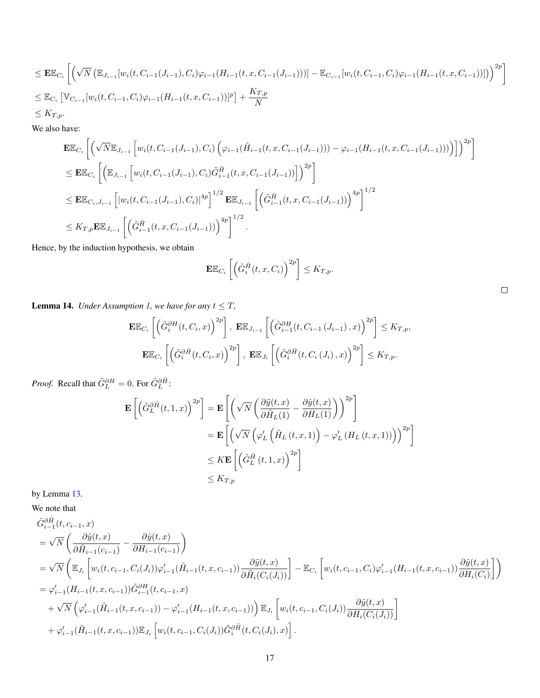$$
\leq \mathbf{E} \mathbb{E}_{C_i} \left[ \left( \sqrt{N} \left( \mathbb{E}_{J_{i-1}} [w_i(t, C_{i-1}(J_{i-1}), C_i) \varphi_{i-1}(H_{i-1}(t, x, C_{i-1}(J_{i-1}))) ] - \mathbb{E}_{C_{i-1}} [w_i(t, C_{i-1}, C_i) \varphi_{i-1}(H_{i-1}(t, x, C_{i-1}))] \right) \right)^{2p} \right]
$$
  
\n
$$
\leq \mathbb{E}_{C_i} \left[ \mathbb{V}_{C_{i-1}} [w_i(t, C_{i-1}, C_i) \varphi_{i-1}(H_{i-1}(t, x, C_{i-1}))]^p \right] + \frac{K_{T,p}}{N}
$$
  
\n
$$
\leq K_{T,p}.
$$

We also have:

$$
\mathbf{E}\mathbb{E}_{C_{i}}\left[\left(\sqrt{N}\mathbb{E}_{J_{i-1}}\left[w_{i}(t,C_{i-1}(J_{i-1}),C_{i})\left(\varphi_{i-1}(\tilde{H}_{i-1}(t,x,C_{i-1}(J_{i-1})))-\varphi_{i-1}(H_{i-1}(t,x,C_{i-1}(J_{i-1})))\right)\right]\right)^{2p}\right]
$$
\n
$$
\leq \mathbf{E}\mathbb{E}_{C_{i}}\left[\left(\mathbb{E}_{J_{i-1}}\left[w_{i}(t,C_{i-1}(J_{i-1}),C_{i})\tilde{G}_{i-1}^{\tilde{H}}(t,x,C_{i-1}(J_{i-1}))\right]\right)^{2p}\right]
$$
\n
$$
\leq \mathbf{E}\mathbb{E}_{C_{i},J_{i-1}}\left[\left|w_{i}(t,C_{i-1}(J_{i-1}),C_{i})\right|^{4p}\right]^{1/2}\mathbf{E}\mathbb{E}_{J_{i-1}}\left[\left(\tilde{G}_{i-1}^{\tilde{H}}(t,x,C_{i-1}(J_{i-1}))\right)^{4p}\right]^{1/2}
$$
\n
$$
\leq K_{T,p}\mathbf{E}\mathbb{E}_{J_{i-1}}\left[\left(\tilde{G}_{i-1}^{\tilde{H}}(t,x,C_{i-1}(J_{i-1}))\right)^{4p}\right]^{1/2}.
$$

Hence, by the induction hypothesis, we obtain

$$
\mathbf{E}\mathbb{E}_{C_i}\left[\left(\tilde{G}_i^{\tilde{H}}(t,x,C_i)\right)^{2p}\right] \leq K_{T,p}.
$$

 $\Box$ 

<span id="page-16-0"></span>**Lemma 14.** *Under Assumption [1,](#page-3-2) we have for any*  $t \leq T$ *,* 

$$
\mathbf{E}\mathbb{E}_{C_i}\left[\left(\tilde{G}_i^{\partial H}(t, C_i, x)\right)^{2p}\right], \ \mathbf{E}\mathbb{E}_{J_{i-1}}\left[\left(\tilde{G}_{i-1}^{\partial H}(t, C_{i-1}\left(J_{i-1}\right), x)\right)^{2p}\right] \leq K_{T, p},
$$
\n
$$
\mathbf{E}\mathbb{E}_{C_i}\left[\left(\tilde{G}_i^{\partial \tilde{H}}(t, C_i, x)\right)^{2p}\right], \ \mathbf{E}\mathbb{E}_{J_i}\left[\left(\tilde{G}_i^{\partial \tilde{H}}(t, C_i\left(J_i\right), x)\right)^{2p}\right] \leq K_{T, p}.
$$

*Proof.* Recall that  $\tilde{G}_L^{\partial H} = 0$ . For  $\tilde{G}_L^{\partial \tilde{H}}$ :

$$
\mathbf{E}\left[\left(\tilde{G}_{L}^{\partial\tilde{H}}(t,1,x)\right)^{2p}\right] = \mathbf{E}\left[\left(\sqrt{N}\left(\frac{\partial\tilde{y}(t,x)}{\partial\tilde{H}_{L}(1)} - \frac{\partial\hat{y}(t,x)}{\partial{H}_{L}(1)}\right)\right)^{2p}\right]
$$
  
\n
$$
= \mathbf{E}\left[\left(\sqrt{N}\left(\varphi_{L}'\left(\tilde{H}_{L}(t,x,1)\right) - \varphi_{L}'\left(H_{L}(t,x,1)\right)\right)\right)^{2p}\right]
$$
  
\n
$$
\leq K\mathbf{E}\left[\left(\tilde{G}_{L}^{\tilde{H}}(t,1,x)\right)^{2p}\right]
$$
  
\n
$$
\leq K_{T,p}
$$

by Lemma [13.](#page-15-0)

We note that

$$
\tilde{G}_{i-1}^{\partial \tilde{H}}(t, c_{i-1}, x)
$$
\n
$$
= \sqrt{N} \left( \frac{\partial \tilde{y}(t, x)}{\partial \tilde{H}_{i-1}(c_{i-1})} - \frac{\partial \hat{y}(t, x)}{\partial H_{i-1}(c_{i-1})} \right)
$$
\n
$$
= \sqrt{N} \left( \mathbb{E}_{J_i} \left[ w_i(t, c_{i-1}, C_i(J_i)) \varphi'_{i-1}(\tilde{H}_{i-1}(t, x, c_{i-1})) \frac{\partial \tilde{y}(t, x)}{\partial \tilde{H}_i(C_i(J_i))} \right] - \mathbb{E}_{C_i} \left[ w_i(t, c_{i-1}, C_i) \varphi'_{i-1}(H_{i-1}(t, x, c_{i-1})) \frac{\partial \hat{y}(t, x)}{\partial H_i(C_i)} \right] \right)
$$
\n
$$
= \varphi'_{i-1}(H_{i-1}(t, x, c_{i-1})) \tilde{G}_{i-1}^{\partial H}(t, c_{i-1}, x)
$$
\n
$$
+ \sqrt{N} \left( \varphi'_{i-1}(\tilde{H}_{i-1}(t, x, c_{i-1})) - \varphi'_{i-1}(H_{i-1}(t, x, c_{i-1})) \right) \mathbb{E}_{J_i} \left[ w_i(t, c_{i-1}, C_i(J_i)) \frac{\partial \hat{y}(t, x)}{\partial H_i(C_i(J_i))} \right]
$$
\n
$$
+ \varphi'_{i-1}(\tilde{H}_{i-1}(t, x, c_{i-1})) \mathbb{E}_{J_i} \left[ w_i(t, c_{i-1}, C_i(J_i)) \tilde{G}_i^{\partial \tilde{H}}(t, C_i(J_i), x) \right].
$$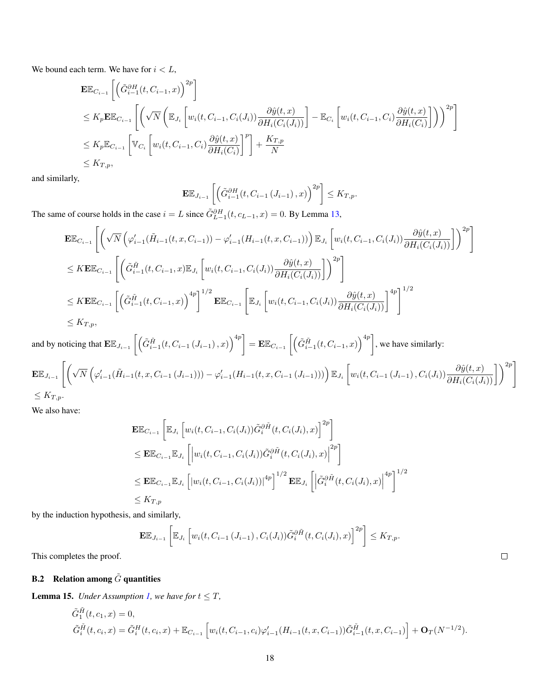We bound each term. We have for  $i < L$ ,

$$
\mathbf{E}\mathbb{E}_{C_{i-1}}\left[\left(\tilde{G}_{i-1}^{\partial H}(t, C_{i-1}, x)\right)^{2p}\right]
$$
\n
$$
\leq K_{p}\mathbf{E}\mathbb{E}_{C_{i-1}}\left[\left(\sqrt{N}\left(\mathbb{E}_{J_{i}}\left[w_{i}(t, C_{i-1}, C_{i}(J_{i}))\frac{\partial \hat{y}(t, x)}{\partial H_{i}(C_{i}(J_{i}))}\right]-\mathbb{E}_{C_{i}}\left[w_{i}(t, C_{i-1}, C_{i})\frac{\partial \hat{y}(t, x)}{\partial H_{i}(C_{i})}\right]\right)\right)^{2p}\right]
$$
\n
$$
\leq K_{p}\mathbb{E}_{C_{i-1}}\left[\mathbb{V}_{C_{i}}\left[w_{i}(t, C_{i-1}, C_{i})\frac{\partial \hat{y}(t, x)}{\partial H_{i}(C_{i})}\right]^{p}\right]+\frac{K_{T, p}}{N}
$$
\n
$$
\leq K_{T, p},
$$

and similarly,

$$
\mathbf{E}\mathbb{E}_{J_{i-1}}\left[\left(\tilde{G}_{i-1}^{\partial H}(t, C_{i-1}\left(J_{i-1}\right), x\right)^{2p}\right] \leq K_{T,p}.
$$

The same of course holds in the case  $i = L$  since  $\tilde{G}_{L-1}^{\partial H}(t, c_{L-1}, x) = 0$ . By Lemma [13,](#page-15-0)

$$
\mathbf{E}\mathbb{E}_{C_{i-1}}\left[\left(\sqrt{N}\left(\varphi'_{i-1}(\tilde{H}_{i-1}(t,x,C_{i-1}))-\varphi'_{i-1}(H_{i-1}(t,x,C_{i-1}))\right)\mathbb{E}_{J_i}\left[w_i(t,C_{i-1},C_i(J_i))\frac{\partial \hat{y}(t,x)}{\partial H_i(C_i(J_i))}\right]\right)^{2p}\right]
$$
\n
$$
\leq K\mathbf{E}\mathbb{E}_{C_{i-1}}\left[\left(\tilde{G}_{i-1}^{\tilde{H}}(t,C_{i-1},x)\mathbb{E}_{J_i}\left[w_i(t,C_{i-1},C_i(J_i))\frac{\partial \hat{y}(t,x)}{\partial H_i(C_i(J_i))}\right]\right)^{2p}\right]
$$
\n
$$
\leq K\mathbf{E}\mathbb{E}_{C_{i-1}}\left[\left(\tilde{G}_{i-1}^{\tilde{H}}(t,C_{i-1},x)\right)^{4p}\right]^{1/2}\mathbf{E}\mathbb{E}_{C_{i-1}}\left[\mathbb{E}_{J_i}\left[w_i(t,C_{i-1},C_i(J_i))\frac{\partial \hat{y}(t,x)}{\partial H_i(C_i(J_i))}\right]^{4p}\right]^{1/2}
$$
\n
$$
\leq K_{T,p},
$$

and by noticing that  $\mathbf{E}\mathbb{E}_{J_{i-1}}\left[\left(\tilde{G}_{i-1}^{\tilde{H}}(t, C_{i-1} (J_{i-1}), x)\right)^{4p}\right] = \mathbf{E}\mathbb{E}_{C_{i-1}}\left[\left(\tilde{G}_{i-1}^{\tilde{H}}(t, C_{i-1}, x)\right)^{4p}\right]$ , we have similarly:  $\Gamma$  ⁄

$$
\mathbf{E}\mathbb{E}_{J_{i-1}}\left[\left(\sqrt{N}\left(\varphi'_{i-1}(\tilde{H}_{i-1}(t,x,C_{i-1}(J_{i-1})))-\varphi'_{i-1}(H_{i-1}(t,x,C_{i-1}(J_{i-1})))\right)\mathbb{E}_{J_i}\left[w_i(t,C_{i-1}(J_{i-1}),C_i(J_i))\frac{\partial\hat{y}(t,x)}{\partial H_i(C_i(J_i))}\right]\right)^{2p}\right]
$$
\n
$$
\leq K_{T,p}.
$$

We also have:

$$
\mathbf{E}\mathbb{E}_{C_{i-1}}\left[\mathbb{E}_{J_i}\left[w_i(t, C_{i-1}, C_i(J_i))\tilde{G}_i^{\partial \tilde{H}}(t, C_i(J_i), x)\right]^{2p}\right]
$$
\n
$$
\leq \mathbf{E}\mathbb{E}_{C_{i-1}}\mathbb{E}_{J_i}\left[\left|w_i(t, C_{i-1}, C_i(J_i))\tilde{G}_i^{\partial \tilde{H}}(t, C_i(J_i), x)\right|^{2p}\right]
$$
\n
$$
\leq \mathbf{E}\mathbb{E}_{C_{i-1}}\mathbb{E}_{J_i}\left[\left|w_i(t, C_{i-1}, C_i(J_i))\right|^{4p}\right]^{1/2}\mathbf{E}\mathbb{E}_{J_i}\left[\left|\tilde{G}_i^{\partial \tilde{H}}(t, C_i(J_i), x)\right|^{4p}\right]^{1/2}
$$
\n
$$
\leq K_{T,p}
$$

by the induction hypothesis, and similarly,

$$
\mathbf{E}\mathbb{E}_{J_{i-1}}\left[\mathbb{E}_{J_i}\left[w_i(t, C_{i-1}\left(J_{i-1}\right),C_i\left(J_i\right))\tilde{G}_i^{\partial\tilde{H}}(t, C_i\left(J_i\right),x)\right]^{2p}\right] \leq K_{T,p}.
$$

This completes the proof.

# **B.2** Relation among  $\tilde{G}$  quantities

<span id="page-17-0"></span>**Lemma 15.** *Under Assumption [1,](#page-3-2) we have for*  $t \leq T$ *,* 

$$
\tilde{G}_{i}^{\tilde{H}}(t, c_{1}, x) = 0,
$$
\n
$$
\tilde{G}_{i}^{\tilde{H}}(t, c_{i}, x) = \tilde{G}_{i}^{H}(t, c_{i}, x) + \mathbb{E}_{C_{i-1}}\left[w_{i}(t, C_{i-1}, c_{i})\varphi'_{i-1}(H_{i-1}(t, x, C_{i-1}))\tilde{G}_{i-1}^{\tilde{H}}(t, x, C_{i-1})\right] + \mathbf{O}_{T}(N^{-1/2}).
$$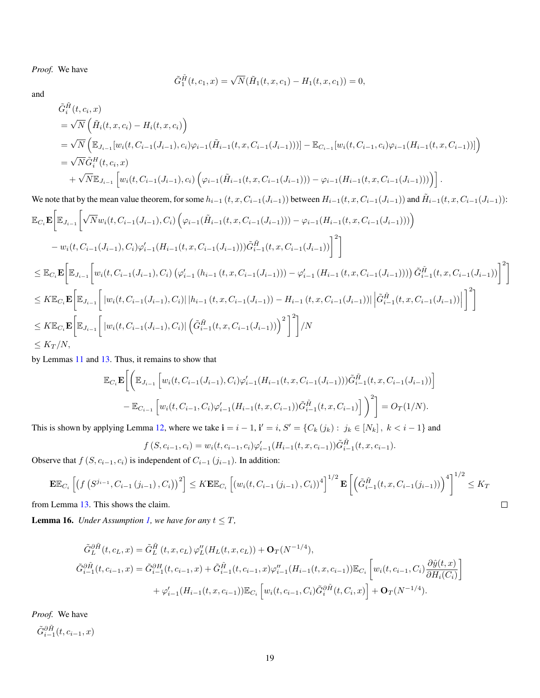*Proof.* We have

$$
\tilde{G}_1^{\tilde{H}}(t, c_1, x) = \sqrt{N}(\tilde{H}_1(t, x, c_1) - H_1(t, x, c_1)) = 0,
$$

and

$$
\tilde{G}_{i}^{\tilde{H}}(t, c_{i}, x)
$$
\n
$$
= \sqrt{N} \left( \tilde{H}_{i}(t, x, c_{i}) - H_{i}(t, x, c_{i}) \right)
$$
\n
$$
= \sqrt{N} \left( \mathbb{E}_{J_{i-1}}[w_{i}(t, C_{i-1}(J_{i-1}), c_{i})\varphi_{i-1}(\tilde{H}_{i-1}(t, x, C_{i-1}(J_{i-1})))] - \mathbb{E}_{C_{i-1}}[w_{i}(t, C_{i-1}, c_{i})\varphi_{i-1}(H_{i-1}(t, x, C_{i-1}))] \right)
$$
\n
$$
= \sqrt{N} \tilde{G}_{i}^{H}(t, c_{i}, x)
$$
\n
$$
+ \sqrt{N} \mathbb{E}_{J_{i-1}} \left[ w_{i}(t, C_{i-1}(J_{i-1}), c_{i}) \left( \varphi_{i-1}(\tilde{H}_{i-1}(t, x, C_{i-1}(J_{i-1}))) - \varphi_{i-1}(H_{i-1}(t, x, C_{i-1}(J_{i-1}))) \right) \right].
$$

We note that by the mean value theorem, for some  $h_{i-1}(t, x, C_{i-1}(J_{i-1}))$  between  $H_{i-1}(t, x, C_{i-1}(J_{i-1}))$  and  $\tilde{H}_{i-1}(t, x, C_{i-1}(J_{i-1}))$ :

$$
\mathbb{E}_{C_{i}}\mathbf{E}\Big[\mathbb{E}_{J_{i-1}}\Big[\sqrt{N}w_{i}(t,C_{i-1}(J_{i-1}),C_{i})\left(\varphi_{i-1}(\tilde{H}_{i-1}(t,x,C_{i-1}(J_{i-1})))-\varphi_{i-1}(H_{i-1}(t,x,C_{i-1}(J_{i-1})))\right)\Big]
$$
\n
$$
-w_{i}(t,C_{i-1}(J_{i-1}),C_{i})\varphi_{i-1}'(H_{i-1}(t,x,C_{i-1}(J_{i-1})))\tilde{G}_{i-1}^{\tilde{H}}(t,x,C_{i-1}(J_{i-1}))\Big]^{2}\Big]
$$
\n
$$
\leq \mathbb{E}_{C_{i}}\mathbf{E}\Big[\mathbb{E}_{J_{i-1}}\Big[w_{i}(t,C_{i-1}(J_{i-1}),C_{i})\left(\varphi_{i-1}'\left(h_{i-1}(t,x,C_{i-1}(J_{i-1})))-\varphi_{i-1}'\left(H_{i-1}(t,x,C_{i-1}(J_{i-1})))\right)\tilde{G}_{i-1}^{\tilde{H}}(t,x,C_{i-1}(J_{i-1}))\right)\Big]^{2}\Big]
$$
\n
$$
\leq K\mathbb{E}_{C_{i}}\mathbf{E}\Big[\mathbb{E}_{J_{i-1}}\Big[\|w_{i}(t,C_{i-1}(J_{i-1}),C_{i})\|\|h_{i-1}(t,x,C_{i-1}(J_{i-1}))-H_{i-1}(t,x,C_{i-1}(J_{i-1}))\|\Big|\tilde{G}_{i-1}^{\tilde{H}}(t,x,C_{i-1}(J_{i-1}))\Big|\Big]^{2}\Big]
$$
\n
$$
\leq K\mathbb{E}_{C_{i}}\mathbf{E}\Big[\mathbb{E}_{J_{i-1}}\Big[\|w_{i}(t,C_{i-1}(J_{i-1}),C_{i})\|\Big(\tilde{G}_{i-1}^{\tilde{H}}(t,x,C_{i-1}(J_{i-1})))\Big)^{2}\Big]^{2}\Big]/N
$$
\n
$$
\leq K_{T}/N,
$$

by Lemmas [11](#page-13-1) and [13.](#page-15-0) Thus, it remains to show that

$$
\mathbb{E}_{C_i} \mathbf{E} \bigg[ \bigg( \mathbb{E}_{J_{i-1}} \left[ w_i(t, C_{i-1}(J_{i-1}), C_i) \varphi'_{i-1}(H_{i-1}(t, x, C_{i-1}(J_{i-1}))) \tilde{G}_{i-1}^{\tilde{H}}(t, x, C_{i-1}(J_{i-1})) \right] - \mathbb{E}_{C_{i-1}} \left[ w_i(t, C_{i-1}, C_i) \varphi'_{i-1}(H_{i-1}(t, x, C_{i-1})) \tilde{G}_{i-1}^{\tilde{H}}(t, x, C_{i-1}) \right] \bigg)^2 \bigg] = O_T(1/N).
$$

This is shown by applying Lemma [12,](#page-14-0) where we take  $\mathbf{i} = i - 1$ ,  $\mathbf{i}' = i$ ,  $S' = \{C_k(j_k) : j_k \in [N_k]$ ,  $k < i - 1\}$  and

$$
f(S, c_{i-1}, c_i) = w_i(t, c_{i-1}, c_i) \varphi'_{i-1}(H_{i-1}(t, x, c_{i-1})) \tilde{G}_{i-1}^{\tilde{H}}(t, x, c_{i-1}).
$$

Observe that  $f(S, c_{i-1}, c_i)$  is independent of  $C_{i-1}$   $(j_{i-1})$ . In addition:

$$
\mathbf{E}\mathbb{E}_{C_{i}}\left[\left(f\left(S^{j_{i-1}},C_{i-1}\left(j_{i-1}\right),C_{i}\right)\right)^{2}\right] \leq K\mathbf{E}\mathbb{E}_{C_{i}}\left[\left(w_{i}(t,C_{i-1}\left(j_{i-1}\right),C_{i}\right)\right)^{4}\right]^{1/2}\mathbf{E}\left[\left(\tilde{G}_{i-1}^{\tilde{H}}(t,x,C_{i-1}(j_{i-1}))\right)^{4}\right]^{1/2} \leq K_{T}
$$

from Lemma [13.](#page-15-0) This shows the claim.

<span id="page-18-0"></span>**Lemma 16.** *Under Assumption [1,](#page-3-2) we have for any*  $t \leq T$ *,* 

$$
\tilde{G}_{L}^{\partial \tilde{H}}(t, c_{L}, x) = \tilde{G}_{L}^{\tilde{H}}(t, x, c_{L}) \varphi_{L}^{\prime\prime}(H_{L}(t, x, c_{L})) + \mathbf{O}_{T}(N^{-1/4}),
$$
\n
$$
\tilde{G}_{i-1}^{\partial \tilde{H}}(t, c_{i-1}, x) = \tilde{G}_{i-1}^{\partial H}(t, c_{i-1}, x) + \tilde{G}_{i-1}^{\tilde{H}}(t, c_{i-1}, x) \varphi_{i-1}^{\prime\prime}(H_{i-1}(t, x, c_{i-1})) \mathbb{E}_{C_{i}} \left[ w_{i}(t, c_{i-1}, C_{i}) \frac{\partial \hat{y}(t, x)}{\partial H_{i}(C_{i})} \right]
$$
\n
$$
+ \varphi_{i-1}^{\prime}(H_{i-1}(t, x, c_{i-1})) \mathbb{E}_{C_{i}} \left[ w_{i}(t, c_{i-1}, C_{i}) \tilde{G}_{i}^{\partial \tilde{H}}(t, C_{i}, x) \right] + \mathbf{O}_{T}(N^{-1/4}).
$$

*Proof.* We have

 $\tilde{G}_{i-1}^{\partial \tilde{H}}(t, c_{i-1}, x)$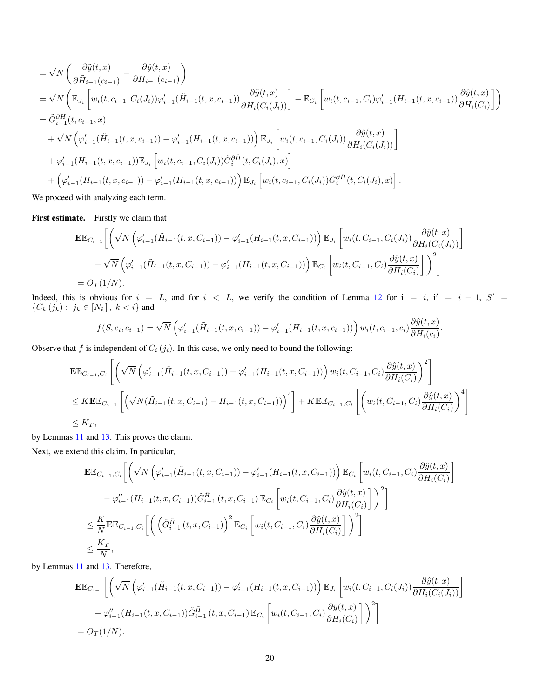$$
\begin{split}\n&= \sqrt{N} \left( \frac{\partial \tilde{y}(t,x)}{\partial \tilde{H}_{i-1}(c_{i-1})} - \frac{\partial \hat{y}(t,x)}{\partial H_{i-1}(c_{i-1})} \right) \\
&= \sqrt{N} \left( \mathbb{E}_{J_i} \left[ w_i(t,c_{i-1},C_i(J_i)) \varphi'_{i-1}(\tilde{H}_{i-1}(t,x,c_{i-1})) \frac{\partial \tilde{y}(t,x)}{\partial \tilde{H}_i(C_i(J_i))} \right] - \mathbb{E}_{C_i} \left[ w_i(t,c_{i-1},C_i) \varphi'_{i-1}(H_{i-1}(t,x,c_{i-1})) \frac{\partial \hat{y}(t,x)}{\partial H_i(C_i)} \right] \right) \\
&= \tilde{G}^{\partial H}_{i-1}(t,c_{i-1},x) \\
&+ \sqrt{N} \left( \varphi'_{i-1}(\tilde{H}_{i-1}(t,x,c_{i-1})) - \varphi'_{i-1}(H_{i-1}(t,x,c_{i-1})) \right) \mathbb{E}_{J_i} \left[ w_i(t,c_{i-1},C_i(J_i)) \frac{\partial \hat{y}(t,x)}{\partial H_i(C_i(J_i))} \right] \\
&+ \varphi'_{i-1}(H_{i-1}(t,x,c_{i-1})) \mathbb{E}_{J_i} \left[ w_i(t,c_{i-1},C_i(J_i)) \tilde{G}^{\partial \tilde{H}}_i(t,C_i(J_i),x) \right] \\
&+ \left( \varphi'_{i-1}(\tilde{H}_{i-1}(t,x,c_{i-1})) - \varphi'_{i-1}(H_{i-1}(t,x,c_{i-1})) \right) \mathbb{E}_{J_i} \left[ w_i(t,c_{i-1},C_i(J_i)) \tilde{G}^{\partial \tilde{H}}_i(t,C_i(J_i),x) \right].\n\end{split}
$$

We proceed with analyzing each term.

First estimate. Firstly we claim that

$$
\mathbf{E}\mathbb{E}_{C_{i-1}}\left[\left(\sqrt{N}\left(\varphi'_{i-1}(\tilde{H}_{i-1}(t,x,C_{i-1}))-\varphi'_{i-1}(H_{i-1}(t,x,C_{i-1}))\right)\mathbb{E}_{J_i}\left[w_i(t,C_{i-1},C_i(J_i))\frac{\partial \hat{y}(t,x)}{\partial H_i(C_i(J_i))}\right]\right] - \sqrt{N}\left(\varphi'_{i-1}(\tilde{H}_{i-1}(t,x,C_{i-1}))-\varphi'_{i-1}(H_{i-1}(t,x,C_{i-1}))\right)\mathbb{E}_{C_i}\left[w_i(t,C_{i-1},C_i)\frac{\partial \hat{y}(t,x)}{\partial H_i(C_i)}\right]\right)^2\right]
$$
  
=  $O_T(1/N)$ .

Indeed, this is obvious for  $i = L$ , and for  $i < L$ , we verify the condition of Lemma [12](#page-14-0) for  $i = i$ ,  $i' = i - 1$ ,  $S' =$  ${C_k (j_k) : j_k \in [N_k], k < i}$  and

$$
f(S, c_i, c_{i-1}) = \sqrt{N} \left( \varphi'_{i-1}(\tilde{H}_{i-1}(t, x, c_{i-1})) - \varphi'_{i-1}(H_{i-1}(t, x, c_{i-1})) \right) w_i(t, c_{i-1}, c_i) \frac{\partial \hat{y}(t, x)}{\partial H_i(c_i)}.
$$

Observe that f is independent of  $C_i (j_i)$ . In this case, we only need to bound the following:

$$
\begin{split} &\mathbf{E}\mathbb{E}_{C_{i-1},C_{i}}\left[\left(\sqrt{N}\left(\varphi'_{i-1}(\tilde{H}_{i-1}(t,x,C_{i-1}))-\varphi'_{i-1}(H_{i-1}(t,x,C_{i-1}))\right)w_{i}(t,C_{i-1},C_{i})\frac{\partial\hat{y}(t,x)}{\partial H_{i}(C_{i})}\right)^{2}\right] \\ &\leq K\mathbf{E}\mathbb{E}_{C_{i-1}}\left[\left(\sqrt{N}(\tilde{H}_{i-1}(t,x,C_{i-1})-H_{i-1}(t,x,C_{i-1}))\right)^{4}\right]+K\mathbf{E}\mathbb{E}_{C_{i-1},C_{i}}\left[\left(w_{i}(t,C_{i-1},C_{i})\frac{\partial\hat{y}(t,x)}{\partial H_{i}(C_{i})}\right)^{4}\right] \\ &\leq K_{T}, \end{split}
$$

by Lemmas [11](#page-13-1) and [13.](#page-15-0) This proves the claim.

Next, we extend this claim. In particular,

$$
\mathbf{E}\mathbb{E}_{C_{i-1},C_i}\bigg[\bigg(\sqrt{N}\left(\varphi'_{i-1}(\tilde{H}_{i-1}(t,x,C_{i-1}))-\varphi'_{i-1}(H_{i-1}(t,x,C_{i-1}))\right)\mathbb{E}_{C_i}\bigg[w_i(t,C_{i-1},C_i)\frac{\partial\hat{y}(t,x)}{\partial H_i(C_i)}\bigg]
$$
  
\n
$$
-\varphi''_{i-1}(H_{i-1}(t,x,C_{i-1}))\tilde{G}_{i-1}^{\tilde{H}}(t,x,C_{i-1})\mathbb{E}_{C_i}\bigg[w_i(t,C_{i-1},C_i)\frac{\partial\hat{y}(t,x)}{\partial H_i(C_i)}\bigg]\bigg)^2\bigg]
$$
  
\n
$$
\leq \frac{K}{N}\mathbf{E}\mathbb{E}_{C_{i-1},C_i}\bigg[\bigg(\bigg(\tilde{G}_{i-1}^{\tilde{H}}(t,x,C_{i-1})\bigg)^2\mathbb{E}_{C_i}\bigg[w_i(t,C_{i-1},C_i)\frac{\partial\hat{y}(t,x)}{\partial H_i(C_i)}\bigg]\bigg)^2\bigg]
$$
  
\n
$$
\leq \frac{K_T}{N},
$$

by Lemmas [11](#page-13-1) and [13.](#page-15-0) Therefore,

$$
\mathbf{E}\mathbb{E}_{C_{i-1}}\bigg[\bigg(\sqrt{N}\left(\varphi'_{i-1}(\tilde{H}_{i-1}(t,x,C_{i-1}))-\varphi'_{i-1}(H_{i-1}(t,x,C_{i-1}))\right)\mathbb{E}_{J_i}\left[w_i(t,C_{i-1},C_i(J_i))\frac{\partial \hat{y}(t,x)}{\partial H_i(C_i(J_i))}\right]
$$
  

$$
-\varphi''_{i-1}(H_{i-1}(t,x,C_{i-1}))\tilde{G}_{i-1}^{\tilde{H}}(t,x,C_{i-1})\mathbb{E}_{C_i}\left[w_i(t,C_{i-1},C_i)\frac{\partial \hat{y}(t,x)}{\partial H_i(C_i)}\right]\bigg)^2\bigg]
$$
  
=  $O_T(1/N)$ .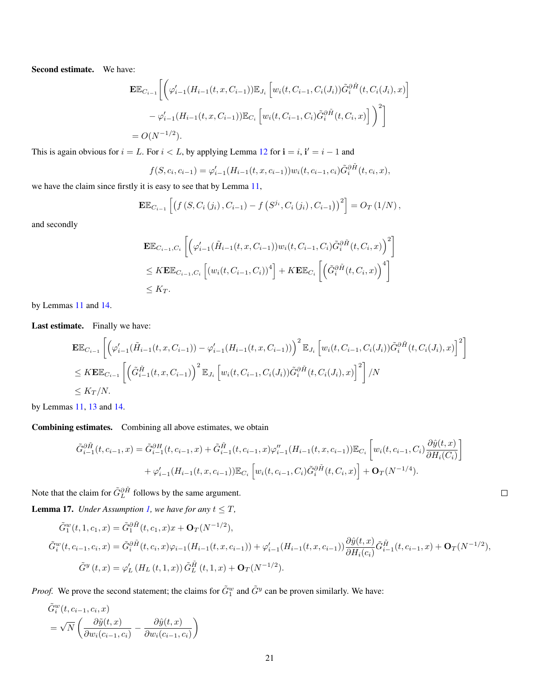Second estimate. We have:

$$
\mathbf{E}\mathbb{E}_{C_{i-1}}\bigg[\bigg(\varphi'_{i-1}(H_{i-1}(t,x,C_{i-1}))\mathbb{E}_{J_i}\left[w_i(t,C_{i-1},C_i(J_i))\tilde{G}_i^{\partial\tilde{H}}(t,C_i(J_i),x)\right] \n- \varphi'_{i-1}(H_{i-1}(t,x,C_{i-1}))\mathbb{E}_{C_i}\left[w_i(t,C_{i-1},C_i)\tilde{G}_i^{\partial\tilde{H}}(t,C_i,x)\right]\bigg)^2\bigg] \n= O(N^{-1/2}).
$$

This is again obvious for  $i = L$ . For  $i < L$ , by applying Lemma [12](#page-14-0) for  $\mathbf{i} = i$ ,  $\mathbf{i}' = i - 1$  and

$$
f(S, c_i, c_{i-1}) = \varphi'_{i-1}(H_{i-1}(t, x, c_{i-1})) w_i(t, c_{i-1}, c_i) \tilde{G}_i^{\partial \tilde{H}}(t, c_i, x),
$$

we have the claim since firstly it is easy to see that by Lemma [11,](#page-13-1)

$$
\mathbf{E}\mathbb{E}_{C_{i-1}}\left[\left(f\left(S, C_i\left(j_i\right), C_{i-1}\right) - f\left(S^{j_i}, C_i\left(j_i\right), C_{i-1}\right)\right)^2\right] = O_T\left(1/N\right),\,
$$

and secondly

$$
\mathbf{E}\mathbb{E}_{C_{i-1},C_i}\left[\left(\varphi'_{i-1}(\tilde{H}_{i-1}(t,x,C_{i-1}))w_i(t,C_{i-1},C_i)\tilde{G}_i^{\partial\tilde{H}}(t,C_i,x)\right)^2\right]
$$
  

$$
\leq K\mathbf{E}\mathbb{E}_{C_{i-1},C_i}\left[\left(w_i(t,C_{i-1},C_i)\right)^4\right] + K\mathbf{E}\mathbb{E}_{C_i}\left[\left(\tilde{G}_i^{\partial\tilde{H}}(t,C_i,x)\right)^4\right]
$$
  

$$
\leq K_T.
$$

by Lemmas [11](#page-13-1) and [14.](#page-16-0)

Last estimate. Finally we have:

$$
\mathbf{E}\mathbb{E}_{C_{i-1}}\left[\left(\varphi'_{i-1}(\tilde{H}_{i-1}(t,x,C_{i-1}))-\varphi'_{i-1}(H_{i-1}(t,x,C_{i-1}))\right)^2\mathbb{E}_{J_i}\left[w_i(t,C_{i-1},C_i(J_i))\tilde{G}_i^{\partial\tilde{H}}(t,C_i(J_i),x)\right]^2\right]
$$
  
\n
$$
\leq K\mathbf{E}\mathbb{E}_{C_{i-1}}\left[\left(\tilde{G}_{i-1}^{\tilde{H}}(t,x,C_{i-1})\right)^2\mathbb{E}_{J_i}\left[w_i(t,C_{i-1},C_i(J_i))\tilde{G}_i^{\partial\tilde{H}}(t,C_i(J_i),x)\right]^2\right]/N
$$
  
\n
$$
\leq K_T/N.
$$

by Lemmas [11,](#page-13-1) [13](#page-15-0) and [14.](#page-16-0)

Combining estimates. Combining all above estimates, we obtain

$$
\tilde{G}_{i-1}^{\partial \tilde{H}}(t, c_{i-1}, x) = \tilde{G}_{i-1}^{\partial H}(t, c_{i-1}, x) + \tilde{G}_{i-1}^{\tilde{H}}(t, c_{i-1}, x)\varphi''_{i-1}(H_{i-1}(t, x, c_{i-1}))\mathbb{E}_{C_i}\left[w_i(t, c_{i-1}, C_i)\frac{\partial \hat{y}(t, x)}{\partial H_i(C_i)}\right] + \varphi'_{i-1}(H_{i-1}(t, x, c_{i-1}))\mathbb{E}_{C_i}\left[w_i(t, c_{i-1}, C_i)\tilde{G}_i^{\partial \tilde{H}}(t, C_i, x)\right] + \mathbf{O}_T(N^{-1/4}).
$$

Note that the claim for  $\tilde{G}_L^{\partial \tilde{H}}$  follows by the same argument.

<span id="page-20-0"></span>**Lemma 17.** *Under Assumption [1,](#page-3-2) we have for any*  $t \leq T$ *,* 

$$
\tilde{G}_{1}^{w}(t, 1, c_{1}, x) = \tilde{G}_{1}^{\partial \tilde{H}}(t, c_{1}, x)x + \mathbf{O}_{T}(N^{-1/2}),
$$
\n
$$
\tilde{G}_{i}^{w}(t, c_{i-1}, c_{i}, x) = \tilde{G}_{i}^{\partial \tilde{H}}(t, c_{i}, x)\varphi_{i-1}(H_{i-1}(t, x, c_{i-1})) + \varphi'_{i-1}(H_{i-1}(t, x, c_{i-1}))\frac{\partial \hat{y}(t, x)}{\partial H_{i}(c_{i})}\tilde{G}_{i-1}^{\tilde{H}}(t, c_{i-1}, x) + \mathbf{O}_{T}(N^{-1/2}),
$$
\n
$$
\tilde{G}_{i}^{w}(t, x) = \varphi'_{L}(H_{L}(t, 1, x))\tilde{G}_{L}^{\tilde{H}}(t, 1, x) + \mathbf{O}_{T}(N^{-1/2}).
$$

*Proof.* We prove the second statement; the claims for  $\tilde{G}_{1}^{w}$  and  $\tilde{G}_{2}^{y}$  can be proven similarly. We have:

$$
\tilde{G}_i^w(t, c_{i-1}, c_i, x) = \sqrt{N} \left( \frac{\partial \tilde{y}(t, x)}{\partial w_i(c_{i-1}, c_i)} - \frac{\partial \hat{y}(t, x)}{\partial w_i(c_{i-1}, c_i)} \right)
$$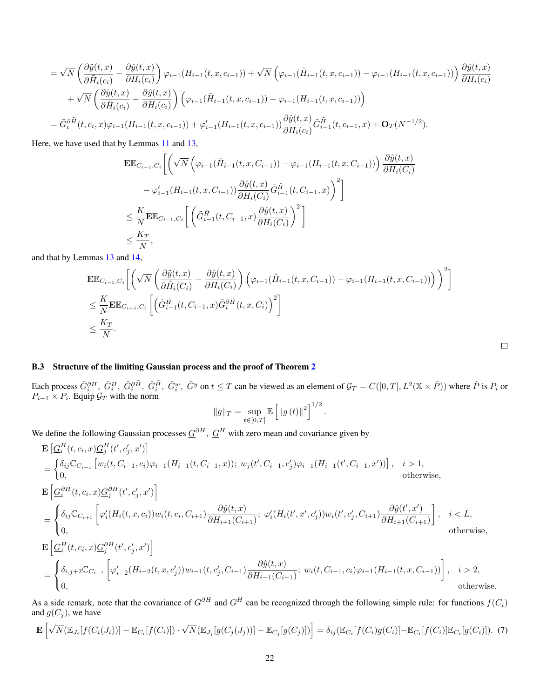$$
= \sqrt{N} \left( \frac{\partial \tilde{y}(t,x)}{\partial \tilde{H}_i(c_i)} - \frac{\partial \hat{y}(t,x)}{\partial H_i(c_i)} \right) \varphi_{i-1}(H_{i-1}(t,x,c_{i-1})) + \sqrt{N} \left( \varphi_{i-1}(\tilde{H}_{i-1}(t,x,c_{i-1})) - \varphi_{i-1}(H_{i-1}(t,x,c_{i-1})) \right) \frac{\partial \hat{y}(t,x)}{\partial H_i(c_i)} + \sqrt{N} \left( \frac{\partial \tilde{y}(t,x)}{\partial \tilde{H}_i(c_i)} - \frac{\partial \hat{y}(t,x)}{\partial H_i(c_i)} \right) \left( \varphi_{i-1}(\tilde{H}_{i-1}(t,x,c_{i-1})) - \varphi_{i-1}(H_{i-1}(t,x,c_{i-1})) \right) = \tilde{G}_i^{\partial \tilde{H}}(t,c_i,x) \varphi_{i-1}(H_{i-1}(t,x,c_{i-1})) + \varphi'_{i-1}(H_{i-1}(t,x,c_{i-1})) \frac{\partial \hat{y}(t,x)}{\partial H_i(c_i)} \tilde{G}_{i-1}^{\tilde{H}}(t,c_{i-1},x) + \mathbf{O}_T(N^{-1/2}).
$$

Here, we have used that by Lemmas [11](#page-13-1) and [13,](#page-15-0)

$$
\begin{split} &\mathbf{E}\mathbb{E}_{C_{i-1},C_i}\bigg[\bigg(\sqrt{N}\left(\varphi_{i-1}(\tilde{H}_{i-1}(t,x,C_{i-1}))-\varphi_{i-1}(H_{i-1}(t,x,C_{i-1}))\right)\frac{\partial\hat{y}(t,x)}{\partial H_i(C_i)}\\ &\quad -\varphi'_{i-1}(H_{i-1}(t,x,C_{i-1}))\frac{\partial\hat{y}(t,x)}{\partial H_i(C_i)}\tilde{G}_{i-1}^{\tilde{H}}(t,C_{i-1},x)\bigg)^2\bigg]\\ &\leq \frac{K}{N}\mathbf{E}\mathbb{E}_{C_{i-1},C_i}\bigg[\left(\tilde{G}_{i-1}^{\tilde{H}}(t,C_{i-1},x)\frac{\partial\hat{y}(t,x)}{\partial H_i(C_i)}\right)^2\bigg]\\ &\leq \frac{K_T}{N}, \end{split}
$$

and that by Lemmas [13](#page-15-0) and [14,](#page-16-0)

$$
\mathbf{E}\mathbb{E}_{C_{i-1},C_i}\bigg[\bigg(\sqrt{N}\left(\frac{\partial \tilde{y}(t,x)}{\partial \tilde{H}_i(C_i)} - \frac{\partial \hat{y}(t,x)}{\partial H_i(C_i)}\right)\bigg(\varphi_{i-1}(\tilde{H}_{i-1}(t,x,C_{i-1})) - \varphi_{i-1}(H_{i-1}(t,x,C_{i-1}))\bigg)\bigg)^2\bigg]
$$
  

$$
\leq \frac{K}{N}\mathbf{E}\mathbb{E}_{C_{i-1},C_i}\left[\left(\tilde{G}_{i-1}^{\tilde{H}}(t,C_{i-1},x)\tilde{G}_i^{\partial \tilde{H}}(t,x,C_i)\right)^2\right]
$$
  

$$
\leq \frac{K_T}{N}.
$$

#### B.3 Structure of the limiting Gaussian process and the proof of Theorem [2](#page-5-1)

Each process  $\tilde{G}^{\partial H}_i$ ,  $\tilde{G}^H_i$ ,  $\tilde{G}^{\tilde{H}}_i$ ,  $\tilde{G}^w_i$ ,  $\tilde{G}^y$  on  $t \leq T$  can be viewed as an element of  $\mathcal{G}_T = C([0,T], L^2(\mathbb{X} \times \tilde{P}))$  where  $\tilde{P}$  is  $P_i$  or  $P_{i-1} \times P_i$ . Equip  $\mathcal{G}_T$  with the norm

$$
||g||_{T} = \sup_{t \in [0,T]} \mathbb{E} \left[ ||g(t)||^{2} \right]^{1/2}
$$

.

We define the following Gaussian processes  $\underline{G}^{\partial H}$ ,  $\underline{G}^H$  with zero mean and covariance given by

$$
\begin{split} &\mathbf{E}\left[\underline{G}_{i}^{H}(t,c_{i},x)\underline{G}_{j}^{H}(t^{\prime},c_{j}^{\prime},x^{\prime})\right] \\ &=\begin{cases} \delta_{ij}\mathbb{C}_{G_{i-1}}\left[w_{i}(t,C_{i-1},c_{i})\varphi_{i-1}(H_{i-1}(t,C_{i-1},x));\ w_{j}(t^{\prime},C_{i-1},c_{j}^{\prime})\varphi_{i-1}(H_{i-1}(t^{\prime},C_{i-1},x^{\prime}))\right],\quad i>1,\\ 0, &\text{otherwise}, \end{cases} \\ &\mathbf{E}\left[\underline{G}_{i}^{\partial H}(t,c_{i},x)\underline{G}_{j}^{\partial H}(t^{\prime},c_{j}^{\prime},x^{\prime})\right] \\ &=\begin{cases} \delta_{ij}\mathbb{C}_{C_{i+1}}\left[\varphi_{i}^{\prime}(H_{i}(t,x,c_{i}))w_{i}(t,c_{i},C_{i+1})\frac{\partial\hat{y}(t,x)}{\partial H_{i+1}(C_{i+1})};\ \varphi_{i}^{\prime}(H_{i}(t^{\prime},x^{\prime},c_{j}^{\prime}))w_{i}(t^{\prime},c_{j}^{\prime},C_{i+1})\frac{\partial\hat{y}(t^{\prime},x^{\prime})}{\partial H_{i+1}(C_{i+1})}\right],\quad i< L,\\ 0, &\text{otherwise}, \end{cases} \\ &\mathbf{E}\left[\underline{G}_{i}^{H}(t,c_{i},x)\underline{G}_{j}^{\partial H}(t^{\prime},c_{j}^{\prime},x^{\prime})\right] \\ &=\begin{cases} \delta_{i,j+2}\mathbb{C}_{C_{i-1}}\left[\varphi_{i-2}^{\prime}(H_{i-2}(t,x,c_{j}^{\prime}))w_{i-1}(t,c_{j}^{\prime},C_{i-1})\frac{\partial\hat{y}(t,x)}{\partial H_{i-1}(C_{i-1})};\ w_{i}(t,C_{i-1},c_{i})\varphi_{i-1}(H_{i-1}(t,x,C_{i-1}))\right],\quad i>2,\\ 0, &\text{otherwise}, \end{cases} \end{split}
$$

As a side remark, note that the covariance of  $\underline{G}^{\partial H}$  and  $\underline{G}^H$  can be recognized through the following simple rule: for functions  $f(C_i)$ and  $g(C_j)$ , we have

0, otherwise.

<span id="page-21-0"></span>
$$
\mathbf{E}\left[\sqrt{N}(\mathbb{E}_{J_i}[f(C_i(J_i))] - \mathbb{E}_{C_i}[f(C_i)]) \cdot \sqrt{N}(\mathbb{E}_{J_j}[g(C_j(J_j))] - \mathbb{E}_{C_j}[g(C_j)])\right] = \delta_{ij}(\mathbb{E}_{C_i}[f(C_i)g(C_i)] - \mathbb{E}_{C_i}[f(C_i)]\mathbb{E}_{C_i}[g(C_i)]). \tag{7}
$$

| _ |  |  |
|---|--|--|
|   |  |  |
|   |  |  |
|   |  |  |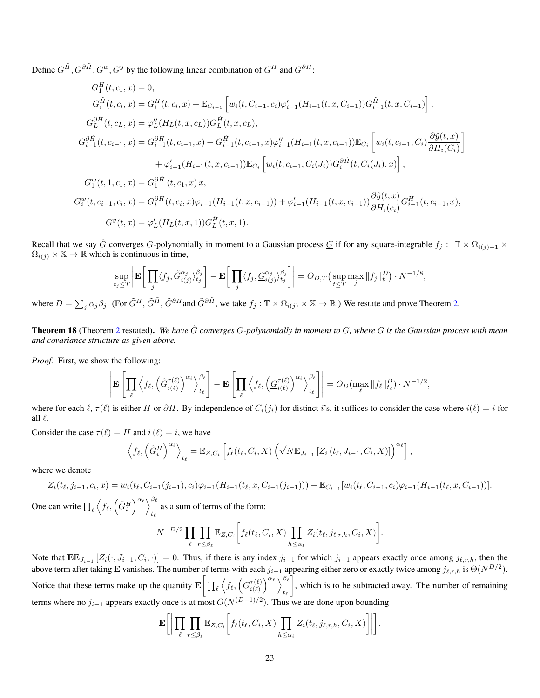Define  $\underline{G}^{\tilde{H}}, \underline{G}^{0\tilde{H}}, \underline{G}^{w}, \underline{G}^{y}$  by the following linear combination of  $\underline{G}^{H}$  and  $\underline{G}^{0H}$ :

$$
\begin{split}\n\underline{G}_{1}^{\tilde{H}}(t, c_{1}, x) &= 0, \\
\underline{G}_{i}^{\tilde{H}}(t, c_{i}, x) &= \underline{G}_{i}^{H}(t, c_{i}, x) + \mathbb{E}_{C_{i-1}}\left[w_{i}(t, C_{i-1}, c_{i})\varphi'_{i-1}(H_{i-1}(t, x, C_{i-1}))\underline{G}_{i-1}^{\tilde{H}}(t, x, C_{i-1})\right], \\
\underline{G}_{L}^{\partial \tilde{H}}(t, c_{L}, x) &= \varphi''_{L}(H_{L}(t, x, c_{L}))\underline{G}_{L}^{\tilde{H}}(t, x, c_{L}), \\
\underline{G}_{i-1}^{\partial \tilde{H}}(t, c_{i-1}, x) &= \underline{G}_{i-1}^{\partial H}(t, c_{i-1}, x) + \underline{G}_{i-1}^{\tilde{H}}(t, c_{i-1}, x)\varphi''_{i-1}(H_{i-1}(t, x, c_{i-1}))\mathbb{E}_{C_{i}}\left[w_{i}(t, c_{i-1}, C_{i})\frac{\partial \hat{y}(t, x)}{\partial H_{i}(C_{i})}\right] \\
&+ \varphi'_{i-1}(H_{i-1}(t, x, c_{i-1}))\mathbb{E}_{C_{i}}\left[w_{i}(t, c_{i-1}, C_{i}(J_{i}))\underline{G}_{i}^{\partial \tilde{H}}(t, C_{i}(J_{i}), x)\right], \\
\underline{G}_{1}^{w}(t, 1, c_{1}, x) &= \underline{G}_{1}^{\partial \tilde{H}}(t, c_{1}, x) x, \\
\underline{G}_{i}^{w}(t, c_{i-1}, c_{i}, x) &= \underline{G}_{i}^{\partial \tilde{H}}(t, c_{i}, x)\varphi_{i-1}(H_{i-1}(t, x, c_{i-1})) + \varphi'_{i-1}(H_{i-1}(t, x, c_{i-1}))\frac{\partial \hat{y}(t, x)}{\partial H_{i}(c_{i})}\underline{G}_{i-1}^{\tilde{H}}(t, c_{i-1}, x), \\
\underline{G}_{i}^{y}(t, x) &= \varphi'_{L}(H_{L}(t, x, 1))\underline{G}_{L}^{\tilde{H}}
$$

Recall that we say  $\tilde{G}$  converges G-polynomially in moment to a Gaussian process  $\underline{G}$  if for any square-integrable  $f_j : \mathbb{T} \times \Omega_{i(j)-1}$  $\Omega_{i(j)} \times \mathbb{X} \to \mathbb{R}$  which is continuous in time,

$$
\sup_{t_j \leq T} \left| \mathbf{E} \left[ \prod_j \langle f_j, \tilde{G}_{i(j)}^{\alpha_j} \rangle_{t_j}^{\beta_j} \right] - \mathbf{E} \left[ \prod_j \langle f_j, \underline{G}_{i(j)}^{\alpha_j} \rangle_{t_j}^{\beta_j} \right] \right| = O_{D,T} \left( \sup_{t \leq T} \max_j \|f_j\|_t^D \right) \cdot N^{-1/8},
$$
  
8. (For  $\tilde{C}^H$ ,  $\tilde{C}^{\tilde{H}}$ ,  $\tilde{C}^{\partial H}$  and  $\tilde{C}^{\partial \tilde{H}}$ , we take  $f_i : \mathbb{T} \times \Omega_{i,j} \times \mathbb{X} \to \mathbb{R}$ .) We restate and prove T

where  $D = \sum_j \alpha_j \beta_j$ . (For  $\tilde{G}^H$ ,  $\tilde{G}^H$ ,  $\tilde{G}^{\partial H}$  and  $\tilde{G}^{\partial \tilde{H}}$ , we take  $f_j : \mathbb{T} \times \Omega_{i(j)} \times \mathbb{X} \to \mathbb{R}$ .) We restate and prove Theorem [2.](#page-5-1)

<span id="page-22-0"></span>**Theorem 18** (Theorem [2](#page-5-1) restated). We have  $\tilde{G}$  converges G-polynomially in moment to  $G$ , where  $G$  is the Gaussian process with mean *and covariance structure as given above.*

*Proof.* First, we show the following:

$$
\left|\mathbf{E}\left[\prod_{\ell}\left\langle f_{\ell},\left(\tilde{G}_{i(\ell)}^{\tau(\ell)}\right)^{\alpha_{\ell}}\right\rangle_{t_{\ell}}^{\beta_{\ell}}\right]-\mathbf{E}\left[\prod_{\ell}\left\langle f_{\ell},\left(\underline{G}_{i(\ell)}^{\tau(\ell)}\right)^{\alpha_{\ell}}\right\rangle_{t_{\ell}}^{\beta_{\ell}}\right]\right|=O_{D}(\max_{\ell}\|f_{\ell}\|_{t_{\ell}}^{D})\cdot N^{-1/2},
$$

where for each  $\ell$ ,  $\tau(\ell)$  is either H or  $\partial H$ . By independence of  $C_i(j_i)$  for distinct i's, it suffices to consider the case where  $i(\ell) = i$  for all  $\ell$ .

Consider the case  $\tau(\ell) = H$  and  $i(\ell) = i$ , we have

$$
\left\langle f_{\ell}, \left(\tilde{G}_{i}^{H}\right)^{\alpha_{\ell}}\right\rangle_{t_{\ell}} = \mathbb{E}_{Z, C_{i}}\left[f_{\ell}(t_{\ell}, C_{i}, X)\left(\sqrt{N}\mathbb{E}_{J_{i-1}}\left[Z_{i}\left(t_{\ell}, J_{i-1}, C_{i}, X\right)\right]\right)^{\alpha_{\ell}}\right],
$$

where we denote

$$
Z_i(t_\ell, j_{i-1}, c_i, x) = w_i(t_\ell, C_{i-1}(j_{i-1}), c_i) \varphi_{i-1}(H_{i-1}(t_\ell, x, C_{i-1}(j_{i-1}))) - \mathbb{E}_{C_{i-1}}[w_i(t_\ell, C_{i-1}, c_i) \varphi_{i-1}(H_{i-1}(t_\ell, x, C_{i-1}))].
$$

One can write  $\prod_{\ell} \left\langle f_{\ell}, \left( \tilde{G}^H_i \right)^{\alpha_{\ell}} \right\rangle^{\beta_{\ell}}$ as a sum of terms of the form:<br> $t_{\ell}$ 

$$
N^{-D/2} \prod_{\ell} \prod_{r \leq \beta_{\ell}} \mathbb{E}_{Z,C_i} \bigg[ f_{\ell}(t_{\ell},C_i,X) \prod_{h \leq \alpha_{\ell}} Z_i(t_{\ell},j_{\ell,r,h},C_i,X) \bigg].
$$

Note that  $\mathbf{E}\mathbb{E}_{J_{i-1}}[Z_i(\cdot, J_{i-1}, C_i, \cdot)] = 0$ . Thus, if there is any index  $j_{i-1}$  for which  $j_{i-1}$  appears exactly once among  $j_{\ell,r,h}$ , then the above term after taking **E** vanishes. The number of terms with each  $j_{i-1}$  appearing either zero or exactly twice among  $j_{\ell,r,h}$  is  $\Theta(N^{D/2})$ . Notice that these terms make up the quantity  $\mathbf{E}\Big[\prod_{\ell}\Big\langle f_{\ell},\Big(\underline{G}_{i(\ell)}^{\tau(\ell)}\Big)$  $\left(\begin{matrix} \ell(\ell) \ i(\ell) \end{matrix}\right)^{\alpha_\ell} \Big\rangle_{t_\perp}^{\beta_\ell}$  $t_{\ell}$  , which is to be subtracted away. The number of remaining terms where no  $j_{i-1}$  appears exactly once is at most  $O(N^{(D-1)/2})$ . Thus we are done upon bounding

$$
\mathbf{E}\bigg[\bigg|\prod_{\ell}\prod_{r\leq\beta_{\ell}}\mathbb{E}_{Z,C_{i}}\bigg[f_{\ell}(t_{\ell},C_{i},X)\prod_{h\leq\alpha_{\ell}}Z_{i}(t_{\ell},j_{\ell,r,h},C_{i},X)\bigg]\bigg|\bigg].
$$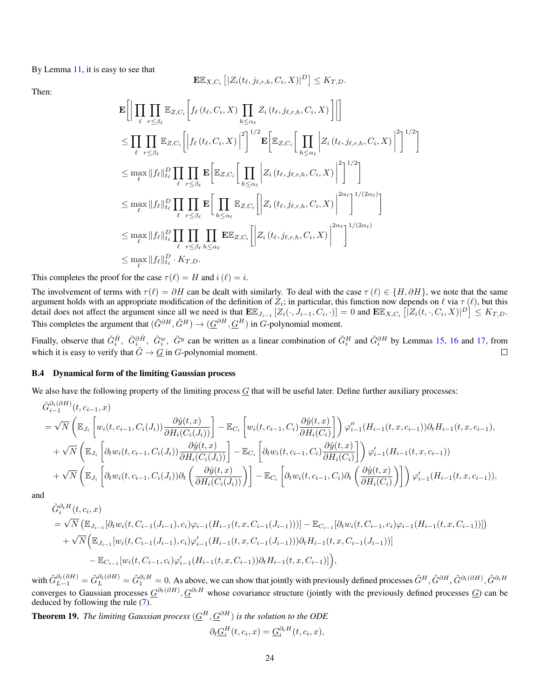By Lemma [11,](#page-13-1) it is easy to see that

$$
\mathbf{E}\mathbb{E}_{X,C_i}\left[|Z_i(t_\ell,j_{\ell,r,h},C_i,X)|^D\right] \leq K_{T,D}.
$$

Then:

$$
\mathbf{E}\Big[\Big|\prod_{\ell} \prod_{r\leq \beta_{\ell}} \mathbb{E}_{Z,C_{i}}\Big[f_{\ell}(t_{\ell},C_{i},X)\prod_{h\leq \alpha_{\ell}} Z_{i}(t_{\ell},j_{\ell,r,h},C_{i},X)\Big]\Big|\Big]
$$
\n
$$
\leq \prod_{\ell} \prod_{r\leq \beta_{\ell}} \mathbb{E}_{Z,C_{i}}\Big[\Big|f_{\ell}(t_{\ell},C_{i},X)\Big|^{2}\Big]^{1/2} \mathbf{E}\Big[\mathbb{E}_{Z,C_{i}}\Big[\prod_{h\leq \alpha_{\ell}} \Big|Z_{i}(t_{\ell},j_{\ell,r,h},C_{i},X)\Big|^{2}\Big]^{1/2}\Big]
$$
\n
$$
\leq \max_{\ell} \|f_{\ell}\|_{t_{\ell}}^{D} \prod_{\ell} \prod_{r\leq \beta_{\ell}} \mathbf{E}\Big[\mathbb{E}_{Z,C_{i}}\Big[\prod_{h\leq \alpha_{\ell}} \Big|Z_{i}(t_{\ell},j_{\ell,r,h},C_{i},X)\Big|^{2}\Big]^{1/2}\Big]
$$
\n
$$
\leq \max_{\ell} \|f_{\ell}\|_{t_{\ell}}^{D} \prod_{\ell} \prod_{r\leq \beta_{\ell}} \mathbf{E}\Big[\prod_{h\leq \alpha_{\ell}} \mathbb{E}_{Z,C_{i}}\Big[\Big|Z_{i}(t_{\ell},j_{\ell,r,h},C_{i},X)\Big|^{2\alpha_{\ell}}\Big]^{1/(2\alpha_{\ell})}\Big]
$$
\n
$$
\leq \max_{\ell} \|f_{\ell}\|_{t_{\ell}}^{D} \prod_{r\leq \beta_{\ell}} \prod_{h\leq \alpha_{\ell}} \mathbb{E}_{Z,C_{i}}\Big[\Big|Z_{i}(t_{\ell},j_{\ell,r,h},C_{i},X)\Big|^{2\alpha_{\ell}}\Big]^{1/(2\alpha_{\ell})}\Big]
$$
\n
$$
\leq \max_{\ell} \|f_{\ell}\|_{t_{\ell}}^{D} \cdot K_{T,D}.
$$

This completes the proof for the case  $\tau(\ell) = H$  and  $i(\ell) = i$ .

The involvement of terms with  $\tau(\ell) = \partial H$  can be dealt with similarly. To deal with the case  $\tau(\ell) \in \{H, \partial H\}$ , we note that the same argument holds with an appropriate modification of the definition of  $Z_i$ ; in particular, this function now depends on  $\ell$  via  $\tau(\ell)$ , but this detail does not affect the argument since all we need is that  $E\mathbb{E}_{J_{i-1}}[Z_i(\cdot, J_{i-1}, C_i, \cdot)] = 0$  and  $E\mathbb{E}_{X, C_i}[\overline{Z_i(t, \cdot, C_i, X)}]^D \leq K_{T,D}$ . This completes the argument that  $(\tilde{G}^{\partial H}, \tilde{G}^H) \to (\underline{G}^{\partial H}, \underline{G}^H)$  in G-polynomial moment.

Finally, observe that  $\tilde{G}_i^{\tilde{H}}$ ,  $\tilde{G}_i^{\omega}$ ,  $\tilde{G}_i^{\omega}$  can be written as a linear combination of  $\tilde{G}_i^H$  and  $\tilde{G}_i^{\partial H}$  by Lemmas [15,](#page-17-0) [16](#page-18-0) and [17,](#page-20-0) from which it is easy to verify that  $\tilde{G} \to \tilde{G}$  in  $G$ -polynomial moment.

### B.4 Dynamical form of the limiting Gaussian process

We also have the following property of the limiting process  $G$  that will be useful later. Define further auxiliary processes:

$$
\tilde{G}_{i-1}^{\partial_t(\partial H)}(t, c_{i-1}, x)
$$
\n
$$
= \sqrt{N} \left( \mathbb{E}_{J_i} \left[ w_i(t, c_{i-1}, C_i(J_i)) \frac{\partial \hat{y}(t, x)}{\partial H_i(C_i(J_i))} \right] - \mathbb{E}_{C_i} \left[ w_i(t, c_{i-1}, C_i) \frac{\partial \hat{y}(t, x)}{\partial H_i(C_i)} \right] \right) \varphi_{i-1}^{\prime\prime}(H_{i-1}(t, x, c_{i-1})) \partial_t H_{i-1}(t, x, c_{i-1}),
$$
\n
$$
+ \sqrt{N} \left( \mathbb{E}_{J_i} \left[ \partial_t w_i(t, c_{i-1}, C_i(J_i)) \frac{\partial \hat{y}(t, x)}{\partial H_i(C_i(J_i))} \right] - \mathbb{E}_{C_i} \left[ \partial_t w_i(t, c_{i-1}, C_i) \frac{\partial \hat{y}(t, x)}{\partial H_i(C_i)} \right] \right) \varphi_{i-1}^{\prime}(H_{i-1}(t, x, c_{i-1}))
$$
\n
$$
+ \sqrt{N} \left( \mathbb{E}_{J_i} \left[ \partial_t w_i(t, c_{i-1}, C_i(J_i)) \partial_t \left( \frac{\partial \hat{y}(t, x)}{\partial H_i(C_i(J_i))} \right) \right] - \mathbb{E}_{C_i} \left[ \partial_t w_i(t, c_{i-1}, C_i) \partial_t \left( \frac{\partial \hat{y}(t, x)}{\partial H_i(C_i)} \right) \right] \right) \varphi_{i-1}^{\prime}(H_{i-1}(t, x, c_{i-1})),
$$

and

$$
\tilde{G}_{i}^{\partial_{t}H}(t, c_{i}, x)
$$
\n
$$
= \sqrt{N} \left( \mathbb{E}_{J_{i-1}}[\partial_{t}w_{i}(t, C_{i-1}(J_{i-1}), c_{i})\varphi_{i-1}(H_{i-1}(t, x, C_{i-1}(J_{i-1})))] - \mathbb{E}_{C_{i-1}}[\partial_{t}w_{i}(t, C_{i-1}, c_{i})\varphi_{i-1}(H_{i-1}(t, x, C_{i-1}))] \right) \n+ \sqrt{N} \left( \mathbb{E}_{J_{i-1}}[w_{i}(t, C_{i-1}(J_{i-1}), c_{i})\varphi'_{i-1}(H_{i-1}(t, x, C_{i-1}(J_{i-1})))\partial_{t}H_{i-1}(t, x, C_{i-1}(J_{i-1}))] - \mathbb{E}_{C_{i-1}}[w_{i}(t, C_{i-1}, c_{i})\varphi'_{i-1}(H_{i-1}(t, x, C_{i-1}))\partial_{t}H_{i-1}(t, x, C_{i-1})] \right),
$$

with  $\tilde{G}_{L-1}^{\partial_t(\partial H)} = \tilde{G}_L^{\partial_t(\partial H)} = \tilde{G}_1^{\partial_t H} = 0$ . As above, we can show that jointly with previously defined processes  $\tilde{G}^H$ ,  $\tilde{G}^{\partial H}$ ,  $\tilde{G}^{\partial t}(\partial H)$ ,  $\tilde{G}^{\partial_t H}$ converges to Gaussian processes  $\underline{G}^{\partial_t(\partial H)}$ ,  $\underline{G}^{\partial_t H}$  whose covariance structure (jointly with the previously defined processes  $\underline{G}$ ) can be deduced by following the rule [\(7\)](#page-21-0).

<span id="page-23-0"></span>Theorem 19. *The limiting Gaussian process* (G <sup>H</sup>, G∂H) *is the solution to the ODE*  $\partial_t \underline{G}_i^H(t, c_i, x) = \underline{G}_i^{\partial_t H}(t, c_i, x),$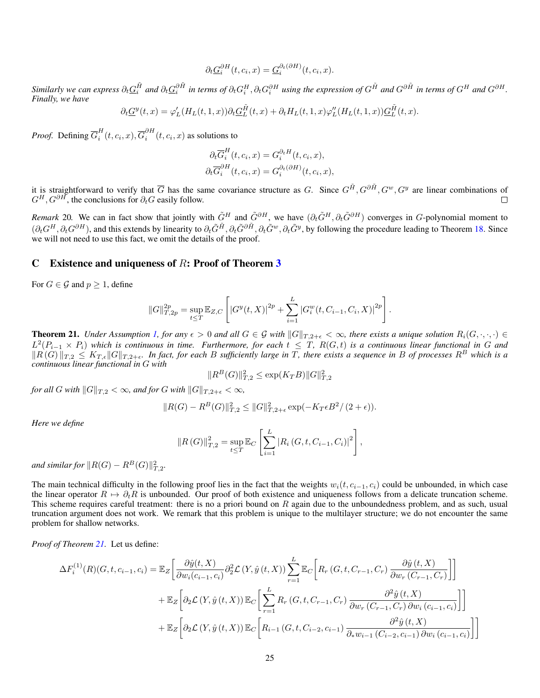$$
\partial_t \underline{G}_i^{\partial H}(t, c_i, x) = \underline{G}_i^{\partial_t(\partial H)}(t, c_i, x).
$$

 $S$ imilarly we can express  $\partial_t \underline{G}_i^{\tilde{H}}$  and  $\partial_t \underline{G}_i^{\tilde{H}}$  in terms of  $\partial_t G_i^H$ ,  $\partial_t G_i^{\partial H}$  using the expression of  $G^{\tilde{H}}$  and  $G^{\partial \tilde{H}}$  in terms of  $G^H$  and  $G^{\partial H}$ . *Finally, we have*

$$
\partial_t \underline{G}^y(t,x) = \varphi'_L(H_L(t,1,x))\partial_t \underline{G}_L^{\tilde{H}}(t,x) + \partial_t H_L(t,1,x)\varphi''_L(H_L(t,1,x))\underline{G}_L^{\tilde{H}}(t,x).
$$

*Proof.* Defining  $\overline{G}_i^H$  $\overline{G}_i^H(t,c_i,x),\overline{G}_i^{\partial H}$  $\int_{i}^{0} (t, c_i, x)$  as solutions to

$$
\partial_t \overline{G}_i^H(t, c_i, x) = G_i^{\partial_t H}(t, c_i, x),
$$
  

$$
\partial_t \overline{G}_i^{\partial H}(t, c_i, x) = G_i^{\partial_t(\partial H)}(t, c_i, x),
$$

it is straightforward to verify that  $\overline{G}$  has the same covariance structure as G. Since  $G^{\tilde{H}}, G^{\partial \tilde{H}}, G^w, G^y$  are linear combinations of  $G^H$ ,  $G^{\partial H}$ , the conclusions for  $\partial_t G$  easily follow.  $\Box$ 

*Remark* 20. We can in fact show that jointly with  $\tilde{G}^H$  and  $\tilde{G}^{\partial H}$ , we have  $(\partial_t \tilde{G}^H, \partial_t \tilde{G}^{\partial H})$  converges in G-polynomial moment to  $(\partial_t G^H, \partial_t G^{\partial H})$ , and this extends by linearity to  $\partial_t \tilde{G}^{\tilde{H}}, \partial_t \tilde{G}^{\partial \tilde{H}}, \partial_t \tilde{G}^{\nu}, \partial_t \tilde{G}^{\nu}$ , by following the procedure leading to Theorem [18.](#page-22-0) Since we will not need to use this fact, we omit the details of the proof.

## <span id="page-24-0"></span>C Existence and uniqueness of  $R$ : Proof of Theorem [3](#page-5-3)

For  $G \in \mathcal{G}$  and  $p \geq 1$ , define

$$
||G||_{T,2p}^{2p} = \sup_{t \leq T} \mathbb{E}_{Z,C} \left[ |G^{y}(t,X)|^{2p} + \sum_{i=1}^{L} |G_{i}^{w}(t, C_{i-1}, C_{i}, X)|^{2p} \right].
$$

<span id="page-24-1"></span>**Theorem 21.** *Under Assumption [1,](#page-3-2) for any*  $\epsilon > 0$  *and all*  $G \in \mathcal{G}$  *with*  $||G||_{T,2+\epsilon} < \infty$ *, there exists a unique solution*  $R_i(G, \cdot, \cdot, \cdot) \in$  $L^2(P_{i-1}\times P_i)$  which is continuous in time. Furthermore, for each  $t\leq T$ ,  $R(G,t)$  is a continuous linear functional in G and  $\|R(G)\|_{T,2} \leq K_{T,\epsilon} \|G\|_{T,2+\epsilon}$ . In fact, for each B sufficiently large in  $\overline{T}$ , there exists a sequence in B of processes  $R^B$  which is a *continuous linear functional in* G *with*

$$
||R^B(G)||_{T,2}^2 \le \exp(K_T B) ||G||_{T,2}^2
$$

*for all* G *with*  $||G||_{T,2} < \infty$ *, and for* G *with*  $||G||_{T,2+\epsilon} < \infty$ *,* 

$$
||R(G) - R^{B}(G)||_{T,2}^{2} \leq ||G||_{T,2+\epsilon}^{2} \exp(-K_{T}\epsilon B^{2}/(2+\epsilon)).
$$

*Here we define*

$$
||R(G)||_{T,2}^{2} = \sup_{t \leq T} \mathbb{E}_{C} \left[ \sum_{i=1}^{L} |R_{i}(G, t, C_{i-1}, C_{i})|^{2} \right],
$$

and similar for  $\|R(G) - R^B(G)\|_{T,2}^2$ .

The main technical difficulty in the following proof lies in the fact that the weights  $w_i(t, c_{i-1}, c_i)$  could be unbounded, in which case the linear operator  $R \mapsto \partial_t R$  is unbounded. Our proof of both existence and uniqueness follows from a delicate truncation scheme. This scheme requires careful treatment: there is no a priori bound on  $R$  again due to the unboundedness problem, and as such, usual truncation argument does not work. We remark that this problem is unique to the multilayer structure; we do not encounter the same problem for shallow networks.

*Proof of Theorem [21.](#page-24-1)* Let us define:

$$
\Delta F_i^{(1)}(R)(G, t, c_{i-1}, c_i) = \mathbb{E}_Z \left[ \frac{\partial \hat{y}(t, X)}{\partial w_i(c_{i-1}, c_i)} \partial_2^2 \mathcal{L}(Y, \hat{y}(t, X)) \sum_{r=1}^L \mathbb{E}_C \left[ R_r (G, t, C_{r-1}, C_r) \frac{\partial \hat{y}(t, X)}{\partial w_r (C_{r-1}, C_r)} \right] \right]
$$
  
+ 
$$
\mathbb{E}_Z \left[ \partial_2 \mathcal{L}(Y, \hat{y}(t, X)) \mathbb{E}_C \left[ \sum_{r=1}^L R_r (G, t, C_{r-1}, C_r) \frac{\partial^2 \hat{y}(t, X)}{\partial w_r (C_{r-1}, C_r) \partial w_i (c_{i-1}, c_i)} \right] \right]
$$
  
+ 
$$
\mathbb{E}_Z \left[ \partial_2 \mathcal{L}(Y, \hat{y}(t, X)) \mathbb{E}_C \left[ R_{i-1} (G, t, C_{i-2}, c_{i-1}) \frac{\partial^2 \hat{y}(t, X)}{\partial_x w_{i-1} (C_{i-2}, c_{i-1}) \partial w_i (c_{i-1}, c_i)} \right] \right]
$$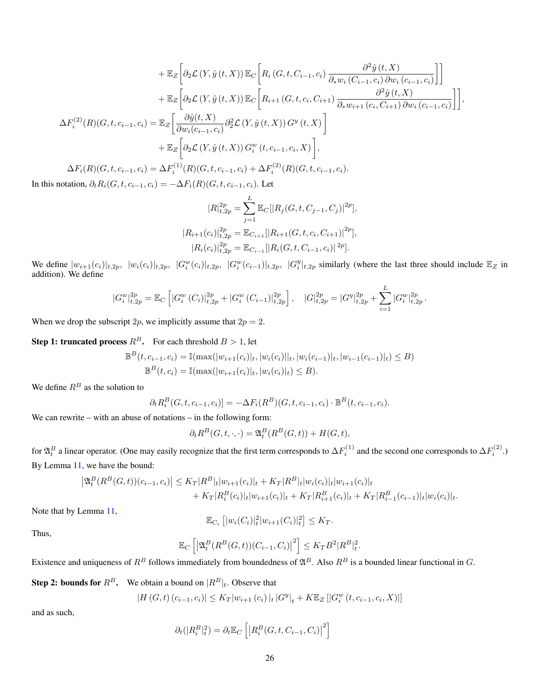$$
+ \mathbb{E}_{Z} \bigg[ \partial_{2} \mathcal{L} \left( Y, \hat{y} \left( t, X \right) \right) \mathbb{E}_{C} \bigg[ R_{i} \left( G, t, C_{i-1}, c_{i} \right) \frac{\partial^{2} \hat{y} \left( t, X \right)}{\partial_{*} w_{i} \left( C_{i-1}, c_{i} \right) \partial w_{i} \left( c_{i-1}, c_{i} \right)} \bigg] \bigg] + \mathbb{E}_{Z} \bigg[ \partial_{2} \mathcal{L} \left( Y, \hat{y} \left( t, X \right) \right) \mathbb{E}_{C} \bigg[ R_{i+1} \left( G, t, c_{i}, C_{i+1} \right) \frac{\partial^{2} \hat{y} \left( t, X \right)}{\partial_{*} w_{i+1} \left( c_{i}, C_{i+1} \right) \partial w_{i} \left( c_{i-1}, c_{i} \right)} \bigg] \bigg],
$$
  
\n
$$
\Delta F_{i}^{(2)}(R) \left( G, t, c_{i-1}, c_{i} \right) = \mathbb{E}_{Z} \bigg[ \frac{\partial \hat{y} \left( t, X \right)}{\partial w_{i} \left( c_{i-1}, c_{i} \right)} \partial_{2}^{2} \mathcal{L} \left( Y, \hat{y} \left( t, X \right) \right) G^{y} \left( t, X \right) \bigg] + \mathbb{E}_{Z} \bigg[ \partial_{2} \mathcal{L} \left( Y, \hat{y} \left( t, X \right) \right) G^{w}_{i} \left( t, c_{i-1}, c_{i}, X \right) \bigg],
$$
  
\n
$$
\Delta F_{i}(R) \left( G, t, c_{i-1}, c_{i} \right) = \Delta F_{i}^{(1)}(R) \left( G, t, c_{i-1}, c_{i} \right) + \Delta F_{i}^{(2)}(R) \left( G, t, c_{i-1}, c_{i} \right).
$$
  
\nIn this notation,  $\partial_{t} R_{i}(G, t, c_{i-1}, c_{i}) = -\Delta F_{i}(R) \left( G, t, c_{i-1}, c_{i} \right).$  Let

$$
|R|_{t,2p}^{2p} = \sum_{j=1}^{L} \mathbb{E}_{C}[|R_j(G, t, C_{j-1}, C_j)|^{2p}],
$$
  
\n
$$
|R_{i+1}(c_i)|_{t,2p}^{2p} = \mathbb{E}_{C_{i+1}}[|R_{i+1}(G, t, c_i, C_{i+1})|^{2p}],
$$
  
\n
$$
|R_i(c_i)|_{t,2p}^{2p} = \mathbb{E}_{C_{i-1}}[|R_i(G, t, C_{i-1}, c_i)|^{2p}].
$$

We define  $|w_{i+1}(c_i)|_{t,2p}$ ,  $|w_i(c_i)|_{t,2p}$ ,  $|G_i^w(c_i)|_{t,2p}$ ,  $|G_i^w(c_{i-1})|_{t,2p}$ ,  $|G_i^y|_{t,2p}$  similarly (where the last three should include  $\mathbb{E}_Z$  in addition). We define

$$
|G_i^w|_{t,2p}^{2p} = \mathbb{E}_C \left[ |G_i^w(C_i)|_{t,2p}^{2p} + |G_i^w(C_{i-1})|_{t,2p}^{2p} \right], \quad |G|_{t,2p}^{2p} = |G^y|_{t,2p}^{2p} + \sum_{i=1}^L |G_i^w|_{t,2p}^{2p}.
$$

When we drop the subscript 2p, we implicitly assume that  $2p = 2$ .

**Step 1: truncated process**  $R^B$ . For each threshold  $B > 1$ , let

$$
\mathbb{B}^{B}(t, c_{i-1}, c_i) = \mathbb{I}(\max(|w_{i+1}(c_i)|_t, |w_i(c_i)||_t, |w_i(c_{i-1})|_t, |w_{i-1}(c_{i-1})|_t) \leq B)
$$
  

$$
\mathbb{B}^{B}(t, c_i) = \mathbb{I}(\max(|w_{i+1}(c_i)|_t, |w_i(c_i)|_t) \leq B).
$$

We define  $R^B$  as the solution to

$$
\partial_t R_i^B(G, t, c_{i-1}, c_i)] = -\Delta F_i(R^B)(G, t, c_{i-1}, c_i) \cdot \mathbb{B}^B(t, c_{i-1}, c_i).
$$

We can rewrite – with an abuse of notations – in the following form:

$$
\partial_t R^B(G, t, \cdot, \cdot) = \mathfrak{A}_t^B(R^B(G, t)) + H(G, t),
$$

for  $\mathfrak{A}_t^B$  a linear operator. (One may easily recognize that the first term corresponds to  $\Delta F_i^{(1)}$  and the second one corresponds to  $\Delta F_i^{(2)}$ .) By Lemma [11,](#page-13-1) we have the bound:

$$
\left| \mathfrak{A}_t^B(R^B(G,t))(c_{i-1},c_i) \right| \leq K_T |R^B|_t |w_{i+1}(c_i)|_t + K_T |R^B|_t |w_i(c_i)|_t |w_{i+1}(c_i)|_t + K_T |R^B_i(c_i)|_t |w_{i+1}(c_i)|_t + K_T |R^B_{i+1}(c_i)|_t + K_T |R^B_{i-1}(c_{i-1})|_t |w_i(c_i)|_t.
$$

Note that by Lemma [11,](#page-13-1)

$$
\mathbb{E}_{C_i} [ |w_i(C_i)|_t^2 |w_{i+1}(C_i)|_t^2 ] \le K_T.
$$

Thus,

$$
\mathbb{E}_C\left[\left|\mathfrak{A}_t^B(R^B(G,t))(C_{i-1},C_i)\right|^2\right] \leq K_T B^2 |R^B|_t^2.
$$

Existence and uniqueness of  $R^B$  follows immediately from boundedness of  $\mathfrak{A}^B$ . Also  $R^B$  is a bounded linear functional in G.

**Step 2: bounds for**  $R^B$ . We obtain a bound on  $|R^B|_t$ . Observe that

$$
|H(G, t) (c_{i-1}, c_i)| \le K_T |w_{i+1}(c_i)|_t |G^y|_t + K \mathbb{E}_Z [|G_i^w(t, c_{i-1}, c_i, X)|]
$$

and as such,

$$
\partial_t(|R_i^B|_t^2) = \partial_t \mathbb{E}_C \left[ \left| R_i^B(G, t, C_{i-1}, C_i) \right|^2 \right]
$$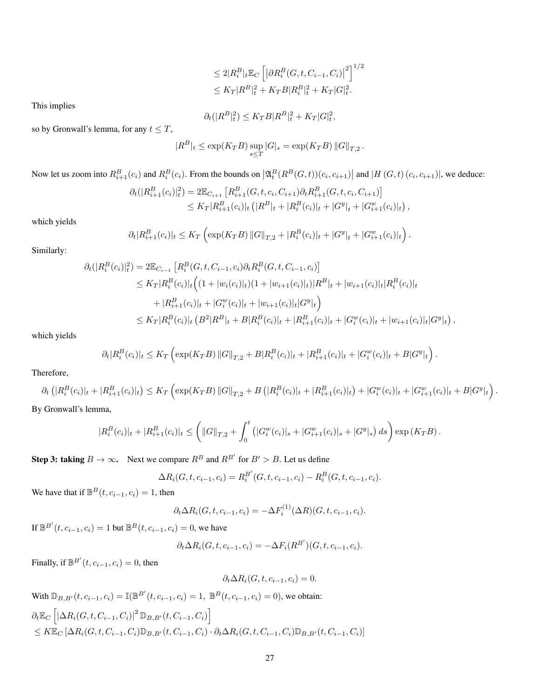$$
\leq 2|R_i^B|_t \mathbb{E}_C \left[ \left| \partial R_i^B(G, t, C_{i-1}, C_i) \right|^2 \right]^{1/2} \leq K_T |R^B|_t^2 + K_T B |R_i^B|_t^2 + K_T |G|_t^2.
$$

This implies

$$
\partial_t (|R^B|_t^2) \le K_T B |R^B|_t^2 + K_T |G|_t^2,
$$

so by Gronwall's lemma, for any  $t \leq T$ ,

$$
|R^B|_t \le \exp(K_T B) \sup_{s \le T} |G|_s = \exp(K_T B) ||G||_{T,2}.
$$

Now let us zoom into  $R_{i+1}^B(c_i)$  and  $R_i^B(c_i)$ . From the bounds on  $\left|\mathfrak{A}_t^B(R^B(G,t))(c_i,c_{i+1})\right|$  and  $|H(G,t)(c_i,c_{i+1})|$ , we deduce:

$$
\partial_t(|R_{i+1}^B(c_i)|_t^2) = 2\mathbb{E}_{C_{i+1}}\left[R_{i+1}^B(G, t, c_i, C_{i+1})\partial_t R_{i+1}^B(G, t, c_i, C_{i+1})\right] \leq K_T|R_{i+1}^B(c_i)|_t (|R^B|_t + |R_i^B(c_i)|_t + |G_{i+1}^w(c_i)|_t),
$$

which yields

$$
\partial_t |R_{i+1}^B(c_i)|_t \le K_T \left( \exp(K_T B) \|G\|_{T,2} + |R_i^B(c_i)|_t + |G^y|_t + |G^w_{i+1}(c_i)|_t \right).
$$

Similarly:

$$
\partial_t(|R_i^B(c_i)|_t^2) = 2\mathbb{E}_{C_{i-1}}\left[R_i^B(G, t, C_{i-1}, c_i)\partial_t R_i^B(G, t, C_{i-1}, c_i)\right]
$$
  
\n
$$
\leq K_T|R_i^B(c_i)|_t \Big((1+|w_i(c_i)|_t)(1+|w_{i+1}(c_i)|_t)|R^B|_t + |w_{i+1}(c_i)|_t|R_i^B(c_i)|_t
$$
  
\n
$$
+ |R_{i+1}^B(c_i)|_t + |G_i^w(c_i)|_t + |w_{i+1}(c_i)|_t|G^y|_t\Big)
$$
  
\n
$$
\leq K_T|R_i^B(c_i)|_t (B^2|R^B|_t + B|R_i^B(c_i)|_t + |R_{i+1}^B(c_i)|_t + |G_i^w(c_i)|_t + |w_{i+1}(c_i)|_t|G^y|_t),
$$

which yields

$$
\partial_t |R_i^B(c_i)|_t \leq K_T \left( \exp(K_T B) ||G||_{T,2} + B|R_i^B(c_i)|_t + |R_{i+1}^B(c_i)|_t + |G_i^w(c_i)|_t + B|G^y|_t \right).
$$

Therefore,

$$
\partial_t \left( |R_i^B(c_i)|_t + |R_{i+1}^B(c_i)|_t \right) \le K_T \left( \exp(K_T B) \|G\|_{T,2} + B \left( |R_i^B(c_i)|_t + |R_{i+1}^B(c_i)|_t \right) + |G_i^w(c_i)|_t + |G_{i+1}^w(c_i)|_t + B|G^y|_t \right).
$$
  
Y. Grouwall's lemma

By Gronwall's lemma,

$$
|R_i^B(c_i)|_t + |R_{i+1}^B(c_i)|_t \leq \left( \|G\|_{T,2} + \int_0^t (|G_i^w(c_i)|_s + |G_{i+1}^w(c_i)|_s + |G^y|_s) ds \right) \exp(K_T B).
$$

**Step 3: taking**  $B \to \infty$ . Next we compare  $R^B$  and  $R^{B'}$  for  $B' > B$ . Let us define

$$
\Delta R_i(G, t, c_{i-1}, c_i) = R_i^{B'}(G, t, c_{i-1}, c_i) - R_i^{B}(G, t, c_{i-1}, c_i).
$$

We have that if  $\mathbb{B}^B(t, c_{i-1}, c_i) = 1$ , then

$$
\partial_t \Delta R_i(G, t, c_{i-1}, c_i) = -\Delta F_i^{(1)}(\Delta R)(G, t, c_{i-1}, c_i).
$$

If  $\mathbb{B}^{B'}(t, c_{i-1}, c_i) = 1$  but  $\mathbb{B}^{B}(t, c_{i-1}, c_i) = 0$ , we have

$$
\partial_t \Delta R_i(G, t, c_{i-1}, c_i) = -\Delta F_i(R^{B'}) (G, t, c_{i-1}, c_i).
$$

Finally, if  $\mathbb{B}^{B'}(t, c_{i-1}, c_i) = 0$ , then

$$
\partial_t \Delta R_i(G, t, c_{i-1}, c_i) = 0.
$$

With  $\mathbb{D}_{B,B'}(t, c_{i-1}, c_i) = \mathbb{I}(\mathbb{B}^{B'}(t, c_{i-1}, c_i) = 1, \mathbb{B}^{B}(t, c_{i-1}, c_i) = 0)$ , we obtain:  $\partial_t \mathbb{E}_C \left[ \left| \Delta R_i(G, t, C_{i-1}, C_i) \right|^2 \mathbb{D}_{B, B'}(t, C_{i-1}, C_i) \right]$  $\leq K\mathbb{E}_{C}[\Delta R_i(G, t, C_{i-1}, C_i)\mathbb{D}_{B,B'}(t, C_{i-1}, C_i)\cdot \partial_t \Delta R_i(G, t, C_{i-1}, C_i)\mathbb{D}_{B,B'}(t, C_{i-1}, C_i)]$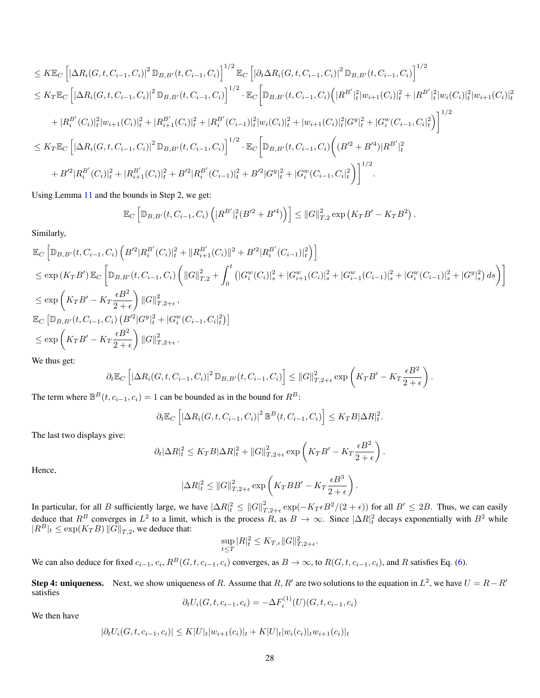$$
\leq K\mathbb{E}_{C}\left[\left|\Delta R_{i}(G,t,C_{i-1},C_{i})\right|^{2}\mathbb{D}_{B,B'}(t,C_{i-1},C_{i})\right]^{1/2}\mathbb{E}_{C}\left[\left|\partial_{t}\Delta R_{i}(G,t,C_{i-1},C_{i})\right|^{2}\mathbb{D}_{B,B'}(t,C_{i-1},C_{i})\right]^{1/2} \n\leq K_{T}\mathbb{E}_{C}\left[\left|\Delta R_{i}(G,t,C_{i-1},C_{i})\right|^{2}\mathbb{D}_{B,B'}(t,C_{i-1},C_{i})\right]^{1/2}\cdot\mathbb{E}_{C}\left[\mathbb{D}_{B,B'}(t,C_{i-1},C_{i})\left(\left|R^{B'}\right|_{t}^{2}\left|w_{i+1}(C_{i})\right|_{t}^{2}+\left|R^{B'}\right|_{t}^{2}\left|w_{i}(C_{i})\right|_{t}^{2}\left|w_{i+1}(C_{i})\right|_{t}^{2}\right] \n+\left|R_{i}^{B'}(C_{i})\right|_{t}^{2}\left|w_{i+1}(C_{i})\right|_{t}^{2}+\left|R_{i+1}^{B'}(C_{i})\right|_{t}^{2}+\left|R_{i}^{B'}(C_{i-1})\right|_{t}^{2}\left|w_{i}(C_{i})\right|_{t}^{2}+\left|w_{i+1}(C_{i})\right|_{t}^{2}\left|G^{y}\right|_{t}^{2}+\left|G_{i}^{w}(C_{i-1},C_{i})\right|_{t}^{2}\right)\right]^{1/2} \n\leq K_{T}\mathbb{E}_{C}\left[\left|\Delta R_{i}(G,t,C_{i-1},C_{i})\right|^{2}\mathbb{D}_{B,B'}(t,C_{i-1},C_{i})\right]^{1/2}\cdot\mathbb{E}_{C}\left[\mathbb{D}_{B,B'}(t,C_{i-1},C_{i})\left((B'^{2}+B'^{4})|R^{B'}\right|_{t}^{2}+\left|G'^{w}(C_{i-1},C_{i})\right|_{t}^{2} +\left|B'^{2}\right|R_{i}^{B'}(C_{i})\right|_{t}^{2}+\left|R_{i}^{B'}(C_{i})\right|_{t}^{2}+\left|R_{i}^{B'}(C_{i})\right|_{t}^{2}
$$

Using Lemma [11](#page-13-1) and the bounds in Step 2, we get:

$$
\mathbb{E}_C \left[ \mathbb{D}_{B,B'}(t, C_{i-1}, C_i) \left( |R^{B'}|_{t}^2 (B'^2 + B'^4) \right) \right] \leq ||G||_{T,2}^2 \exp\left( K_T B' - K_T B^2 \right).
$$

Similarly,

$$
\mathbb{E}_{C} \left[ \mathbb{D}_{B,B'}(t, C_{i-1}, C_{i}) \left( B'^{2} | R_{i}^{B'}(C_{i})|_{t}^{2} + \| R_{i+1}^{B'}(C_{i}) \|^{2} + B'^{2} | R_{i}^{B'}(C_{i-1})|_{t}^{2} \right) \right]
$$
\n
$$
\leq \exp\left(K_{T} B'\right) \mathbb{E}_{C} \left[ \mathbb{D}_{B,B'}(t, C_{i-1}, C_{i}) \left( \|G\|_{T,2}^{2} + \int_{0}^{t} \left( |G_{i}^{w}(C_{i})|_{s}^{2} + |G_{i-1}^{w}(C_{i})|_{s}^{2} + |G_{i-1}^{w}(C_{i-1})|_{s}^{2} + |G_{i}^{w}(C_{i-1})|_{s}^{2} + |G_{i}^{w}(C_{i-1})|_{s}^{2} + |G_{i}^{w}(C_{i-1})|_{s}^{2} \right) \right]
$$
\n
$$
\leq \exp\left(K_{T} B' - K_{T} \frac{\epsilon B^{2}}{2 + \epsilon}\right) \|G\|_{T,2+\epsilon}^{2},
$$
\n
$$
\mathbb{E}_{C} \left[ \mathbb{D}_{B,B'}(t, C_{i-1}, C_{i}) \left( B'^{2} | G^{y}|_{t}^{2} + |G_{i}^{w}(C_{i-1}, C_{i}|_{t}^{2}) \right) \right]
$$
\n
$$
\leq \exp\left(K_{T} B' - K_{T} \frac{\epsilon B^{2}}{2 + \epsilon}\right) \|G\|_{T,2+\epsilon}^{2}.
$$

We thus get:

$$
\partial_t \mathbb{E}_C \left[ \left| \Delta R_i(G, t, C_{i-1}, C_i) \right|^2 \mathbb{D}_{B, B'}(t, C_{i-1}, C_i) \right] \leq ||G||^2_{T, 2 + \epsilon} \exp \left( K_T B' - K_T \frac{\epsilon B^2}{2 + \epsilon} \right)
$$

.

The term where  $\mathbb{B}^B(t, c_{i-1}, c_i) = 1$  can be bounded as in the bound for  $R^B$ :

$$
\partial_t \mathbb{E}_C \left[ \left| \Delta R_i(G, t, C_{i-1}, C_i) \right|^2 \mathbb{B}^B(t, C_{i-1}, C_i) \right] \leq K_T B |\Delta R|_t^2.
$$

The last two displays give:

$$
\partial_t |\Delta R|^2_t \leq K_T B |\Delta R|^2_t + \|G\|^2_{T,2+\epsilon} \exp\left(K_T B' - K_T \frac{\epsilon B^2}{2+\epsilon}\right).
$$

Hence,

$$
|\Delta R|_{t}^{2} \leq ||G||_{T,2+\epsilon}^{2} \exp\left(K_{T}BB' - K_{T}\frac{\epsilon B^{3}}{2+\epsilon}\right)
$$

.

In particular, for all B sufficiently large, we have  $|\Delta R|^2 \leq ||G||^2_{T,2+\epsilon} \exp(-K_T \epsilon B^2/(2+\epsilon))$  for all  $B' \leq 2B$ . Thus, we can easily deduce that  $R^B$  converges in  $L^2$  to a limit, which is the process R, as  $B \to \infty$ . Since  $|\Delta R|^2_t$  decays exponentially with  $B^2$  while  $|R^B|_t \leq \exp(K_T B) ||\tilde{G}||_{T,2}$ , we deduce that:

$$
\sup_{t\leq T} |R|_{t}^{2} \leq K_{T,\epsilon} ||G||_{T,2+\epsilon}^{2}.
$$

We can also deduce for fixed  $c_{i-1}$ ,  $c_i$ ,  $R^B(G, t, c_{i-1}, c_i)$  converges, as  $B \to \infty$ , to  $R(G, t, c_{i-1}, c_i)$ , and R satisfies Eq. [\(6\)](#page-13-2).

**Step 4: uniqueness.** Next, we show uniqueness of R. Assume that R, R' are two solutions to the equation in  $L^2$ , we have  $U = R - R'$ satisfies

$$
\partial_t U_i(G, t, c_{i-1}, c_i) = -\Delta F_i^{(1)}(U)(G, t, c_{i-1}, c_i)
$$

We then have

$$
|\partial_t U_i(G, t, c_{i-1}, c_i)| \le K|U|_t|w_{i+1}(c_i)|_t + K|U|_t|w_i(c_i)|_t w_{i+1}(c_i)|_t
$$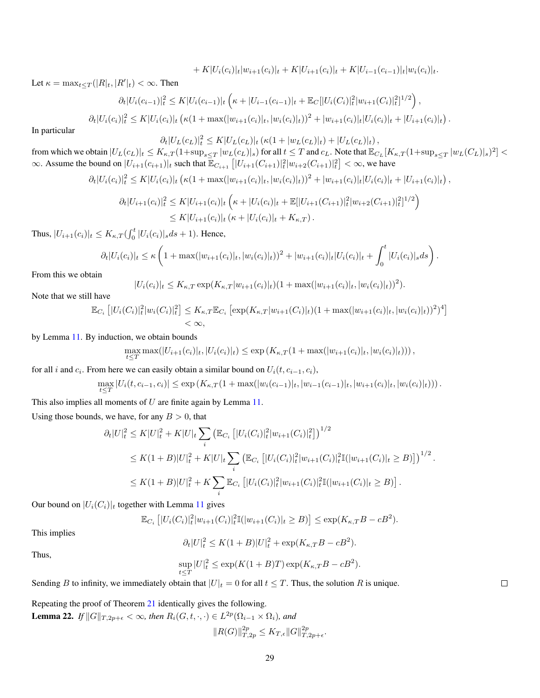$+ K|U_i(c_i)|_t|w_{i+1}(c_i)|_t + K|U_{i+1}(c_i)|_t + K|U_{i-1}(c_{i-1})|_t|w_i(c_i)|_t.$ 

Let  $\kappa = \max_{t \leq T} (|R|_t, |R'|_t) < \infty$ . Then

$$
\partial_t |U_i(c_{i-1})|_t^2 \leq K |U_i(c_{i-1})|_t \left(\kappa + |U_{i-1}(c_{i-1})|_t + \mathbb{E}_C[|U_i(C_i)|_t^2 |w_{i+1}(C_i)|_t^2]^{1/2}\right),
$$

$$
\partial_t |U_i(c_i)|_t^2 \leq K |U_i(c_i)|_t \left(\kappa(1+\max(|w_{i+1}(c_i)|_t,|w_i(c_i)|_t))^{2}+|w_{i+1}(c_i)|_t|U_i(c_i)|_t+|U_{i+1}(c_i)|_t\right).
$$

In particular

$$
\partial_t |U_L(c_L)|_t^2 \leq K |U_L(c_L)|_t \left(\kappa(1+|w_L(c_L)|_t) + |U_L(c_L)|_t\right),
$$

from which we obtain  $|U_L(c_L)|_t \le K_{\kappa,T} (1+\sup_{s\le T}|w_L(c_L)|_s)$  for all  $t \le T$  and  $c_L$ . Note that  $\mathbb{E}_{C_L}[K_{\kappa,T}(1+\sup_{s\le T}|w_L(C_L)|_s)^2]$ ∞. Assume the bound on  $|U_{i+1}(c_{i+1})|_t$  such that  $\mathbb{E}_{C_{i+1}} [ |U_{i+1}(C_{i+1})|_t^2 | w_{i+2}(C_{i+1})|_t^2 ] < \infty$ , we have

$$
\partial_t |U_i(c_i)|_t^2 \leq K |U_i(c_i)|_t \left(\kappa(1+\max(|w_{i+1}(c_i)|_t,|w_i(c_i)|_t))^{2}+|w_{i+1}(c_i)|_t|U_i(c_i)|_t+|U_{i+1}(c_i)|_t\right),
$$

$$
\partial_t |U_{i+1}(c_i)|_t^2 \leq K |U_{i+1}(c_i)|_t \left(\kappa + |U_i(c_i)|_t + \mathbb{E}[|U_{i+1}(C_{i+1})|_t^2 |w_{i+2}(C_{i+1})|_t^2]^{1/2}\right) \leq K |U_{i+1}(c_i)|_t (\kappa + |U_i(c_i)|_t + K_{\kappa,T}).
$$

Thus,  $|U_{i+1}(c_i)|_t \leq K_{\kappa,T}(\int_0^t |U_i(c_i)|_s ds + 1)$ . Hence,

$$
\partial_t |U_i(c_i)|_t \leq \kappa \left(1 + \max(|w_{i+1}(c_i)|_t, |w_i(c_i)|_t)\right)^2 + |w_{i+1}(c_i)|_t |U_i(c_i)|_t + \int_0^t |U_i(c_i)|_s ds\right).
$$

From this we obtain

$$
|U_i(c_i)|_t \le K_{\kappa,T} \exp(K_{\kappa,T}|w_{i+1}(c_i)|_t) (1 + \max(|w_{i+1}(c_i)|_t, |w_i(c_i)|_t))^2).
$$

Note that we still have

$$
\mathbb{E}_{C_i} \left[ |U_i(C_i)|_t^2 |w_i(C_i)|_t^2 \right] \le K_{\kappa,T} \mathbb{E}_{C_i} \left[ \exp(K_{\kappa,T}|w_{i+1}(C_i)|_t) (1 + \max(|w_{i+1}(c_i)|_t, |w_i(c_i)|_t))^2)^4 \right] < \infty,
$$

by Lemma [11.](#page-13-1) By induction, we obtain bounds

$$
\max_{t \leq T} \max(|U_{i+1}(c_i)|_t, |U_i(c_i)|_t) \leq \exp(K_{\kappa,T}(1+\max(|w_{i+1}(c_i)|_t, |w_i(c_i)|_t)))
$$

for all i and  $c_i$ . From here we can easily obtain a similar bound on  $U_i(t, c_{i-1}, c_i)$ ,

$$
\max_{t \leq T} |U_i(t, c_{i-1}, c_i)| \leq \exp(K_{\kappa, T}(1 + \max(|w_i(c_{i-1})|_t, |w_{i-1}(c_{i-1})|_t, |w_{i+1}(c_i)|_t, |w_i(c_i)|_t)))
$$

This also implies all moments of  $U$  are finite again by Lemma [11.](#page-13-1)

Using those bounds, we have, for any  $B > 0$ , that

$$
\partial_t |U|^2_t \leq K |U|^2_t + K |U|_t \sum_i \left( \mathbb{E}_{C_i} \left[ |U_i(C_i)|^2_t |w_{i+1}(C_i)|^2_t \right] \right)^{1/2}
$$
  
\n
$$
\leq K(1+B) |U|^2_t + K |U|_t \sum_i \left( \mathbb{E}_{C_i} \left[ |U_i(C_i)|^2_t |w_{i+1}(C_i)|^2_t \mathbb{I}(|w_{i+1}(C_i)|_t \geq B) \right] \right)^{1/2}.
$$
  
\n
$$
\leq K(1+B) |U|^2_t + K \sum_i \mathbb{E}_{C_i} \left[ |U_i(C_i)|^2_t |w_{i+1}(C_i)|^2_t \mathbb{I}(|w_{i+1}(C_i)|_t \geq B) \right].
$$

Our bound on  $|U_i(C_i)|_t$  together with Lemma [11](#page-13-1) gives

$$
\mathbb{E}_{C_i} [ |U_i(C_i)|_t^2 |w_{i+1}(C_i)|_t^2 \mathbb{I}(|w_{i+1}(C_i)|_t \geq B) ] \leq \exp(K_{\kappa,T}B - cB^2).
$$

This implies

$$
\partial_t |U|^2_t \le K(1+B)|U|^2_t + \exp(K_{\kappa,T}B - cB^2).
$$

Thus,

$$
\sup_{t\leq T}|U|_{t}^{2} \leq \exp(K(1+B)T)\exp(K_{\kappa,T}B-cB^{2}).
$$

Sending B to infinity, we immediately obtain that  $|U|_t = 0$  for all  $t \leq T$ . Thus, the solution R is unique.

<span id="page-28-0"></span>Repeating the proof of Theorem [21](#page-24-1) identically gives the following. **Lemma 22.** If  $||G||_{T,2p+\epsilon} < \infty$ , then  $R_i(G, t, \cdot, \cdot) \in L^{2p}(\Omega_{i-1} \times \Omega_i)$ , and

$$
||R(G)||_{T,2p}^{2p} \le K_{T,\epsilon} ||G||_{T,2p+\epsilon}^{2p}.
$$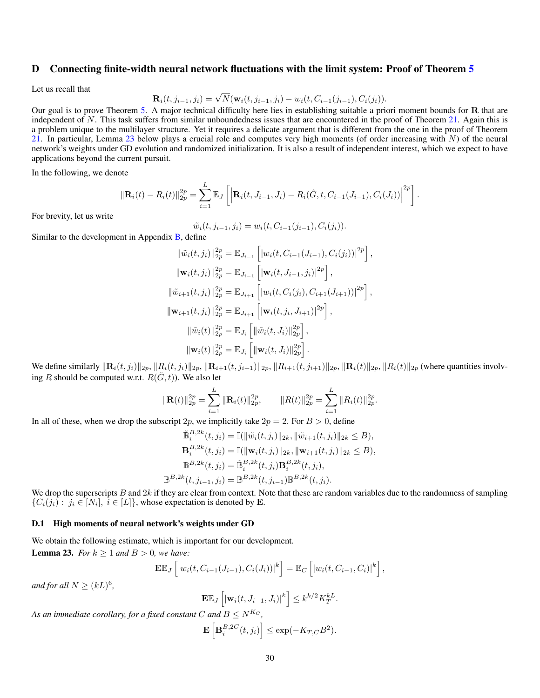## <span id="page-29-0"></span>D Connecting finite-width neural network fluctuations with the limit system: Proof of Theorem [5](#page-6-0)

Let us recall that

$$
\mathbf{R}_i(t, j_{i-1}, j_i) = \sqrt{N}(\mathbf{w}_i(t, j_{i-1}, j_i) - w_i(t, C_{i-1}(j_{i-1}), C_i(j_i)).
$$

Our goal is to prove Theorem [5.](#page-6-0) A major technical difficulty here lies in establishing suitable a priori moment bounds for R that are independent of  $N$ . This task suffers from similar unboundedness issues that are encountered in the proof of Theorem [21.](#page-24-1) Again this is a problem unique to the multilayer structure. Yet it requires a delicate argument that is different from the one in the proof of Theorem [21.](#page-24-1) In particular, Lemma [23](#page-29-1) below plays a crucial role and computes very high moments (of order increasing with  $N$ ) of the neural network's weights under GD evolution and randomized initialization. It is also a result of independent interest, which we expect to have applications beyond the current pursuit.

In the following, we denote

$$
\|\mathbf{R}_{i}(t)-R_{i}(t)\|_{2p}^{2p}=\sum_{i=1}^{L}\mathbb{E}_{J}\left[\left|\mathbf{R}_{i}(t,J_{i-1},J_{i})-R_{i}(\tilde{G},t,C_{i-1}(J_{i-1}),C_{i}(J_{i}))\right|^{2p}\right].
$$

For brevity, let us write

$$
\tilde{w}_i(t, j_{i-1}, j_i) = w_i(t, C_{i-1}(j_{i-1}), C_i(j_i)).
$$

Similar to the development in Appendix  $\overline{B}$ , define

$$
\|\tilde{w}_i(t,j_i)\|_{2p}^{2p} = \mathbb{E}_{J_{i-1}} \left[ |w_i(t, C_{i-1}(J_{i-1}), C_i(j_i))|^{2p} \right],
$$
  

$$
\|\mathbf{w}_i(t,j_i)\|_{2p}^{2p} = \mathbb{E}_{J_{i-1}} \left[ |\mathbf{w}_i(t, J_{i-1}, j_i)|^{2p} \right],
$$
  

$$
\|\tilde{w}_{i+1}(t,j_i)\|_{2p}^{2p} = \mathbb{E}_{J_{i+1}} \left[ |w_i(t, C_i(j_i), C_{i+1}(J_{i+1}))|^{2p} \right],
$$
  

$$
\|\mathbf{w}_{i+1}(t,j_i)\|_{2p}^{2p} = \mathbb{E}_{J_{i+1}} \left[ |\mathbf{w}_i(t,j_i, J_{i+1})|^{2p} \right],
$$
  

$$
\|\tilde{w}_i(t)\|_{2p}^{2p} = \mathbb{E}_{J_i} \left[ \|\tilde{w}_i(t, J_i)\|_{2p}^{2p} \right],
$$
  

$$
\|\mathbf{w}_i(t)\|_{2p}^{2p} = \mathbb{E}_{J_i} \left[ \|\mathbf{w}_i(t, J_i)\|_{2p}^{2p} \right].
$$

We define similarly  $\|\mathbf{R}_i(t, j_i)\|_{2p}$ ,  $\|R_i(t, j_i)\|_{2p}$ ,  $\|\mathbf{R}_{i+1}(t, j_{i+1})\|_{2p}$ ,  $\|R_{i+1}(t, j_{i+1})\|_{2p}$ ,  $\|\mathbf{R}_i(t)\|_{2p}$  (where quantities involving R should be computed w.r.t.  $R(\tilde{G}, t)$ ). We also let

$$
\|\mathbf{R}(t)\|_{2p}^{2p} = \sum_{i=1}^{L} \|\mathbf{R}_i(t)\|_{2p}^{2p}, \qquad \|R(t)\|_{2p}^{2p} = \sum_{i=1}^{L} \|R_i(t)\|_{2p}^{2p}.
$$

In all of these, when we drop the subscript 2p, we implicitly take  $2p = 2$ . For  $B > 0$ , define

$$
\tilde{\mathbb{B}}_{i}^{B,2k}(t,j_{i}) = \mathbb{I}(\|\tilde{w}_{i}(t,j_{i})\|_{2k}, \|\tilde{w}_{i+1}(t,j_{i})\|_{2k} \leq B),
$$
  
\n
$$
\mathbf{B}_{i}^{B,2k}(t,j_{i}) = \mathbb{I}(\|\mathbf{w}_{i}(t,j_{i})\|_{2k}, \|\mathbf{w}_{i+1}(t,j_{i})\|_{2k} \leq B),
$$
  
\n
$$
\mathbb{B}^{B,2k}(t,j_{i}) = \tilde{\mathbb{B}}_{i}^{B,2k}(t,j_{i})\mathbf{B}_{i}^{B,2k}(t,j_{i}),
$$
  
\n
$$
\mathbb{B}^{B,2k}(t,j_{i-1},j_{i}) = \mathbb{B}^{B,2k}(t,j_{i-1})\mathbb{B}^{B,2k}(t,j_{i}).
$$

We drop the superscripts  $B$  and  $2k$  if they are clear from context. Note that these are random variables due to the randomness of sampling  $\{C_i(j_i): j_i \in [N_i], i \in [L]\}$ , whose expectation is denoted by **E**.

#### D.1 High moments of neural network's weights under GD

<span id="page-29-1"></span>We obtain the following estimate, which is important for our development. **Lemma 23.** *For*  $k \ge 1$  *and*  $B > 0$ *, we have:* 

$$
\mathbf{E} \mathbb{E}_J \left[ |w_i(t, C_{i-1}(J_{i-1}), C_i(J_i))|^k \right] = \mathbb{E}_C \left[ |w_i(t, C_{i-1}, C_i)|^k \right],
$$

*and for all*  $N \geq (kL)^6$ ,

$$
\mathbf{E}\mathbb{E}_J\left[|\mathbf{w}_i(t, J_{i-1}, J_i)|^k\right] \le k^{k/2} K_T^{kL}.
$$

*As an immediate corollary, for a fixed constant* C and  $B \le N^{K_C}$ ,

$$
\mathbf{E}\left[\mathbf{B}_i^{B,2C}(t,j_i)\right] \le \exp(-K_{T,C}B^2).
$$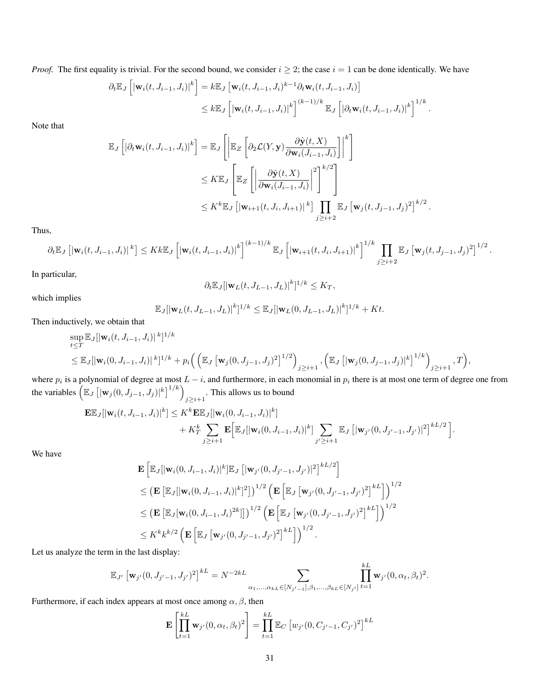*Proof.* The first equality is trivial. For the second bound, we consider  $i \geq 2$ ; the case  $i = 1$  can be done identically. We have

$$
\partial_t \mathbb{E}_J \left[ \left| \mathbf{w}_i(t, J_{i-1}, J_i) \right|^k \right] = k \mathbb{E}_J \left[ \mathbf{w}_i(t, J_{i-1}, J_i)^{k-1} \partial_t \mathbf{w}_i(t, J_{i-1}, J_i) \right]
$$
  

$$
\leq k \mathbb{E}_J \left[ \left| \mathbf{w}_i(t, J_{i-1}, J_i) \right|^k \right]^{(k-1)/k} \mathbb{E}_J \left[ \left| \partial_t \mathbf{w}_i(t, J_{i-1}, J_i) \right|^k \right]^{1/k}.
$$

Note that

$$
\mathbb{E}_{J}\left[|\partial_{t}\mathbf{w}_{i}(t,J_{i-1},J_{i})|^{k}\right] = \mathbb{E}_{J}\left[\left|\mathbb{E}_{Z}\left[\partial_{2}\mathcal{L}(Y,\mathbf{y})\frac{\partial \hat{\mathbf{y}}(t,X)}{\partial \mathbf{w}_{i}(J_{i-1},J_{i})}\right]\right|^{k}\right]
$$
\n
$$
\leq K\mathbb{E}_{J}\left[\mathbb{E}_{Z}\left[\left|\frac{\partial \hat{\mathbf{y}}(t,X)}{\partial \mathbf{w}_{i}(J_{i-1},J_{i})}\right|^{2}\right]^{k/2}\right]
$$
\n
$$
\leq K^{k}\mathbb{E}_{J}\left[\left|\mathbf{w}_{i+1}(t,J_{i},J_{i+1})\right|^{k}\right]\prod_{j\geq i+2}\mathbb{E}_{J}\left[\mathbf{w}_{j}(t,J_{j-1},J_{j})^{2}\right]^{k/2}.
$$

Thus,

$$
\partial_t \mathbb{E}_J \left[ |\mathbf{w}_i(t, J_{i-1}, J_i)|^k \right] \leq K k \mathbb{E}_J \left[ |\mathbf{w}_i(t, J_{i-1}, J_i)|^k \right]^{(k-1)/k} \mathbb{E}_J \left[ |\mathbf{w}_{i+1}(t, J_i, J_{i+1})|^k \right]^{1/k} \prod_{j \geq i+2} \mathbb{E}_J \left[ \mathbf{w}_j(t, J_{j-1}, J_j)^2 \right]^{1/2}.
$$

In particular,

$$
\partial_t \mathbb{E}_J[|\mathbf{w}_L(t, J_{L-1}, J_L)|^k]^{1/k} \le K_T,
$$

which implies

$$
\mathbb{E}_J[|\mathbf{w}_L(t, J_{L-1}, J_L)|^k]^{1/k} \leq \mathbb{E}_J[|\mathbf{w}_L(0, J_{L-1}, J_L)|^k]^{1/k} + Kt.
$$

Then inductively, we obtain that

$$
\sup_{t \leq T} \mathbb{E}_{J} [|\mathbf{w}_{i}(t, J_{i-1}, J_{i})|^{k}]^{1/k} \leq \mathbb{E}_{J} [|\mathbf{w}_{i}(0, J_{i-1}, J_{i})|^{k}]^{1/k} + p_{i} \Big( \Big( \mathbb{E}_{J} [\mathbf{w}_{j}(0, J_{j-1}, J_{j})^{2}]^{1/2} \Big)_{j \geq i+1}, \Big( \mathbb{E}_{J} [|\mathbf{w}_{j}(0, J_{j-1}, J_{j})|^{k}]^{1/k} \Big)_{j \geq i+1}, T \Big),
$$

where  $p_i$  is a polynomial of degree at most  $L - i$ , and furthermore, in each monomial in  $p_i$  there is at most one term of degree one from the variables  $\left(\mathbb{E}_J\left[|\mathbf{w}_j(0,J_{j-1},J_j)|^k\right]^{1/k}\right)_{j\geq i+1}$ . This allows us to bound

$$
\mathbf{E}\mathbb{E}_{J}[\|\mathbf{w}_{i}(t, J_{i-1}, J_{i})|^{k}] \leq K^{k}\mathbf{E}\mathbb{E}_{J}[\|\mathbf{w}_{i}(0, J_{i-1}, J_{i})|^{k}] + K_{T}^{k}\sum_{j\geq i+1} \mathbf{E}\Big[\mathbb{E}_{J}[\|\mathbf{w}_{i}(0, J_{i-1}, J_{i})|^{k}]\sum_{j'\geq i+1} \mathbb{E}_{J}\left[\|\mathbf{w}_{j'}(0, J_{j'-1}, J_{j'})|^{2}\right]^{kL/2}\Big].
$$

We have

$$
\mathbf{E} \left[ \mathbb{E}_{J} [|\mathbf{w}_{i}(0, J_{i-1}, J_{i})|^{k}] \mathbb{E}_{J} [|\mathbf{w}_{j'}(0, J_{j'-1}, J_{j'})|^{2}]^{kL/2} \right]
$$
\n
$$
\leq (\mathbf{E} \left[ \mathbb{E}_{J} [|\mathbf{w}_{i}(0, J_{i-1}, J_{i})|^{k}]^{2}] \right)^{1/2} \left( \mathbf{E} \left[ \mathbb{E}_{J} [\mathbf{w}_{j'}(0, J_{j'-1}, J_{j'})^{2}]^{kL} \right] \right)^{1/2}
$$
\n
$$
\leq (\mathbf{E} \left[ \mathbb{E}_{J} [\mathbf{w}_{i}(0, J_{i-1}, J_{i})^{2k}] \right] \right)^{1/2} \left( \mathbf{E} \left[ \mathbb{E}_{J} [\mathbf{w}_{j'}(0, J_{j'-1}, J_{j'})^{2}]^{kL} \right] \right)^{1/2}
$$
\n
$$
\leq K^{k} k^{k/2} \left( \mathbf{E} \left[ \mathbb{E}_{J} [\mathbf{w}_{j'}(0, J_{j'-1}, J_{j'})^{2}]^{kL} \right] \right)^{1/2}.
$$

Let us analyze the term in the last display:

$$
\mathbb{E}_{J'}\left[\mathbf{w}_{j'}(0,J_{j'-1},J_{j'})^2\right]^{kL} = N^{-2kL} \sum_{\alpha_1,\dots,\alpha_{kL} \in [N_{j'-1}],\beta_1,\dots,\beta_{kL} \in [N_{j'}]} \prod_{t=1}^{kL} \mathbf{w}_{j'}(0,\alpha_t,\beta_t)^2.
$$

Furthermore, if each index appears at most once among  $\alpha$ ,  $\beta$ , then

$$
\mathbf{E}\left[\prod_{t=1}^{kL} \mathbf{w}_{j'}(0, \alpha_t, \beta_t)^2\right] = \prod_{t=1}^{kL} \mathbb{E}_C \left[w_{j'}(0, C_{j'-1}, C_{j'})^2\right]^{kL}
$$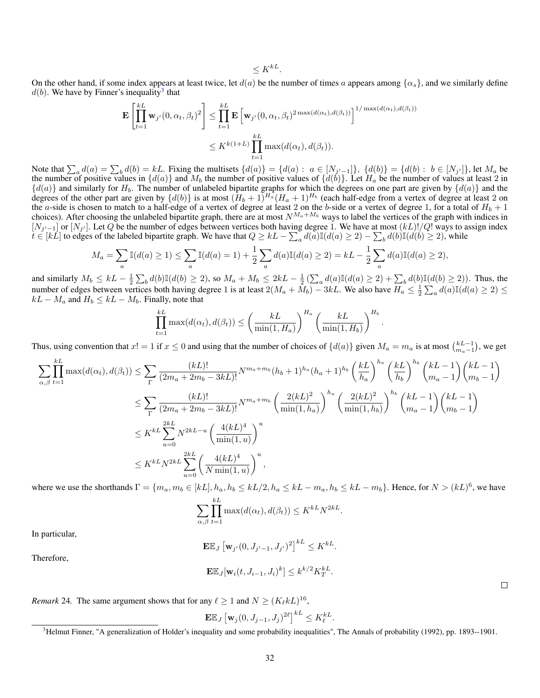$$
\leq K^{kL}.
$$

On the other hand, if some index appears at least twice, let  $d(a)$  be the number of times a appears among  $\{\alpha_s\}$ , and we similarly define  $d(b)$ . We have by Finner's inequality<sup>[3](#page-31-0)</sup> that

$$
\mathbf{E}\left[\prod_{t=1}^{kL} \mathbf{w}_{j'}(0,\alpha_t,\beta_t)^2\right] \leq \prod_{t=1}^{kL} \mathbf{E}\left[\mathbf{w}_{j'}(0,\alpha_t,\beta_t)^2 \max(d(\alpha_t),d(\beta_t))\right]^{1/\max(d(\alpha_t),d(\beta_t))}
$$

$$
\leq K^{k(1+L)} \prod_{t=1}^{kL} \max(d(\alpha_t),d(\beta_t)).
$$

Note that  $\sum_a d(a) = \sum_b d(b) = kL$ . Fixing the multisets  $\{d(a)\} = \{d(a) : a \in [N_{j'-1}]\}, \{d(b)\} = \{d(b) : b \in [N_{j'}]\},$  let  $M_a$  be the number of positive values in  $\{d(a)\}$  and  $M_b$  the number of positive values of  $\{d(b)\}$ . Let  $H_a$  be the number of values at least 2 in  ${d(a)}$  and similarly for  $H_b$ . The number of unlabeled bipartite graphs for which the degrees on one part are given by  ${d(a)}$  and the degrees of the other part are given by  $\{d(b)\}\$ is at most  $(H_b + 1)^{H_a}(H_a + 1)^{H_b}$  (each half-edge from a vertex of degree at least 2 on the *a*-side is chosen to match to a half-edge of a vertex of degree at least 2 on the *b*-side or a vertex of degree 1, for a total of  $H_b + 1$ choices). After choosing the unlabeled bipartite graph, there are at most  $N^{M_a+M_b}$  ways to label the vertices of the graph with indices in  $[N_{j'-1}]$  or  $[N_{j'}]$ . Let Q be the number of edges between vertices both having degree 1. We have at most  $(kL)!/Q!$  ways to assign index  $t \in [k\tilde{L}]$  to edges of the labeled bipartite graph. We have that  $Q \ge kL - \sum_{a} d(a) \mathbb{I}(d(a) \ge 2) - \sum_{b} d(b) \mathbb{I}(d(b) \ge 2)$ , while

$$
M_a = \sum_{a} \mathbb{I}(d(a) \ge 1) \le \sum_{a} \mathbb{I}(d(a) = 1) + \frac{1}{2} \sum_{a} d(a) \mathbb{I}(d(a) \ge 2) = kL - \frac{1}{2} \sum_{a} d(a) \mathbb{I}(d(a) \ge 2),
$$

and similarly  $M_b \leq kL - \frac{1}{2} \sum_b d(b) \mathbb{I}(d(b) \geq 2)$ , so  $M_a + M_b \leq 2kL - \frac{1}{2} \left( \sum_a d(a) \mathbb{I}(d(a) \geq 2) + \sum_b d(b) \mathbb{I}(d(b) \geq 2) \right)$ . Thus, the number of edges between vertices both having degree 1 is at least  $2(M_a + M_b) - 3kL$ . We also have  $H_a \leq \frac{1}{2} \sum_a d(a) \mathbb{I}(d(a) \geq 2) \leq$  $kL - M_a$  and  $H_b \leq kL - M_b$ . Finally, note that

$$
\prod_{t=1}^{kL} \max(d(\alpha_t), d(\beta_t)) \le \left(\frac{kL}{\min(1, H_a)}\right)^{H_a} \left(\frac{kL}{\min(1, H_b)}\right)^{H_b}
$$

.

Thus, using convention that  $x! = 1$  if  $x \le 0$  and using that the number of choices of  $\{d(a)\}\$  given  $M_a = m_a$  is at most  $\binom{kL-1}{m_a-1}$ , we get

$$
\sum_{\alpha,\beta} \prod_{t=1}^{kL} \max(d(\alpha_t), d(\beta_t)) \leq \sum_{\Gamma} \frac{(kL)!}{(2m_a + 2m_b - 3kL)!} N^{m_a + m_b} (h_b + 1)^{h_a} (h_a + 1)^{h_b} \left(\frac{kL}{h_a}\right)^{h_a} \left(\frac{kL}{h_b}\right)^{h_b} \left(\frac{kL - 1}{m_a - 1}\right) \left(\frac{kL - 1}{m_b - 1}\right)
$$
\n
$$
\leq \sum_{\Gamma} \frac{(kL)!}{(2m_a + 2m_b - 3kL)!} N^{m_a + m_b} \left(\frac{2(kL)^2}{\min(1, h_a)}\right)^{h_a} \left(\frac{2(kL)^2}{\min(1, h_b)}\right)^{h_b} \left(\frac{kL - 1}{m_a - 1}\right) \left(\frac{kL - 1}{m_b - 1}\right)
$$
\n
$$
\leq K^{kL} \sum_{u=0}^{2kL} N^{2kL - u} \left(\frac{4(kL)^4}{\min(1, u)}\right)^u
$$
\n
$$
\leq K^{kL} N^{2kL} \sum_{u=0}^{2kL} \left(\frac{4(kL)^4}{N \min(1, u)}\right)^u,
$$

where we use the shorthands  $\Gamma = \{m_a, m_b \in [kL], h_a, h_b \le kL/2, h_a \le kL - m_a, h_b \le kL - m_b\}$ . Hence, for  $N > (kL)^6$ , we have

$$
\sum_{\alpha,\beta} \prod_{t=1}^{kL} \max(d(\alpha_t), d(\beta_t)) \leq K^{kL} N^{2kL}.
$$

In particular,

$$
\mathbf{E}\mathbb{E}_J\left[\mathbf{w}_{j'}(0,J_{j'-1},J_{j'})^2\right]^{kL}\leq K^{kL}
$$

.

.

Therefore,

$$
\mathbf{E}\mathbb{E}_J[\mathbf{w}_i(t, J_{i-1}, J_i)^k] \le k^{k/2} K_T^{kL}
$$

<span id="page-31-1"></span>*Remark* 24. The same argument shows that for any  $\ell \geq 1$  and  $N \geq (K_{\ell}kL)^{16}$ ,

$$
\mathbf{E}\mathbb{E}_J\left[\mathbf{w}_j(0,J_{j-1},J_j)^{2\ell}\right]^{kL}\leq K_{\ell}^{kL}.
$$

<span id="page-31-0"></span><sup>&</sup>lt;sup>3</sup>Helmut Finner, "A generalization of Holder's inequality and some probability inequalities", The Annals of probability (1992), pp. 1893--1901.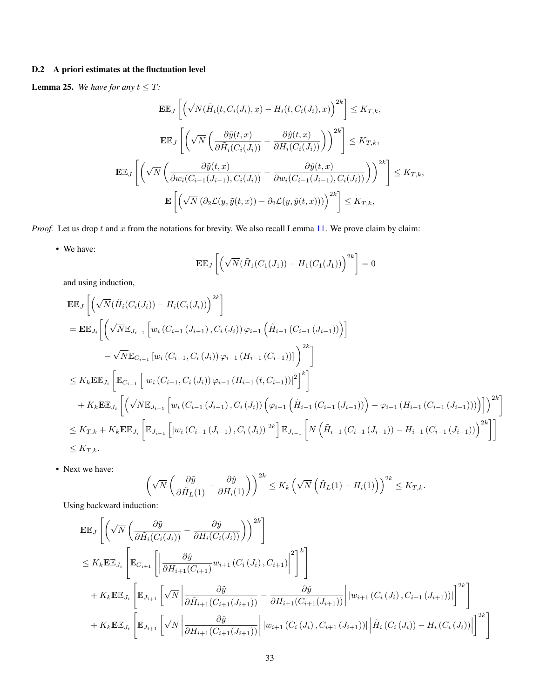# D.2 A priori estimates at the fluctuation level

<span id="page-32-0"></span>**Lemma 25.** We have for any  $t \leq T$ :

$$
\mathbf{E}\mathbb{E}_{J}\left[\left(\sqrt{N}(\tilde{H}_{i}(t,C_{i}(J_{i}),x)-H_{i}(t,C_{i}(J_{i}),x)\right)^{2k}\right] \leq K_{T,k},
$$
\n
$$
\mathbf{E}\mathbb{E}_{J}\left[\left(\sqrt{N}\left(\frac{\partial\tilde{y}(t,x)}{\partial\tilde{H}_{i}(C_{i}(J_{i}))}-\frac{\partial\hat{y}(t,x)}{\partial H_{i}(C_{i}(J_{i}))}\right)\right)^{2k}\right] \leq K_{T,k},
$$
\n
$$
\mathbf{E}\mathbb{E}_{J}\left[\left(\sqrt{N}\left(\frac{\partial\tilde{y}(t,x)}{\partial w_{i}(C_{i-1}(J_{i-1}),C_{i}(J_{i}))}-\frac{\partial\hat{y}(t,x)}{\partial w_{i}(C_{i-1}(J_{i-1}),C_{i}(J_{i}))}\right)\right)^{2k}\right] \leq K_{T,k},
$$
\n
$$
\mathbf{E}\left[\left(\sqrt{N}\left(\partial_{2}\mathcal{L}(y,\tilde{y}(t,x))-\partial_{2}\mathcal{L}(y,\hat{y}(t,x)))\right)^{2k}\right] \leq K_{T,k},
$$

*Proof.* Let us drop t and x from the notations for brevity. We also recall Lemma [11.](#page-13-1) We prove claim by claim:

• We have:

$$
\mathbf{E}\mathbb{E}_J\left[\left(\sqrt{N}(\tilde{H}_1(C_1(J_1))-H_1(C_1(J_1))\right)^{2k}\right]=0
$$

and using induction,

$$
\mathbf{E} \mathbb{E}_{J} \left[ \left( \sqrt{N} (\tilde{H}_{i}(C_{i}(J_{i})) - H_{i}(C_{i}(J_{i})) \right)^{2k} \right] \n= \mathbf{E} \mathbb{E}_{J_{i}} \left[ \left( \sqrt{N} \mathbb{E}_{J_{i-1}} \left[ w_{i} (C_{i-1} (J_{i-1}), C_{i} (J_{i})) \varphi_{i-1} \left( \tilde{H}_{i-1} (C_{i-1} (J_{i-1})) \right) \right] \right. \n- \sqrt{N} \mathbb{E}_{C_{i-1}} \left[ w_{i} (C_{i-1}, C_{i} (J_{i})) \varphi_{i-1} (H_{i-1} (C_{i-1})) \right]^{2k} \right] \n\leq K_{k} \mathbf{E} \mathbb{E}_{J_{i}} \left[ \mathbb{E}_{C_{i-1}} \left[ |w_{i} (C_{i-1}, C_{i} (J_{i})) \varphi_{i-1} (H_{i-1} (t, C_{i-1}))|^{2} \right]^{k} \right] \n+ K_{k} \mathbf{E} \mathbb{E}_{J_{i}} \left[ \left( \sqrt{N} \mathbb{E}_{J_{i-1}} \left[ w_{i} (C_{i-1} (J_{i-1}), C_{i} (J_{i})) \left( \varphi_{i-1} \left( \tilde{H}_{i-1} (C_{i-1} (J_{i-1})) \right) - \varphi_{i-1} (H_{i-1} (C_{i-1} (J_{i-1}))) \right) \right] \right)^{2k} \right] \n\leq K_{T,k} + K_{k} \mathbf{E} \mathbb{E}_{J_{i}} \left[ \mathbb{E}_{J_{i-1}} \left[ |w_{i} (C_{i-1} (J_{i-1}), C_{i} (J_{i}))|^{2k} \right] \mathbb{E}_{J_{i-1}} \left[ N \left( \tilde{H}_{i-1} (C_{i-1} (J_{i-1})) - H_{i-1} (C_{i-1} (J_{i-1})) \right)^{2k} \right] \right] \n\leq K_{T,k}.
$$

• Next we have:

$$
\left(\sqrt{N}\left(\frac{\partial \tilde{y}}{\partial \tilde{H}_L(1)} - \frac{\partial \hat{y}}{\partial H_i(1)}\right)\right)^{2k} \leq K_k \left(\sqrt{N}\left(\tilde{H}_L(1) - H_i(1)\right)\right)^{2k} \leq K_{T,k}.
$$

Using backward induction:

$$
\mathbf{E} \mathbb{E}_{J} \left[ \left( \sqrt{N} \left( \frac{\partial \tilde{y}}{\partial \tilde{H}_{i}(C_{i}(J_{i}))} - \frac{\partial \hat{y}}{\partial H_{i}(C_{i}(J_{i}))} \right) \right)^{2k} \right] \n\leq K_{k} \mathbf{E} \mathbb{E}_{J_{i}} \left[ \mathbb{E}_{C_{i+1}} \left[ \left| \frac{\partial \hat{y}}{\partial H_{i+1}(C_{i+1})} w_{i+1}(C_{i}(J_{i}), C_{i+1}) \right|^{2} \right]^{k} \right] \n+ K_{k} \mathbf{E} \mathbb{E}_{J_{i}} \left[ \mathbb{E}_{J_{i+1}} \left[ \sqrt{N} \left| \frac{\partial \tilde{y}}{\partial \tilde{H}_{i+1}(C_{i+1}(J_{i+1}))} - \frac{\partial \hat{y}}{\partial H_{i+1}(C_{i+1}(J_{i+1}))} \right| w_{i+1}(C_{i}(J_{i}), C_{i+1}(J_{i+1})) \right]^{2k} \right] \n+ K_{k} \mathbf{E} \mathbb{E}_{J_{i}} \left[ \mathbb{E}_{J_{i+1}} \left[ \sqrt{N} \left| \frac{\partial \hat{y}}{\partial H_{i+1}(C_{i+1}(J_{i+1}))} \right| |w_{i+1}(C_{i}(J_{i}), C_{i+1}(J_{i+1}))| \left| \tilde{H}_{i}(C_{i}(J_{i})) - H_{i}(C_{i}(J_{i})) \right| \right]^{2k} \right]
$$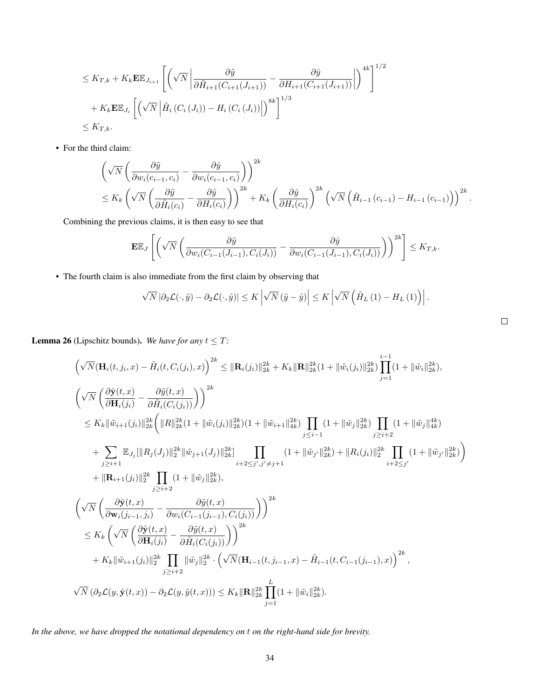$$
\leq K_{T,k} + K_k \mathbf{E} \mathbb{E}_{J_{i+1}} \left[ \left( \sqrt{N} \left| \frac{\partial \tilde{y}}{\partial \tilde{H}_{i+1}(C_{i+1}(J_{i+1}))} - \frac{\partial \hat{y}}{\partial H_{i+1}(C_{i+1}(J_{i+1}))} \right| \right)^{4k} \right]^{1/2} + K_k \mathbf{E} \mathbb{E}_{J_i} \left[ \left( \sqrt{N} \left| \tilde{H}_i(C_i(J_i)) - H_i(C_i(J_i)) \right| \right)^{8k} \right]^{1/3} \leq K_{T,k}.
$$

• For the third claim:

$$
\begin{split}\n&\left(\sqrt{N}\left(\frac{\partial \tilde{y}}{\partial w_i(c_{i-1},c_i)}-\frac{\partial \hat{y}}{\partial w_i(c_{i-1},c_i)}\right)\right)^{2k} \\
&\leq K_k \left(\sqrt{N}\left(\frac{\partial \tilde{y}}{\partial \tilde{H}_i(c_i)}-\frac{\partial \hat{y}}{\partial H_i(c_i)}\right)\right)^{2k} + K_k \left(\frac{\partial \hat{y}}{\partial H_i(c_i)}\right)^{2k} \left(\sqrt{N}\left(\tilde{H}_{i-1}(c_{i-1})-H_{i-1}(c_{i-1})\right)\right)^{2k}.\n\end{split}
$$

Combining the previous claims, it is then easy to see that

$$
\mathbf{E}\mathbb{E}_J\left[\left(\sqrt{N}\left(\frac{\partial \tilde{y}}{\partial w_i(C_{i-1}(J_{i-1}),C_i(J_i))}-\frac{\partial \hat{y}}{\partial w_i(C_{i-1}(J_{i-1}),C_i(J_i))}\right)\right)^{2k}\right] \leq K_{T,k}.
$$

• The fourth claim is also immediate from the first claim by observing that

$$
\sqrt{N} \left| \partial_2 \mathcal{L}(\cdot, \tilde{y}) - \partial_2 \mathcal{L}(\cdot, \hat{y}) \right| \leq K \left| \sqrt{N} \left( \tilde{y} - \hat{y} \right) \right| \leq K \left| \sqrt{N} \left( \tilde{H}_L \left( 1 \right) - H_L \left( 1 \right) \right) \right|.
$$

 $\Box$ 

<span id="page-33-0"></span>**Lemma 26** (Lipschitz bounds). We have for any  $t \leq T$ :

$$
\left(\sqrt{N}(\mathbf{H}_{i}(t, j_{i}, x) - \tilde{H}_{i}(t, C_{i}(j_{i}), x)\right)^{2k} \leq \|\mathbf{R}_{i}(j_{i})\|_{2k}^{2k} + K_{k}\|\mathbf{R}\|_{2k}^{2k}(1 + \|\tilde{w}_{i}(j_{i})\|_{2k}^{2k})\prod_{j=1}^{i-1}(1 + \|\tilde{w}_{i}\|_{2k}^{2k}),
$$
\n
$$
\left(\sqrt{N}\left(\frac{\partial \hat{\mathbf{y}}(t, x)}{\partial \mathbf{H}_{i}(j_{i})} - \frac{\partial \tilde{y}(t, x)}{\partial \tilde{H}_{i}(C_{i}(j_{i}))}\right)\right)^{2k}
$$
\n
$$
\leq K_{k}\|\tilde{w}_{i+1}(j_{i})\|_{2k}^{2k}\left(\|\mathbf{R}\|_{2k}^{2k}(1 + \|\tilde{w}_{i}(j_{i})\|_{2k}^{2k})(1 + \|\tilde{w}_{i+1}\|_{4k}^{2k})\prod_{j\leq i-1}(1 + \|\tilde{w}_{j}\|_{2k}^{2k})\prod_{j\geq i+2}(1 + \|\tilde{w}_{j}\|_{4k}^{4k})
$$
\n
$$
+ \sum_{j\geq i+1} \mathbb{E}_{J_{j}}[\|R_{j}(J_{j})\|_{2}^{2k}\|\tilde{w}_{j+1}(J_{j})\|_{2k}^{2k}] \prod_{i+2\leq j',j'\neq j+1}(1 + \|\tilde{w}_{j'}\|_{2k}^{2k}) + \|R_{i}(j_{i})\|_{2}^{2k} \prod_{i+2\leq j'}(1 + \|\tilde{w}_{j'}\|_{2k}^{2k})
$$
\n
$$
+ \|\mathbf{R}_{i+1}(j_{i})\|_{2}^{2k} \prod_{j\geq i+2}(1 + \|\tilde{w}_{j}\|_{2k}^{2k}),
$$
\n
$$
\left(\sqrt{N}\left(\frac{\partial \hat{\mathbf{y}}(t, x)}{\partial \mathbf{w}_{i}(j_{i-1}, j_{i})} - \frac{\partial \tilde{y}(t, x)}{\partial \tilde{w}_{i}(C_{i-1}(j_{i-1}), C_{i}(j_{i}))}\right)\right)^{2k}
$$
\n
$$
\
$$

*In the above, we have dropped the notational dependency on* t *on the right-hand side for brevity.*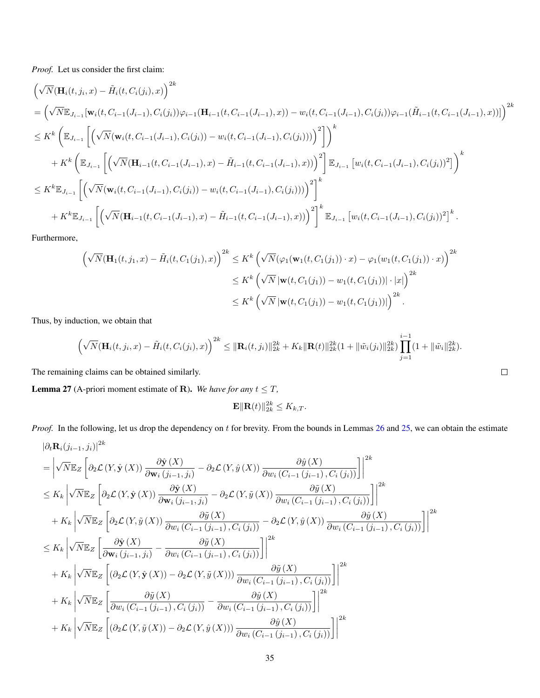*Proof.* Let us consider the first claim:

$$
\begin{split}\n&\left(\sqrt{N}(\mathbf{H}_{i}(t,j_{i},x)-\tilde{H}_{i}(t,C_{i}(j_{i}),x)\right)^{2k} \\
&= \left(\sqrt{N}\mathbb{E}_{J_{i-1}}[\mathbf{w}_{i}(t,C_{i-1}(J_{i-1}),C_{i}(j_{i}))\varphi_{i-1}(\mathbf{H}_{i-1}(t,C_{i-1}(J_{i-1}),x)) - w_{i}(t,C_{i-1}(J_{i-1}),C_{i}(j_{i}))\varphi_{i-1}(\tilde{H}_{i-1}(t,C_{i-1}(J_{i-1}),x))]\right)^{2k} \\
&\leq K^{k}\left(\mathbb{E}_{J_{i-1}}\left[\left(\sqrt{N}(\mathbf{w}_{i}(t,C_{i-1}(J_{i-1}),C_{i}(j_{i})) - w_{i}(t,C_{i-1}(J_{i-1}),C_{i}(j_{i})))\right)^{2}\right]\right)^{k} \\
&+ K^{k}\left(\mathbb{E}_{J_{i-1}}\left[\left(\sqrt{N}(\mathbf{H}_{i-1}(t,C_{i-1}(J_{i-1}),x)-\tilde{H}_{i-1}(t,C_{i-1}(J_{i-1}),x))\right)^{2}\right]\mathbb{E}_{J_{i-1}}\left[w_{i}(t,C_{i-1}(J_{i-1}),C_{i}(j_{i}))^{2}\right]\right)^{k} \\
&\leq K^{k}\mathbb{E}_{J_{i-1}}\left[\left(\sqrt{N}(\mathbf{w}_{i}(t,C_{i-1}(J_{i-1}),C_{i}(j_{i})) - w_{i}(t,C_{i-1}(J_{i-1}),C_{i}(j_{i})))\right)^{2}\right]^{k} \\
&+ K^{k}\mathbb{E}_{J_{i-1}}\left[\left(\sqrt{N}(\mathbf{H}_{i-1}(t,C_{i-1}(J_{i-1}),x)-\tilde{H}_{i-1}(t,C_{i-1}(J_{i-1}),x))\right)^{2}\right]^{k}\mathbb{E}_{J_{i-1}}\left[w_{i}(t,C_{i-1}(J_{i-1}),C_{i}(j_{i}))^{2}\right]^{k}.\n\end{split}
$$

Furthermore,

$$
\left(\sqrt{N}(\mathbf{H}_{1}(t, j_{1}, x) - \tilde{H}_{i}(t, C_{1}(j_{1}), x)\right)^{2k} \leq K^{k} \left(\sqrt{N}(\varphi_{1}(\mathbf{w}_{1}(t, C_{1}(j_{1})) \cdot x) - \varphi_{1}(w_{1}(t, C_{1}(j_{1})) \cdot x)\right)^{2k}
$$
  

$$
\leq K^{k} \left(\sqrt{N}|\mathbf{w}(t, C_{1}(j_{1})) - w_{1}(t, C_{1}(j_{1}))| \cdot |x|\right)^{2k}
$$
  

$$
\leq K^{k} \left(\sqrt{N}|\mathbf{w}(t, C_{1}(j_{1})) - w_{1}(t, C_{1}(j_{1}))|\right)^{2k}.
$$

Thus, by induction, we obtain that

$$
\left(\sqrt{N}(\mathbf{H}_i(t,j_i,x)-\tilde{H}_i(t,C_i(j_i),x)\right)^{2k} \leq \|\mathbf{R}_i(t,j_i)\|_{2k}^{2k} + K_k \|\mathbf{R}(t)\|_{2k}^{2k}(1+\|\tilde{w}_i(j_i)\|_{2k}^{2k}) \prod_{j=1}^{i-1} (1+\|\tilde{w}_i\|_{2k}^{2k}).
$$

The remaining claims can be obtained similarly.

<span id="page-34-0"></span>**Lemma 27** (A-priori moment estimate of **R**). We have for any  $t \leq T$ ,

$$
\mathbf{E} \|\mathbf{R}(t)\|_{2k}^{2k} \le K_{k,T}.
$$

*Proof.* In the following, let us drop the dependency on t for brevity. From the bounds in Lemmas [26](#page-33-0) and [25,](#page-32-0) we can obtain the estimate

$$
\begin{split}\n&|\partial_t \mathbf{R}_i(j_{i-1},j_i)|^{2k} \\
&= \left| \sqrt{N} \mathbb{E}_Z \left[ \partial_2 \mathcal{L}(Y, \hat{\mathbf{y}}(X)) \frac{\partial \hat{\mathbf{y}}(X)}{\partial \mathbf{w}_i(j_{i-1},j_i)} - \partial_2 \mathcal{L}(Y, \hat{y}(X)) \frac{\partial \hat{y}(X)}{\partial w_i(C_{i-1}(j_{i-1}), C_i(j_i))} \right] \right|^{2k} \\
&\leq K_k \left| \sqrt{N} \mathbb{E}_Z \left[ \partial_2 \mathcal{L}(Y, \hat{\mathbf{y}}(X)) \frac{\partial \hat{\mathbf{y}}(X)}{\partial \mathbf{w}_i(j_{i-1},j_i)} - \partial_2 \mathcal{L}(Y, \tilde{y}(X)) \frac{\partial \tilde{y}(X)}{\partial w_i(C_{i-1}(j_{i-1}), C_i(j_i))} \right] \right|^{2k} \\
&+ K_k \left| \sqrt{N} \mathbb{E}_Z \left[ \partial_2 \mathcal{L}(Y, \tilde{y}(X)) \frac{\partial \tilde{y}(X)}{\partial w_i(C_{i-1}(j_{i-1}), C_i(j_i))} - \partial_2 \mathcal{L}(Y, \hat{y}(X)) \frac{\partial \hat{y}(X)}{\partial w_i(C_{i-1}(j_{i-1}), C_i(j_i))} \right] \right|^{2k} \\
&\leq K_k \left| \sqrt{N} \mathbb{E}_Z \left[ \frac{\partial \hat{\mathbf{y}}(X)}{\partial \mathbf{w}_i(j_{i-1},j_i)} - \frac{\partial \tilde{y}(X)}{\partial w_i(C_{i-1}(j_{i-1}), C_i(j_i))} \right] \right|^{2k} \\
&+ K_k \left| \sqrt{N} \mathbb{E}_Z \left[ (\partial_2 \mathcal{L}(Y, \hat{\mathbf{y}}(X)) - \partial_2 \mathcal{L}(Y, \tilde{y}(X))) \frac{\partial \tilde{y}(X)}{\partial w_i(C_{i-1}(j_{i-1}), C_i(j_i))} \right] \right|^{2k} \\
&+ K_k \left| \sqrt{N} \mathbb{E}_Z \left[ \frac{\partial \tilde{y}(X)}{\partial w_i(C_{i-1}(j_{i-1}), C_i(j_i))} - \frac{\partial \hat{y}(X)}{\partial w_i(C_{i-1}(j_{i-1}), C_i(j_i))
$$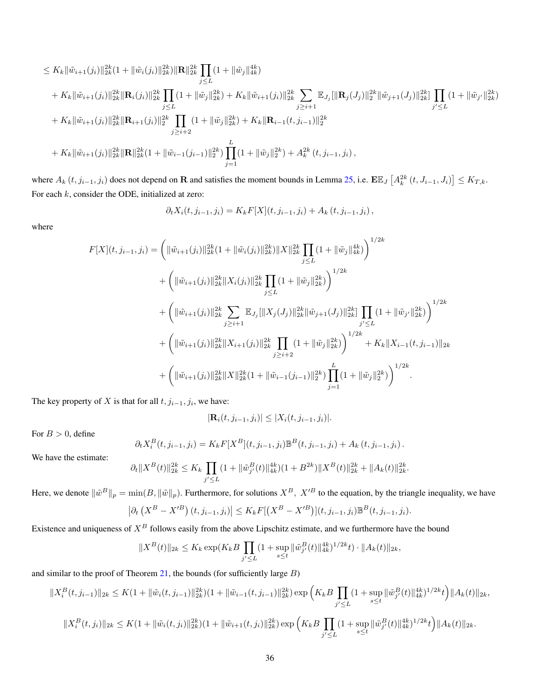$$
\leq K_k \|\tilde{w}_{i+1}(j_i)\|_{2k}^{2k} (1 + \|\tilde{w}_i(j_i)\|_{2k}^{2k}) \|\mathbf{R}\|_{2k}^{2k} \prod_{j\leq L} (1 + \|\tilde{w}_j\|_{4k}^{4k})
$$
  
+  $K_k \|\tilde{w}_{i+1}(j_i)\|_{2k}^{2k} \|\mathbf{R}_i(j_i)\|_{2k}^{2k} \prod_{j\leq L} (1 + \|\tilde{w}_j\|_{2k}^{2k}) + K_k \|\tilde{w}_{i+1}(j_i)\|_{2k}^{2k} \sum_{j\geq i+1} \mathbb{E}_{J_j} [\|\mathbf{R}_j(J_j)\|_{2}^{2k} \|\tilde{w}_{j+1}(J_j)\|_{2k}^{2k}] \prod_{j'\leq L} (1 + \|\tilde{w}_{j'}\|_{2k}^{2k})$   
+  $K_k \|\tilde{w}_{i+1}(j_i)\|_{2k}^{2k} \|\mathbf{R}_{i+1}(j_i)\|_{2}^{2k} \prod_{j\geq i+2} (1 + \|\tilde{w}_j\|_{2k}^{2k}) + K_k \|\mathbf{R}_{i-1}(t, j_{i-1})\|_{2}^{2k}$   
+  $K_k \|\tilde{w}_{i+1}(j_i)\|_{2k}^{2k} \|\mathbf{R}\|_{2k}^{2k} (1 + \|\tilde{w}_{i-1}(j_{i-1})\|_{2}^{2k}) \prod_{j=1}^{L} (1 + \|\tilde{w}_j\|_{2}^{2k}) + A_k^{2k} (t, j_{i-1}, j_i),$ 

where  $A_k(t, j_{i-1}, j_i)$  does not depend on R and satisfies the moment bounds in Lemma [25,](#page-32-0) i.e.  $\mathbb{E} \mathbb{E}_J\left[A_k^{2k}(t, J_{i-1}, J_i)\right] \leq K_{T,k}$ . For each  $k$ , consider the ODE, initialized at zero:

$$
\partial_t X_i(t, j_{i-1}, j_i) = K_k F[X](t, j_{i-1}, j_i) + A_k(t, j_{i-1}, j_i),
$$

where

$$
F[X](t, j_{i-1}, j_i) = \left( \|\tilde{w}_{i+1}(j_i)\|_{2k}^{2k} (1 + \|\tilde{w}_i(j_i)\|_{2k}^{2k}) \|X\|_{2k}^{2k} \prod_{j \le L} (1 + \|\tilde{w}_j\|_{4k}^{4k}) \right)^{1/2k}
$$
  
+ 
$$
\left( \|\tilde{w}_{i+1}(j_i)\|_{2k}^{2k} \|X_i(j_i)\|_{2k}^{2k} \prod_{j \le L} (1 + \|\tilde{w}_j\|_{2k}^{2k}) \right)^{1/2k}
$$
  
+ 
$$
\left( \|\tilde{w}_{i+1}(j_i)\|_{2k}^{2k} \sum_{j \ge i+1} \mathbb{E}_{J_j} [\|X_j(J_j)\|_{2k}^{2k} \|\tilde{w}_{j+1}(J_j)\|_{2k}^{2k}] \prod_{j' \le L} (1 + \|\tilde{w}_{j'}\|_{2k}^{2k}) \right)^{1/2k}
$$
  
+ 
$$
\left( \|\tilde{w}_{i+1}(j_i)\|_{2k}^{2k} \|X_{i+1}(j_i)\|_{2k}^{2k} \prod_{j \ge i+2} (1 + \|\tilde{w}_j\|_{2k}^{2k}) \right)^{1/2k} + K_k \|X_{i-1}(t, j_{i-1})\|_{2k}
$$
  
+ 
$$
\left( \|\tilde{w}_{i+1}(j_i)\|_{2k}^{2k} \|X\|_{2k}^{2k} (1 + \|\tilde{w}_{i-1}(j_{i-1})\|_{2}^{2k}) \prod_{j=1}^{L} (1 + \|\tilde{w}_j\|_{2}^{2k}) \right)^{1/2k}.
$$

The key property of X is that for all  $t, j_{i-1}, j_i$ , we have:

$$
|\mathbf{R}_i(t, j_{i-1}, j_i)| \leq |X_i(t, j_{i-1}, j_i)|.
$$

For  $B > 0$ , define

$$
\partial_t X_i^B(t, j_{i-1}, j_i) = K_k F[X^B](t, j_{i-1}, j_i) \mathbb{B}^B(t, j_{i-1}, j_i) + A_k(t, j_{i-1}, j_i).
$$

We have the estimate:

$$
\partial_t \|X^B(t)\|_{2k}^{2k} \le K_k \prod_{j' \le L} (1 + \|\tilde{w}_{j'}^B(t)\|_{4k}^{4k}) (1 + B^{2k}) \|X^B(t)\|_{2k}^{2k} + \|A_k(t)\|_{2k}^{2k}.
$$

Here, we denote  $\|\tilde{w}^B\|_p = \min(B, \|\tilde{w}\|_p)$ . Furthermore, for solutions  $X^B$ ,  $X'^B$  to the equation, by the triangle inequality, we have

$$
\left|\partial_t\left(X^B - X'^B\right)(t, j_{i-1}, j_i)\right| \le K_k F\left[\left(X^B - X'^B\right)\right](t, j_{i-1}, j_i) \mathbb{B}^B(t, j_{i-1}, j_i).
$$

Existence and uniqueness of  $X^B$  follows easily from the above Lipschitz estimate, and we furthermore have the bound

$$
||X^B(t)||_{2k} \le K_k \exp(K_k B \prod_{j'\le L} (1+\sup_{s\le t} ||\tilde{w}_{j'}^B(t)||_{4k}^{4k})^{1/2k} t) \cdot ||A_k(t)||_{2k},
$$

and similar to the proof of Theorem  $21$ , the bounds (for sufficiently large  $B$ )

$$
||X_i^B(t, j_{i-1})||_{2k} \le K(1 + ||\tilde{w}_i(t, j_{i-1})||_{2k}^{2k})(1 + ||\tilde{w}_{i-1}(t, j_{i-1})||_{2k}^{2k}) \exp\left(K_k B \prod_{j' \le L} (1 + \sup_{s \le t} ||\tilde{w}_{j'}^B(t)||_{4k}^{4k})^{1/2k}t\right) ||A_k(t)||_{2k},
$$
  

$$
||X_i^B(t, j_i)||_{2k} \le K(1 + ||\tilde{w}_i(t, j_i)||_{2k}^{2k})(1 + ||\tilde{w}_{i+1}(t, j_i)||_{2k}^{2k}) \exp\left(K_k B \prod_{j' \le L} (1 + \sup_{s \le t} ||\tilde{w}_{j'}^B(t)||_{4k}^{4k})^{1/2k}t\right) ||A_k(t)||_{2k}.
$$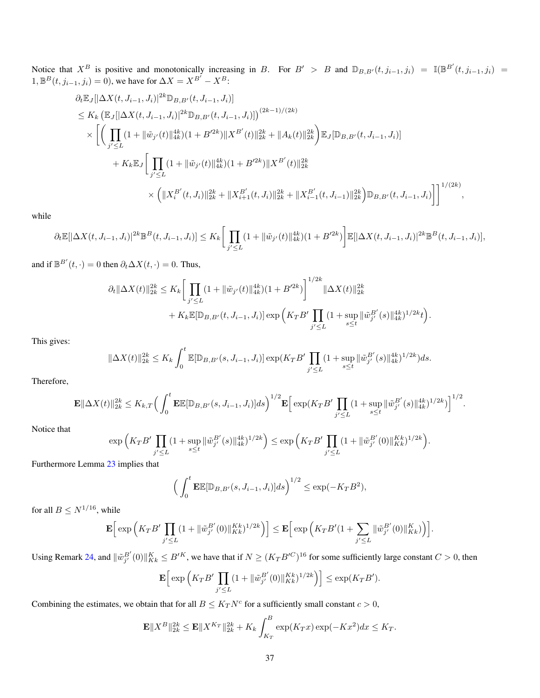Notice that  $X^B$  is positive and monotonically increasing in B. For  $B' > B$  and  $\mathbb{D}_{B,B'}(t, j_{i-1}, j_i) = \mathbb{I}(\mathbb{B}^{B'}(t, j_{i-1}, j_i) =$ 1,  $\mathbb{B}^{B}(t, j_{i-1}, j_i) = 0$ ), we have for  $\Delta X = X^{B'} - X^{B}$ :

$$
\partial_t \mathbb{E}_J[|\Delta X(t, J_{i-1}, J_i)|^{2k} \mathbb{D}_{B, B'}(t, J_{i-1}, J_i)]
$$
\n
$$
\leq K_k \left( \mathbb{E}_J[|\Delta X(t, J_{i-1}, J_i)|^{2k} \mathbb{D}_{B, B'}(t, J_{i-1}, J_i)] \right)^{(2k-1)/(2k)}
$$
\n
$$
\times \left[ \left( \prod_{j' \leq L} (1 + \|\tilde{w}_{j'}(t)\|_{4k}^{4k}) (1 + B'^{2k}) \|X^{B'}(t)\|_{2k}^{2k} + \|A_k(t)\|_{2k}^{2k} \right) \mathbb{E}_J[\mathbb{D}_{B, B'}(t, J_{i-1}, J_i)]
$$
\n
$$
+ K_k \mathbb{E}_J \left[ \prod_{j' \leq L} (1 + \|\tilde{w}_{j'}(t)\|_{4k}^{4k}) (1 + B'^{2k}) \|X^{B'}(t)\|_{2k}^{2k} \right.
$$
\n
$$
\times \left( \|X_i^{B'}(t, J_i)\|_{2k}^{2k} + \|X_{i+1}^{B'}(t, J_i)\|_{2k}^{2k} + \|X_{i-1}^{B'}(t, J_{i-1})\|_{2k}^{2k} \right) \mathbb{D}_{B, B'}(t, J_{i-1}, J_i) \right]^{1/(2k)},
$$

while

$$
\partial_t \mathbb{E}[\|\Delta X(t, J_{i-1}, J_i)\|^{2k} \mathbb{B}^B(t, J_{i-1}, J_i)] \leq K_k \bigg[ \prod_{j' \leq L} (1 + \|\tilde{w}_{j'}(t)\|_{4k}^{4k}) (1 + B'^{2k}) \bigg] \mathbb{E}[\|\Delta X(t, J_{i-1}, J_i)\|^{2k} \mathbb{B}^B(t, J_{i-1}, J_i)],
$$

and if  $\mathbb{B}^{B'}(t, \cdot) = 0$  then  $\partial_t \Delta X(t, \cdot) = 0$ . Thus,

$$
\partial_t \|\Delta X(t)\|_{2k}^{2k} \leq K_k \bigg[ \prod_{j'\leq L} (1 + \|\tilde{w}_{j'}(t)\|_{4k}^{4k})(1 + B'^{2k}) \bigg]^{1/2k} \|\Delta X(t)\|_{2k}^{2k} + K_k \mathbb{E}[\mathbb{D}_{B,B'}(t, J_{i-1}, J_i)] \exp\bigg(K_T B' \prod_{j'\leq L} (1 + \sup_{s\leq t} \|\tilde{w}_{j'}^{B'}(s)\|_{4k}^{4k})^{1/2k} t \bigg).
$$

This gives:

$$
\|\Delta X(t)\|_{2k}^{2k} \le K_k \int_0^t \mathbb{E}[\mathbb{D}_{B,B'}(s,J_{i-1},J_i)] \exp(K_T B' \prod_{j'\le L} (1+\sup_{s\le t} \|\tilde{w}_{j'}^{B'}(s)\|_{4k}^{4k})^{1/2k})ds.
$$

Therefore,

$$
\mathbf{E} \|\Delta X(t)\|_{2k}^{2k} \leq K_{k,T} \Big( \int_0^t \mathbf{E} \mathbb{E}[\mathbb{D}_{B,B'}(s,J_{i-1},J_i)]ds \Big)^{1/2} \mathbf{E} \Big[ \exp(K_T B' \prod_{j'\leq L} (1+\sup_{s\leq t} \|\tilde{w}_{j'}^{B'}(s)\|_{4k}^{4k})^{1/2k}) \Big]^{1/2}.
$$

Notice that

$$
\exp\Big(K_T B'\prod_{j'\leq L} (1+\sup_{s\leq t}\|\tilde{w}_{j'}^{B'}(s)\|_{4k}^{4k})^{1/2k}\Big)\leq \exp\Big(K_T B'\prod_{j'\leq L} (1+\|\tilde{w}_{j'}^{B'}(0)\|_{Kk}^{Kk})^{1/2k}\Big).
$$

Furthermore Lemma [23](#page-29-1) implies that

$$
\left(\int_0^t \mathbf{E} \mathbb{E}[\mathbb{D}_{B,B'}(s,J_{i-1},J_i)]ds\right)^{1/2} \le \exp(-K_T B^2),
$$

for all  $B\leq N^{1/16},$  while

$$
\mathbf{E}\Big[\exp\Big(K_T B'\prod_{j'\leq L} (1+\|\tilde{w}_{j'}^{B'}(0)\|_{Kk}^{Kk})^{1/2k}\Big)\Big]\leq \mathbf{E}\Big[\exp\Big(K_T B'(1+\sum_{j'\leq L}\|\tilde{w}_{j'}^{B'}(0)\|_{Kk}^{K})\Big)\Big].
$$

Using Remark [24,](#page-31-1) and  $\|\tilde{w}_{j'}^{B'}(0)\|_{Kk}^K \leq B'^K$ , we have that if  $N \geq (K_T B'^C)^{16}$  for some sufficiently large constant  $C > 0$ , then

$$
\mathbf{E}\Big[\exp\Big(K_T B'\prod_{j'\leq L} (1+\|\tilde{w}_{j'}^{B'}(0)\|_{Kk}^{Kk})^{1/2k}\Big)\Big]\leq \exp(K_T B').
$$

Combining the estimates, we obtain that for all  $B \leq K_T N^c$  for a sufficiently small constant  $c > 0$ ,

$$
\mathbf{E} \|X^B\|_{2k}^{2k} \le \mathbf{E} \|X^{K_T}\|_{2k}^{2k} + K_k \int_{K_T}^B \exp(K_T x) \exp(-Kx^2) dx \le K_T.
$$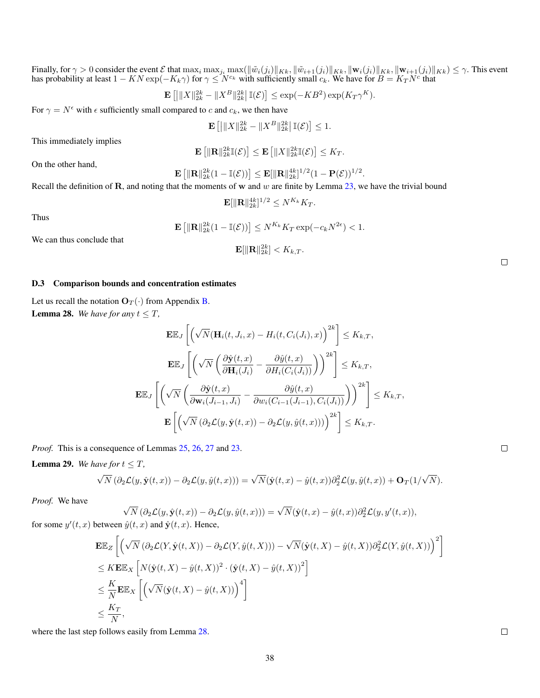Finally, for  $\gamma > 0$  consider the event  $\mathcal E$  that  $\max_i \max_{j_i} \max(\|\tilde{w}_i(j_i)\|_{Kk}, \|\tilde{w}_{i+1}(j_i)\|_{Kk}, \|\mathbf{w}_i(j_i)\|_{Kk}, \|\mathbf{w}_{i+1}(j_i)\|_{Kk}) \leq \gamma$ . This event has probability at least  $1 - KN \exp(-K_k \gamma)$  for  $\gamma \le N^{c_k}$  with sufficiently small  $c_k$ . We have for  $B = K_T N^c$  that

$$
\mathbf{E}\left[\left|\|X\|_{2k}^{2k}-\|X^B\|_{2k}^{2k}\right|\mathbb{I}(\mathcal{E})\right]\leq \exp(-KB^2)\exp(K_T\gamma^K).
$$

For  $\gamma = N^{\epsilon}$  with  $\epsilon$  sufficiently small compared to c and  $c_k$ , we then have

$$
\mathbf{E}\left[\left|\|X\|_{2k}^{2k} - \|X^B\|_{2k}^{2k}\right|\mathbb{I}(\mathcal{E})\right] \le 1.
$$

This immediately implies

$$
\mathbf{E}\left[\|\mathbf{R}\|_{2k}^{2k}\mathbb{I}(\mathcal{E})\right] \leq \mathbf{E}\left[\|X\|_{2k}^{2k}\mathbb{I}(\mathcal{E})\right] \leq K_T.
$$

On the other hand,

$$
\mathbf{E}\left[\|\mathbf{R}\|_{2k}^{2k}(1-\mathbb{I}(\mathcal{E}))\right] \leq \mathbf{E}[\|\mathbf{R}\|_{2k}^{4k}]^{1/2}(1-\mathbf{P}(\mathcal{E}))^{1/2}.
$$

Recall the definition of  $\bf R$ , and noting that the moments of w and w are finite by Lemma [23,](#page-29-1) we have the trivial bound

$$
\mathbf{E}[\|\mathbf{R}\|_{2k}^{4k}]^{1/2} \leq N^{K_k} K_T.
$$

 $4x + 4k$ 

Thus

$$
\mathbf{E}\left[\|\mathbf{R}\|_{2k}^{2k}(1-\mathbb{I}(\mathcal{E}))\right] \leq N^{K_k} K_T \exp(-c_k N^{2\epsilon}) < 1.
$$

We can thus conclude that

$$
\mathbf{E}[\|\mathbf{R}\|_{2k}^{2k}] < K_{k,T}.
$$

#### D.3 Comparison bounds and concentration estimates

<span id="page-37-0"></span>Let us recall the notation  $O_T(\cdot)$  from Appendix [B.](#page-13-0) **Lemma 28.** *We have for any*  $t \leq T$ *,* 

$$
\mathbf{E}\mathbb{E}_{J}\left[\left(\sqrt{N}(\mathbf{H}_{i}(t, J_{i}, x) - H_{i}(t, C_{i}(J_{i}), x)\right)^{2k}\right] \leq K_{k, T},
$$
\n
$$
\mathbf{E}\mathbb{E}_{J}\left[\left(\sqrt{N}\left(\frac{\partial \hat{\mathbf{y}}(t, x)}{\partial \mathbf{H}_{i}(J_{i})} - \frac{\partial \hat{y}(t, x)}{\partial H_{i}(C_{i}(J_{i}))}\right)\right)^{2k}\right] \leq K_{k, T},
$$
\n
$$
\mathbf{E}\mathbb{E}_{J}\left[\left(\sqrt{N}\left(\frac{\partial \hat{\mathbf{y}}(t, x)}{\partial \mathbf{w}_{i}(J_{i-1}, J_{i})} - \frac{\partial \hat{y}(t, x)}{\partial w_{i}(C_{i-1}(J_{i-1}), C_{i}(J_{i}))}\right)\right)^{2k}\right] \leq K_{k, T},
$$
\n
$$
\mathbf{E}\left[\left(\sqrt{N}\left(\partial_{2} \mathcal{L}(y, \hat{\mathbf{y}}(t, x)) - \partial_{2} \mathcal{L}(y, \hat{y}(t, x)))\right)^{2k}\right] \leq K_{k, T}.
$$

*Proof.* This is a consequence of Lemmas [25,](#page-32-0) [26,](#page-33-0) [27](#page-34-0) and [23.](#page-29-1)

<span id="page-37-1"></span>**Lemma 29.** *We have for*  $t \leq T$ *,* 

$$
\sqrt{N}(\partial_2 \mathcal{L}(y, \hat{\mathbf{y}}(t,x)) - \partial_2 \mathcal{L}(y, \hat{y}(t,x))) = \sqrt{N}(\hat{\mathbf{y}}(t,x) - \hat{y}(t,x))\partial_2^2 \mathcal{L}(y, \hat{y}(t,x)) + \mathbf{O}_T(1/\sqrt{N}).
$$

*Proof.* We have

*Proof.* we have  
\n
$$
\sqrt{N} \left( \partial_2 \mathcal{L}(y, \hat{\mathbf{y}}(t,x)) - \partial_2 \mathcal{L}(y, \hat{y}(t,x)) \right) = \sqrt{N} (\hat{\mathbf{y}}(t,x) - \hat{y}(t,x)) \partial_2^2 \mathcal{L}(y, y'(t,x)),
$$
\nfor some  $y'(t,x)$  between  $\hat{y}(t,x)$  and  $\hat{\mathbf{y}}(t,x)$ . Hence,

$$
\begin{split} &\mathbf{E}\mathbb{E}_Z\left[\left(\sqrt{N}\left(\partial_2\mathcal{L}(Y,\hat{\mathbf{y}}(t,X))-\partial_2\mathcal{L}(Y,\hat{y}(t,X))\right)-\sqrt{N}(\hat{\mathbf{y}}(t,X)-\hat{y}(t,X))\partial_2^2\mathcal{L}(Y,\hat{y}(t,X))\right)^2\right]\\ &\leq K\mathbf{E}\mathbb{E}_X\left[N(\hat{\mathbf{y}}(t,X)-\hat{y}(t,X))^2\cdot(\hat{\mathbf{y}}(t,X)-\hat{y}(t,X))^2\right]\\ &\leq \frac{K}{N}\mathbf{E}\mathbb{E}_X\left[\left(\sqrt{N}(\hat{\mathbf{y}}(t,X)-\hat{y}(t,X))\right)^4\right]\\ &\leq \frac{K_T}{N}, \end{split}
$$

where the last step follows easily from Lemma [28.](#page-37-0)

 $\Box$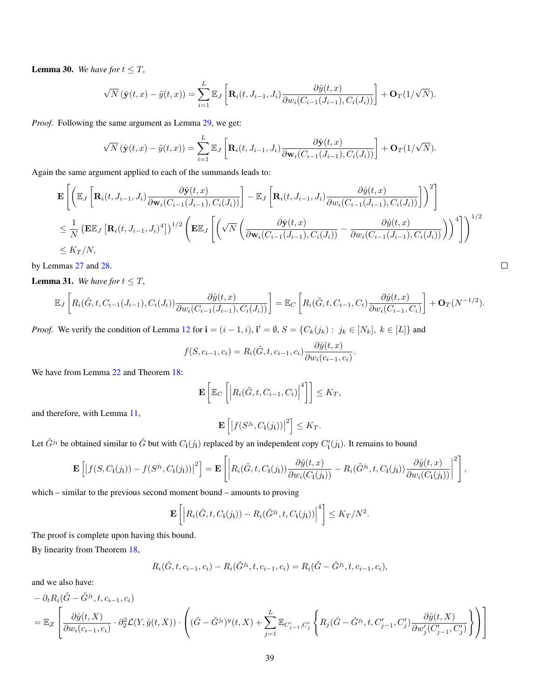<span id="page-38-1"></span>**Lemma 30.** We have for  $t \leq T$ ,

$$
\sqrt{N}(\hat{\mathbf{y}}(t,x)-\tilde{y}(t,x))=\sum_{i=1}^L\mathbb{E}_J\left[\mathbf{R}_i(t,J_{i-1},J_i)\frac{\partial\hat{y}(t,x)}{\partial w_i(C_{i-1}(J_{i-1}),C_i(J_i))}\right]+\mathbf{O}_T(1/\sqrt{N}).
$$

*Proof.* Following the same argument as Lemma [29,](#page-37-1) we get:

$$
\sqrt{N}(\hat{\mathbf{y}}(t,x)-\tilde{y}(t,x))=\sum_{i=1}^L\mathbb{E}_J\left[\mathbf{R}_i(t,J_{i-1},J_i)\frac{\partial \hat{\mathbf{y}}(t,x)}{\partial \mathbf{w}_i(C_{i-1}(J_{i-1}),C_i(J_i))}\right]+\mathbf{O}_T(1/\sqrt{N}).
$$

Again the same argument applied to each of the summands leads to:

$$
\mathbf{E}\left[\left(\mathbb{E}_{J}\left[\mathbf{R}_{i}(t,J_{i-1},J_{i})\frac{\partial \hat{\mathbf{y}}(t,x)}{\partial \mathbf{w}_{i}(C_{i-1}(J_{i-1}),C_{i}(J_{i}))}\right]-\mathbb{E}_{J}\left[\mathbf{R}_{i}(t,J_{i-1},J_{i})\frac{\partial \hat{y}(t,x)}{\partial w_{i}(C_{i-1}(J_{i-1}),C_{i}(J_{i}))}\right]\right)^{2}\right]
$$
\n
$$
\leq \frac{1}{N}\left(\mathbf{E}\mathbb{E}_{J}\left[\mathbf{R}_{i}(t,J_{i-1},J_{i})^{4}\right] \right)^{1/2}\left(\mathbf{E}\mathbb{E}_{J}\left[\left(\sqrt{N}\left(\frac{\partial \hat{\mathbf{y}}(t,x)}{\partial \mathbf{w}_{i}(C_{i-1}(J_{i-1}),C_{i}(J_{i}))}-\frac{\partial \hat{y}(t,x)}{\partial w_{i}(C_{i-1}(J_{i-1}),C_{i}(J_{i}))}\right)\right)^{4}\right]\right)^{1/2}
$$
\n
$$
\leq K_{T}/N,
$$

by Lemmas [27](#page-34-0) and [28.](#page-37-0)

<span id="page-38-0"></span>**Lemma 31.** *We have for*  $t \leq T$ *,* 

$$
\mathbb{E}_J\left[R_i(\tilde{G},t,C_{i-1}(J_{i-1}),C_i(J_i))\frac{\partial \hat{y}(t,x)}{\partial w_i(C_{i-1}(J_{i-1}),C_i(J_i))}\right] = \mathbb{E}_C\left[R_i(\tilde{G},t,C_{i-1},C_i)\frac{\partial \hat{y}(t,x)}{\partial w_i(C_{i-1},C_i)}\right] + \mathbf{O}_T(N^{-1/2}).
$$

*Proof.* We verify the condition of Lemma [12](#page-14-0) for  $\mathbf{i} = (i - 1, i)$ ,  $\mathbf{i}' = \emptyset$ ,  $S = \{C_k(j_k) : j_k \in [N_k]$ ,  $k \in [L]\}$  and

$$
f(S, c_{i-1}, c_i) = R_i(\tilde{G}, t, c_{i-1}, c_i) \frac{\partial \hat{y}(t, x)}{\partial w_i(c_{i-1}, c_i)}.
$$

We have from Lemma [22](#page-28-0) and Theorem [18:](#page-22-0)

$$
\mathbf{E}\left[\mathbb{E}_C\left[\left|R_i(\tilde{G},t,C_{i-1},C_i)\right|^4\right]\right] \leq K_T,
$$

and therefore, with Lemma [11,](#page-13-1)

$$
\mathbf{E}\left[\left|f(S^{j_{\mathbf{i}}},C_{\mathbf{i}}(j_{\mathbf{i}}))\right|^{2}\right] \leq K_{T}.
$$

Let  $\tilde{G}^{j_1}$  be obtained similar to  $\tilde{G}$  but with  $C_i(j_i)$  replaced by an independent copy  $C'_i(j_i)$ . It remains to bound

$$
\mathbf{E}\left[\left|f(S,C_{\mathbf{i}}(j_{\mathbf{i}})) - f(S^{j_{\mathbf{i}}},C_{\mathbf{i}}(j_{\mathbf{i}}))\right|^{2}\right] = \mathbf{E}\left[\left|R_{i}(\tilde{G},t,C_{\mathbf{i}}(j_{\mathbf{i}}))\frac{\partial \hat{y}(t,x)}{\partial w_{i}(C_{\mathbf{i}}(j_{\mathbf{i}}))} - R_{i}(\tilde{G}^{j_{\mathbf{i}}},t,C_{\mathbf{i}}(j_{\mathbf{i}}))\frac{\partial \hat{y}(t,x)}{\partial w_{i}(C_{\mathbf{i}}(j_{\mathbf{i}}))}\right|^{2}\right],
$$

which – similar to the previous second moment bound – amounts to proving

$$
\mathbf{E}\left[\left|R_i(\tilde{G},t,C_{\mathbf{i}}(j_{\mathbf{i}}))-R_i(\tilde{G}^{j_{\mathbf{i}}},t,C_{\mathbf{i}}(j_{\mathbf{i}}))\right|^4\right] \leq K_T/N^2.
$$

The proof is complete upon having this bound.

By linearity from Theorem [18,](#page-22-0)

$$
R_i(\tilde{G}, t, c_{i-1}, c_i) - R_i(\tilde{G}^{j_1}, t, c_{i-1}, c_i) = R_i(\tilde{G} - \tilde{G}^{j_1}, t, c_{i-1}, c_i),
$$

and we also have:

$$
- \partial_t R_i(\tilde{G} - \tilde{G}^{j_1}, t, c_{i-1}, c_i)
$$
  
=  $\mathbb{E}_Z \left[ \frac{\partial \hat{y}(t, X)}{\partial w_i(c_{i-1}, c_i)} \cdot \partial_2^2 \mathcal{L}(Y, \hat{y}(t, X)) \cdot \left( (\tilde{G} - \tilde{G}^{j_1})^y(t, X) + \sum_{j=1}^L \mathbb{E}_{C'_{j-1}, C'_j} \left\{ R_j(\tilde{G} - \tilde{G}^{j_1}, t, C'_{j-1}, C'_j) \frac{\partial \hat{y}(t, X)}{\partial w'_j(C'_{j-1}, C'_j)} \right\} \right) \right]$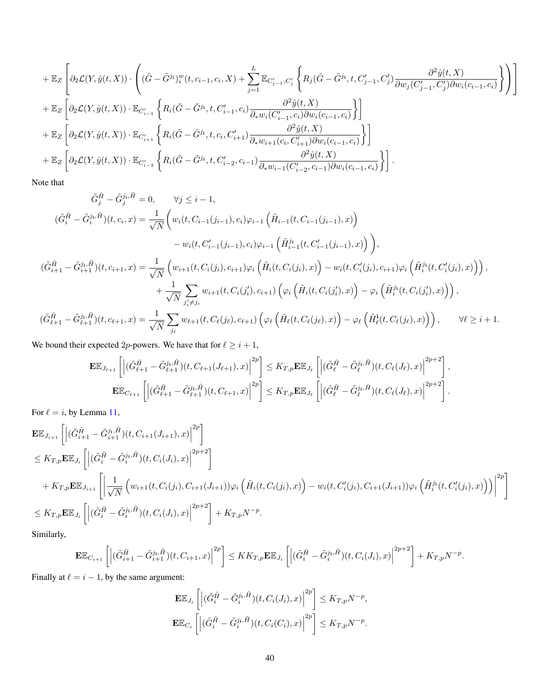$$
+ \mathbb{E}_{Z}\left[\partial_{2}\mathcal{L}(Y,\hat{y}(t,X))\cdot\left((\tilde{G}-\tilde{G}^{j_{1}})^{w}_{i}(t,c_{i-1},c_{i},X)+\sum_{j=1}^{L}\mathbb{E}_{C'_{j-1},C'_{j}}\left\{R_{j}(\tilde{G}-\tilde{G}^{j_{1}},t,C'_{j-1},C'_{j})\frac{\partial^{2}\hat{y}(t,X)}{\partial w_{j}(C'_{j-1},C'_{j})\partial w_{i}(c_{i-1},c_{i})}\right\}\right)\right]
$$
  
+
$$
\mathbb{E}_{Z}\left[\partial_{2}\mathcal{L}(Y,\hat{y}(t,X))\cdot\mathbb{E}_{C'_{i-1}}\left\{R_{i}(\tilde{G}-\tilde{G}^{j_{1}},t,C'_{i-1},c_{i})\frac{\partial^{2}\hat{y}(t,X)}{\partial_{*}w_{i}(C'_{i-1},c_{i})\partial w_{i}(c_{i-1},c_{i})}\right\}\right]
$$
  
+
$$
\mathbb{E}_{Z}\left[\partial_{2}\mathcal{L}(Y,\hat{y}(t,X))\cdot\mathbb{E}_{C'_{i+1}}\left\{R_{i}(\tilde{G}-\tilde{G}^{j_{1}},t,c_{i},C'_{i+1})\frac{\partial^{2}\hat{y}(t,X)}{\partial_{*}w_{i+1}(c_{i},C'_{i+1})\partial w_{i}(c_{i-1},c_{i})}\right\}\right]
$$
  
+
$$
\mathbb{E}_{Z}\left[\partial_{2}\mathcal{L}(Y,\hat{y}(t,X))\cdot\mathbb{E}_{C'_{i-2}}\left\{R_{i}(\tilde{G}-\tilde{G}^{j_{1}},t,C'_{i-2},c_{i-1})\frac{\partial^{2}\hat{y}(t,X)}{\partial_{*}w_{i-1}(C'_{i-2},c_{i-1})\partial w_{i}(c_{i-1},c_{i})}\right\}\right].
$$

Note that

$$
\tilde{G}_{j}^{\tilde{H}} - \tilde{G}_{j}^{j_{1},\tilde{H}} = 0, \qquad \forall j \leq i - 1,
$$
\n
$$
(\tilde{G}_{i}^{\tilde{H}} - \tilde{G}_{i}^{j_{1},\tilde{H}})(t, c_{i}, x) = \frac{1}{\sqrt{N}} \Big( w_{i}(t, C_{i-1}(j_{i-1}), c_{i})\varphi_{i-1} \left( \tilde{H}_{i-1}(t, C_{i-1}(j_{i-1}), x) \right) - w_{i}(t, C'_{i-1}(j_{i-1}), c_{i})\varphi_{i-1} \left( \tilde{H}_{i-1}^{j_{1}}(t, C'_{i-1}(j_{i-1}), x) \right) \Big),
$$
\n
$$
(\tilde{G}_{i+1}^{\tilde{H}} - \tilde{G}_{i+1}^{j_{1},\tilde{H}})(t, c_{i+1}, x) = \frac{1}{\sqrt{N}} \Big( w_{i+1}(t, C_{i}(j_{i}), c_{i+1})\varphi_{i} \left( \tilde{H}_{i}(t, C_{i}(j_{i}), x) \right) - w_{i}(t, C'_{i}(j_{i}), c_{i+1})\varphi_{i} \left( \tilde{H}_{i}^{j_{1}}(t, C'_{i}(j_{i}), x) \right) \Big),
$$
\n
$$
+ \frac{1}{\sqrt{N}} \sum_{j'_{i} \neq j_{i}} w_{i+1}(t, C_{i}(j'_{i}), c_{i+1}) \Big( \varphi_{i} \left( \tilde{H}_{i}(t, C_{i}(j'_{i}), x) \right) - \varphi_{i} \left( \tilde{H}_{i}^{j_{1}}(t, C_{i}(j'_{i}), x) \right) \Big),
$$
\n
$$
(\tilde{G}_{\ell+1}^{\tilde{H}} - \tilde{G}_{\ell+1}^{j_{1},\tilde{H}})(t, c_{\ell+1}, x) = \frac{1}{\sqrt{N}} \sum_{j_{\ell}} w_{\ell+1}(t, C_{\ell}(j_{\ell}), c_{\ell+1}) \Big( \varphi_{\ell} \left( \tilde{H}_{\ell}(t, C_{\ell}(j_{\ell}), x) \right) - \varphi_{\ell} \left( \tilde{H}_{\ell}^{j_{1}}(t
$$

We bound their expected 2p-powers. We have that for  $\ell \geq i + 1$ ,

$$
\mathbf{E}\mathbb{E}_{J_{\ell+1}}\left[\left|(\tilde{G}_{\ell+1}^{\tilde{H}}-\tilde{G}_{\ell+1}^{j_{\mathbf{i}},\tilde{H}})(t,C_{\ell+1}(J_{\ell+1}),x)\right|^{2p}\right] \leq K_{T,p}\mathbf{E}\mathbb{E}_{J_{\ell}}\left[\left|(\tilde{G}_{\ell}^{\tilde{H}}-\tilde{G}_{\ell}^{j_{\mathbf{i}},\tilde{H}})(t,C_{\ell}(J_{\ell}),x)\right|^{2p+2}\right],
$$
  

$$
\mathbf{E}\mathbb{E}_{C_{\ell+1}}\left[\left|(\tilde{G}_{\ell+1}^{\tilde{H}}-\tilde{G}_{\ell+1}^{j_{\mathbf{i}},\tilde{H}})(t,C_{\ell+1},x)\right|^{2p}\right] \leq K_{T,p}\mathbf{E}\mathbb{E}_{J_{\ell}}\left[\left|(\tilde{G}_{\ell}^{\tilde{H}}-\tilde{G}_{\ell}^{j_{\mathbf{i}},\tilde{H}})(t,C_{\ell}(J_{\ell}),x)\right|^{2p+2}\right].
$$

.

For  $\ell = i$ , by Lemma [11,](#page-13-1)

$$
\mathbf{E} \mathbb{E}_{J_{i+1}} \left[ \left| (\tilde{G}_{i+1}^{\tilde{H}} - \tilde{G}_{i+1}^{j_{i}, \tilde{H}})(t, C_{i+1}(J_{i+1}), x) \right|^{2p} \right] \n\leq K_{T,p} \mathbf{E} \mathbb{E}_{J_{i}} \left[ \left| (\tilde{G}_{i}^{\tilde{H}} - \tilde{G}_{i}^{j_{i}, \tilde{H}})(t, C_{i}(J_{i}), x) \right|^{2p+2} \right] \n+ K_{T,p} \mathbf{E} \mathbb{E}_{J_{i+1}} \left[ \left| \frac{1}{\sqrt{N}} \left( w_{i+1}(t, C_{i}(j_{i}), C_{i+1}(J_{i+1})) \varphi_{i} \left( \tilde{H}_{i}(t, C_{i}(j_{i}), x) \right) - w_{i}(t, C'_{i}(j_{i}), C_{i+1}(J_{i+1})) \varphi_{i} \left( \tilde{H}_{i}^{j_{i}}(t, C'_{i}(j_{i}), x) \right) \right) \right|^{2p} \right] \n\leq K_{T,p} \mathbf{E} \mathbb{E}_{J_{i}} \left[ \left| (\tilde{G}_{i}^{\tilde{H}} - \tilde{G}_{i}^{j_{i}, \tilde{H}})(t, C_{i}(J_{i}), x) \right|^{2p+2} \right] + K_{T,p} N^{-p}.
$$

Similarly,

$$
\mathbf{E}\mathbb{E}_{C_{i+1}}\left[\left|(\tilde{G}_{i+1}^{\tilde{H}}-\tilde{G}_{i+1}^{j_{\mathbf{i}},\tilde{H}})(t,C_{i+1},x)\right|^{2p}\right]\leq KK_{T,p}\mathbf{E}\mathbb{E}_{J_{i}}\left[\left|(\tilde{G}_{i}^{\tilde{H}}-\tilde{G}_{i}^{j_{\mathbf{i}},\tilde{H}})(t,C_{i}(J_{i}),x)\right|^{2p+2}\right]+K_{T,p}N^{-p}.
$$

Finally at  $\ell = i - 1$ , by the same argument:

$$
\begin{aligned} &\mathbf{E}\mathbb{E}_{J_i}\left[\left|(\tilde{G}_i^{\tilde{H}}-\tilde{G}_i^{j_i,\tilde{H}})(t,C_i(J_i),x)\right|^{2p}\right] \leq K_{T,p}N^{-p},\\ &\mathbf{E}\mathbb{E}_{C_i}\left[\left|(\tilde{G}_i^{\tilde{H}}-\tilde{G}_i^{j_i,\tilde{H}})(t,C_i(C_i),x)\right|^{2p}\right] \leq K_{T,p}N^{-p}. \end{aligned}
$$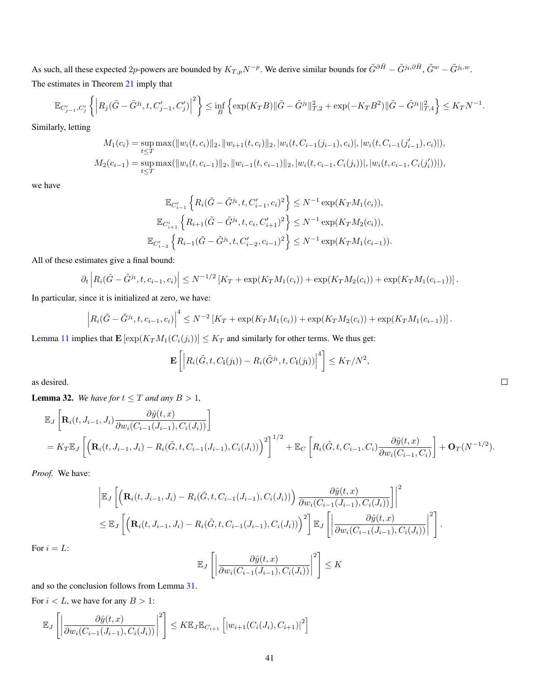As such, all these expected 2p-powers are bounded by  $K_{T,p}N^{-p}$ . We derive similar bounds for  $\tilde{G}^{\partial \tilde{H}} - \tilde{G}^{j_1,\partial \tilde{H}}, \tilde{G}^w - \tilde{G}^{j_1,w}$ . The estimates in Theorem [21](#page-24-1) imply that

$$
\mathbb{E}_{C'_{j-1},C'_j}\left\{\left|R_j(\tilde{G}-\tilde{G}^{j_1},t,C'_{j-1},C'_j)\right|^2\right\} \leq \inf_{B}\left\{\exp(K_T B)\|\tilde{G}-\tilde{G}^{j_1}\|_{T,2}^2+\exp(-K_T B^2)\|\tilde{G}-\tilde{G}^{j_1}\|_{T,4}^2\right\} \leq K_T N^{-1}.
$$

Similarly, letting

$$
M_1(c_i) = \sup_{t \le T} \max(||w_i(t, c_i)||_2, ||w_{i+1}(t, c_i)||_2, |w_i(t, C_{i-1}(j_{i-1}), c_i)|, |w_i(t, C_{i-1}(j'_{i-1}), c_i)|),
$$
  

$$
M_2(c_{i-1}) = \sup_{t \le T} \max(||w_i(t, c_{i-1})||_2, ||w_{i-1}(t, c_{i-1})||_2, |w_i(t, c_{i-1}, C_i(j_i))|, |w_i(t, c_{i-1}, C_i(j'_i))|),
$$

we have

$$
\mathbb{E}_{C'_{i-1}}\left\{R_i(\tilde{G}-\tilde{G}^{j_i},t,C'_{i-1},c_i)^2\right\} \leq N^{-1}\exp(K_T M_1(c_i)),
$$
  

$$
\mathbb{E}_{C'_{i+1}}\left\{R_{i+1}(\tilde{G}-\tilde{G}^{j_i},t,c_i,C'_{i+1})^2\right\} \leq N^{-1}\exp(K_T M_2(c_i)),
$$
  

$$
\mathbb{E}_{C'_{i-2}}\left\{R_{i-1}(\tilde{G}-\tilde{G}^{j_i},t,C'_{i-2},c_{i-1})^2\right\} \leq N^{-1}\exp(K_T M_1(c_{i-1})).
$$

All of these estimates give a final bound:

$$
\partial_t \left| R_i(\tilde{G} - \tilde{G}^{j_i}, t, c_{i-1}, c_i) \right| \leq N^{-1/2} \left[ K_T + \exp(K_T M_1(c_i)) + \exp(K_T M_2(c_i)) + \exp(K_T M_1(c_{i-1})) \right].
$$

In particular, since it is initialized at zero, we have:

$$
\left| R_i(\tilde{G} - \tilde{G}^{j_i}, t, c_{i-1}, c_i) \right|^4 \leq N^{-2} \left[ K_T + \exp(K_T M_1(c_i)) + \exp(K_T M_2(c_i)) + \exp(K_T M_1(c_{i-1})) \right].
$$

Lemma [11](#page-13-1) implies that  $\mathbf{E} \left[ \exp(K_T M_1(C_i(j_i))] \leq K_T$  and similarly for other terms. We thus get:

4

$$
\mathbf{E}\left[\left|R_i(\tilde{G},t,C_{\mathbf{i}}(j_{\mathbf{i}}))-R_i(\tilde{G}^{j_{\mathbf{i}}},t,C_{\mathbf{i}}(j_{\mathbf{i}}))\right|^4\right] \leq K_T/N^2,
$$

as desired.

<span id="page-40-0"></span>**Lemma 32.** We have for  $t \leq T$  and any  $B > 1$ ,

$$
\mathbb{E}_{J}\left[\mathbf{R}_{i}(t, J_{i-1}, J_{i}) \frac{\partial \hat{y}(t, x)}{\partial w_{i}(C_{i-1}(J_{i-1}), C_{i}(J_{i}))}\right]
$$
\n
$$
= K_{T} \mathbb{E}_{J}\left[\left(\mathbf{R}_{i}(t, J_{i-1}, J_{i}) - R_{i}(\tilde{G}, t, C_{i-1}(J_{i-1}), C_{i}(J_{i}))\right)^{2}\right]^{1/2} + \mathbb{E}_{C}\left[R_{i}(\tilde{G}, t, C_{i-1}, C_{i}) \frac{\partial \hat{y}(t, x)}{\partial w_{i}(C_{i-1}, C_{i})}\right] + \mathbf{O}_{T}(N^{-1/2}).
$$

*Proof.* We have:

$$
\left| \mathbb{E}_{J} \left[ \left( \mathbf{R}_{i}(t, J_{i-1}, J_{i}) - R_{i}(\tilde{G}, t, C_{i-1}(J_{i-1}), C_{i}(J_{i})) \right) \frac{\partial \hat{y}(t, x)}{\partial w_{i}(C_{i-1}(J_{i-1}), C_{i}(J_{i}))} \right] \right|^{2}
$$
  

$$
\leq \mathbb{E}_{J} \left[ \left( \mathbf{R}_{i}(t, J_{i-1}, J_{i}) - R_{i}(\tilde{G}, t, C_{i-1}(J_{i-1}), C_{i}(J_{i})) \right)^{2} \right] \mathbb{E}_{J} \left[ \left| \frac{\partial \hat{y}(t, x)}{\partial w_{i}(C_{i-1}(J_{i-1}), C_{i}(J_{i}))} \right|^{2} \right].
$$

For  $i = L$ :

$$
\mathbb{E}_J\left[\left|\frac{\partial \hat{y}(t,x)}{\partial w_i(C_{i-1}(J_{i-1}),C_i(J_i))}\right|^2\right] \leq K
$$

and so the conclusion follows from Lemma [31.](#page-38-0)

For  $i < L$ , we have for any  $B > 1$ :

$$
\mathbb{E}_J\left[\left|\frac{\partial \hat{y}(t,x)}{\partial w_i(C_{i-1}(J_{i-1}),C_i(J_i))}\right|^2\right] \leq K \mathbb{E}_J \mathbb{E}_{C_{i+1}}\left[|w_{i+1}(C_i(J_i),C_{i+1})|^2\right]
$$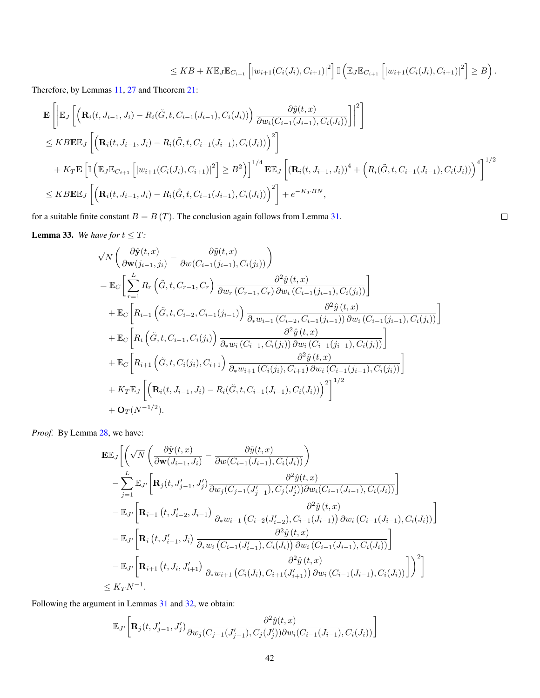$$
\leq KB + K\mathbb{E}_{J}\mathbb{E}_{C_{i+1}}\left[|w_{i+1}(C_i(J_i), C_{i+1})|^2\right] \mathbb{I}\left(\mathbb{E}_{J}\mathbb{E}_{C_{i+1}}\left[|w_{i+1}(C_i(J_i), C_{i+1})|^2\right] \geq B\right).
$$

 $\Box$ 

Therefore, by Lemmas [11,](#page-13-1) [27](#page-34-0) and Theorem [21:](#page-24-1)

$$
\mathbf{E}\left[\left|\mathbb{E}_{J}\left[\left(\mathbf{R}_{i}(t,J_{i-1},J_{i})-R_{i}(\tilde{G},t,C_{i-1}(J_{i-1}),C_{i}(J_{i}))\right)\frac{\partial \hat{y}(t,x)}{\partial w_{i}(C_{i-1}(J_{i-1}),C_{i}(J_{i}))}\right]\right|^{2}\right]
$$
\n
$$
\leq KBE\mathbb{E}_{J}\left[\left(\mathbf{R}_{i}(t,J_{i-1},J_{i})-R_{i}(\tilde{G},t,C_{i-1}(J_{i-1}),C_{i}(J_{i}))\right)^{2}\right]
$$
\n
$$
+K_{T}\mathbf{E}\left[\mathbb{I}\left(\mathbb{E}_{J}\mathbb{E}_{C_{i+1}}\left[|w_{i+1}(C_{i}(J_{i}),C_{i+1})|^{2}\right] \geq B^{2}\right)\right]^{1/4}\mathbf{E}\mathbb{E}_{J}\left[\left(\mathbf{R}_{i}(t,J_{i-1},J_{i})\right)^{4}+\left(R_{i}(\tilde{G},t,C_{i-1}(J_{i-1}),C_{i}(J_{i}))\right)^{4}\right]^{1/2}
$$
\n
$$
\leq KBE\mathbb{E}_{J}\left[\left(\mathbf{R}_{i}(t,J_{i-1},J_{i})-R_{i}(\tilde{G},t,C_{i-1}(J_{i-1}),C_{i}(J_{i}))\right)^{2}\right]+e^{-KT_{i}B_{N}},
$$

for a suitable finite constant  $B = B(T)$ . The conclusion again follows from Lemma [31.](#page-38-0)

<span id="page-41-0"></span>**Lemma 33.** We have for  $t \leq T$ :

$$
\sqrt{N}\left(\frac{\partial \hat{\mathbf{y}}(t,x)}{\partial \mathbf{w}(j_{i-1},j_i)} - \frac{\partial \hat{y}(t,x)}{\partial w(C_{i-1}(j_{i-1}),C_i(j_i))}\right)
$$
\n
$$
= \mathbb{E}_C\left[\sum_{r=1}^L R_r\left(\tilde{G},t,C_{r-1},C_r\right) \frac{\partial^2 \hat{y}(t,x)}{\partial w_r(C_{r-1},C_r)\partial w_i(C_{i-1}(j_{i-1}),C_i(j_i))}\right]
$$
\n
$$
+ \mathbb{E}_C\left[R_{i-1}\left(\tilde{G},t,C_{i-2},C_{i-1}(j_{i-1})\right) \frac{\partial^2 \hat{y}(t,x)}{\partial_* w_{i-1}(C_{i-2},C_{i-1}(j_{i-1}))\partial w_i(C_{i-1}(j_{i-1}),C_i(j_i))}\right]
$$
\n
$$
+ \mathbb{E}_C\left[R_i\left(\tilde{G},t,C_{i-1},C_i(j_i)\right) \frac{\partial^2 \hat{y}(t,x)}{\partial_* w_i(C_{i-1},C_i(j_i))\partial w_i(C_{i-1}(j_{i-1}),C_i(j_i))}\right]
$$
\n
$$
+ \mathbb{E}_C\left[R_{i+1}\left(\tilde{G},t,C_i(j_i),C_{i+1}\right) \frac{\partial^2 \hat{y}(t,x)}{\partial_* w_{i+1}(C_i(j_i),C_{i+1})\partial w_i(C_{i-1}(j_{i-1}),C_i(j_i))}\right]
$$
\n
$$
+ K_T \mathbb{E}_J\left[\left(\mathbf{R}_i(t,J_{i-1},J_i) - R_i(\tilde{G},t,C_{i-1}(J_{i-1}),C_i(J_i))\right)^2\right]^{1/2}
$$
\n
$$
+ \mathbf{O}_T(N^{-1/2}).
$$

*Proof.* By Lemma [28,](#page-37-0) we have:

$$
\mathbf{E}\mathbb{E}_{J}\bigg[\bigg(\sqrt{N}\bigg(\frac{\partial \hat{\mathbf{y}}(t,x)}{\partial \mathbf{w}(J_{i-1},J_{i})}-\frac{\partial \tilde{y}(t,x)}{\partial w(C_{i-1}(J_{i-1}),C_{i}(J_{i}))}\bigg)\\-\sum_{j=1}^{L}\mathbb{E}_{J'}\bigg[\mathbf{R}_{j}(t,J'_{j-1},J'_{j})\frac{\partial^{2}\hat{y}(t,x)}{\partial w_{j}(C_{j-1}(J'_{j-1}),C_{j}(J'_{j}))\partial w_{i}(C_{i-1}(J_{i-1}),C_{i}(J_{i}))}\bigg]\\-\mathbb{E}_{J'}\bigg[\mathbf{R}_{i-1}\left(t,J'_{i-2},J_{i-1}\right)\frac{\partial^{2}\hat{y}(t,x)}{\partial_{*}w_{i-1}\left(C_{i-2}(J'_{i-2}),C_{i-1}(J_{i-1})\right)\partial w_{i}\left(C_{i-1}(J_{i-1}),C_{i}(J_{i})\right)}\bigg]\\-\mathbb{E}_{J'}\bigg[\mathbf{R}_{i}\left(t,J'_{i-1},J_{i}\right)\frac{\partial^{2}\hat{y}(t,x)}{\partial_{*}w_{i}\left(C_{i-1}(J'_{i-1}),C_{i}(J_{i})\right)\partial w_{i}\left(C_{i-1}(J_{i-1}),C_{i}(J_{i})\right)}\bigg]\\-\mathbb{E}_{J'}\bigg[\mathbf{R}_{i+1}\left(t,J_{i},J'_{i+1}\right)\frac{\partial^{2}\hat{y}(t,x)}{\partial_{*}w_{i+1}\left(C_{i}(J_{i}),C_{i+1}(J'_{i+1})\right)\partial w_{i}\left(C_{i-1}(J_{i-1}),C_{i}(J_{i})\right)}\bigg]\bigg)^{2}\bigg]\\ \leq K_{T}N^{-1}.
$$

Following the argument in Lemmas [31](#page-38-0) and [32,](#page-40-0) we obtain:

$$
\mathbb{E}_{J'}\bigg[\mathbf{R}_j(t, J'_{j-1}, J'_j) \frac{\partial^2 \hat{y}(t, x)}{\partial w_j(C_{j-1}(J'_{j-1}), C_j(J'_j))\partial w_i(C_{i-1}(J_{i-1}), C_i(J_i))}\bigg]
$$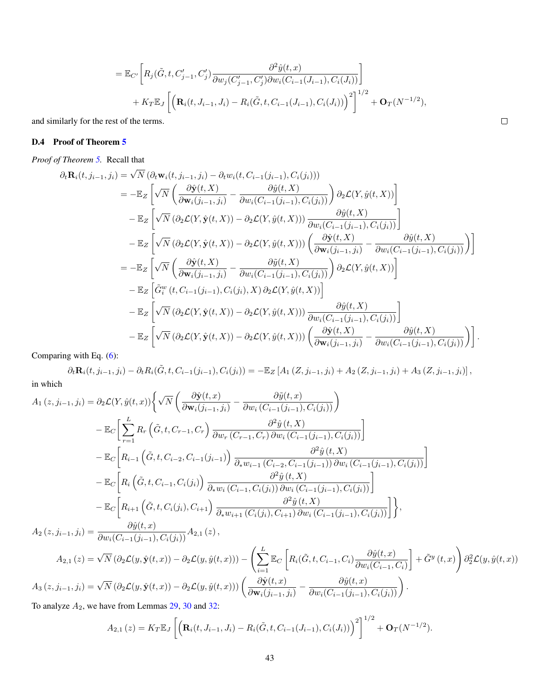$$
= \mathbb{E}_{C'} \bigg[ R_j(\tilde{G}, t, C'_{j-1}, C'_j) \frac{\partial^2 \hat{y}(t, x)}{\partial w_j(C'_{j-1}, C'_j) \partial w_i(C_{i-1}(J_{i-1}), C_i(J_i))} \bigg] + K_T \mathbb{E}_J \left[ \left( \mathbf{R}_i(t, J_{i-1}, J_i) - R_i(\tilde{G}, t, C_{i-1}(J_{i-1}), C_i(J_i)) \right)^2 \right]^{1/2} + \mathbf{O}_T(N^{-1/2}),
$$

and similarly for the rest of the terms.

# D.4 Proof of Theorem [5](#page-6-0)

*Proof of Theorem [5.](#page-6-0)* Recall that

$$
\partial_t \mathbf{R}_i(t, j_{i-1}, j_i) = \sqrt{N} \left( \partial_t \mathbf{w}_i(t, j_{i-1}, j_i) - \partial_t w_i(t, C_{i-1}(j_{i-1}), C_i(j_i)) \right)
$$
\n
$$
= -\mathbb{E}_Z \left[ \sqrt{N} \left( \frac{\partial \hat{\mathbf{y}}(t, X)}{\partial \mathbf{w}_i(j_{i-1}, j_i)} - \frac{\partial \hat{y}(t, X)}{\partial w_i(C_{i-1}(j_{i-1}), C_i(j_i))} \right) \partial_2 \mathcal{L}(Y, \hat{y}(t, X)) \right]
$$
\n
$$
- \mathbb{E}_Z \left[ \sqrt{N} \left( \partial_2 \mathcal{L}(Y, \hat{\mathbf{y}}(t, X)) - \partial_2 \mathcal{L}(Y, \hat{y}(t, X)) \right) \frac{\partial \hat{y}(t, X)}{\partial w_i(C_{i-1}(j_{i-1}), C_i(j_i))} \right]
$$
\n
$$
- \mathbb{E}_Z \left[ \sqrt{N} \left( \partial_2 \mathcal{L}(Y, \hat{\mathbf{y}}(t, X)) - \partial_2 \mathcal{L}(Y, \hat{y}(t, X)) \right) \left( \frac{\partial \hat{\mathbf{y}}(t, X)}{\partial \mathbf{w}_i(j_{i-1}, j_i)} - \frac{\partial \hat{y}(t, X)}{\partial w_i(C_{i-1}(j_{i-1}), C_i(j_i))} \right) \right]
$$
\n
$$
= -\mathbb{E}_Z \left[ \sqrt{N} \left( \frac{\partial \hat{\mathbf{y}}(t, X)}{\partial \mathbf{w}_i(j_{i-1}, j_i)} - \frac{\partial \hat{y}(t, X)}{\partial w_i(C_{i-1}(j_{i-1}), C_i(j_i))} \right) \partial_2 \mathcal{L}(Y, \hat{y}(t, X)) \right]
$$
\n
$$
- \mathbb{E}_Z \left[ \tilde{G}_i^w(t, C_{i-1}(j_{i-1}), C_i(j_i), X) \partial_2 \mathcal{L}(Y, \hat{y}(t, X)) \right]
$$
\n
$$
- \mathbb{E}_Z \left[ \sqrt{N} \left( \partial_2 \mathcal{L}(Y, \hat{\mathbf{y}}(t, X)) - \partial_2 \mathcal{L}(Y, \hat{y}(t, X)) \right) \
$$

Comparing with Eq. [\(6\)](#page-13-2):

$$
\partial_{t} \mathbf{R}_{i}(t, j_{i-1}, j_{i}) - \partial_{t} R_{i}(\tilde{G}, t, C_{i-1}(j_{i-1}), C_{i}(j_{i})) = -\mathbb{E}_{Z} \left[ A_{1} \left( Z, j_{i-1}, j_{i} \right) + A_{2} \left( Z, j_{i-1}, j_{i} \right) + A_{3} \left( Z, j_{i-1}, j_{i} \right) \right],
$$
 in which

$$
A_{1}(z, j_{i-1}, j_{i}) = \partial_{2} \mathcal{L}(Y, \hat{y}(t, x)) \Big\{ \sqrt{N} \left( \frac{\partial \hat{y}(t, x)}{\partial \mathbf{w}_{i}(j_{i-1}, j_{i})} - \frac{\partial \tilde{y}(t, x)}{\partial w_{i}(C_{i-1}(j_{i-1}), C_{i}(j_{i}))} \right) - \mathbb{E}_{C} \Bigg[ \sum_{r=1}^{L} R_{r} \left( \tilde{G}, t, C_{r-1}, C_{r} \right) \frac{\partial^{2} \hat{y}(t, X)}{\partial w_{r}(C_{r-1}, C_{r}) \partial w_{i}(C_{i-1}(j_{i-1}), C_{i}(j_{i}))} \Bigg] - \mathbb{E}_{C} \Bigg[ R_{i-1} \left( \tilde{G}, t, C_{i-2}, C_{i-1}(j_{i-1}) \right) \frac{\partial^{2} \hat{y}(t, X)}{\partial_{*} w_{i-1}(C_{i-2}, C_{i-1}(j_{i-1})) \partial w_{i}(C_{i-1}(j_{i-1}), C_{i}(j_{i}))} \Bigg] - \mathbb{E}_{C} \Bigg[ R_{i} \left( \tilde{G}, t, C_{i-1}, C_{i}(j_{i}) \right) \frac{\partial^{2} \hat{y}(t, X)}{\partial_{*} w_{i}(C_{i-1}, C_{i}(j_{i})) \partial w_{i}(C_{i-1}(j_{i-1}), C_{i}(j_{i}))} \Bigg] - \mathbb{E}_{C} \Bigg[ R_{i+1} \left( \tilde{G}, t, C_{i}(j_{i}), C_{i+1} \right) \frac{\partial^{2} \hat{y}(t, X)}{\partial_{*} w_{i+1}(C_{i}(j_{i}), C_{i+1}) \partial w_{i}(C_{i-1}(j_{i-1}), C_{i}(j_{i}))} \Bigg] \Bigg\},
$$
  

$$
A_{2}(z, j_{i-1}, j_{i}) = \frac{\partial \hat{y}(t, x)}{\partial w_{i}(C_{i-1}(j_{i-1}), C_{i}(j_{i}))} A_{2,1}(z),
$$

$$
A_{2,1}(z) = \sqrt{N} \left( \partial_2 \mathcal{L}(y, \hat{\mathbf{y}}(t, x)) - \partial_2 \mathcal{L}(y, \hat{y}(t, x)) \right) - \left( \sum_{i=1}^L \mathbb{E}_C \left[ R_i(\tilde{G}, t, C_{i-1}, C_i) \frac{\partial \hat{y}(t, x)}{\partial w_i(C_{i-1}, C_i)} \right] + \tilde{G}^y(t, x) \right) \partial_2^2 \mathcal{L}(y, \hat{y}(t, x))
$$
  

$$
A_3(z, j_{i-1}, j_i) = \sqrt{N} \left( \partial_2 \mathcal{L}(y, \hat{\mathbf{y}}(t, x)) - \partial_2 \mathcal{L}(y, \hat{y}(t, x)) \right) \left( \frac{\partial \hat{\mathbf{y}}(t, x)}{\partial \mathbf{w}_i(j_{i-1}, j_i)} - \frac{\partial \hat{y}(t, x)}{\partial w_i(C_{i-1}(j_{i-1}), C_i(j_i))} \right).
$$

To analyze  $A_2$ , we have from Lemmas [29,](#page-37-1) [30](#page-38-1) and [32:](#page-40-0)

$$
A_{2,1}(z) = K_T \mathbb{E}_J \left[ \left( \mathbf{R}_i(t, J_{i-1}, J_i) - R_i(\tilde{G}, t, C_{i-1}(J_{i-1}), C_i(J_i)) \right)^2 \right]^{1/2} + \mathbf{O}_T(N^{-1/2}).
$$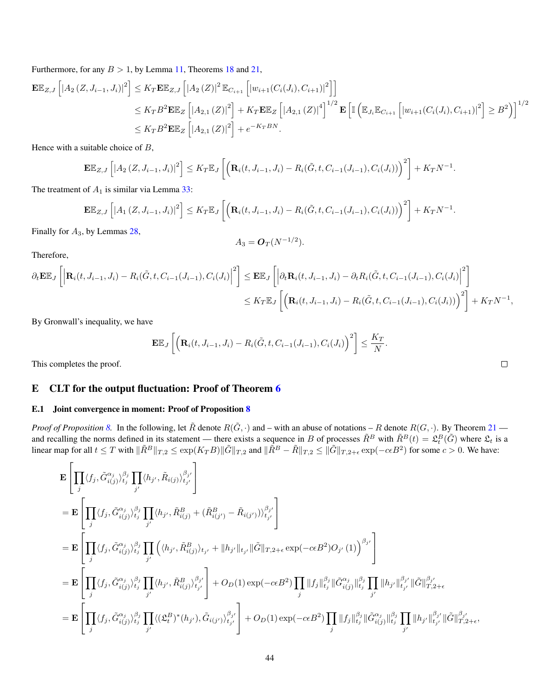Furthermore, for any  $B > 1$ , by Lemma [11,](#page-13-1) Theorems [18](#page-22-0) and [21,](#page-24-1)

$$
\mathbf{E} \mathbb{E}_{Z,J} \left[ \left| A_2 \left( Z, J_{i-1}, J_i \right) \right|^2 \right] \leq K_T \mathbf{E} \mathbb{E}_{Z,J} \left[ \left| A_2 \left( Z \right) \right|^2 \mathbb{E}_{C_{i+1}} \left[ \left| w_{i+1} \left( C_i \left( J_i \right), C_{i+1} \right) \right|^2 \right] \right] \n\leq K_T B^2 \mathbf{E} \mathbb{E}_Z \left[ \left| A_{2,1} \left( Z \right) \right|^2 \right] + K_T \mathbf{E} \mathbb{E}_Z \left[ \left| A_{2,1} \left( Z \right) \right|^4 \right]^{1/2} \mathbf{E} \left[ \mathbb{I} \left( \mathbb{E}_{J_i} \mathbb{E}_{C_{i+1}} \left[ \left| w_{i+1} \left( C_i \left( J_i \right), C_{i+1} \right) \right|^2 \right] \right] \geq B^2 \right) \right]^{1/2} \n\leq K_T B^2 \mathbf{E} \mathbb{E}_Z \left[ \left| A_{2,1} \left( Z \right) \right|^2 \right] + e^{-K_T B N}.
$$

Hence with a suitable choice of  $B$ ,

$$
\mathbf{E} \mathbb{E}_{Z,J} \left[ \left| A_2 \left( Z, J_{i-1}, J_i \right) \right|^2 \right] \le K_T \mathbb{E}_J \left[ \left( \mathbf{R}_i(t, J_{i-1}, J_i) - R_i(\tilde{G}, t, C_{i-1}(J_{i-1}), C_i(J_i)) \right)^2 \right] + K_T N^{-1}
$$

The treatment of  $A_1$  is similar via Lemma [33:](#page-41-0)

$$
\mathbf{E} \mathbb{E}_{Z,J} \left[ \left| A_1 \left( Z, J_{i-1}, J_i \right) \right|^2 \right] \leq K_T \mathbb{E}_J \left[ \left( \mathbf{R}_i(t, J_{i-1}, J_i) - R_i(\tilde{G}, t, C_{i-1}(J_{i-1}), C_i(J_i)) \right)^2 \right] + K_T N^{-1}
$$

Finally for  $A_3$ , by Lemmas [28,](#page-37-0)

$$
A_3 = \mathbf{O}_T(N^{-1/2}).
$$

Therefore,

$$
\partial_t \mathbf{E} \mathbb{E}_J \left[ \left| \mathbf{R}_i(t, J_{i-1}, J_i) - R_i(\tilde{G}, t, C_{i-1}(J_{i-1}), C_i(J_i)) \right|^2 \right] \leq \mathbf{E} \mathbb{E}_J \left[ \left| \partial_t \mathbf{R}_i(t, J_{i-1}, J_i) - \partial_t R_i(\tilde{G}, t, C_{i-1}(J_{i-1}), C_i(J_i)) \right|^2 \right] \n\leq K_T \mathbb{E}_J \left[ \left( \mathbf{R}_i(t, J_{i-1}, J_i) - R_i(\tilde{G}, t, C_{i-1}(J_{i-1}), C_i(J_i)) \right)^2 \right] + K_T N^{-1},
$$

By Gronwall's inequality, we have

$$
\mathbf{E}\mathbb{E}_J\left[\left(\mathbf{R}_i(t, J_{i-1}, J_i) - R_i(\tilde{G}, t, C_{i-1}(J_{i-1}), C_i(J_i)\right)^2\right] \leq \frac{K_T}{N}.
$$

This completes the proof.

# <span id="page-43-0"></span>E CLT for the output fluctuation: Proof of Theorem [6](#page-6-1)

#### E.1 Joint convergence in moment: Proof of Proposition [8](#page-7-3)

*Proof of Proposition* [8.](#page-7-3) In the following, let  $\tilde{R}$  denote  $R(\tilde{G},.)$  and – with an abuse of notations – R denote  $R(G,.)$ . By Theorem [21](#page-24-1) and recalling the norms defined in its statement — there exists a sequence in B of processes  $\tilde{R}^B$  with  $\tilde{R}^B(t) = \mathfrak{L}_t^B(\tilde{G})$  where  $\mathfrak{L}_t$  is a linear map for all  $t \leq T$  with  $\|\tilde{R}^{B}\|_{T,2} \leq \exp(K_T B)\|\tilde{G}\|_{T,2}$  and  $\|\tilde{R}^{B} - \tilde{R}\|_{T,2} \leq \|\tilde{G}\|_{T,2+\epsilon} \exp(-c\epsilon B^2)$  for some  $c > 0$ . We have:

$$
\begin{split}\n&\mathbf{E}\left[\prod_{j}\langle f_{j},\tilde{G}_{i(j)}^{\alpha_{j}}\rangle_{t_{j}}^{\beta_{j}}\prod_{j'}\langle h_{j'},\tilde{R}_{i(j)}\rangle_{t_{j'}}^{\beta_{j'}}\right] \\
&=\mathbf{E}\left[\prod_{j}\langle f_{j},\tilde{G}_{i(j)}^{\alpha_{j}}\rangle_{t_{j}}^{\beta_{j}}\prod_{j'}\langle h_{j'},\tilde{R}_{i(j)}^{B}+(\tilde{R}_{i(j')}^{B}-\tilde{R}_{i(j')})\rangle_{t_{j'}}^{\beta_{j'}}\right] \\
&=\mathbf{E}\left[\prod_{j}\langle f_{j},\tilde{G}_{i(j)}^{\alpha_{j}}\rangle_{t_{j}}^{\beta_{j}}\prod_{j'}\left(\langle h_{j'},\tilde{R}_{i(j)}^{B}\rangle_{t_{j'}}+\|h_{j'}\|_{t_{j'}}\|\tilde{G}\|_{T,2+\epsilon}\exp(-c\epsilon B^{2})O_{j'}(1)\right)^{\beta_{j'}}\right] \\
&=\mathbf{E}\left[\prod_{j}\langle f_{j},\tilde{G}_{i(j)}^{\alpha_{j}}\rangle_{t_{j}}^{\beta_{j}}\prod_{j'}\langle h_{j'},\tilde{R}_{i(j)}^{\beta_{j}}\rangle_{t_{j'}}^{\beta_{j'}}\right]+O_{D}(1)\exp(-c\epsilon B^{2})\prod_{j}\|f_{j}\|_{t_{j}}^{\beta_{j}}\|\tilde{G}_{i(j)}^{\alpha_{j}}\|_{t_{j}}^{\beta_{j'}}\prod_{j'}\|h_{j'}\|_{t_{j'}}^{\beta_{j'}}\|\tilde{G}\|_{T,2+\epsilon}^{\beta_{j'}}\right] \\
&=\mathbf{E}\left[\prod_{j}\langle f_{j},\tilde{G}_{i(j)}^{\alpha_{j}}\rangle_{t_{j}}^{\beta_{j}}\prod_{j'}\langle(\mathfrak{L}_{t}^{B})^{*}(h_{j'}),\tilde{G}_{i(j')}\rangle_{t_{j'}}^{\beta_{j'}}\right]+O_{D}(1)\exp(-c\epsilon B^{2})\prod_{j}\|f_{j}\|_{t_{j}}^{\beta_{j}}\|\tilde{G}_{i(j)}^{\alpha_{j}}\|_{t_{j}}^{\beta_{j}}\prod_{j'}\|h_{j'}\|_{t_{j'}}^{\beta_{j'}}\|\tilde{G}\|_{T,2+\epsilon}^{\beta_{j'}}.\end{split}
$$

| ۰ |  | ۰ |
|---|--|---|
|   |  |   |
|   |  |   |
|   |  |   |

.

.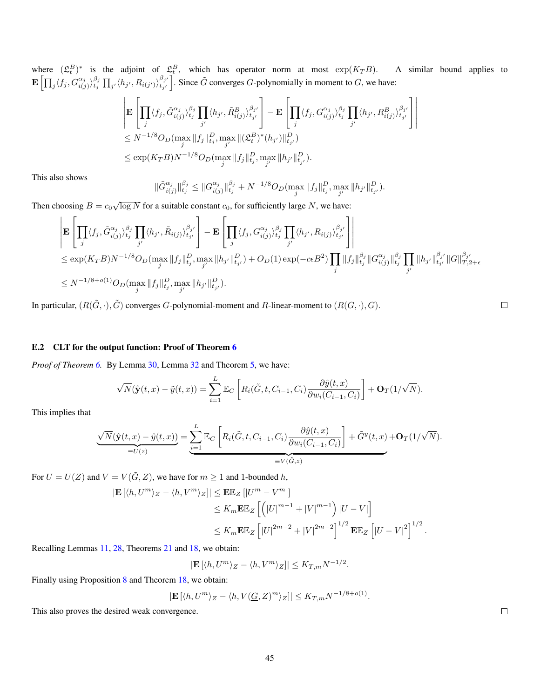where  $(\mathfrak{L}_t^B)^*$  is the adjoint of  $\mathfrak{L}_t^B$ , which has operator norm at most  $\exp(K_T B)$ . A similar bound applies to  $\mathbf{E}\left[\prod_j\langle f_j, G_{i(j)}^{\alpha_j}\rangle_{t_j}^{\beta_j}\prod_{j'}\langle h_{j'}, R_{i(j')}\rangle_{t_{j'}}^{\beta_{j'}}\right]$ . Since  $\tilde{G}$  converges *G*-polynomially in moment to *G*, we have:

$$
\begin{split} &\left|\mathbf{E}\left[\prod_j\langle f_j,\tilde{G}_{i(j)}^{\alpha_j}\rangle_{t_j}^{\beta_j}\prod_{j'}\langle h_{j'},\tilde{R}_{i(j)}^B\rangle_{t_{j'}}^{\beta_{j'}}\right]-\mathbf{E}\left[\prod_j\langle f_j,G_{i(j)}^{\alpha_j}\rangle_{t_j}^{\beta_j}\prod_{j'}\langle h_{j'},R_{i(j)}^B\rangle_{t_{j'}}^{\beta_{j'}}\right]\right|\\ &\le N^{-1/8}O_D(\max_j\|f_j\|_{t_j}^D,\max_{j'}\|(\mathfrak{L}_t^B)^*(h_{j'})\|_{t_{j'}}^D)\\ &\le \exp(K_TB)N^{-1/8}O_D(\max_j\|f_j\|_{t_j}^D,\max_{j'}\|h_{j'}\|_{t_{j'}}^D). \end{split}
$$

This also shows

$$
\|\tilde{G}_{i(j)}^{\alpha_j}\|_{t_j}^{\beta_j} \leq \|G_{i(j)}^{\alpha_j}\|_{t_j}^{\beta_j} + N^{-1/8}O_D(\max_j \|f_j\|_{t_j}^D, \max_{j'} \|h_{j'}\|_{t_{j'}}^D).
$$

Then choosing  $B = c_0 \sqrt{\log N}$  for a suitable constant  $c_0$ , for sufficiently large N, we have:

$$
\begin{split}\n&\left|\mathbf{E}\left[\prod_{j}\langle f_{j},\tilde{G}_{i(j)}^{\alpha_{j}}\rangle_{t_{j}}^{\beta_{j}}\prod_{j'}\langle h_{j'},\tilde{R}_{i(j)}\rangle_{t_{j'}}^{\beta_{j'}}\right]-\mathbf{E}\left[\prod_{j}\langle f_{j},G_{i(j)}^{\alpha_{j}}\rangle_{t_{j}}^{\beta_{j}}\prod_{j'}\langle h_{j'},R_{i(j)}\rangle_{t_{j'}}^{\beta_{j'}}\right]\right] \\
&\leq \exp(K_{T}B)N^{-1/8}O_{D}(\max_{j}\|f_{j}\|_{t_{j}}^{D},\max_{j'}\|h_{j'}\|_{t_{j'}}^{D})+O_{D}(1)\exp(-c\epsilon B^{2})\prod_{j}\|f_{j}\|_{t_{j}}^{\beta_{j}}\|G_{i(j)}^{\alpha_{j}}\|_{t_{j}}^{\beta_{j}}\prod_{j'}\|h_{j'}\|_{t_{j'}}^{\beta_{j'}}\|G\|_{T,2+\epsilon}^{\beta_{j'}}\n\leq N^{-1/8+o(1)}O_{D}(\max_{j}\|f_{j}\|_{t_{j}}^{D},\max_{j'}\|h_{j'}\|_{t_{j'}}^{D}).\n\end{split}
$$

In particular,  $(R(\tilde{G}, \cdot), \tilde{G})$  converges G-polynomial-moment and R-linear-moment to  $(R(G, \cdot), G)$ .

#### E.2 CLT for the output function: Proof of Theorem [6](#page-6-1)

*Proof of Theorem [6.](#page-6-1)* By Lemma [30,](#page-38-1) Lemma [32](#page-40-0) and Theorem [5,](#page-6-0) we have:

$$
\sqrt{N}(\hat{\mathbf{y}}(t,x) - \tilde{y}(t,x)) = \sum_{i=1}^{L} \mathbb{E}_C \left[ R_i(\tilde{G}, t, C_{i-1}, C_i) \frac{\partial \hat{y}(t,x)}{\partial w_i(C_{i-1}, C_i)} \right] + \mathbf{O}_T(1/\sqrt{N}).
$$

This implies that

$$
\underbrace{\sqrt{N}(\hat{\mathbf{y}}(t,x) - \hat{y}(t,x))}_{\equiv U(z)} = \underbrace{\sum_{i=1}^{L} \mathbb{E}_{C} \left[ R_i(\tilde{G},t,C_{i-1},C_i) \frac{\partial \hat{y}(t,x)}{\partial w_i(C_{i-1},C_i)} \right] + \tilde{G}^y(t,x) + \mathbf{O}_T(1/\sqrt{N}).
$$

For  $U = U(Z)$  and  $V = V(\tilde{G}, Z)$ , we have for  $m \ge 1$  and 1-bounded h,

$$
\begin{split} \left| \mathbf{E} \left[ \langle h, U^m \rangle_Z - \langle h, V^m \rangle_Z \right] \right| &\leq \mathbf{E} \mathbb{E}_Z \left[ |U^m - V^m| \right] \\ &\leq K_m \mathbf{E} \mathbb{E}_Z \left[ \left( |U|^{m-1} + |V|^{m-1} \right) |U - V| \right] \\ &\leq K_m \mathbf{E} \mathbb{E}_Z \left[ |U|^{2m-2} + |V|^{2m-2} \right]^{1/2} \mathbf{E} \mathbb{E}_Z \left[ |U - V|^2 \right]^{1/2} . \end{split}
$$

Recalling Lemmas [11,](#page-13-1) [28,](#page-37-0) Theorems [21](#page-24-1) and [18,](#page-22-0) we obtain:

$$
|\mathbf{E}[\langle h, U^m \rangle_Z - \langle h, V^m \rangle_Z]| \le K_{T,m} N^{-1/2}.
$$

Finally using Proposition [8](#page-7-3) and Theorem [18,](#page-22-0) we obtain:

$$
\left| \mathbf{E} \left[ \langle h, U^m \rangle_Z - \langle h, V(\underline{G}, Z)^m \rangle_Z \right] \right| \le K_{T,m} N^{-1/8 + o(1)}.
$$

This also proves the desired weak convergence.

 $\Box$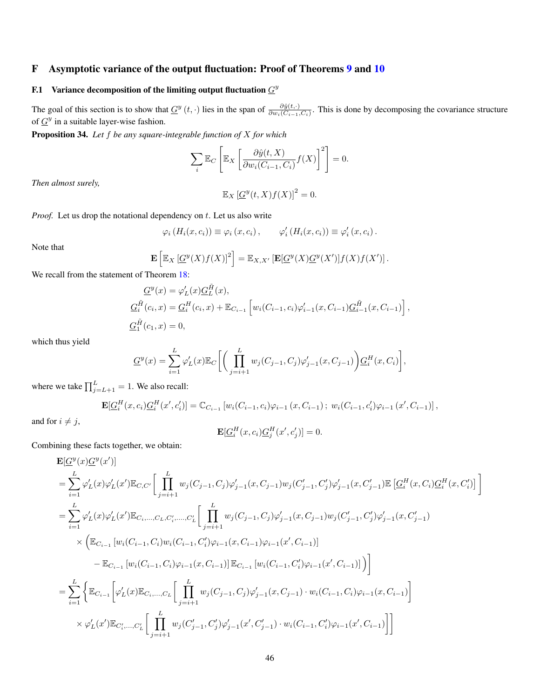# <span id="page-45-0"></span>F Asymptotic variance of the output fluctuation: Proof of Theorems [9](#page-8-1) and [10](#page-8-2)

# F.1 Variance decomposition of the limiting output fluctuation  $G<sup>y</sup>$

The goal of this section is to show that  $\underline{G}^y(t,\cdot)$  lies in the span of  $\frac{\partial \hat{y}(t,\cdot)}{\partial w_i(C_{i-1},C_i)}$ . This is done by decomposing the covariance structure of  $G^y$  in a suitable layer-wise fashion.

<span id="page-45-1"></span>Proposition 34. *Let* f *be any square-integrable function of* X *for which*

$$
\sum_{i} \mathbb{E}_C \left[ \mathbb{E}_X \left[ \frac{\partial \hat{y}(t, X)}{\partial w_i(C_{i-1}, C_i)} f(X) \right]^2 \right] = 0.
$$

*Then almost surely,*

$$
\mathbb{E}_X \left[ \underline{G}^y(t,X) f(X) \right]^2 = 0.
$$

*Proof.* Let us drop the notational dependency on  $t$ . Let us also write

$$
\varphi_i\left(H_i(x,c_i)\right) \equiv \varphi_i\left(x,c_i\right), \qquad \varphi_i'\left(H_i(x,c_i)\right) \equiv \varphi_i'\left(x,c_i\right).
$$

Note that

$$
\mathbf{E}\left[\mathbb{E}_X\left[\underline{G}^y(X)f(X)\right]^2\right] = \mathbb{E}_{X,X'}\left[\mathbf{E}[\underline{G}^y(X)\underline{G}^y(X')]f(X)f(X')\right].
$$

We recall from the statement of Theorem [18:](#page-22-0)

$$
\begin{aligned} \underline{G}^y(x) &= \varphi_L'(x) \underline{G}_L^{\tilde{H}}(x), \\ \underline{G}_i^{\tilde{H}}(c_i, x) &= \underline{G}_i^H(c_i, x) + \mathbb{E}_{C_{i-1}} \left[ w_i(C_{i-1}, c_i) \varphi_{i-1}'(x, C_{i-1}) \underline{G}_{i-1}^{\tilde{H}}(x, C_{i-1}) \right], \\ \underline{G}_1^{\tilde{H}}(c_1, x) &= 0, \end{aligned}
$$

which thus yield

$$
\underline{G}^{y}(x) = \sum_{i=1}^{L} \varphi'_{L}(x) \mathbb{E}_{C} \bigg[ \bigg( \prod_{j=i+1}^{L} w_{j}(C_{j-1}, C_{j}) \varphi'_{j-1}(x, C_{j-1}) \bigg) \underline{G}_{i}^{H}(x, C_{i}) \bigg],
$$

where we take  $\prod_{j=L+1}^{L} = 1$ . We also recall:

$$
\mathbf{E}[G_i^H(x, c_i)G_i^H(x', c'_i)]=\mathbb{C}_{C_{i-1}}[w_i(C_{i-1}, c_i)\varphi_{i-1}(x, C_{i-1}); w_i(C_{i-1}, c'_i)\varphi_{i-1}(x', C_{i-1})],
$$

and for  $i \neq j$ ,

$$
\mathbf{E}[\underline{G}_i^H(x,c_i)\underline{G}_j^H(x',c'_j)]=0.
$$

Combining these facts together, we obtain:

$$
\begin{split} &\mathbf{E}[\underline{G}^{y}(x)\underline{G}^{y}(x')]\\ &=\sum_{i=1}^{L}\varphi_{L}'(x)\varphi_{L}'(x')\mathbb{E}_{C,C'}\bigg[\prod_{j=i+1}^{L}w_{j}(C_{j-1},C_{j})\varphi_{j-1}'(x,C_{j-1})w_{j}(C_{j-1}',C_{j}')\varphi_{j-1}'(x,C_{j-1}')\mathbb{E}\left[\underline{G}_{i}^{H}(x,C_{i})\underline{G}_{i}^{H}(x,C_{i}')\right]\bigg]\\ &=\sum_{i=1}^{L}\varphi_{L}'(x)\varphi_{L}'(x')\mathbb{E}_{C_{i},...,C_{L},C'_{i},...,C'_{L}}\bigg[\prod_{j=i+1}^{L}w_{j}(C_{j-1},C_{j})\varphi_{j-1}'(x,C_{j-1})w_{j}(C_{j-1}',C'_{j})\varphi_{j-1}'(x,C_{j-1}')\\ &\quad\times\Big(\mathbb{E}_{C_{i-1}}\left[w_{i}(C_{i-1},C_{i})w_{i}(C_{i-1},C'_{i})\varphi_{i-1}(x,C_{i-1})\varphi_{i-1}(x',C_{i-1})\right]\bigg]\\ &\quad-\mathbb{E}_{C_{i-1}}\left[w_{i}(C_{i-1},C_{i})\varphi_{i-1}(x,C_{i-1})\right]\mathbb{E}_{C_{i-1}}\left[w_{i}(C_{i-1},C'_{i})\varphi_{i-1}(x',C_{i-1})]\right)\bigg]\\ &=\sum_{i=1}^{L}\Bigg\{\mathbb{E}_{C_{i-1}}\bigg[\varphi_{L}'(x)\mathbb{E}_{C_{i},...,C_{L}}\bigg[\prod_{j=i+1}^{L}w_{j}(C_{j-1},C_{j})\varphi_{j-1}'(x,C_{j-1})\cdot w_{i}(C_{i-1},C_{i})\varphi_{i-1}(x,C_{i-1})\bigg]\\ &\quad\times\varphi_{L}'(x')\mathbb{E}_{C'_{i},...,C'_{L}}\bigg[\prod_{j=i+1}^{L}w_{j}(C'_{j-1},C'_{j})\varphi_{j-1}'(x',C'_{j-1})\cdot w_{i}(C_{i-1},C'_{i})\varphi_{i-1}(x',C_{i-1})\bigg]\bigg] \end{split}
$$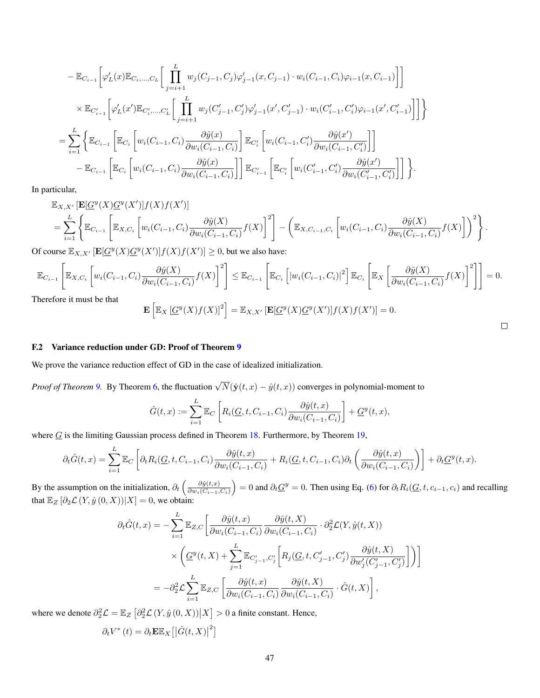$$
-\mathbb{E}_{C_{i-1}}\bigg[\varphi_L'(x)\mathbb{E}_{C_i,...,C_L}\bigg[\prod_{j=i+1}^L w_j(C_{j-1},C_j)\varphi_{j-1}'(x,C_{j-1})\cdot w_i(C_{i-1},C_i)\varphi_{i-1}(x,C_{i-1})\bigg]\bigg]
$$
  
\$\times \mathbb{E}\_{C'\_{i-1}}\bigg[\varphi\_L'(x')\mathbb{E}\_{C'\_i,...,C'\_L}\bigg[\prod\_{j=i+1}^L w\_j(C'\_{j-1},C'\_j)\varphi\_{j-1}'(x',C'\_{j-1})\cdot w\_i(C'\_{i-1},C'\_i)\varphi\_{i-1}(x',C'\_{i-1})\bigg]\bigg]\bigg\}  

$$
=\sum_{i=1}^L\bigg\{\mathbb{E}_{C_{i-1}}\bigg[\mathbb{E}_{C_i}\bigg[w_i(C_{i-1},C_i)\frac{\partial \hat{y}(x)}{\partial w_i(C_{i-1},C_i)}\bigg]\mathbb{E}_{C'_i}\bigg[w_i(C_{i-1},C'_i)\frac{\partial \hat{y}(x')}{\partial w_i(C_{i-1},C'_i)}\bigg]\bigg]
$$
  

$$
-\mathbb{E}_{C_{i-1}}\bigg[\mathbb{E}_{C_i}\bigg[w_i(C_{i-1},C_i)\frac{\partial \hat{y}(x)}{\partial w_i(C_{i-1},C_i)}\bigg]\bigg]\mathbb{E}_{C'_{i-1}}\bigg[\mathbb{E}_{C'_i}\bigg[w_i(C'_{i-1},C'_i)\frac{\partial \hat{y}(x')}{\partial w_i(C'_{i-1},C'_i)}\bigg]\bigg]\bigg\}.
$$

In particular,

 $\mathbb{E}_{X,X'}\left[\mathbf{E}[\underline{G}^y(X)\underline{G}^y(X')]\overline{f(X)}\overline{f(X')}\right]$  $=\sum_{i=1}^L\Bigg\{\mathbb{E}_{C_{i-1}}\left[\mathbb{E}_{X,C_i}\left[w_i(C_{i-1},C_i)\frac{\partial \hat{y}(X)}{\partial w_i(C_{i-1},\dots)\right. \right.$  $\left[\frac{\partial \hat{y}(X)}{\partial w_i(C_{i-1},C_i)}f(X)\right]^2$  $-\left(\mathbb{E}_{X,C_{i-1},C_i}\left[w_i(C_{i-1},C_i)\frac{\partial \hat{y}(X)}{\partial w_i(C}\right)\right]$  $\left\{\frac{\partial \hat{y}(X)}{\partial w_i(C_{i-1},C_i)}f(X)\right\}^2$ 

Of course  $\mathbb{E}_{X,X'}$   $[\mathbf{E}[\underline{G}^y(X)\underline{G}^y(X')]f(X)f(X')] \geq 0$ , but we also have:

$$
\mathbb{E}_{C_{i-1}}\left[\mathbb{E}_{X,C_i}\left[w_i(C_{i-1},C_i)\frac{\partial \hat{y}(X)}{\partial w_i(C_{i-1},C_i)}f(X)\right]^2\right] \leq \mathbb{E}_{C_{i-1}}\left[\mathbb{E}_{C_i}\left[|w_i(C_{i-1},C_i)|^2\right]\mathbb{E}_{C_i}\left[\mathbb{E}_X\left[\frac{\partial \hat{y}(X)}{\partial w_i(C_{i-1},C_i)}f(X)\right]^2\right]\right] = 0.
$$

Therefore it must be that

$$
\left[\mathbb{E}_X\left[\underline{G}^y(X)f(X)\right]^2\right] = \mathbb{E}_{X,X'}\left[\mathbf{E}[\underline{G}^y(X)\underline{G}^y(X')\right]f(X)f(X')\right] = 0.
$$

.

#### F.2 Variance reduction under GD: Proof of Theorem [9](#page-8-1)

E

We prove the variance reduction effect of GD in the case of idealized initialization.

*Proof of Theorem [9.](#page-8-1)* By Theorem [6,](#page-6-1) the fluctuation  $\sqrt{N}(\hat{y}(t,x) - \hat{y}(t,x))$  converges in polynomial-moment to

$$
\hat{G}(t,x) := \sum_{i=1}^{L} \mathbb{E}_{C} \left[ R_i(\underline{G}, t, C_{i-1}, C_i) \frac{\partial \hat{y}(t,x)}{\partial w_i(C_{i-1}, C_i)} \right] + \underline{G}^y(t,x),
$$

where  $G$  is the limiting Gaussian process defined in Theorem [18.](#page-22-0) Furthermore, by Theorem [19,](#page-23-0)

$$
\partial_t \hat{G}(t,x) = \sum_{i=1}^L \mathbb{E}_C \left[ \partial_t R_i(\underline{G}, t, C_{i-1}, C_i) \frac{\partial \hat{y}(t,x)}{\partial w_i(C_{i-1}, C_i)} + R_i(\underline{G}, t, C_{i-1}, C_i) \partial_t \left( \frac{\partial \hat{y}(t,x)}{\partial w_i(C_{i-1}, C_i)} \right) \right] + \partial_t \underline{G}^y(t,x).
$$

By the assumption on the initialization,  $\partial_t \left( \frac{\partial \hat{y}(t,x)}{\partial w_i(G_{i-1}, x)} \right)$  $\left(\frac{\partial \hat{y}(t,x)}{\partial w_i(C_{i-1},C_i)}\right) = 0$  and  $\partial_t \underline{G}^y = 0$ . Then using Eq. [\(6\)](#page-13-2) for  $\partial_t R_i(\underline{G}, t, c_{i-1}, c_i)$  and recalling that  $\mathbb{E}_Z \left[ \partial_2 \mathcal{L}(Y, \hat{y}(0, X)) | X \right] = 0$ , we obtain:

$$
\partial_t \hat{G}(t,x) = -\sum_{i=1}^L \mathbb{E}_{Z,C} \left[ \frac{\partial \hat{y}(t,x)}{\partial w_i(C_{i-1}, C_i)} \frac{\partial \hat{y}(t,X)}{\partial w_i(C_{i-1}, C_i)} \cdot \partial_2^2 \mathcal{L}(Y, \hat{y}(t,X)) \right] \times \left( \underline{G}^y(t,X) + \sum_{j=1}^L \mathbb{E}_{C'_{j-1}, C'_j} \left[ R_j(\underline{G}, t, C'_{j-1}, C'_j) \frac{\partial \hat{y}(t,X)}{\partial w'_j(C'_{j-1}, C'_j)} \right] \right) \right]
$$
  
=  $-\partial_2^2 \mathcal{L} \sum_{i=1}^L \mathbb{E}_{Z,C} \left[ \frac{\partial \hat{y}(t,x)}{\partial w_i(C_{i-1}, C_i)} \frac{\partial \hat{y}(t,X)}{\partial w_i(C_{i-1}, C_i)} \cdot \hat{G}(t,X) \right],$ 

where we denote  $\partial_2^2 \mathcal{L} = \mathbb{E}_Z \left[ \partial_2^2 \mathcal{L}(Y, \hat{y}(0, X)) \middle| X \right] > 0$  a finite constant. Hence,

$$
\partial_t V^*(t) = \partial_t \mathbf{E} \mathbb{E}_X \left[ \left| \hat{G}(t, X) \right|^2 \right]
$$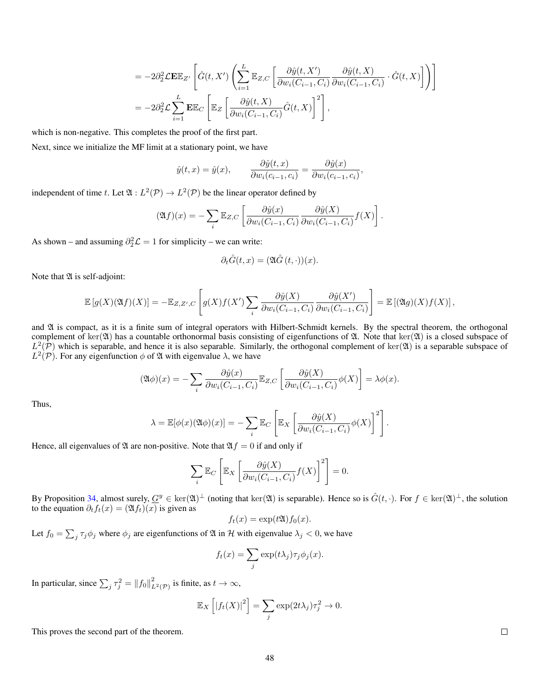$$
= -2\partial_2^2 \mathcal{L} \mathbf{E} \mathbb{E}_{Z'} \left[ \hat{G}(t, X') \left( \sum_{i=1}^L \mathbb{E}_{Z, C} \left[ \frac{\partial \hat{y}(t, X')}{\partial w_i(C_{i-1}, C_i)} \frac{\partial \hat{y}(t, X)}{\partial w_i(C_{i-1}, C_i)} \cdot \hat{G}(t, X) \right] \right) \right]
$$
  

$$
= -2\partial_2^2 \mathcal{L} \sum_{i=1}^L \mathbf{E} \mathbb{E}_C \left[ \mathbb{E}_Z \left[ \frac{\partial \hat{y}(t, X)}{\partial w_i(C_{i-1}, C_i)} \hat{G}(t, X) \right]^2 \right],
$$

which is non-negative. This completes the proof of the first part.

Next, since we initialize the MF limit at a stationary point, we have

$$
\hat{y}(t,x) = \hat{y}(x), \qquad \frac{\partial \hat{y}(t,x)}{\partial w_i(c_{i-1},c_i)} = \frac{\partial \hat{y}(x)}{\partial w_i(c_{i-1},c_i)},
$$

independent of time t. Let  $\mathfrak{A}: L^2(\mathcal{P}) \to L^2(\mathcal{P})$  be the linear operator defined by

$$
(\mathfrak{A}f)(x) = -\sum_{i} \mathbb{E}_{Z,C} \left[ \frac{\partial \hat{y}(x)}{\partial w_i(C_{i-1}, C_i)} \frac{\partial \hat{y}(X)}{\partial w_i(C_{i-1}, C_i)} f(X) \right].
$$

As shown – and assuming  $\partial_2^2 \mathcal{L} = 1$  for simplicity – we can write:

$$
\partial_t \hat{G}(t, x) = (\mathfrak{A}\hat{G}(t, \cdot))(x).
$$

Note that  $\mathfrak A$  is self-adjoint:

$$
\mathbb{E}\left[g(X)(\mathfrak{A}f)(X)\right] = -\mathbb{E}_{Z,Z',C}\left[g(X)f(X')\sum_{i}\frac{\partial \hat{y}(X)}{\partial w_{i}(C_{i-1},C_{i})}\frac{\partial \hat{y}(X')}{\partial w_{i}(C_{i-1},C_{i})}\right] = \mathbb{E}\left[(\mathfrak{A}g)(X)f(X)\right],
$$

and  $\mathfrak A$  is compact, as it is a finite sum of integral operators with Hilbert-Schmidt kernels. By the spectral theorem, the orthogonal complement of ker( $\mathfrak{A}$ ) has a countable orthonormal basis consisting of eigenfunctions of  $\mathfrak{A}$ . Note that ker( $\mathfrak{A}$ ) is a closed subspace of  $L^2(\mathcal{P})$  which is separable, and hence it is also separable. Similarly, the orthogonal complement of ker $(\mathfrak{A})$  is a separable subspace of  $L^2(\mathcal{P})$ . For any eigenfunction  $\phi$  of  $\mathfrak A$  with eigenvalue  $\lambda$ , we have

$$
(\mathfrak{A}\phi)(x) = -\sum_{i} \frac{\partial \hat{y}(x)}{\partial w_{i}(C_{i-1}, C_{i})} \mathbb{E}_{Z,C} \left[ \frac{\partial \hat{y}(X)}{\partial w_{i}(C_{i-1}, C_{i})} \phi(X) \right] = \lambda \phi(x).
$$

Thus,

$$
\lambda = \mathbb{E}[\phi(x)(\mathfrak{A}\phi)(x)] = -\sum_{i} \mathbb{E}_C \left[ \mathbb{E}_X \left[ \frac{\partial \hat{y}(X)}{\partial w_i(C_{i-1}, C_i)} \phi(X) \right]^2 \right].
$$

Hence, all eigenvalues of  $\mathfrak A$  are non-positive. Note that  $\mathfrak A f=0$  if and only if

$$
\sum_{i} \mathbb{E}_C \left[ \mathbb{E}_X \left[ \frac{\partial \hat{y}(X)}{\partial w_i(C_{i-1}, C_i)} f(X) \right]^2 \right] = 0.
$$

By Proposition [34,](#page-45-1) almost surely,  $\underline{G}^y \in \text{ker}(\mathfrak{A})^{\perp}$  (noting that  $\text{ker}(\mathfrak{A})$  is separable). Hence so is  $\hat{G}(t, \cdot)$ . For  $f \in \text{ker}(\mathfrak{A})^{\perp}$ , the solution to the equation  $\partial_t f_t(x) = (\mathfrak{A} f_t)(x)$  is given as

$$
f_t(x) = \exp(t\mathfrak{A}) f_0(x).
$$

Let  $f_0 = \sum_j \tau_j \phi_j$  where  $\phi_j$  are eigenfunctions of  $\mathfrak A$  in H with eigenvalue  $\lambda_j < 0$ , we have

$$
f_t(x) = \sum_j \exp(t\lambda_j) \tau_j \phi_j(x).
$$

In particular, since  $\sum_j \tau_j^2 = ||f_0||^2_{L^2(\mathcal{P})}$  is finite, as  $t \to \infty$ ,

$$
\mathbb{E}_X\left[|f_t(X)|^2\right] = \sum_j \exp(2t\lambda_j)\tau_j^2 \to 0.
$$

This proves the second part of the theorem.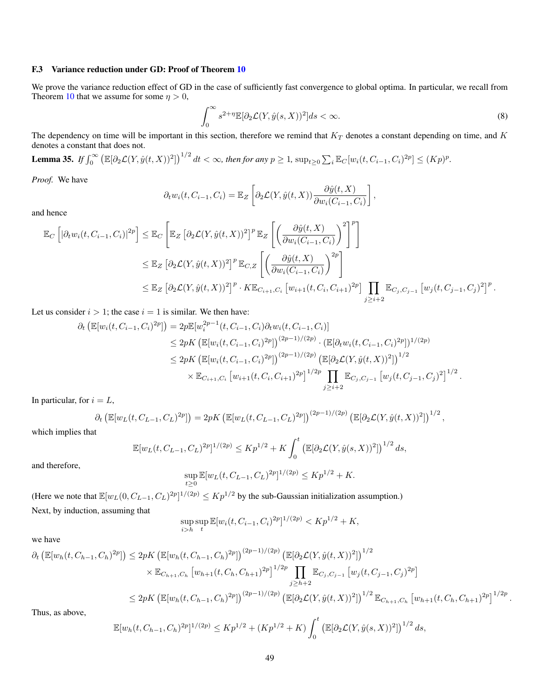#### F.3 Variance reduction under GD: Proof of Theorem [10](#page-8-2)

We prove the variance reduction effect of GD in the case of sufficiently fast convergence to global optima. In particular, we recall from Theorem [10](#page-8-2) that we assume for some  $\eta > 0$ ,

<span id="page-48-0"></span>
$$
\int_0^\infty s^{2+\eta} \mathbb{E}[\partial_2 \mathcal{L}(Y, \hat{y}(s, X))^2] ds < \infty. \tag{8}
$$

The dependency on time will be important in this section, therefore we remind that  $K_T$  denotes a constant depending on time, and  $K$ denotes a constant that does not.

<span id="page-48-1"></span>**Lemma 35.** If 
$$
\int_0^\infty \left( \mathbb{E}[\partial_2 \mathcal{L}(Y, \hat{y}(t, X))^2] \right)^{1/2} dt < \infty
$$
, then for any  $p \geq 1$ ,  $\sup_{t \geq 0} \sum_i \mathbb{E}_C[w_i(t, C_{i-1}, C_i)^{2p}] \leq (Kp)^p$ .

*Proof.* We have

$$
\partial_t w_i(t, C_{i-1}, C_i) = \mathbb{E}_Z \left[ \partial_2 \mathcal{L}(Y, \hat{y}(t, X)) \frac{\partial \hat{y}(t, X)}{\partial w_i(C_{i-1}, C_i)} \right],
$$

and hence

$$
\mathbb{E}_{C}\left[\left|\partial_{t}w_{i}(t,C_{i-1},C_{i})\right|^{2p}\right] \leq \mathbb{E}_{C}\left[\mathbb{E}_{Z}\left[\partial_{2}\mathcal{L}(Y,\hat{y}(t,X))^{2}\right]^{p}\mathbb{E}_{Z}\left[\left(\frac{\partial\hat{y}(t,X)}{\partial w_{i}(C_{i-1},C_{i})}\right)^{2}\right]^{p}\right]
$$
\n
$$
\leq \mathbb{E}_{Z}\left[\partial_{2}\mathcal{L}(Y,\hat{y}(t,X))^{2}\right]^{p}\mathbb{E}_{C,Z}\left[\left(\frac{\partial\hat{y}(t,X)}{\partial w_{i}(C_{i-1},C_{i})}\right)^{2p}\right]
$$
\n
$$
\leq \mathbb{E}_{Z}\left[\partial_{2}\mathcal{L}(Y,\hat{y}(t,X))^{2}\right]^{p}\cdot K\mathbb{E}_{C_{i+1},C_{i}}\left[w_{i+1}(t,C_{i},C_{i+1})^{2p}\right]\prod_{j\geq i+2}\mathbb{E}_{C_{j},C_{j-1}}\left[w_{j}(t,C_{j-1},C_{j})^{2}\right]^{p}.
$$

Let us consider  $i > 1$ ; the case  $i = 1$  is similar. We then have:

$$
\partial_t \left( \mathbb{E}[w_i(t, C_{i-1}, C_i)^{2p}] \right) = 2p \mathbb{E}[w_i^{2p-1}(t, C_{i-1}, C_i) \partial_t w_i(t, C_{i-1}, C_i)]
$$
  
\n
$$
\leq 2pK \left( \mathbb{E}[w_i(t, C_{i-1}, C_i)^{2p}] \right)^{(2p-1)/(2p)} \cdot \left( \mathbb{E}[\partial_t w_i(t, C_{i-1}, C_i)^{2p}] \right)^{1/(2p)}
$$
  
\n
$$
\leq 2pK \left( \mathbb{E}[w_i(t, C_{i-1}, C_i)^{2p}] \right)^{(2p-1)/(2p)} \left( \mathbb{E}[\partial_2 \mathcal{L}(Y, \hat{y}(t, X))^2] \right)^{1/2}
$$
  
\n
$$
\times \mathbb{E}_{C_{i+1}, C_i} \left[ w_{i+1}(t, C_i, C_{i+1})^{2p} \right]^{1/2p} \prod_{j \geq i+2} \mathbb{E}_{C_j, C_{j-1}} \left[ w_j(t, C_{j-1}, C_j)^2 \right]^{1/2}.
$$

In particular, for  $i = L$ ,

$$
\partial_t \left( \mathbb{E}[w_L(t, C_{L-1}, C_L)^{2p}] \right) = 2pK \left( \mathbb{E}[w_L(t, C_{L-1}, C_L)^{2p}] \right)^{(2p-1)/(2p)} \left( \mathbb{E}[\partial_2 \mathcal{L}(Y, \hat{y}(t, X))^2] \right)^{1/2},
$$

which implies that

$$
\mathbb{E}[w_L(t, C_{L-1}, C_L)^{2p}]^{1/(2p)} \le K p^{1/2} + K \int_0^t \left( \mathbb{E}[\partial_2 \mathcal{L}(Y, \hat{y}(s, X))^2] \right)^{1/2} ds,
$$

and therefore,

$$
\sup_{t\geq 0}\mathbb{E}[w_L(t, C_{L-1}, C_L)^{2p}]^{1/(2p)} \leq Kp^{1/2} + K.
$$

(Here we note that  $\mathbb{E}[w_L(0, C_{L-1}, C_L)^{2p}]^{1/(2p)} \le Kp^{1/2}$  by the sub-Gaussian initialization assumption.) Next, by induction, assuming that

$$
\sup_{i>h} \sup_t \mathbb{E}[w_i(t, C_{i-1}, C_i)^{2p}]^{1/(2p)} < K p^{1/2} + K,
$$

we have

$$
\partial_t \left( \mathbb{E}[w_h(t, C_{h-1}, C_h)^{2p}] \right) \leq 2pK \left( \mathbb{E}[w_h(t, C_{h-1}, C_h)^{2p}] \right)^{(2p-1)/(2p)} \left( \mathbb{E}[\partial_2 \mathcal{L}(Y, \hat{y}(t, X))^2] \right)^{1/2} \times \mathbb{E}_{C_{h+1}, C_h} \left[ w_{h+1}(t, C_h, C_{h+1})^{2p} \right]^{1/2p} \prod_{j \geq h+2} \mathbb{E}_{C_j, C_{j-1}} \left[ w_j(t, C_{j-1}, C_j)^{2p} \right] \leq 2pK \left( \mathbb{E}[w_h(t, C_{h-1}, C_h)^{2p}] \right)^{(2p-1)/(2p)} \left( \mathbb{E}[\partial_2 \mathcal{L}(Y, \hat{y}(t, X))^2] \right)^{1/2} \mathbb{E}_{C_{h+1}, C_h} \left[ w_{h+1}(t, C_h, C_{h+1})^{2p} \right]^{1/2p}.
$$

Thus, as above,

$$
\mathbb{E}[w_h(t, C_{h-1}, C_h)^{2p}]^{1/(2p)} \le K p^{1/2} + (K p^{1/2} + K) \int_0^t \left( \mathbb{E}[\partial_2 \mathcal{L}(Y, \hat{y}(s, X))^2] \right)^{1/2} ds,
$$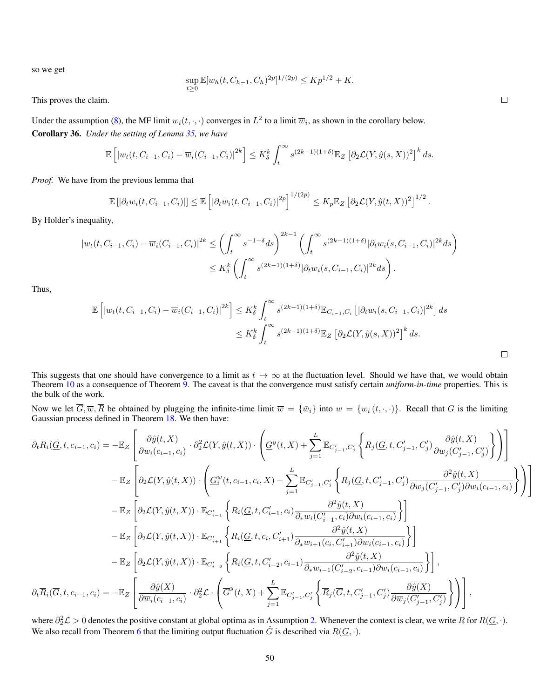so we get

$$
\sup_{t\geq 0} \mathbb{E}[w_h(t, C_{h-1}, C_h)^{2p}]^{1/(2p)} \leq K p^{1/2} + K.
$$

This proves the claim.

<span id="page-49-0"></span>Under the assumption [\(8\)](#page-48-0), the MF limit  $w_i(t, \cdot, \cdot)$  converges in  $L^2$  to a limit  $\overline{w}_i$ , as shown in the corollary below. Corollary 36. *Under the setting of Lemma [35,](#page-48-1) we have*

$$
\mathbb{E}\left[\left|w_t(t, C_{i-1}, C_i) - \overline{w}_i(C_{i-1}, C_i)\right|^{2k}\right] \leq K_{\delta}^k \int_t^{\infty} s^{(2k-1)(1+\delta)} \mathbb{E}_Z\left[\partial_2 \mathcal{L}(Y, \hat{y}(s, X))^2\right]^k ds.
$$

*Proof.* We have from the previous lemma that

$$
\mathbb{E}\left[\left|\partial_t w_i(t, C_{i-1}, C_i)\right|\right] \leq \mathbb{E}\left[\left|\partial_t w_i(t, C_{i-1}, C_i)\right|^{2p}\right]^{1/(2p)} \leq K_p \mathbb{E}_Z\left[\partial_2 \mathcal{L}(Y, \hat{y}(t, X))^2\right]^{1/2}.
$$

By Holder's inequality,

$$
|w_t(t, C_{i-1}, C_i) - \overline{w}_i(C_{i-1}, C_i)|^{2k} \le \left(\int_t^{\infty} s^{-1-\delta} ds\right)^{2k-1} \left(\int_t^{\infty} s^{(2k-1)(1+\delta)} |\partial_t w_i(s, C_{i-1}, C_i)|^{2k} ds\right)
$$
  

$$
\le K_\delta^k \left(\int_t^{\infty} s^{(2k-1)(1+\delta)} |\partial_t w_i(s, C_{i-1}, C_i)|^{2k} ds\right).
$$

Thus,

$$
\mathbb{E}\left[|w_t(t, C_{i-1}, C_i) - \overline{w}_i(C_{i-1}, C_i)|^{2k}\right] \le K_{\delta}^k \int_t^{\infty} s^{(2k-1)(1+\delta)} \mathbb{E}_{C_{i-1}, C_i} \left[|\partial_t w_i(s, C_{i-1}, C_i)|^{2k}\right] ds
$$
  

$$
\le K_{\delta}^k \int_t^{\infty} s^{(2k-1)(1+\delta)} \mathbb{E}_Z \left[\partial_2 \mathcal{L}(Y, \hat{y}(s, X))^2\right]^k ds.
$$

This suggests that one should have convergence to a limit as  $t \to \infty$  at the fluctuation level. Should we have that, we would obtain Theorem [10](#page-8-2) as a consequence of Theorem [9.](#page-8-1) The caveat is that the convergence must satisfy certain *uniform-in-time* properties. This is the bulk of the work.

Now we let  $\overline{G}, \overline{w}, \overline{R}$  be obtained by plugging the infinite-time limit  $\overline{w} = {\overline{w_i}}$  into  $w = {w_i(t, \cdot, \cdot)}$ . Recall that  $\underline{G}$  is the limiting Gaussian process defined in Theorem [18.](#page-22-0) We then have:

$$
\begin{split} \partial_t R_i(\underline{G},t,c_{i-1},c_i) &= -\mathbb{E}_Z\left[\frac{\partial \hat{y}(t,X)}{\partial w_i(c_{i-1},c_i)}\cdot \partial_2^2 \mathcal{L}(Y,\hat{y}(t,X))\cdot \left(\underline{G}^y(t,X) + \sum_{j=1}^L \mathbb{E}_{C'_{j-1},C'_j}\left\{R_j(\underline{G},t,C'_{j-1},C'_j)\frac{\partial \hat{y}(t,X)}{\partial w_j(C'_{j-1},C'_j)}\right\}\right)\right] \\ & - \mathbb{E}_Z\left[\partial_2 \mathcal{L}(Y,\hat{y}(t,X))\cdot \left(\underline{G}^w_i(t,c_{i-1},c_i,X) + \sum_{j=1}^L \mathbb{E}_{C'_{j-1},C'_j}\left\{R_j(\underline{G},t,C'_{j-1},C'_j)\frac{\partial^2 \hat{y}(t,X)}{\partial w_j(C'_{j-1},C'_j)\partial w_i(c_{i-1},c_i)}\right\}\right)\right] \\ & - \mathbb{E}_Z\left[\partial_2 \mathcal{L}(Y,\hat{y}(t,X))\cdot \mathbb{E}_{C'_{i-1}}\left\{R_i(\underline{G},t,C'_{i-1},c_i)\frac{\partial^2 \hat{y}(t,X)}{\partial_* w_i(C'_{i-1},c_i)\partial w_i(c_{i-1},c_i)}\right\}\right] \\ & - \mathbb{E}_Z\left[\partial_2 \mathcal{L}(Y,\hat{y}(t,X))\cdot \mathbb{E}_{C'_{i+1}}\left\{R_i(\underline{G},t,c_i,C'_{i+1})\frac{\partial^2 \hat{y}(t,X)}{\partial_* w_{i+1}(c_i,C'_{i+1})\partial w_i(c_{i-1},c_i)}\right\}\right] \\ & - \mathbb{E}_Z\left[\partial_2 \mathcal{L}(Y,\hat{y}(t,X))\cdot \mathbb{E}_{C'_{i-2}}\left\{R_i(\underline{G},t,C'_{i-2},c_{i-1})\frac{\partial^2 \hat{y}(t,X)}{\partial_* w_{i-1}(C'_{i-2},c_{i-1})\partial w_i(c_{i-1},c_i)}\right\}\right], \\ \partial_t \overline{R}_i(\overline{G},t,c_{i-1},c_i) = - \mathbb{E}_Z\left[\frac{\partial \hat{y}(X)}{\partial \overline{w}_i(c_{i-1},c_i)}\cdot \
$$

where  $\partial_2^2 \mathcal{L} > 0$  denotes the positive constant at global optima as in Assumption [2.](#page-8-3) Whenever the context is clear, we write R for  $R(\underline{G}, \cdot)$ . We also recall from Theorem [6](#page-6-1) that the limiting output fluctuation  $\hat{G}$  is described via  $R(\underline{G}, \cdot)$ .

 $\Box$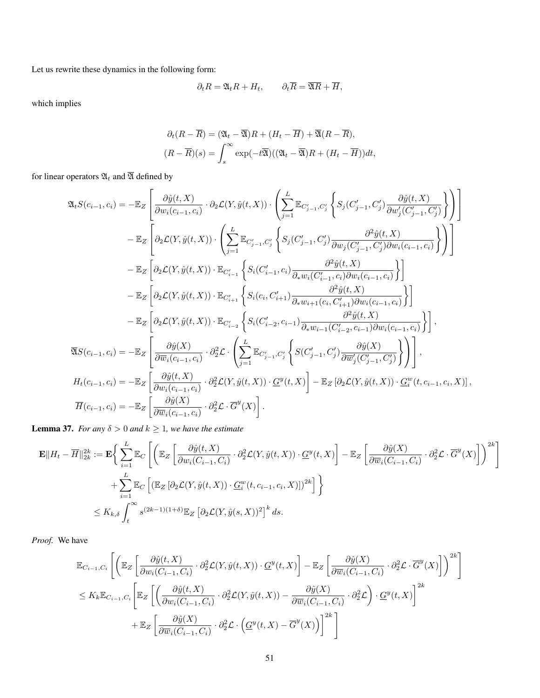Let us rewrite these dynamics in the following form:

$$
\partial_t R = \mathfrak{A}_t R + H_t, \qquad \partial_t \overline{R} = \overline{\mathfrak{A}R} + \overline{H},
$$

which implies

$$
\partial_t (R - \overline{R}) = (\mathfrak{A}_t - \overline{\mathfrak{A}})R + (H_t - \overline{H}) + \overline{\mathfrak{A}}(R - \overline{R}),
$$
  

$$
(R - \overline{R})(s) = \int_s^\infty \exp(-t\overline{\mathfrak{A}})((\mathfrak{A}_t - \overline{\mathfrak{A}})R + (H_t - \overline{H}))dt,
$$

for linear operators  $\mathfrak{A}_t$  and  $\overline{\mathfrak{A}}$  defined by

$$
\begin{split} \mathfrak{A}_t S(c_{i-1},c_i) &= -\mathbb{E}_Z\left[\frac{\partial \hat{y}(t,X)}{\partial w_i(c_{i-1},c_i)}\cdot \partial_2 \mathcal{L}(Y,\hat{y}(t,X))\cdot \left(\sum_{j=1}^L \mathbb{E}_{C'_{j-1},C'_j}\left\{S_j(C'_{j-1},C'_j)\frac{\partial \hat{y}(t,X)}{\partial w'_j(C'_{j-1},C'_j)}\right\}\right)\right] \\ & - \mathbb{E}_Z\left[\partial_2 \mathcal{L}(Y,\hat{y}(t,X))\cdot \left(\sum_{j=1}^L \mathbb{E}_{C'_{j-1},C'_j}\left\{S_j(C'_{j-1},C'_j)\frac{\partial^2 \hat{y}(t,X)}{\partial w_j(C'_{j-1},C'_j)\partial w_i(c_{i-1},c_i)}\right\}\right)\right] \\ & - \mathbb{E}_Z\left[\partial_2 \mathcal{L}(Y,\hat{y}(t,X))\cdot \mathbb{E}_{C'_{i-1}}\left\{S_i(C'_{i-1},c_i)\frac{\partial^2 \hat{y}(t,X)}{\partial_* w_i(C'_{i-1},c_i)\partial w_i(c_{i-1},c_i)}\right\}\right] \\ & - \mathbb{E}_Z\left[\partial_2 \mathcal{L}(Y,\hat{y}(t,X))\cdot \mathbb{E}_{C'_{i+1}}\left\{S_i(c_i,C'_{i+1})\frac{\partial^2 \hat{y}(t,X)}{\partial_* w_{i+1}(c_i,C'_{i+1})\partial w_i(c_{i-1},c_i)}\right\}\right] \\ & - \mathbb{E}_Z\left[\partial_2 \mathcal{L}(Y,\hat{y}(t,X))\cdot \mathbb{E}_{C'_{i-2}}\left\{S_i(C'_{i-2},c_{i-1})\frac{\partial^2 \hat{y}(t,X)}{\partial_* w_{i-1}(C'_{i-2},c_{i-1})\partial w_i(c_{i-1},c_i)}\right\}\right],\\ \overline{\mathfrak{A}} S(c_{i-1},c_i) &= - \mathbb{E}_Z\left[\frac{\partial \hat{y}(X)}{\partial \overline{w}_i(c_{i-1},c_i)}\cdot \partial_2^2 \mathcal{L}\cdot\left(\sum_{j=1}^L \mathbb{E}_{C'_{j-1},C'_j}\left\{S(C'_{j-1},C'_j)\frac{\partial \hat{y}(X)}{\partial \overline
$$

 $,$ 

<span id="page-50-0"></span>**Lemma 37.** *For any*  $\delta > 0$  *and*  $k \geq 1$ *, we have the estimate* 

$$
\mathbf{E}||H_t - \overline{H}||_{2k}^{2k} := \mathbf{E}\Big\{\sum_{i=1}^{L} \mathbb{E}_C\left[\Big(\mathbb{E}_Z\left[\frac{\partial \hat{y}(t,X)}{\partial w_i(C_{i-1},C_i)} \cdot \partial_2^2 \mathcal{L}(Y,\hat{y}(t,X)) \cdot \underline{G}^y(t,X)\right] - \mathbb{E}_Z\left[\frac{\partial \hat{y}(X)}{\partial \overline{w}_i(C_{i-1},C_i)} \cdot \partial_2^2 \mathcal{L} \cdot \overline{G}^y(X)\right]\Big)^{2k}\right] + \sum_{i=1}^{L} \mathbb{E}_C\left[\left(\mathbb{E}_Z\left[\partial_2 \mathcal{L}(Y,\hat{y}(t,X)) \cdot \underline{G}_i^w(t,c_{i-1},c_i,X)\right]\right)^{2k}\right]\Big\}
$$
  

$$
\leq K_{k,\delta} \int_t^{\infty} s^{(2k-1)(1+\delta)} \mathbb{E}_Z\left[\partial_2 \mathcal{L}(Y,\hat{y}(s,X))^2\right]^k ds.
$$

*Proof.* We have

$$
\mathbb{E}_{C_{i-1},C_i}\left[\left(\mathbb{E}_Z\left[\frac{\partial \hat{y}(t,X)}{\partial w_i(C_{i-1},C_i)}\cdot \partial_2^2 \mathcal{L}(Y,\hat{y}(t,X))\cdot \underline{G}^y(t,X)\right] - \mathbb{E}_Z\left[\frac{\partial \hat{y}(X)}{\partial \overline{w}_i(C_{i-1},C_i)}\cdot \partial_2^2 \mathcal{L}\cdot \overline{G}^y(X)\right]\right)^{2k}\right]
$$
  

$$
\leq K_k \mathbb{E}_{C_{i-1},C_i}\left[\mathbb{E}_Z\left[\left(\frac{\partial \hat{y}(t,X)}{\partial w_i(C_{i-1},C_i)}\cdot \partial_2^2 \mathcal{L}(Y,\hat{y}(t,X)) - \frac{\partial \hat{y}(X)}{\partial \overline{w}_i(C_{i-1},C_i)}\cdot \partial_2^2 \mathcal{L}\right)\cdot \underline{G}^y(t,X)\right]^{2k} + \mathbb{E}_Z\left[\frac{\partial \hat{y}(X)}{\partial \overline{w}_i(C_{i-1},C_i)}\cdot \partial_2^2 \mathcal{L}\cdot \left(\underline{G}^y(t,X) - \overline{G}^y(X)\right)\right]^{2k}\right]
$$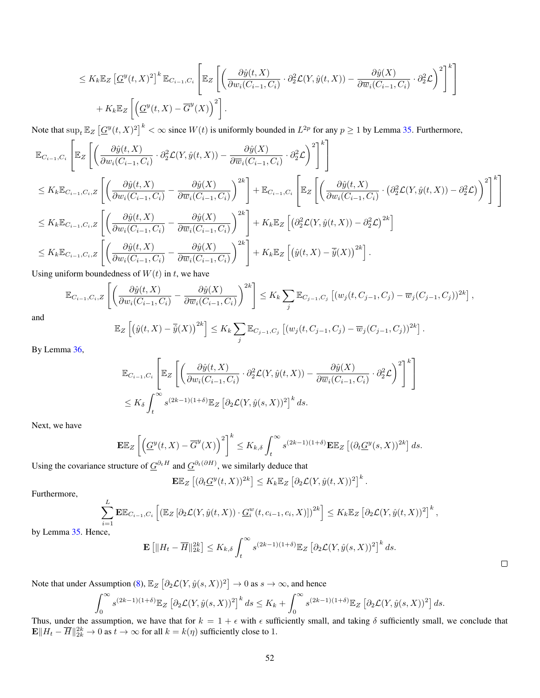$$
\leq K_k \mathbb{E}_Z \left[ \underline{G}^y(t, X)^2 \right]^k \mathbb{E}_{C_{i-1}, C_i} \left[ \mathbb{E}_Z \left[ \left( \frac{\partial \hat{y}(t, X)}{\partial w_i(C_{i-1}, C_i)} \cdot \partial_2^2 \mathcal{L}(Y, \hat{y}(t, X)) - \frac{\partial \hat{y}(X)}{\partial \overline{w}_i(C_{i-1}, C_i)} \cdot \partial_2^2 \mathcal{L} \right)^2 \right]^k \right] + K_k \mathbb{E}_Z \left[ \left( \underline{G}^y(t, X) - \overline{G}^y(X) \right)^2 \right].
$$

Note that  $\sup_t \mathbb{E}_Z \left[ \underline{G}^y(t,X)^2 \right]^k < \infty$  since  $W(t)$  is uniformly bounded in  $L^{2p}$  for any  $p \ge 1$  by Lemma [35.](#page-48-1) Furthermore,

$$
\mathbb{E}_{C_{i-1},C_{i}}\left[\mathbb{E}_{Z}\left[\left(\frac{\partial \hat{y}(t,X)}{\partial w_{i}(C_{i-1},C_{i})}\cdot\partial_{2}^{2}\mathcal{L}(Y,\hat{y}(t,X))-\frac{\partial \hat{y}(X)}{\partial \overline{w}_{i}(C_{i-1},C_{i})}\cdot\partial_{2}^{2}\mathcal{L}\right)^{2}\right]^{k}\right]
$$
\n
$$
\leq K_{k}\mathbb{E}_{C_{i-1},C_{i},Z}\left[\left(\frac{\partial \hat{y}(t,X)}{\partial w_{i}(C_{i-1},C_{i})}-\frac{\partial \hat{y}(X)}{\partial \overline{w}_{i}(C_{i-1},C_{i})}\right)^{2k}\right]+\mathbb{E}_{C_{i-1},C_{i}}\left[\mathbb{E}_{Z}\left[\left(\frac{\partial \hat{y}(t,X)}{\partial w_{i}(C_{i-1},C_{i})}\cdot\left(\partial_{2}^{2}\mathcal{L}(Y,\hat{y}(t,X))-\partial_{2}^{2}\mathcal{L}\right)\right)^{2}\right]^{k}\right]
$$
\n
$$
\leq K_{k}\mathbb{E}_{C_{i-1},C_{i},Z}\left[\left(\frac{\partial \hat{y}(t,X)}{\partial w_{i}(C_{i-1},C_{i})}-\frac{\partial \hat{y}(X)}{\partial \overline{w}_{i}(C_{i-1},C_{i})}\right)^{2k}\right]+K_{k}\mathbb{E}_{Z}\left[\left(\partial_{2}^{2}\mathcal{L}(Y,\hat{y}(t,X))-\partial_{2}^{2}\mathcal{L}\right)^{2k}\right]
$$
\n
$$
\leq K_{k}\mathbb{E}_{C_{i-1},C_{i},Z}\left[\left(\frac{\partial \hat{y}(t,X)}{\partial w_{i}(C_{i-1},C_{i})}-\frac{\partial \hat{y}(X)}{\partial \overline{w}_{i}(C_{i-1},C_{i})}\right)^{2k}\right]+K_{k}\mathbb{E}_{Z}\left[\left(\hat{y}(t,X)-\overline{\hat{y}(X)}\right)^{2k}\right].
$$

Using uniform boundedness of  $W(t)$  in t, we have

$$
\mathbb{E}_{C_{i-1},C_i,Z}\left[\left(\frac{\partial \hat{y}(t,X)}{\partial w_i(C_{i-1},C_i)} - \frac{\partial \hat{y}(X)}{\partial \overline{w}_i(C_{i-1},C_i)}\right)^{2k}\right] \leq K_k \sum_j \mathbb{E}_{C_{j-1},C_j}\left[(w_j(t,C_{j-1},C_j) - \overline{w}_j(C_{j-1},C_j))^{2k}\right],
$$

and

$$
\mathbb{E}_Z\left[\left(\hat{y}(t,X)-\overline{\hat{y}}(X)\right)^{2k}\right] \leq K_k \sum_j \mathbb{E}_{C_{j-1},C_j}\left[\left(w_j(t,C_{j-1},C_j)-\overline{w}_j(C_{j-1},C_j)\right)^{2k}\right].
$$

By Lemma [36,](#page-49-0)

$$
\mathbb{E}_{C_{i-1},C_i} \left[ \mathbb{E}_Z \left[ \left( \frac{\partial \hat{y}(t,X)}{\partial w_i(C_{i-1},C_i)} \cdot \partial_2^2 \mathcal{L}(Y,\hat{y}(t,X)) - \frac{\partial \hat{y}(X)}{\partial \overline{w}_i(C_{i-1},C_i)} \cdot \partial_2^2 \mathcal{L} \right)^2 \right]^k \right]
$$
  

$$
\leq K_{\delta} \int_t^{\infty} s^{(2k-1)(1+\delta)} \mathbb{E}_Z \left[ \partial_2 \mathcal{L}(Y,\hat{y}(s,X))^2 \right]^k ds.
$$

Next, we have

$$
\mathbf{E}\mathbb{E}_Z\left[\left(\underline{G}^y(t,X)-\overline{G}^y(X)\right)^2\right]^k \le K_{k,\delta} \int_t^\infty s^{(2k-1)(1+\delta)} \mathbf{E}\mathbb{E}_Z\left[(\partial_t \underline{G}^y(s,X))^{2k}\right] ds.
$$

Using the covariance structure of  $\underline{G}^{\partial_t H}$  and  $\underline{G}^{\partial_t(\partial H)}$ , we similarly deduce that

$$
\mathbf{E}\mathbb{E}_Z\left[ (\partial_t \underline{G}^y(t,X))^{2k} \right] \leq K_k \mathbb{E}_Z\left[ \partial_2 \mathcal{L}(Y,\hat{y}(t,X))^2 \right]^k.
$$

Furthermore,

$$
\sum_{i=1}^{L} \mathbf{E} \mathbb{E}_{C_{i-1},C_i} \left[ \left( \mathbb{E}_Z \left[ \partial_2 \mathcal{L}(Y, \hat{y}(t, X)) \cdot \underline{G}_i^w(t, c_{i-1}, c_i, X) \right] \right)^{2k} \right] \leq K_k \mathbb{E}_Z \left[ \partial_2 \mathcal{L}(Y, \hat{y}(t, X))^2 \right]^k,
$$

by Lemma [35.](#page-48-1) Hence,

$$
\mathbf{E}\left[\|H_t - \overline{H}\|_{2k}^{2k}\right] \le K_{k,\delta} \int_t^{\infty} s^{(2k-1)(1+\delta)} \mathbb{E}_Z\left[\partial_2 \mathcal{L}(Y,\hat{y}(s,X))^2\right]^k ds.
$$

Note that under Assumption [\(8\)](#page-48-0),  $\mathbb{E}_Z \left[ \partial_2 \mathcal{L}(Y, \hat{y}(s, X))^2 \right] \to 0$  as  $s \to \infty$ , and hence

$$
\int_0^\infty s^{(2k-1)(1+\delta)} \mathbb{E}_Z \left[ \partial_2 \mathcal{L}(Y, \hat{y}(s, X))^2 \right]^k ds \le K_k + \int_0^\infty s^{(2k-1)(1+\delta)} \mathbb{E}_Z \left[ \partial_2 \mathcal{L}(Y, \hat{y}(s, X))^2 \right] ds.
$$

Thus, under the assumption, we have that for  $k = 1 + \epsilon$  with  $\epsilon$  sufficiently small, and taking  $\delta$  sufficiently small, we conclude that  $\mathbf{E} \| H_t - \overline{H} \|_{2k}^{2k} \to 0$  as  $t \to \infty$  for all  $k = k(\eta)$  sufficiently close to 1.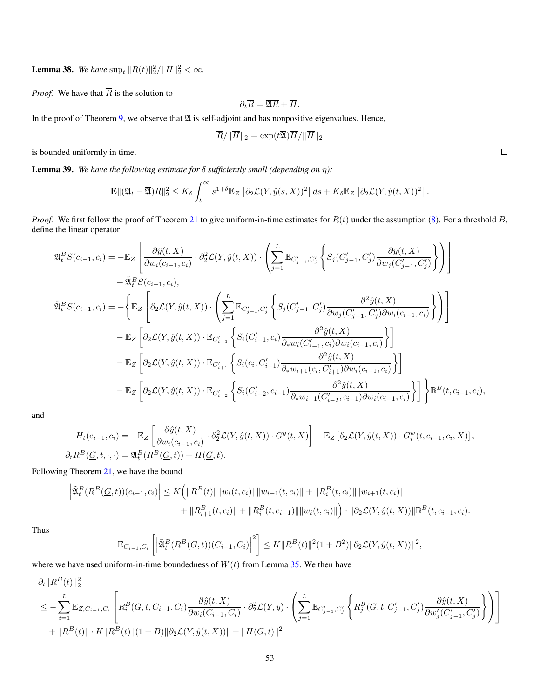**Lemma 38.** We have  $\sup_t \|\overline{R}(t)\|_2^2 / \|\overline{H}\|_2^2 < \infty$ .

*Proof.* We have that  $\overline{R}$  is the solution to

$$
\partial_t \overline{R} = \overline{\mathfrak{A}R} + \overline{H}.
$$

In the proof of Theorem [9,](#page-8-1) we observe that  $\overline{\mathfrak{A}}$  is self-adjoint and has nonpositive eigenvalues. Hence,

$$
\overline{R}/\|\overline{H}\|_2=\exp(t\overline{\mathfrak{A}})\overline{H}/\|\overline{H}\|_2
$$

is bounded uniformly in time.

<span id="page-52-0"></span>Lemma 39. *We have the following estimate for* δ *sufficiently small (depending on* η*):*

$$
\mathbf{E} \Vert (\mathfrak{A}_t - \overline{\mathfrak{A}}) R \Vert_2^2 \leq K_\delta \int_t^\infty s^{1+\delta} \mathbb{E}_Z \left[ \partial_2 \mathcal{L}(Y, \hat{y}(s, X))^2 \right] ds + K_\delta \mathbb{E}_Z \left[ \partial_2 \mathcal{L}(Y, \hat{y}(t, X))^2 \right].
$$

*Proof.* We first follow the proof of Theorem [21](#page-24-1) to give uniform-in-time estimates for  $R(t)$  under the assumption [\(8\)](#page-48-0). For a threshold B, define the linear operator

$$
\begin{split} \mathfrak{A}^{B}_{t}S(c_{i-1},c_{i}) & = -\mathbb{E}_{Z}\left[\frac{\partial \hat{y}(t,X)}{\partial w_{i}(c_{i-1},c_{i})}\cdot \partial_{2}^{2}\mathcal{L}(Y,\hat{y}(t,X))\cdot\left(\sum_{j=1}^{L}\mathbb{E}_{C'_{j-1},C'_{j}}\left\{S_{j}(C'_{j-1},C'_{j})\frac{\partial \hat{y}(t,X)}{\partial w_{j}(C'_{j-1},C'_{j})}\right\}\right)\right] \\ & +\tilde{\mathfrak{A}}^{B}_{t}S(c_{i-1},c_{i}),\\ \tilde{\mathfrak{A}}^{B}_{t}S(c_{i-1},c_{i}) & = -\left\{\mathbb{E}_{Z}\left[\partial_{2}\mathcal{L}(Y,\hat{y}(t,X))\cdot\left(\sum_{j=1}^{L}\mathbb{E}_{C'_{j-1},C'_{j}}\left\{S_{j}(C'_{j-1},C'_{j})\frac{\partial^{2}\hat{y}(t,X)}{\partial w_{j}(C'_{j-1},C'_{j})\partial w_{i}(c_{i-1},c_{i})}\right\}\right)\right] \\ & -\mathbb{E}_{Z}\left[\partial_{2}\mathcal{L}(Y,\hat{y}(t,X))\cdot \mathbb{E}_{C'_{i-1}}\left\{S_{i}(C'_{i-1},c_{i})\frac{\partial^{2}\hat{y}(t,X)}{\partial_{*}w_{i}(C'_{i-1},c_{i})\partial w_{i}(c_{i-1},c_{i})}\right\}\right] \\ & -\mathbb{E}_{Z}\left[\partial_{2}\mathcal{L}(Y,\hat{y}(t,X))\cdot \mathbb{E}_{C'_{i+1}}\left\{S_{i}(c_{i},C'_{i+1})\frac{\partial^{2}\hat{y}(t,X)}{\partial_{*}w_{i+1}(c_{i},C'_{i+1})\partial w_{i}(c_{i-1},c_{i})}\right\}\right] \\ & -\mathbb{E}_{Z}\left[\partial_{2}\mathcal{L}(Y,\hat{y}(t,X))\cdot \mathbb{E}_{C'_{i-2}}\left\{S_{i}(C'_{i-2},c_{i-1})\frac{\partial^{2}\hat{y}(t,X)}{\partial_{*}w_{i-1}(C'_{i-2},c_{i-1})\partial w_{i}(c_{i-1},c_{i})}\right\}\right]\right\}\mathbb{B}^{B}(
$$

and

$$
H_t(c_{i-1}, c_i) = -\mathbb{E}_Z \left[ \frac{\partial \hat{y}(t, X)}{\partial w_i(c_{i-1}, c_i)} \cdot \partial_2^2 \mathcal{L}(Y, \hat{y}(t, X)) \cdot \underline{G}^y(t, X) \right] - \mathbb{E}_Z \left[ \partial_2 \mathcal{L}(Y, \hat{y}(t, X)) \cdot \underline{G}_i^w(t, c_{i-1}, c_i, X) \right],
$$
  

$$
\partial_t R^B(\underline{G}, t, \cdot, \cdot) = \mathfrak{A}_t^B(R^B(\underline{G}, t)) + H(\underline{G}, t).
$$

Following Theorem [21,](#page-24-1) we have the bound

$$
\left| \tilde{\mathfrak{A}}_t^B(R^B(\underline{G},t))(c_{i-1},c_i) \right| \leq K \Big( \|R^B(t)\| \|w_i(t,c_i)\| \|w_{i+1}(t,c_i)\| + \|R_i^B(t,c_i)\| \|w_{i+1}(t,c_i)\| + \|R_{i+1}^B(t,c_i)\| + \|R_i^B(t,c_{i-1})\| \|w_i(t,c_i)\| \Big) \cdot \| \partial_2 \mathcal{L}(Y,\hat{y}(t,X)) \| \mathbb{B}^B(t,c_{i-1},c_i).
$$

Thus

$$
\mathbb{E}_{C_{i-1},C_i}\left[\left|\tilde{\mathfrak{A}}_t^B(R^B(\underline{G},t))(C_{i-1},C_i)\right|^2\right] \leq K\|R^B(t)\|^2(1+B^2)\|\partial_2\mathcal{L}(Y,\hat{y}(t,X))\|^2,
$$

where we have used uniform-in-time boundedness of  $W(t)$  from Lemma [35.](#page-48-1) We then have

$$
\partial_t \|R^B(t)\|_2^2
$$
\n
$$
\leq -\sum_{i=1}^L \mathbb{E}_{Z, C_{i-1}, C_i} \left[ R_i^B(\underline{G}, t, C_{i-1}, C_i) \frac{\partial \hat{y}(t, X)}{\partial w_i(C_{i-1}, C_i)} \cdot \partial_Z^2 \mathcal{L}(Y, y) \cdot \left( \sum_{j=1}^L \mathbb{E}_{C'_{j-1}, C'_j} \left\{ R_j^B(\underline{G}, t, C'_{j-1}, C'_j) \frac{\partial \hat{y}(t, X)}{\partial w'_j(C'_{j-1}, C'_j)} \right\} \right) \right]
$$
\n
$$
+ \|R^B(t)\| \cdot K \|R^B(t)\| (1 + B) \| \partial_2 \mathcal{L}(Y, \hat{y}(t, X)) \| + \|H(\underline{G}, t)\|^2
$$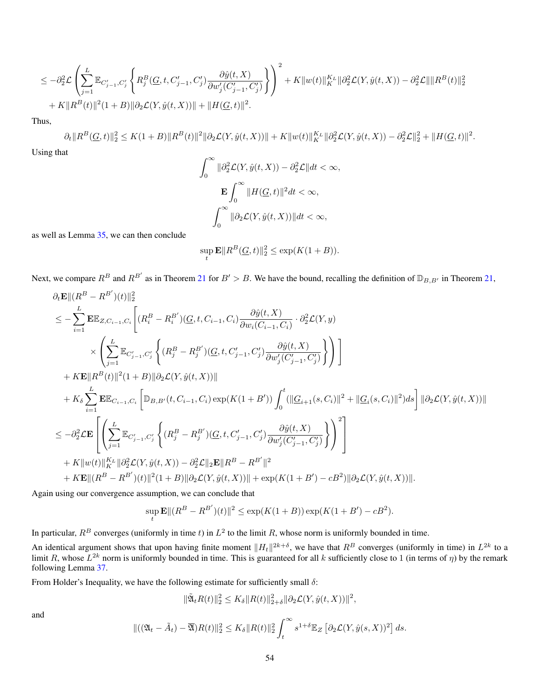$$
\leq -\partial_2^2 \mathcal{L} \left( \sum_{j=1}^L \mathbb{E}_{C'_{j-1}, C'_j} \left\{ R_j^B(\underline{G}, t, C'_{j-1}, C'_j) \frac{\partial \hat{y}(t, X)}{\partial w'_j(C'_{j-1}, C'_j)} \right\} \right)^2 + K \|w(t)\|_K^{K_L} \|\partial_2^2 \mathcal{L}(Y, \hat{y}(t, X)) - \partial_2^2 \mathcal{L}\| \|R^B(t)\|_2^2 + K \|R^B(t)\|^2 (1 + B) \|\partial_2 \mathcal{L}(Y, \hat{y}(t, X))\| + \|H(\underline{G}, t)\|^2.
$$

Thus,

$$
\partial_t \|R^B(\underline{G},t)\|_2^2 \le K(1+B) \|R^B(t)\|^2 \|\partial_2 \mathcal{L}(Y,\hat{y}(t,X))\| + K \|w(t)\|_K^{K_L} \|\partial_2^2 \mathcal{L}(Y,\hat{y}(t,X)) - \partial_2^2 \mathcal{L}\|_2^2 + \|H(\underline{G},t)\|^2.
$$

Using that

$$
\int_0^\infty \|\partial_2^2 \mathcal{L}(Y, \hat{y}(t, X)) - \partial_2^2 \mathcal{L}\| dt < \infty,
$$
  

$$
\mathbf{E} \int_0^\infty \|H(\underline{G}, t)\|^2 dt < \infty,
$$
  

$$
\int_0^\infty \|\partial_2 \mathcal{L}(Y, \hat{y}(t, X))\| dt < \infty,
$$

as well as Lemma [35,](#page-48-1) we can then conclude

$$
\sup_{t} \mathbf{E} ||R^B(\underline{G}, t)||_2^2 \le \exp(K(1+B)).
$$

Next, we compare  $R^B$  and  $R^{B'}$  as in Theorem [21](#page-24-1) for  $B' > B$ . We have the bound, recalling the definition of  $\mathbb{D}_{B,B'}$  in Theorem [21,](#page-24-1)

$$
\partial_t \mathbf{E} ||(R^B - R^{B'})(t)||_2^2
$$
\n
$$
\leq -\sum_{i=1}^L \mathbf{E} \mathbb{E}_{Z, C_{i-1}, C_i} \Bigg[ (R_i^B - R_i^{B'}) (\underline{G}, t, C_{i-1}, C_i) \frac{\partial \hat{y}(t, X)}{\partial w_i (C_{i-1}, C_i)} \cdot \partial_2^2 \mathcal{L}(Y, y)
$$
\n
$$
\times \Bigg( \sum_{j=1}^L \mathbb{E}_{C'_{j-1}, C'_j} \Bigg\{ (R_j^B - R_j^{B'}) (\underline{G}, t, C'_{j-1}, C'_j) \frac{\partial \hat{y}(t, X)}{\partial w'_j (C'_{j-1}, C'_j)} \Bigg\} \Bigg) \Bigg]
$$
\n
$$
+ K \mathbf{E} ||R^B(t)||^2 (1 + B) ||\partial_2 \mathcal{L}(Y, \hat{y}(t, X))||
$$
\n
$$
+ K_{\delta} \sum_{i=1}^L \mathbf{E} \mathbb{E}_{C_{i-1}, C_i} \Bigg[ \mathbb{D}_{B, B'}(t, C_{i-1}, C_i) \exp(K(1 + B')) \int_0^t (||\underline{G}_{i+1}(s, C_i)||^2 + ||\underline{G}_i(s, C_i)||^2) ds \Bigg] ||\partial_2 \mathcal{L}(Y, \hat{y}(t, X))||
$$
\n
$$
\leq -\partial_2^2 \mathcal{L} \mathbf{E} \Bigg[ \Bigg( \sum_{j=1}^L \mathbb{E}_{C'_{j-1}, C'_j} \Bigg\{ (R_j^B - R_j^{B'}) (\underline{G}, t, C'_{j-1}, C'_j) \frac{\partial \hat{y}(t, X)}{\partial w'_j (C'_{j-1}, C'_j)} \Bigg\} \Bigg)^2 \Bigg]
$$
\n
$$
+ K ||w(t)||_{K}^{K_L} ||\partial_2^2 \mathcal{L}(Y, \hat{y}(t, X)) - \partial_2^2 \mathcal{L} ||_2 \mathbf{E} || R^B - R^{B'} ||^2
$$
\n
$$
+ K \mathbf{E} ||(R^B - R^{B'})(t) ||^2 (1 + B) ||\partial_2 \mathcal{L}(Y, \hat{y}(t, X))|| + \exp(K(1 + B') -
$$

Again using our convergence assumption, we can conclude that

$$
\sup_{t} \mathbf{E} ||(R^{B} - R^{B'}) (t)||^{2} \le \exp(K(1+B)) \exp(K(1+B') - cB^{2}).
$$

In particular,  $R^B$  converges (uniformly in time t) in  $L^2$  to the limit R, whose norm is uniformly bounded in time.

An identical argument shows that upon having finite moment  $||H_t||^{2k+\delta}$ , we have that  $R^B$  converges (uniformly in time) in  $L^{2k}$  to a limit R, whose  $L^{2k}$  norm is uniformly bounded in time. This is guaranteed for all k sufficiently close to 1 (in terms of  $\eta$ ) by the remark following Lemma [37.](#page-50-0)

From Holder's Inequality, we have the following estimate for sufficiently small  $\delta$ :

$$
\|\tilde{\mathfrak{A}}_t R(t)\|_2^2 \leq K_\delta \|R(t)\|_{2+\delta}^2 \|\partial_2 \mathcal{L}(Y,\hat{y}(t,X))\|^2,
$$

and

$$
\|((\mathfrak{A}_t - \tilde{A}_t) - \overline{\mathfrak{A}})R(t)\|_2^2 \leq K_\delta \|R(t)\|_2^2 \int_t^\infty s^{1+\delta} \mathbb{E}_Z \left[\partial_2 \mathcal{L}(Y, \hat{y}(s, X))^2\right] ds.
$$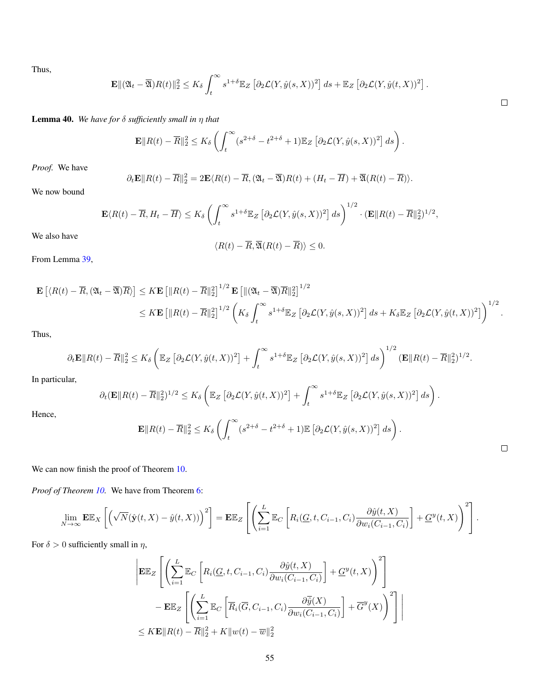Thus,

$$
\mathbf{E} \| (\mathfrak{A}_t - \overline{\mathfrak{A}}) R(t) \|_2^2 \leq K_\delta \int_t^\infty s^{1+\delta} \mathbb{E}_Z \left[ \partial_2 \mathcal{L}(Y, \hat{y}(s, X))^2 \right] ds + \mathbb{E}_Z \left[ \partial_2 \mathcal{L}(Y, \hat{y}(t, X))^2 \right].
$$

Lemma 40. *We have for* δ *sufficiently small in* η *that*

$$
\mathbf{E}||R(t) - \overline{R}||_2^2 \le K_\delta \left( \int_t^\infty (s^{2+\delta} - t^{2+\delta} + 1) \mathbb{E}_Z \left[ \partial_2 \mathcal{L}(Y, \hat{y}(s, X))^2 \right] ds \right).
$$

*Proof.* We have

$$
\partial_t \mathbf{E} ||R(t) - \overline{R}||_2^2 = 2 \mathbf{E} \langle R(t) - \overline{R}, (\mathfrak{A}_t - \overline{\mathfrak{A}})R(t) + (H_t - \overline{H}) + \overline{\mathfrak{A}}(R(t) - \overline{R}) \rangle.
$$

We now bound

$$
\mathbf{E}\langle R(t) - \overline{R}, H_t - \overline{H} \rangle \le K_\delta \left( \int_t^\infty s^{1+\delta} \mathbb{E}_Z \left[ \partial_2 \mathcal{L}(Y, \hat{y}(s, X))^2 \right] ds \right)^{1/2} \cdot (\mathbf{E} \| R(t) - \overline{R} \|_2^2)^{1/2},
$$

We also have

$$
\langle R(t) - \overline{R}, \overline{\mathfrak{A}}(R(t) - \overline{R}) \rangle \leq 0.
$$

From Lemma [39,](#page-52-0)

$$
\mathbf{E}\left[\langle R(t) - \overline{R}, (\mathfrak{A}_t - \overline{\mathfrak{A}}) \overline{R} \rangle\right] \leq K \mathbf{E}\left[\|R(t) - \overline{R}\|_2^2\right]^{1/2} \mathbf{E}\left[\|(\mathfrak{A}_t - \overline{\mathfrak{A}}) \overline{R}\|_2^2\right]^{1/2} \leq K \mathbf{E}\left[\|R(t) - \overline{R}\|_2^2\right]^{1/2} \left(K_\delta \int_t^\infty s^{1+\delta} \mathbb{E}_Z\left[\partial_2 \mathcal{L}(Y, \hat{y}(s, X))^2\right] ds + K_\delta \mathbb{E}_Z\left[\partial_2 \mathcal{L}(Y, \hat{y}(t, X))^2\right]\right)^{1/2}.
$$

Thus,

$$
\partial_t \mathbf{E} ||R(t) - \overline{R}||_2^2 \leq K_\delta \left( \mathbb{E}_Z \left[ \partial_2 \mathcal{L}(Y, \hat{y}(t, X))^2 \right] + \int_t^\infty s^{1+\delta} \mathbb{E}_Z \left[ \partial_2 \mathcal{L}(Y, \hat{y}(s, X))^2 \right] ds \right)^{1/2} (\mathbf{E} ||R(t) - \overline{R}||_2^2)^{1/2}.
$$

In particular,

Hence,

$$
\partial_t (\mathbf{E} || R(t) - \overline{R} ||_2^2)^{1/2} \leq K_\delta \left( \mathbb{E}_Z \left[ \partial_2 \mathcal{L}(Y, \hat{y}(t, X))^2 \right] + \int_t^\infty s^{1+\delta} \mathbb{E}_Z \left[ \partial_2 \mathcal{L}(Y, \hat{y}(s, X))^2 \right] ds \right).
$$
  

$$
\mathbf{E} || R(t) - \overline{R} ||_2^2 \leq K_\delta \left( \int_t^\infty (s^{2+\delta} - t^{2+\delta} + 1) \mathbb{E} \left[ \partial_2 \mathcal{L}(Y, \hat{y}(s, X))^2 \right] ds \right).
$$

We can now finish the proof of Theorem [10.](#page-8-2)

*Proof of Theorem [10.](#page-8-2)* We have from Theorem [6:](#page-6-1)

$$
\lim_{N \to \infty} \mathbf{E} \mathbb{E}_X \left[ \left( \sqrt{N} (\hat{\mathbf{y}}(t, X) - \hat{y}(t, X)) \right)^2 \right] = \mathbf{E} \mathbb{E}_Z \left[ \left( \sum_{i=1}^L \mathbb{E}_C \left[ R_i(\underline{G}, t, C_{i-1}, C_i) \frac{\partial \hat{y}(t, X)}{\partial w_i(C_{i-1}, C_i)} \right] + \underline{G}^y(t, X) \right)^2 \right].
$$

For  $\delta > 0$  sufficiently small in  $\eta$ ,

$$
\left| \mathbf{E} \mathbb{E}_Z \left[ \left( \sum_{i=1}^L \mathbb{E}_C \left[ R_i(\underline{G}, t, C_{i-1}, C_i) \frac{\partial \hat{y}(t, X)}{\partial w_i(C_{i-1}, C_i)} \right] + \underline{G}^y(t, X) \right)^2 \right] - \mathbf{E} \mathbb{E}_Z \left[ \left( \sum_{i=1}^L \mathbb{E}_C \left[ \overline{R}_i(\overline{G}, C_{i-1}, C_i) \frac{\partial \overline{\hat{y}}(X)}{\partial w_i(C_{i-1}, C_i)} \right] + \overline{G}^y(X) \right)^2 \right] \right|
$$
  
\n
$$
\leq K \mathbf{E} \| R(t) - \overline{R} \|_2^2 + K \| w(t) - \overline{w} \|_2^2
$$

 $\Box$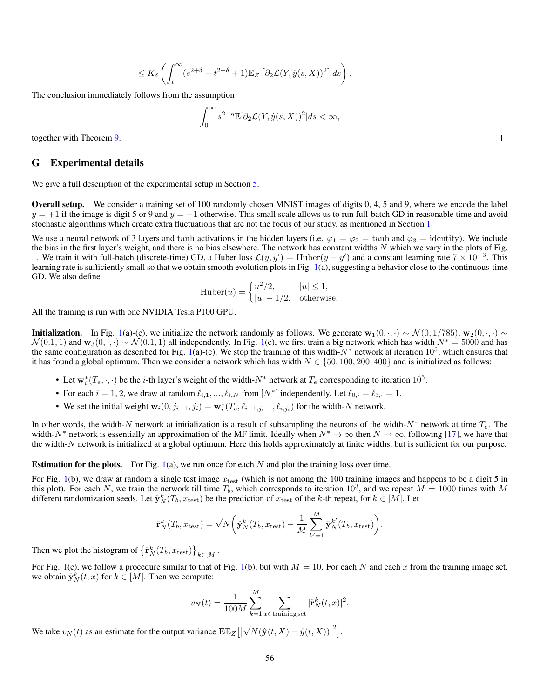$$
\leq K_\delta \left( \int_t^\infty (s^{2+\delta}-t^{2+\delta}+1) \mathbb{E}_Z \left[ \partial_2 \mathcal{L}(Y,\hat{y}(s,X))^2 \right] ds \right).
$$

The conclusion immediately follows from the assumption

$$
\int_0^\infty s^{2+\eta} \mathbb{E}[\partial_2 \mathcal{L}(Y, \hat{y}(s, X))^2] ds < \infty,
$$

together with Theorem [9.](#page-8-1)

#### <span id="page-55-0"></span>G Experimental details

We give a full description of the experimental setup in Section [5.](#page-9-1)

Overall setup. We consider a training set of 100 randomly chosen MNIST images of digits 0, 4, 5 and 9, where we encode the label  $y = +1$  if the image is digit 5 or 9 and  $y = -1$  otherwise. This small scale allows us to run full-batch GD in reasonable time and avoid stochastic algorithms which create extra fluctuations that are not the focus of our study, as mentioned in Section [1.](#page-0-0)

We use a neural network of 3 layers and tanh activations in the hidden layers (i.e.  $\varphi_1 = \varphi_2 = \tanh$  and  $\varphi_3 = \text{identity}$ ). We include the bias in the first layer's weight, and there is no bias elsewhere. The network has constant widths  $N$  which we vary in the plots of Fig. [1.](#page-9-0) We train it with full-batch (discrete-time) GD, a Huber loss  $\mathcal{L}(y, y') = Huber(y - y')$  and a constant learning rate  $7 \times 10^{-3}$ . This learning rate is sufficiently small so that we obtain smooth evolution plots in Fig. [1\(](#page-9-0)a), suggesting a behavior close to the continuous-time GD. We also define

Huber
$$
(u)
$$
 = 
$$
\begin{cases} u^2/2, & |u| \le 1, \\ |u| - 1/2, & \text{otherwise.} \end{cases}
$$

All the training is run with one NVIDIA Tesla P100 GPU.

**Initialization.** In Fig. [1\(](#page-9-0)a)-(c), we initialize the network randomly as follows. We generate  $\mathbf{w}_1(0, \cdot, \cdot) \sim \mathcal{N}(0, 1/785)$ ,  $\mathbf{w}_2(0, \cdot, \cdot) \sim$  $\mathcal{N}(0.1, 1)$  and  $\mathbf{w}_3(0, \cdot, \cdot) \sim \mathcal{N}(0.1, 1)$  all independently. In Fig. [1\(](#page-9-0)e), we first train a big network which has width  $N^* = 5000$  and has the same configuration as described for Fig. [1\(](#page-9-0)a)-(c). We stop the training of this width- $N^*$  network at iteration  $10^5$ , which ensures that it has found a global optimum. Then we consider a network which has width  $N \in \{50, 100, 200, 400\}$  and is initialized as follows:

- Let  $w_i^*(T_e, \cdot, \cdot)$  be the *i*-th layer's weight of the width- $N^*$  network at  $T_e$  corresponding to iteration 10<sup>5</sup>.
- For each  $i = 1, 2$ , we draw at random  $\ell_{i,1}, \ldots, \ell_{i,N}$  from  $[N^*]$  independently. Let  $\ell_{0,+} = \ell_{3,+} = 1$ .
- We set the initial weight  $\mathbf{w}_i(0, j_{i-1}, j_i) = \mathbf{w}_i^*(T_e, \ell_{i-1,j_{i-1}}, \ell_{i,j_i})$  for the width-N network.

In other words, the width-N network at initialization is a result of subsampling the neurons of the width-N<sup>\*</sup> network at time  $T_e$ . The width-N<sup>∗</sup> network is essentially an approximation of the MF limit. Ideally when  $N^* \to \infty$  then  $N \to \infty$ , following [\[17\]](#page-10-0), we have that the width-N network is initialized at a global optimum. Here this holds approximately at finite widths, but is sufficient for our purpose.

**Estimation for the plots.** For Fig. [1\(](#page-9-0)a), we run once for each  $N$  and plot the training loss over time.

For Fig. [1\(](#page-9-0)b), we draw at random a single test image  $x_{\text{test}}$  (which is not among the 100 training images and happens to be a digit 5 in this plot). For each N, we train the network till time  $T_b$ , which corresponds to iteration  $10^3$ , and we repeat  $M = 1000$  times with M different randomization seeds. Let  $\hat{\mathbf{y}}_N^k(T_b, x_{\text{test}})$  be the prediction of  $x_{\text{test}}$  of the k-th repeat, for  $k \in [M]$ . Let

$$
\hat{\mathbf{r}}_N^k(T_b, x_{\text{test}}) = \sqrt{N} \bigg( \hat{\mathbf{y}}_N^k(T_b, x_{\text{test}}) - \frac{1}{M} \sum_{k'=1}^M \hat{\mathbf{y}}_N^{k'}(T_b, x_{\text{test}}) \bigg).
$$

Then we plot the histogram of  $\left\{\hat{\mathbf{r}}_N^k(T_b, x_{\text{test}})\right\}_{k \in [M]}$ .

For Fig. [1\(](#page-9-0)c), we follow a procedure similar to that of Fig. 1(b), but with  $M = 10$ . For each N and each x from the training image set, we obtain  $\hat{\mathbf{y}}_N^k(t, x)$  for  $k \in [M]$ . Then we compute:

$$
v_N(t) = \frac{1}{100M} \sum_{k=1}^{M} \sum_{x \in \text{training set}} |\hat{\mathbf{r}}_N^k(t, x)|^2.
$$

We take  $v_N(t)$  as an estimate for the output variance  $\mathbf{E}\mathbb{E}_Z\left[ \left\vert \right. \right.$ √  $\overline{N}(\hat{\mathbf{y}}(t, X) - \hat{y}(t, X))$ <sup>2</sup>].